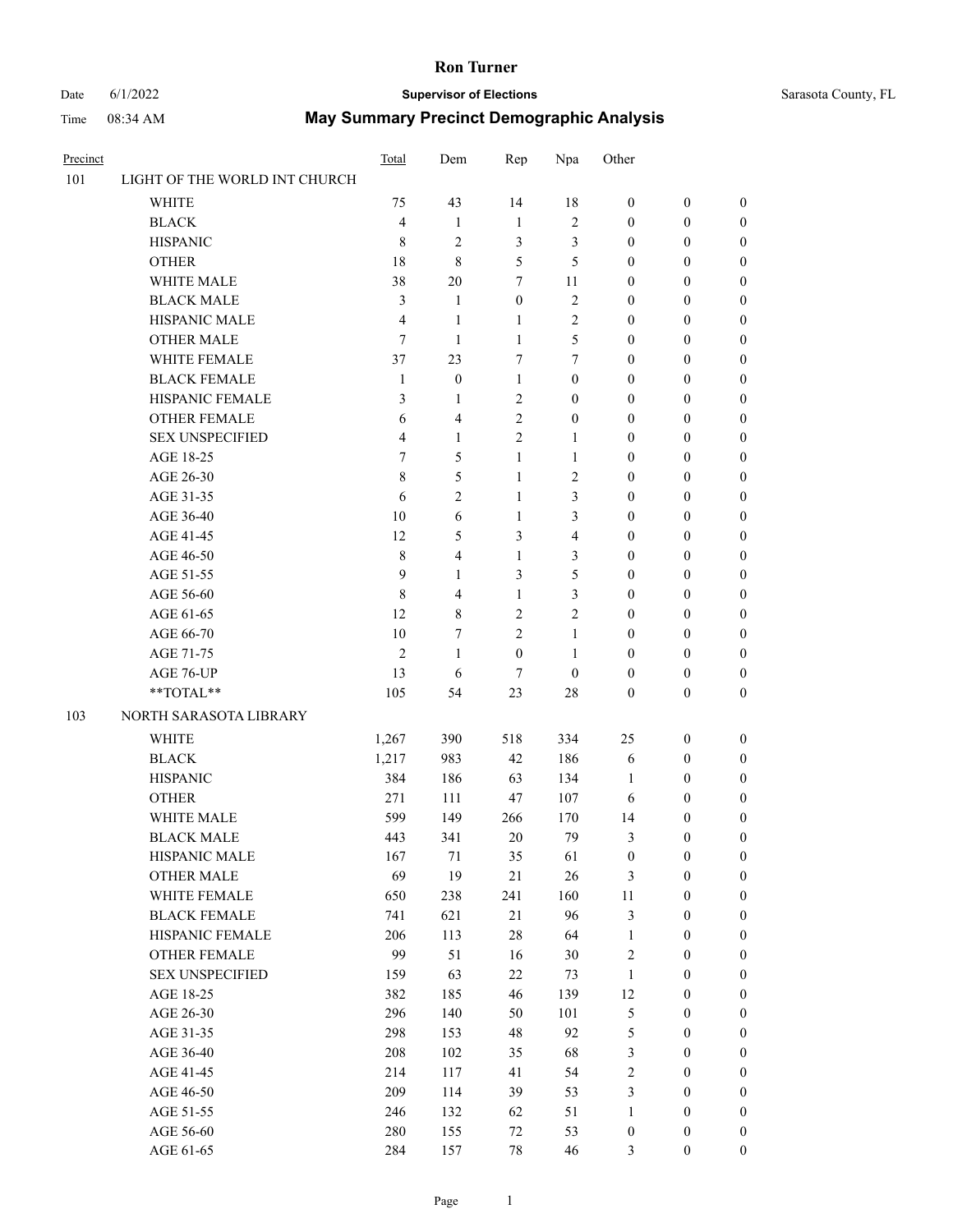# Date 6/1/2022 **Supervisor of Elections** Sarasota County, FL

| Precinct |                               | <b>Total</b>   | Dem              | Rep              | Npa                     | Other            |                  |                  |
|----------|-------------------------------|----------------|------------------|------------------|-------------------------|------------------|------------------|------------------|
| 101      | LIGHT OF THE WORLD INT CHURCH |                |                  |                  |                         |                  |                  |                  |
|          | <b>WHITE</b>                  | 75             | 43               | 14               | 18                      | $\boldsymbol{0}$ | $\boldsymbol{0}$ | $\boldsymbol{0}$ |
|          | <b>BLACK</b>                  | $\overline{4}$ | 1                | $\mathbf{1}$     | $\mathfrak{2}$          | $\boldsymbol{0}$ | $\boldsymbol{0}$ | $\boldsymbol{0}$ |
|          | <b>HISPANIC</b>               | 8              | $\overline{2}$   | 3                | 3                       | $\boldsymbol{0}$ | $\boldsymbol{0}$ | $\boldsymbol{0}$ |
|          | <b>OTHER</b>                  | 18             | 8                | 5                | 5                       | $\boldsymbol{0}$ | $\boldsymbol{0}$ | $\boldsymbol{0}$ |
|          | WHITE MALE                    | 38             | 20               | 7                | 11                      | $\boldsymbol{0}$ | 0                | $\boldsymbol{0}$ |
|          | <b>BLACK MALE</b>             | 3              | 1                | $\boldsymbol{0}$ | $\sqrt{2}$              | $\boldsymbol{0}$ | $\boldsymbol{0}$ | $\boldsymbol{0}$ |
|          | HISPANIC MALE                 | 4              | 1                | 1                | 2                       | $\boldsymbol{0}$ | 0                | $\boldsymbol{0}$ |
|          | <b>OTHER MALE</b>             | $\tau$         | $\mathbf{1}$     | 1                | 5                       | $\boldsymbol{0}$ | $\boldsymbol{0}$ | $\boldsymbol{0}$ |
|          | WHITE FEMALE                  | 37             | 23               | 7                | 7                       | $\boldsymbol{0}$ | $\boldsymbol{0}$ | $\boldsymbol{0}$ |
|          | <b>BLACK FEMALE</b>           | $\mathbf{1}$   | $\boldsymbol{0}$ | $\mathbf{1}$     | $\boldsymbol{0}$        | $\boldsymbol{0}$ | $\boldsymbol{0}$ | $\boldsymbol{0}$ |
|          | HISPANIC FEMALE               | 3              | 1                | $\overline{2}$   | $\boldsymbol{0}$        | $\boldsymbol{0}$ | $\boldsymbol{0}$ | 0                |
|          | <b>OTHER FEMALE</b>           | 6              | 4                | $\overline{2}$   | $\boldsymbol{0}$        | $\boldsymbol{0}$ | $\boldsymbol{0}$ | $\boldsymbol{0}$ |
|          | <b>SEX UNSPECIFIED</b>        | 4              | $\mathbf{1}$     | $\mathfrak{2}$   | $\mathbf{1}$            | $\boldsymbol{0}$ | $\boldsymbol{0}$ | $\boldsymbol{0}$ |
|          | AGE 18-25                     | 7              | 5                | $\mathbf{1}$     | 1                       | $\boldsymbol{0}$ | $\boldsymbol{0}$ | $\boldsymbol{0}$ |
|          | AGE 26-30                     | 8              | 5                | $\mathbf{1}$     | 2                       | $\boldsymbol{0}$ | $\boldsymbol{0}$ | $\boldsymbol{0}$ |
|          | AGE 31-35                     | 6              | $\mathfrak{2}$   | $\mathbf{1}$     | 3                       | $\boldsymbol{0}$ | $\boldsymbol{0}$ | $\boldsymbol{0}$ |
|          | AGE 36-40                     | 10             | 6                | $\mathbf{1}$     | 3                       | $\boldsymbol{0}$ | 0                | $\boldsymbol{0}$ |
|          | AGE 41-45                     | 12             | 5                | 3                | $\overline{\mathbf{4}}$ | $\boldsymbol{0}$ | $\boldsymbol{0}$ | $\boldsymbol{0}$ |
|          | AGE 46-50                     | $\,$ 8 $\,$    | 4                | 1                | 3                       | $\boldsymbol{0}$ | $\boldsymbol{0}$ | $\boldsymbol{0}$ |
|          | AGE 51-55                     | 9              | $\mathbf{1}$     | 3                | 5                       | $\boldsymbol{0}$ | $\boldsymbol{0}$ | $\boldsymbol{0}$ |
|          | AGE 56-60                     | $\,8\,$        | 4                | 1                | 3                       | $\boldsymbol{0}$ | $\boldsymbol{0}$ | $\boldsymbol{0}$ |
|          | AGE 61-65                     | 12             | 8                | $\overline{2}$   | 2                       | $\boldsymbol{0}$ | $\boldsymbol{0}$ | $\boldsymbol{0}$ |
|          | AGE 66-70                     | 10             | 7                | $\mathfrak{2}$   | $\mathbf{1}$            | $\boldsymbol{0}$ | $\boldsymbol{0}$ | $\boldsymbol{0}$ |
|          | AGE 71-75                     | $\overline{2}$ | $\mathbf{1}$     | $\boldsymbol{0}$ | 1                       | $\boldsymbol{0}$ | $\boldsymbol{0}$ | $\boldsymbol{0}$ |
|          |                               | 13             | 6                | 7                | $\boldsymbol{0}$        | $\boldsymbol{0}$ |                  |                  |
|          | AGE 76-UP                     |                |                  |                  |                         |                  | $\boldsymbol{0}$ | $\boldsymbol{0}$ |
|          | **TOTAL**                     | 105            | 54               | 23               | 28                      | $\boldsymbol{0}$ | $\boldsymbol{0}$ | $\boldsymbol{0}$ |
| 103      | NORTH SARASOTA LIBRARY        |                |                  |                  |                         |                  |                  |                  |
|          | <b>WHITE</b>                  | 1,267          | 390              | 518              | 334                     | 25               | $\boldsymbol{0}$ | $\boldsymbol{0}$ |
|          | <b>BLACK</b>                  | 1,217          | 983              | 42               | 186                     | 6                | $\boldsymbol{0}$ | $\boldsymbol{0}$ |
|          | <b>HISPANIC</b>               | 384            | 186              | 63               | 134                     | 1                | $\boldsymbol{0}$ | $\boldsymbol{0}$ |
|          | <b>OTHER</b>                  | 271            | 111              | 47               | 107                     | 6                | $\boldsymbol{0}$ | $\boldsymbol{0}$ |
|          | WHITE MALE                    | 599            | 149              | 266              | 170                     | 14               | $\boldsymbol{0}$ | $\boldsymbol{0}$ |
|          | <b>BLACK MALE</b>             | 443            | 341              | 20               | 79                      | 3                | $\boldsymbol{0}$ | $\boldsymbol{0}$ |
|          | HISPANIC MALE                 | 167            | 71               | 35               | 61                      | $\boldsymbol{0}$ | $\boldsymbol{0}$ | $\boldsymbol{0}$ |
|          | OTHER MALE                    | 69             | 19               | 21               | 26                      | $\mathfrak{Z}$   | $\boldsymbol{0}$ | $\boldsymbol{0}$ |
|          | WHITE FEMALE                  | 650            | 238              | 241              | 160                     | 11               | $\boldsymbol{0}$ | $\overline{0}$   |
|          | <b>BLACK FEMALE</b>           | 741            | 621              | 21               | 96                      | 3                | $\boldsymbol{0}$ | $\overline{0}$   |
|          | HISPANIC FEMALE               | 206            | 113              | $28\,$           | 64                      | $\mathbf{1}$     | $\boldsymbol{0}$ | $\overline{0}$   |
|          | <b>OTHER FEMALE</b>           | 99             | 51               | 16               | 30                      | $\sqrt{2}$       | $\boldsymbol{0}$ | $\theta$         |
|          | <b>SEX UNSPECIFIED</b>        | 159            | 63               | 22               | 73                      | $\mathbf{1}$     | $\boldsymbol{0}$ | $\overline{0}$   |
|          | AGE 18-25                     | 382            | 185              | 46               | 139                     | 12               | $\boldsymbol{0}$ | $\boldsymbol{0}$ |
|          | AGE 26-30                     | 296            | 140              | 50               | 101                     | $\mathfrak{S}$   | $\boldsymbol{0}$ | 0                |
|          | AGE 31-35                     | 298            | 153              | $48\,$           | 92                      | $\mathfrak{S}$   | $\boldsymbol{0}$ | 0                |
|          | AGE 36-40                     | 208            | 102              | 35               | 68                      | $\mathfrak{Z}$   | $\boldsymbol{0}$ | $\boldsymbol{0}$ |
|          | AGE 41-45                     | 214            | 117              | 41               | 54                      | $\sqrt{2}$       | $\boldsymbol{0}$ | $\boldsymbol{0}$ |
|          | AGE 46-50                     | 209            | 114              | 39               | 53                      | 3                | $\boldsymbol{0}$ | $\overline{0}$   |
|          | AGE 51-55                     | 246            | 132              | 62               | 51                      | $\mathbf{1}$     | $\boldsymbol{0}$ | $\boldsymbol{0}$ |
|          | AGE 56-60                     | 280            | 155              | 72               | 53                      | $\boldsymbol{0}$ | $\boldsymbol{0}$ | $\boldsymbol{0}$ |
|          | AGE 61-65                     | 284            | 157              | 78               | 46                      | 3                | $\boldsymbol{0}$ | $\boldsymbol{0}$ |
|          |                               |                |                  |                  |                         |                  |                  |                  |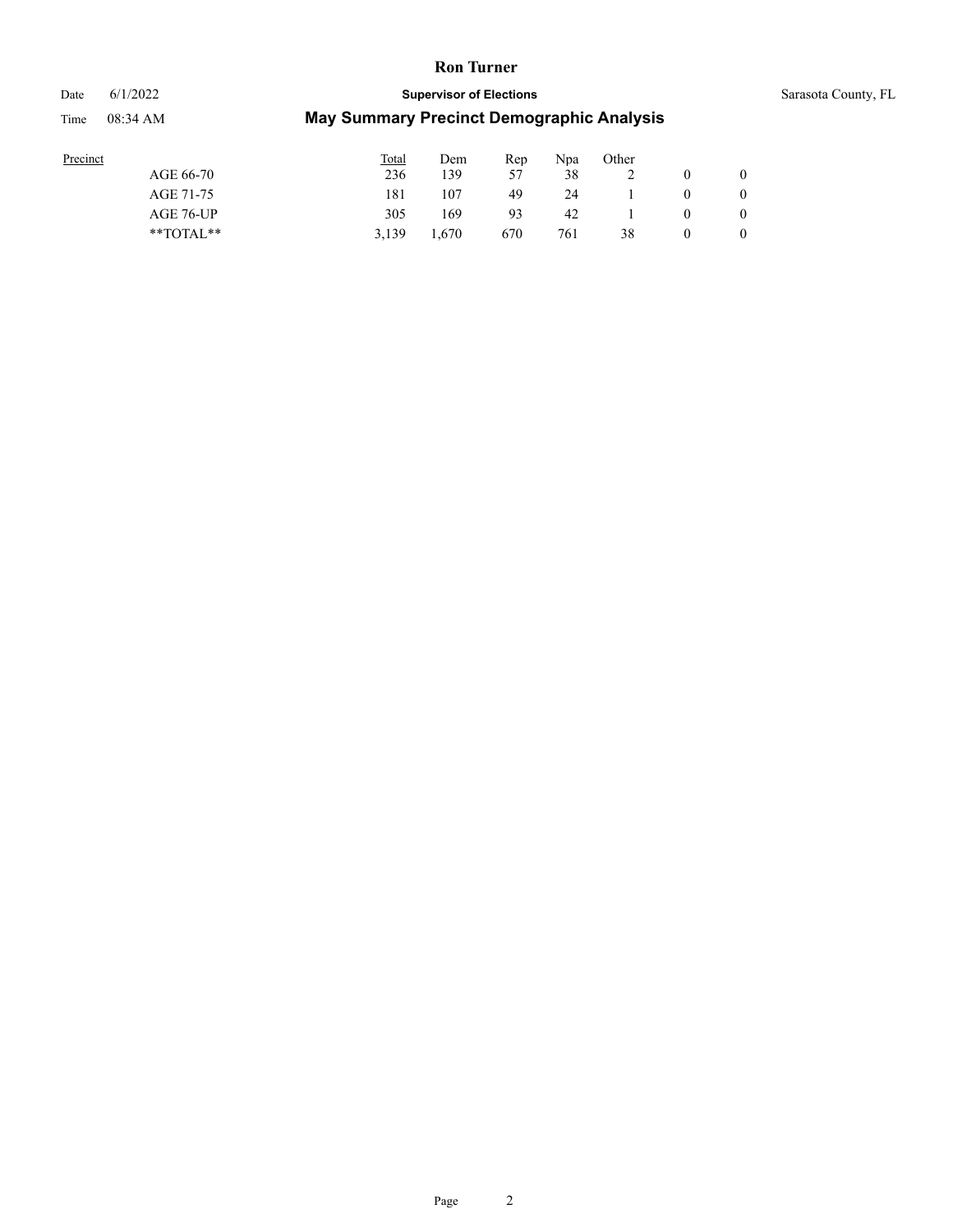# Date 6/1/2022 **Supervisor of Elections** Sarasota County, FL

| Precinct |               | <b>Total</b> | Dem            | Rep | Npa | Other |              |
|----------|---------------|--------------|----------------|-----|-----|-------|--------------|
|          | AGE 66-70     | 236          | 139            | 57  | 38  |       | $\mathbf{0}$ |
|          | AGE 71-75     | 181          | 107            | 49  | 24  |       | $\mathbf{0}$ |
|          | AGE 76-UP     | 305          | 169            | 93  | 42  |       | $\mathbf{0}$ |
|          | $*$ $TOTAL**$ | 3.139        | <sup>670</sup> | 670 | 761 | 38    | $\mathbf{0}$ |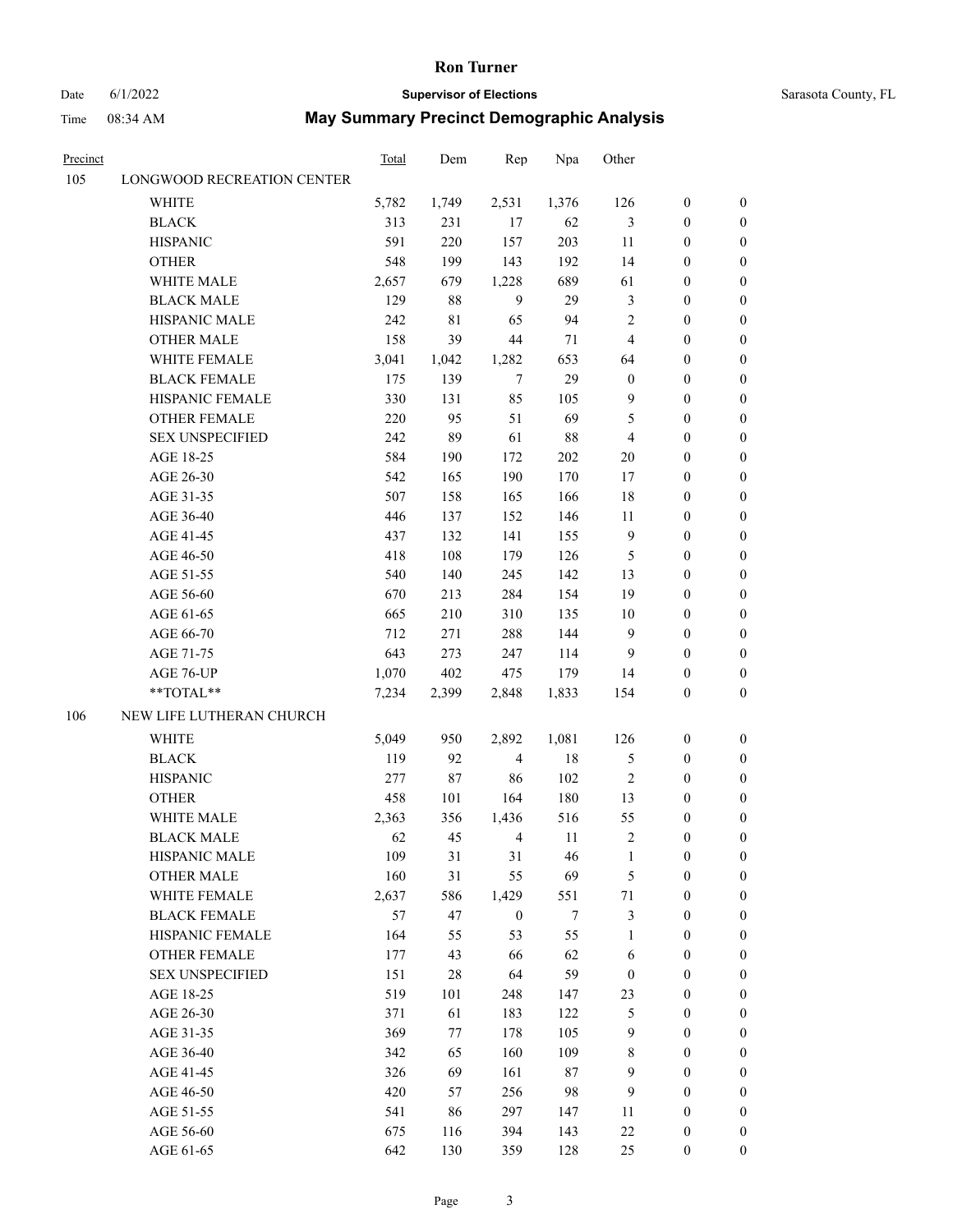#### Date 6/1/2022 **Supervisor of Elections** Supervisor **Supervisor of Elections** Sarasota County, FL

| <u>Precinct</u> |                            | <b>Total</b> | Dem        | Rep              | Npa    | Other            |                  |                  |
|-----------------|----------------------------|--------------|------------|------------------|--------|------------------|------------------|------------------|
| 105             | LONGWOOD RECREATION CENTER |              |            |                  |        |                  |                  |                  |
|                 | <b>WHITE</b>               | 5,782        | 1,749      | 2,531            | 1,376  | 126              | $\boldsymbol{0}$ | $\boldsymbol{0}$ |
|                 | $\operatorname{BLACK}$     | 313          | 231        | 17               | 62     | $\mathfrak{Z}$   | $\boldsymbol{0}$ | $\boldsymbol{0}$ |
|                 | <b>HISPANIC</b>            | 591          | 220        | 157              | 203    | 11               | $\boldsymbol{0}$ | $\boldsymbol{0}$ |
|                 | <b>OTHER</b>               | 548          | 199        | 143              | 192    | 14               | $\boldsymbol{0}$ | $\boldsymbol{0}$ |
|                 | WHITE MALE                 | 2,657        | 679        | 1,228            | 689    | 61               | $\boldsymbol{0}$ | $\boldsymbol{0}$ |
|                 | <b>BLACK MALE</b>          | 129          | 88         | 9                | 29     | 3                | $\boldsymbol{0}$ | $\boldsymbol{0}$ |
|                 | <b>HISPANIC MALE</b>       | 242          | 81         | 65               | 94     | $\overline{c}$   | $\boldsymbol{0}$ | $\boldsymbol{0}$ |
|                 | <b>OTHER MALE</b>          | 158          | 39         | 44               | 71     | $\overline{4}$   | $\boldsymbol{0}$ | $\boldsymbol{0}$ |
|                 | WHITE FEMALE               | 3,041        | 1,042      | 1,282            | 653    | 64               | $\boldsymbol{0}$ | $\boldsymbol{0}$ |
|                 | <b>BLACK FEMALE</b>        | 175          | 139        | $\tau$           | 29     | $\boldsymbol{0}$ | $\boldsymbol{0}$ | 0                |
|                 | HISPANIC FEMALE            | 330          | 131        | 85               | 105    | 9                | $\boldsymbol{0}$ | 0                |
|                 | <b>OTHER FEMALE</b>        | 220          | 95         | 51               | 69     | 5                | $\boldsymbol{0}$ | 0                |
|                 | <b>SEX UNSPECIFIED</b>     | 242          | 89         | 61               | 88     | $\overline{4}$   | $\boldsymbol{0}$ | $\boldsymbol{0}$ |
|                 | AGE 18-25                  | 584          | 190        | 172              | 202    | 20               | $\boldsymbol{0}$ | $\boldsymbol{0}$ |
|                 | AGE 26-30                  | 542          | 165        | 190              | 170    | 17               | $\boldsymbol{0}$ | $\boldsymbol{0}$ |
|                 | AGE 31-35                  | 507          | 158        | 165              | 166    | 18               | $\boldsymbol{0}$ | $\boldsymbol{0}$ |
|                 | AGE 36-40                  | 446          | 137        | 152              | 146    | 11               | $\boldsymbol{0}$ | $\boldsymbol{0}$ |
|                 | AGE 41-45                  | 437          | 132        | 141              | 155    | $\overline{9}$   | $\boldsymbol{0}$ | $\boldsymbol{0}$ |
|                 | AGE 46-50                  | 418          | 108        | 179              | 126    | 5                | $\boldsymbol{0}$ | $\boldsymbol{0}$ |
|                 | AGE 51-55                  | 540          | 140        | 245              | 142    | 13               | $\boldsymbol{0}$ | $\boldsymbol{0}$ |
|                 | AGE 56-60                  | 670          | 213        | 284              | 154    | 19               | $\boldsymbol{0}$ |                  |
|                 | AGE 61-65                  | 665          | 210        | 310              | 135    | 10               | $\boldsymbol{0}$ | 0<br>0           |
|                 |                            | 712          |            | 288              | 144    | 9                | $\boldsymbol{0}$ | $\boldsymbol{0}$ |
|                 | AGE 66-70                  | 643          | 271<br>273 |                  |        | 9                | $\boldsymbol{0}$ |                  |
|                 | AGE 71-75                  |              |            | 247              | 114    |                  |                  | $\boldsymbol{0}$ |
|                 | AGE 76-UP                  | 1,070        | 402        | 475              | 179    | 14               | $\boldsymbol{0}$ | $\boldsymbol{0}$ |
|                 | **TOTAL**                  | 7,234        | 2,399      | 2,848            | 1,833  | 154              | $\boldsymbol{0}$ | $\boldsymbol{0}$ |
| 106             | NEW LIFE LUTHERAN CHURCH   |              |            |                  |        |                  |                  |                  |
|                 | <b>WHITE</b>               | 5,049        | 950        | 2,892            | 1,081  | 126              | $\boldsymbol{0}$ | $\boldsymbol{0}$ |
|                 | <b>BLACK</b>               | 119          | 92         | $\overline{4}$   | 18     | $\mathfrak{S}$   | $\boldsymbol{0}$ | $\boldsymbol{0}$ |
|                 | <b>HISPANIC</b>            | 277          | 87         | 86               | 102    | $\sqrt{2}$       | $\boldsymbol{0}$ | $\boldsymbol{0}$ |
|                 | <b>OTHER</b>               | 458          | 101        | 164              | 180    | 13               | $\boldsymbol{0}$ | $\boldsymbol{0}$ |
|                 | WHITE MALE                 | 2,363        | 356        | 1,436            | 516    | 55               | $\boldsymbol{0}$ | 0                |
|                 | <b>BLACK MALE</b>          | 62           | 45         | $\overline{4}$   | 11     | $\overline{c}$   | $\boldsymbol{0}$ | 0                |
|                 | HISPANIC MALE              | 109          | 31         | 31               | 46     | 1                | $\boldsymbol{0}$ | 0                |
|                 | <b>OTHER MALE</b>          | 160          | 31         | 55               | 69     | 5                | $\boldsymbol{0}$ | $\overline{0}$   |
|                 | WHITE FEMALE               | 2,637        | 586        | 1,429            | 551    | $71\,$           | $\boldsymbol{0}$ | $\overline{0}$   |
|                 | <b>BLACK FEMALE</b>        | 57           | 47         | $\boldsymbol{0}$ | 7      | 3                | $\boldsymbol{0}$ | $\overline{0}$   |
|                 | HISPANIC FEMALE            | 164          | 55         | 53               | 55     | $\mathbf{1}$     | $\boldsymbol{0}$ | $\overline{0}$   |
|                 | <b>OTHER FEMALE</b>        | 177          | 43         | 66               | 62     | 6                | $\boldsymbol{0}$ | $\overline{0}$   |
|                 | <b>SEX UNSPECIFIED</b>     | 151          | 28         | 64               | 59     | $\boldsymbol{0}$ | $\boldsymbol{0}$ | 0                |
|                 | AGE 18-25                  | 519          | 101        | 248              | 147    | 23               | $\boldsymbol{0}$ | 0                |
|                 | AGE 26-30                  | 371          | 61         | 183              | 122    | $\mathfrak{S}$   | $\boldsymbol{0}$ | 0                |
|                 | AGE 31-35                  | 369          | 77         | 178              | 105    | $\overline{9}$   | $\boldsymbol{0}$ | 0                |
|                 | AGE 36-40                  | 342          | 65         | 160              | 109    | 8                | $\boldsymbol{0}$ | 0                |
|                 | AGE 41-45                  | 326          | 69         | 161              | $87\,$ | 9                | $\boldsymbol{0}$ | $\overline{0}$   |
|                 | AGE 46-50                  | 420          | 57         | 256              | 98     | 9                | $\boldsymbol{0}$ | $\overline{0}$   |
|                 | AGE 51-55                  | 541          | 86         | 297              | 147    | 11               | $\boldsymbol{0}$ | $\overline{0}$   |
|                 | AGE 56-60                  | 675          | 116        | 394              | 143    | $22\,$           | $\boldsymbol{0}$ | $\boldsymbol{0}$ |
|                 | AGE 61-65                  | 642          | 130        | 359              | 128    | 25               | $\boldsymbol{0}$ | $\boldsymbol{0}$ |
|                 |                            |              |            |                  |        |                  |                  |                  |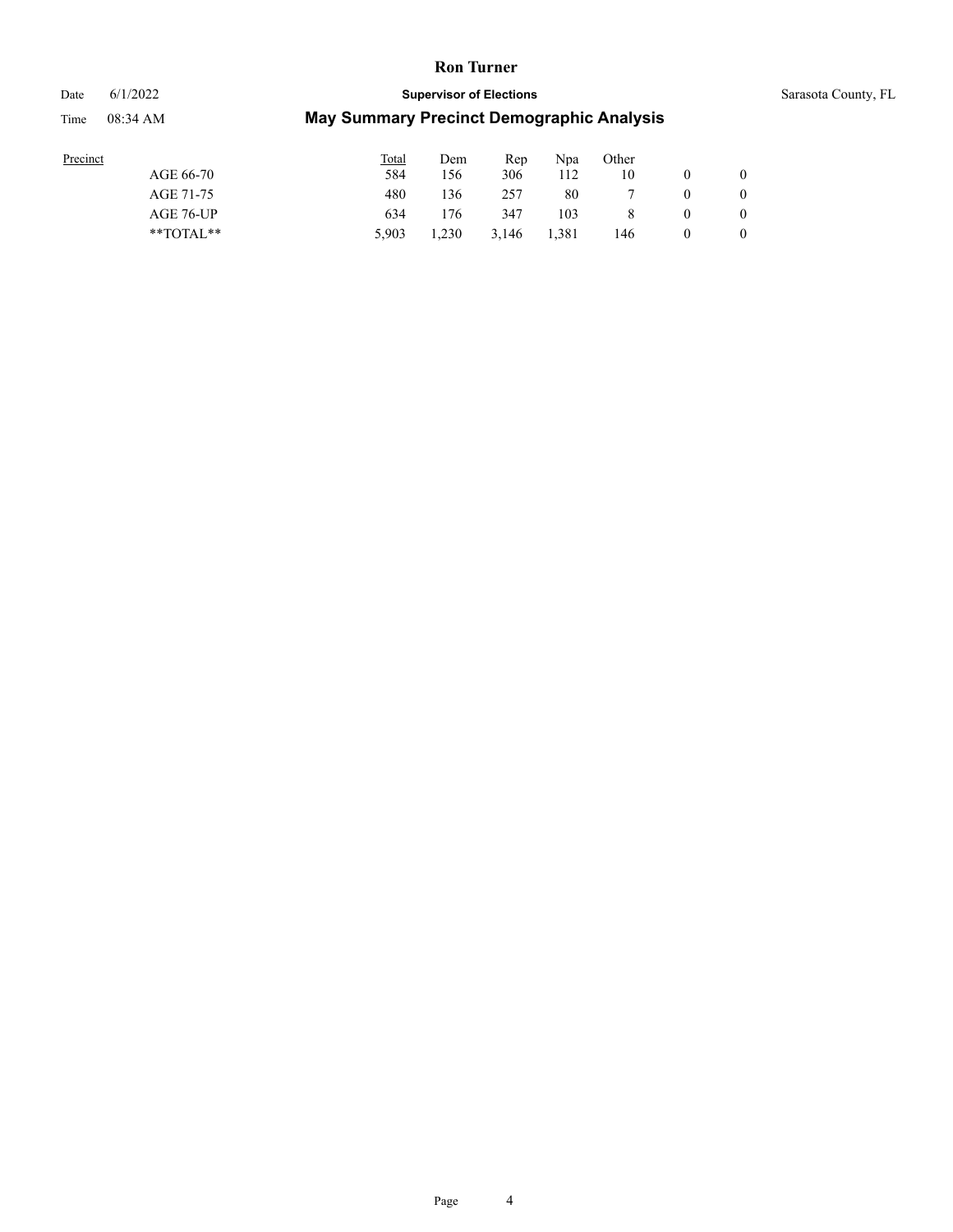Date 6/1/2022 **Supervisor of Elections** Sarasota County, FL

| Precinct |               | <b>Total</b> | Dem   | Rep   | Npa   | Other |              |
|----------|---------------|--------------|-------|-------|-------|-------|--------------|
|          | AGE 66-70     | 584          | 56ء   | 306   | 112   | 10    | $\mathbf{0}$ |
|          | AGE 71-75     | 480          | .36   | 257   | 80    |       | $\mathbf{0}$ |
|          | AGE 76-UP     | 634          | '76   | 347   | 103   |       | $\mathbf{0}$ |
|          | $*$ $TOTAL**$ | 5.903        | 1,230 | 3.146 | 1.381 | 146   | $\mathbf{0}$ |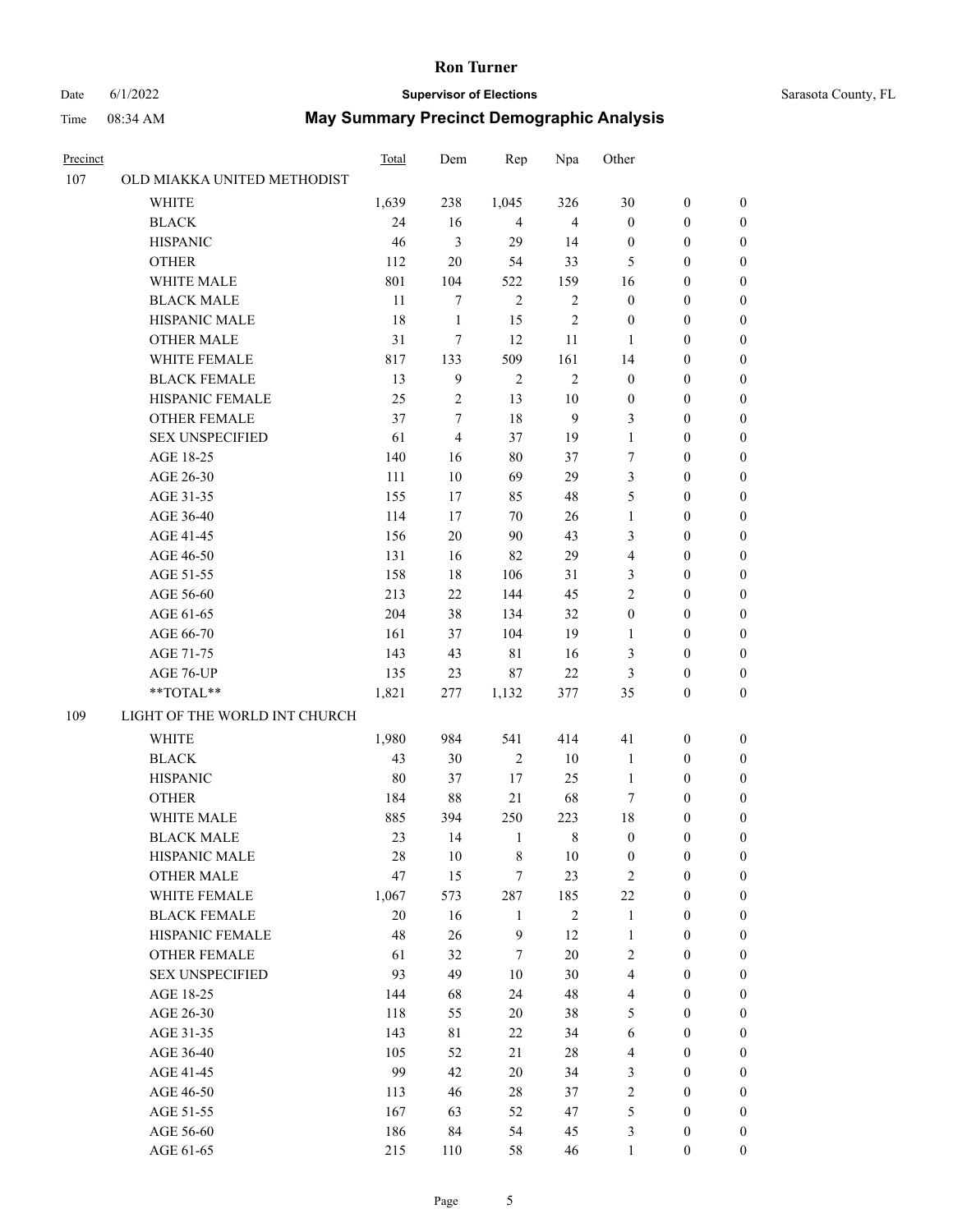#### Date 6/1/2022 **Supervisor of Elections** Supervisor **Supervisor of Elections** Sarasota County, FL

| Precinct |                               | Total  | Dem            | Rep            | Npa            | Other            |                  |                  |
|----------|-------------------------------|--------|----------------|----------------|----------------|------------------|------------------|------------------|
| 107      | OLD MIAKKA UNITED METHODIST   |        |                |                |                |                  |                  |                  |
|          | <b>WHITE</b>                  | 1,639  | 238            | 1,045          | 326            | 30               | $\boldsymbol{0}$ | $\boldsymbol{0}$ |
|          | <b>BLACK</b>                  | 24     | 16             | $\overline{4}$ | $\overline{4}$ | $\boldsymbol{0}$ | $\boldsymbol{0}$ | $\boldsymbol{0}$ |
|          | <b>HISPANIC</b>               | 46     | 3              | 29             | 14             | $\boldsymbol{0}$ | $\boldsymbol{0}$ | $\boldsymbol{0}$ |
|          | <b>OTHER</b>                  | 112    | $20\,$         | 54             | 33             | 5                | $\boldsymbol{0}$ | $\boldsymbol{0}$ |
|          | WHITE MALE                    | 801    | 104            | 522            | 159            | 16               | $\boldsymbol{0}$ | $\boldsymbol{0}$ |
|          | <b>BLACK MALE</b>             | 11     | $\tau$         | $\mathfrak{2}$ | $\sqrt{2}$     | $\boldsymbol{0}$ | $\boldsymbol{0}$ | $\boldsymbol{0}$ |
|          | HISPANIC MALE                 | 18     | $\mathbf{1}$   | 15             | $\mathfrak{2}$ | $\boldsymbol{0}$ | $\boldsymbol{0}$ | $\boldsymbol{0}$ |
|          | <b>OTHER MALE</b>             | 31     | 7              | 12             | 11             | $\mathbf{1}$     | $\boldsymbol{0}$ | $\boldsymbol{0}$ |
|          | <b>WHITE FEMALE</b>           | 817    | 133            | 509            | 161            | 14               | $\boldsymbol{0}$ | $\boldsymbol{0}$ |
|          | <b>BLACK FEMALE</b>           | 13     | 9              | $\sqrt{2}$     | $\sqrt{2}$     | $\boldsymbol{0}$ | $\boldsymbol{0}$ | 0                |
|          | HISPANIC FEMALE               | 25     | $\mathbf{2}$   | 13             | $10\,$         | $\boldsymbol{0}$ | $\boldsymbol{0}$ | 0                |
|          | <b>OTHER FEMALE</b>           | 37     | $\tau$         | 18             | 9              | 3                | $\boldsymbol{0}$ | 0                |
|          | <b>SEX UNSPECIFIED</b>        | 61     | $\overline{4}$ | 37             | 19             | $\mathbf{1}$     | $\boldsymbol{0}$ | $\boldsymbol{0}$ |
|          | AGE 18-25                     | 140    | 16             | 80             | 37             | 7                | $\boldsymbol{0}$ | $\boldsymbol{0}$ |
|          | AGE 26-30                     | 111    | 10             | 69             | 29             | 3                | $\boldsymbol{0}$ | $\boldsymbol{0}$ |
|          | AGE 31-35                     | 155    | 17             | 85             | 48             | 5                | $\boldsymbol{0}$ | $\boldsymbol{0}$ |
|          | AGE 36-40                     | 114    | 17             | 70             | 26             | $\mathbf{1}$     | $\boldsymbol{0}$ | $\boldsymbol{0}$ |
|          | AGE 41-45                     | 156    | $20\,$         | 90             | 43             | 3                | $\boldsymbol{0}$ | $\boldsymbol{0}$ |
|          | AGE 46-50                     | 131    | 16             | 82             | 29             | 4                | $\boldsymbol{0}$ | $\boldsymbol{0}$ |
|          | AGE 51-55                     | 158    | 18             | 106            | 31             | 3                | $\boldsymbol{0}$ | $\boldsymbol{0}$ |
|          | AGE 56-60                     | 213    | 22             | 144            | 45             | $\overline{c}$   | $\boldsymbol{0}$ | 0                |
|          | AGE 61-65                     | 204    | 38             | 134            | 32             | $\boldsymbol{0}$ | $\boldsymbol{0}$ | 0                |
|          | AGE 66-70                     | 161    | 37             | 104            | 19             | $\mathbf{1}$     | $\boldsymbol{0}$ | $\boldsymbol{0}$ |
|          | AGE 71-75                     | 143    | 43             | 81             | 16             | 3                | $\boldsymbol{0}$ | $\boldsymbol{0}$ |
|          | AGE 76-UP                     | 135    | 23             | 87             | $22\,$         | 3                | $\boldsymbol{0}$ | $\boldsymbol{0}$ |
|          | $**TOTAL**$                   | 1,821  | 277            | 1,132          | 377            | 35               | $\boldsymbol{0}$ | $\boldsymbol{0}$ |
| 109      | LIGHT OF THE WORLD INT CHURCH |        |                |                |                |                  |                  |                  |
|          | <b>WHITE</b>                  | 1,980  | 984            | 541            | 414            | 41               | $\boldsymbol{0}$ | $\boldsymbol{0}$ |
|          | <b>BLACK</b>                  | 43     | 30             | $\mathfrak{2}$ | 10             | $\mathbf{1}$     | $\boldsymbol{0}$ | $\boldsymbol{0}$ |
|          | <b>HISPANIC</b>               | 80     | 37             | 17             | 25             | $\mathbf{1}$     | $\boldsymbol{0}$ | $\boldsymbol{0}$ |
|          | <b>OTHER</b>                  | 184    | 88             | 21             | 68             | 7                | $\boldsymbol{0}$ | $\boldsymbol{0}$ |
|          | WHITE MALE                    | 885    | 394            | 250            | 223            | 18               | $\boldsymbol{0}$ | 0                |
|          | <b>BLACK MALE</b>             | 23     | 14             | $\mathbf{1}$   | 8              | $\boldsymbol{0}$ | $\boldsymbol{0}$ | 0                |
|          | HISPANIC MALE                 | 28     | 10             | 8              | 10             | $\boldsymbol{0}$ | $\boldsymbol{0}$ | 0                |
|          | <b>OTHER MALE</b>             | 47     | 15             | 7              | 23             | $\overline{c}$   | $\boldsymbol{0}$ | $\overline{0}$   |
|          | WHITE FEMALE                  | 1,067  | 573            | 287            | 185            | 22               | $\boldsymbol{0}$ | $\overline{0}$   |
|          | <b>BLACK FEMALE</b>           | $20\,$ | 16             | $\mathbf{1}$   | $\sqrt{2}$     | $\mathbf{1}$     | $\boldsymbol{0}$ | $\overline{0}$   |
|          | HISPANIC FEMALE               | 48     | 26             | $\mathbf{9}$   | 12             | $\mathbf{1}$     | $\boldsymbol{0}$ | $\overline{0}$   |
|          | <b>OTHER FEMALE</b>           | 61     | 32             | 7              | 20             | 2                | $\boldsymbol{0}$ | $\theta$         |
|          | <b>SEX UNSPECIFIED</b>        | 93     | 49             | 10             | 30             | $\overline{4}$   | $\boldsymbol{0}$ | $\overline{0}$   |
|          | AGE 18-25                     | 144    | 68             | 24             | 48             | $\overline{4}$   | $\boldsymbol{0}$ | 0                |
|          | AGE 26-30                     | 118    | 55             | 20             | 38             | 5                | $\boldsymbol{0}$ | 0                |
|          | AGE 31-35                     | 143    | 81             | 22             | 34             | 6                | $\boldsymbol{0}$ | 0                |
|          | AGE 36-40                     | 105    | 52             | 21             | 28             | 4                | $\boldsymbol{0}$ | 0                |
|          | AGE 41-45                     | 99     | 42             | 20             | 34             | 3                | $\boldsymbol{0}$ | $\overline{0}$   |
|          | AGE 46-50                     | 113    | 46             | 28             | 37             | $\sqrt{2}$       | $\boldsymbol{0}$ | $\overline{0}$   |
|          | AGE 51-55                     | 167    | 63             | 52             | 47             | 5                | $\boldsymbol{0}$ | $\overline{0}$   |
|          | AGE 56-60                     | 186    | 84             | 54             | 45             | 3                | $\boldsymbol{0}$ | $\boldsymbol{0}$ |
|          | AGE 61-65                     | 215    | 110            | 58             | 46             | $\mathbf{1}$     | $\boldsymbol{0}$ | $\boldsymbol{0}$ |
|          |                               |        |                |                |                |                  |                  |                  |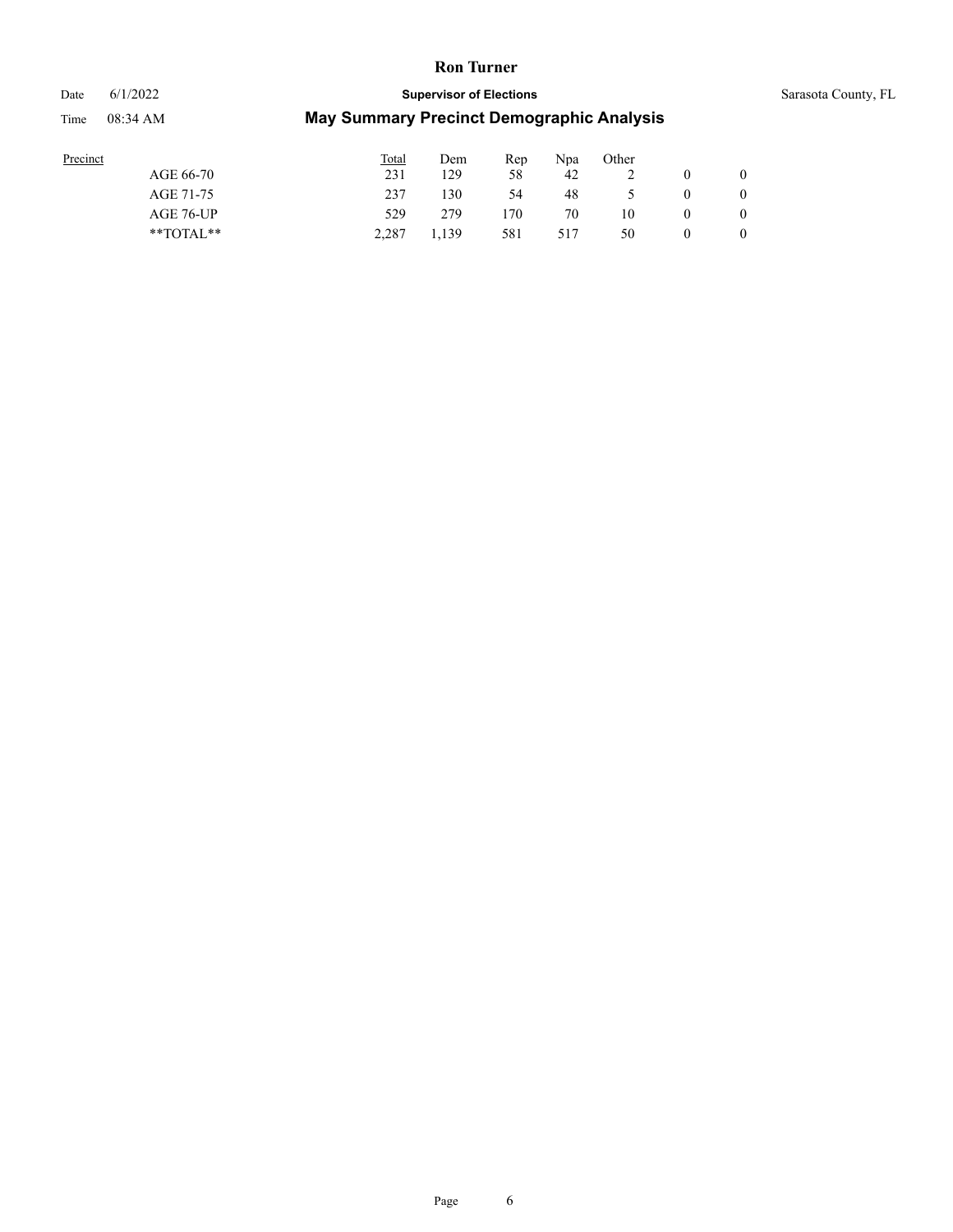# Date 6/1/2022 **Supervisor of Elections** Sarasota County, FL

| ecinct |  |  |
|--------|--|--|

| Precinct      | Total | Dem   | Rep | Npa | Other |        |          |
|---------------|-------|-------|-----|-----|-------|--------|----------|
| AGE 66-70     | 231   | 129   | 58  | 42  | ∸     |        | $\theta$ |
| AGE 71-75     | 237   | 130   | 54  | 48  |       | $_{0}$ | $\theta$ |
| AGE 76-UP     | 529   | 279   | 170 | 70  | 10    | O      | $\theta$ |
| $*$ TOTAL $*$ | 2.287 | 1.139 | 581 | 517 | 50    |        | $\theta$ |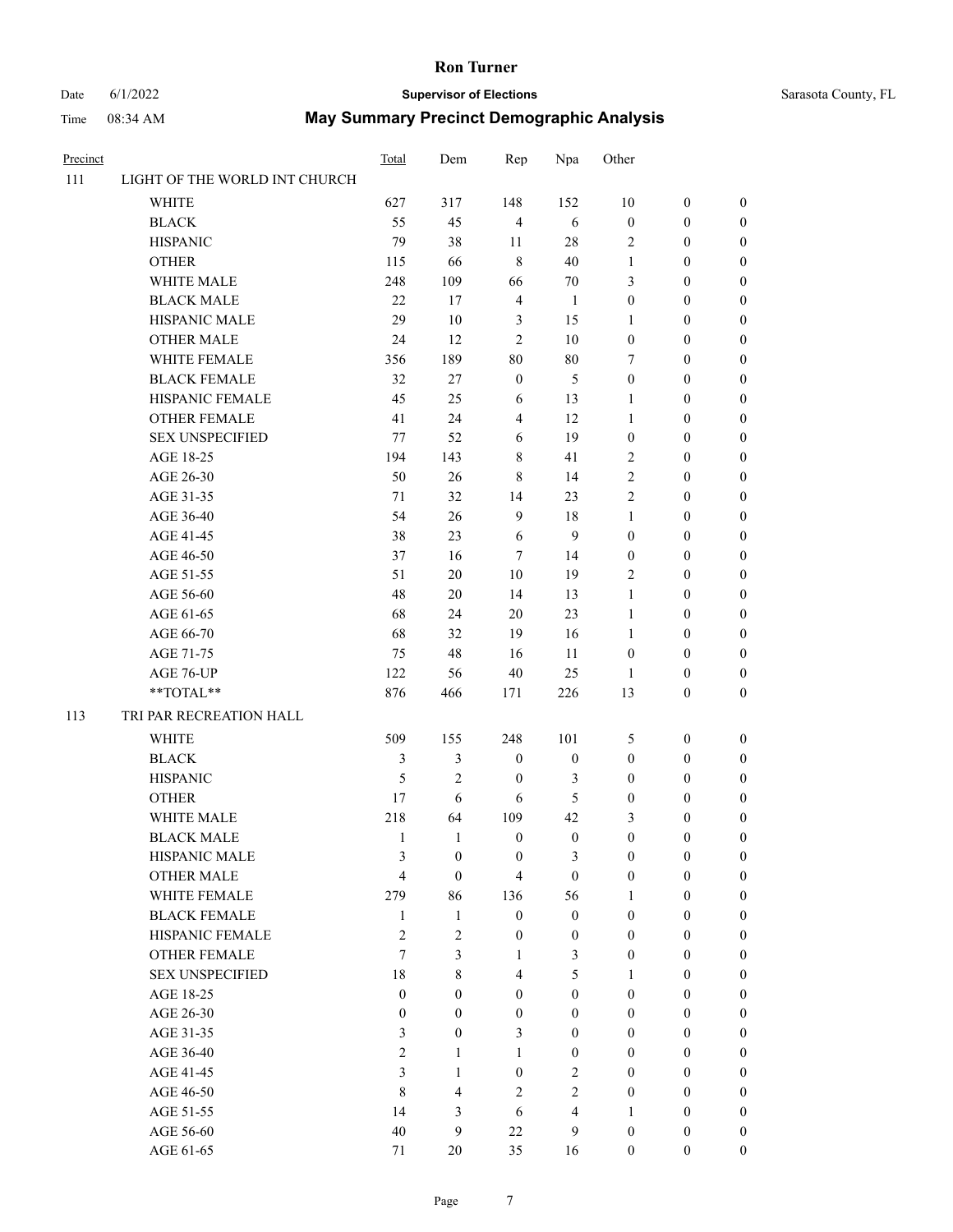# Date 6/1/2022 **Supervisor of Elections** Sarasota County, FL

| Precinct |                               | Total            | Dem              | Rep              | Npa                     | Other            |                  |                  |
|----------|-------------------------------|------------------|------------------|------------------|-------------------------|------------------|------------------|------------------|
| 111      | LIGHT OF THE WORLD INT CHURCH |                  |                  |                  |                         |                  |                  |                  |
|          | <b>WHITE</b>                  | 627              | 317              | 148              | 152                     | 10               | $\boldsymbol{0}$ | $\boldsymbol{0}$ |
|          | <b>BLACK</b>                  | 55               | 45               | $\overline{4}$   | 6                       | $\boldsymbol{0}$ | $\boldsymbol{0}$ | $\boldsymbol{0}$ |
|          | <b>HISPANIC</b>               | 79               | 38               | 11               | $28\,$                  | $\overline{2}$   | $\boldsymbol{0}$ | $\boldsymbol{0}$ |
|          | <b>OTHER</b>                  | 115              | 66               | $\,8\,$          | 40                      | $\mathbf{1}$     | $\boldsymbol{0}$ | $\boldsymbol{0}$ |
|          | WHITE MALE                    | 248              | 109              | 66               | $70\,$                  | 3                | $\boldsymbol{0}$ | $\boldsymbol{0}$ |
|          | <b>BLACK MALE</b>             | 22               | 17               | $\overline{4}$   | $\mathbf{1}$            | $\boldsymbol{0}$ | $\boldsymbol{0}$ | $\boldsymbol{0}$ |
|          | HISPANIC MALE                 | 29               | 10               | 3                | 15                      | $\mathbf{1}$     | $\boldsymbol{0}$ | $\boldsymbol{0}$ |
|          | <b>OTHER MALE</b>             | 24               | 12               | $\overline{c}$   | $10\,$                  | $\boldsymbol{0}$ | $\boldsymbol{0}$ | $\boldsymbol{0}$ |
|          | WHITE FEMALE                  | 356              | 189              | 80               | $80\,$                  | 7                | $\boldsymbol{0}$ | $\boldsymbol{0}$ |
|          | <b>BLACK FEMALE</b>           | 32               | 27               | $\boldsymbol{0}$ | 5                       | $\boldsymbol{0}$ | $\boldsymbol{0}$ | $\boldsymbol{0}$ |
|          | HISPANIC FEMALE               | 45               | 25               | 6                | 13                      | 1                | $\boldsymbol{0}$ | $\boldsymbol{0}$ |
|          | <b>OTHER FEMALE</b>           | 41               | 24               | $\overline{4}$   | 12                      | $\mathbf{1}$     | $\boldsymbol{0}$ | $\boldsymbol{0}$ |
|          | <b>SEX UNSPECIFIED</b>        | 77               | 52               | 6                | 19                      | $\boldsymbol{0}$ | $\boldsymbol{0}$ | $\boldsymbol{0}$ |
|          | AGE 18-25                     | 194              | 143              | $\,$ 8 $\,$      | 41                      | $\mathbf{2}$     | $\boldsymbol{0}$ | $\boldsymbol{0}$ |
|          | AGE 26-30                     | 50               | 26               | $\,8\,$          | 14                      | 2                | $\boldsymbol{0}$ | $\boldsymbol{0}$ |
|          | AGE 31-35                     | 71               | 32               | 14               | 23                      | $\overline{c}$   | $\boldsymbol{0}$ | $\boldsymbol{0}$ |
|          | AGE 36-40                     | 54               | 26               | 9                | 18                      | $\mathbf{1}$     | $\boldsymbol{0}$ | $\boldsymbol{0}$ |
|          | AGE 41-45                     | 38               | 23               | 6                | 9                       | $\boldsymbol{0}$ | $\boldsymbol{0}$ | $\boldsymbol{0}$ |
|          | AGE 46-50                     | 37               | 16               | 7                | 14                      | $\boldsymbol{0}$ | $\boldsymbol{0}$ | $\boldsymbol{0}$ |
|          | AGE 51-55                     | 51               | 20               | 10               | 19                      | 2                | $\boldsymbol{0}$ | $\boldsymbol{0}$ |
|          |                               |                  |                  |                  |                         |                  |                  |                  |
|          | AGE 56-60                     | 48               | 20               | 14               | 13                      | $\mathbf{1}$     | $\boldsymbol{0}$ | 0                |
|          | AGE 61-65                     | 68               | 24               | 20               | 23                      | $\mathbf{1}$     | $\boldsymbol{0}$ | 0                |
|          | AGE 66-70                     | 68               | 32               | 19               | 16                      | $\mathbf{1}$     | $\boldsymbol{0}$ | $\boldsymbol{0}$ |
|          | AGE 71-75                     | 75               | 48               | 16               | 11                      | $\boldsymbol{0}$ | $\boldsymbol{0}$ | $\boldsymbol{0}$ |
|          | AGE 76-UP                     | 122              | 56               | 40               | 25                      | 1                | $\boldsymbol{0}$ | $\boldsymbol{0}$ |
|          | **TOTAL**                     | 876              | 466              | 171              | 226                     | 13               | $\boldsymbol{0}$ | $\boldsymbol{0}$ |
| 113      | TRI PAR RECREATION HALL       |                  |                  |                  |                         |                  |                  |                  |
|          | <b>WHITE</b>                  | 509              | 155              | 248              | 101                     | 5                | $\boldsymbol{0}$ | $\boldsymbol{0}$ |
|          | <b>BLACK</b>                  | $\mathfrak{Z}$   | 3                | $\boldsymbol{0}$ | $\boldsymbol{0}$        | $\boldsymbol{0}$ | $\boldsymbol{0}$ | $\boldsymbol{0}$ |
|          | <b>HISPANIC</b>               | 5                | $\mathfrak{2}$   | $\boldsymbol{0}$ | 3                       | $\boldsymbol{0}$ | $\boldsymbol{0}$ | $\boldsymbol{0}$ |
|          | <b>OTHER</b>                  | 17               | 6                | 6                | 5                       | $\boldsymbol{0}$ | $\boldsymbol{0}$ | $\boldsymbol{0}$ |
|          | WHITE MALE                    | 218              | 64               | 109              | 42                      | 3                | $\boldsymbol{0}$ | $\boldsymbol{0}$ |
|          | <b>BLACK MALE</b>             | 1                | 1                | $\mathbf{0}$     | $\boldsymbol{0}$        | $\boldsymbol{0}$ | $\boldsymbol{0}$ | $\boldsymbol{0}$ |
|          | <b>HISPANIC MALE</b>          | 3                | $\boldsymbol{0}$ | $\boldsymbol{0}$ | 3                       | 0                | $\boldsymbol{0}$ | 0                |
|          | <b>OTHER MALE</b>             | 4                | $\boldsymbol{0}$ | $\overline{4}$   | $\boldsymbol{0}$        | $\boldsymbol{0}$ | $\boldsymbol{0}$ | $\overline{0}$   |
|          | WHITE FEMALE                  | 279              | 86               | 136              | 56                      | 1                | $\boldsymbol{0}$ | $\overline{0}$   |
|          | <b>BLACK FEMALE</b>           | $\mathbf{1}$     | $\mathbf{1}$     | $\mathbf{0}$     | $\boldsymbol{0}$        | $\boldsymbol{0}$ | $\boldsymbol{0}$ | $\overline{0}$   |
|          | HISPANIC FEMALE               | 2                | $\overline{c}$   | $\boldsymbol{0}$ | $\boldsymbol{0}$        | $\boldsymbol{0}$ | $\overline{0}$   | $\overline{0}$   |
|          | <b>OTHER FEMALE</b>           | 7                | 3                | $\mathbf{1}$     | $\mathfrak{Z}$          | $\boldsymbol{0}$ | $\boldsymbol{0}$ | $\theta$         |
|          | <b>SEX UNSPECIFIED</b>        | 18               | 8                | $\overline{4}$   | 5                       | $\mathbf{1}$     | $\boldsymbol{0}$ | $\overline{0}$   |
|          | AGE 18-25                     | $\boldsymbol{0}$ | $\overline{0}$   | $\mathbf{0}$     | $\boldsymbol{0}$        | $\overline{0}$   | $\boldsymbol{0}$ | $\overline{0}$   |
|          | AGE 26-30                     | $\boldsymbol{0}$ | $\overline{0}$   | $\boldsymbol{0}$ | $\boldsymbol{0}$        | $\boldsymbol{0}$ | $\boldsymbol{0}$ | 0                |
|          | AGE 31-35                     | 3                | $\overline{0}$   | 3                | $\boldsymbol{0}$        | $\overline{0}$   | $\boldsymbol{0}$ | 0                |
|          | AGE 36-40                     | $\overline{2}$   | $\mathbf{1}$     | $\mathbf{1}$     | $\boldsymbol{0}$        | $\overline{0}$   | $\boldsymbol{0}$ | $\overline{0}$   |
|          | AGE 41-45                     | 3                | $\mathbf{1}$     | $\boldsymbol{0}$ | $\overline{2}$          | $\boldsymbol{0}$ | $\boldsymbol{0}$ | $\overline{0}$   |
|          | AGE 46-50                     | $\,$ 8 $\,$      | 4                | $\mathfrak{2}$   | $\overline{2}$          | $\boldsymbol{0}$ | $\boldsymbol{0}$ | $\overline{0}$   |
|          | AGE 51-55                     | 14               | 3                | 6                | $\overline{\mathbf{4}}$ | $\mathbf{1}$     | $\boldsymbol{0}$ | $\overline{0}$   |
|          | AGE 56-60                     | 40               | 9                | 22               | 9                       | $\boldsymbol{0}$ | $\boldsymbol{0}$ | 0                |
|          | AGE 61-65                     | 71               | 20               | 35               | 16                      | $\boldsymbol{0}$ | $\boldsymbol{0}$ | $\overline{0}$   |
|          |                               |                  |                  |                  |                         |                  |                  |                  |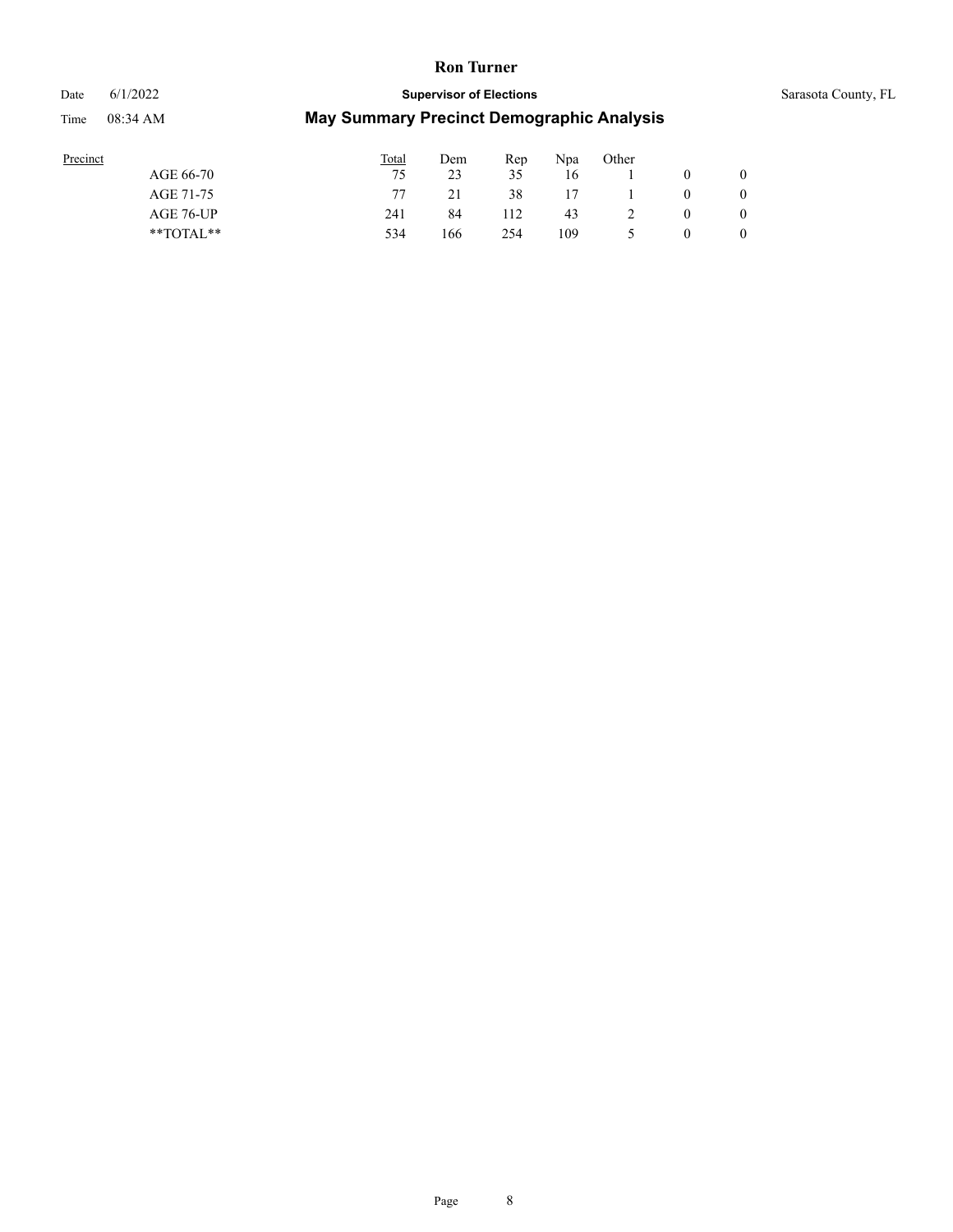# Date 6/1/2022 **Supervisor of Elections** Sarasota County, FL Time 08:34 AM **May Summary Precinct Demographic Analysis**

| Precinct      | Total | Dem | Rep | Npa | Other |   |                |
|---------------|-------|-----|-----|-----|-------|---|----------------|
| AGE 66-70     | 75    | 23  | 35  | 16  |       |   | $\theta$       |
| AGE 71-75     |       |     | 38  | 17  |       | 0 | $\overline{0}$ |
| AGE 76-UP     | 241   | 84  | 112 | 43  |       | 0 | $\overline{0}$ |
| $*$ TOTAL $*$ | 534   | 166 | 254 | 109 |       | 0 | $\overline{0}$ |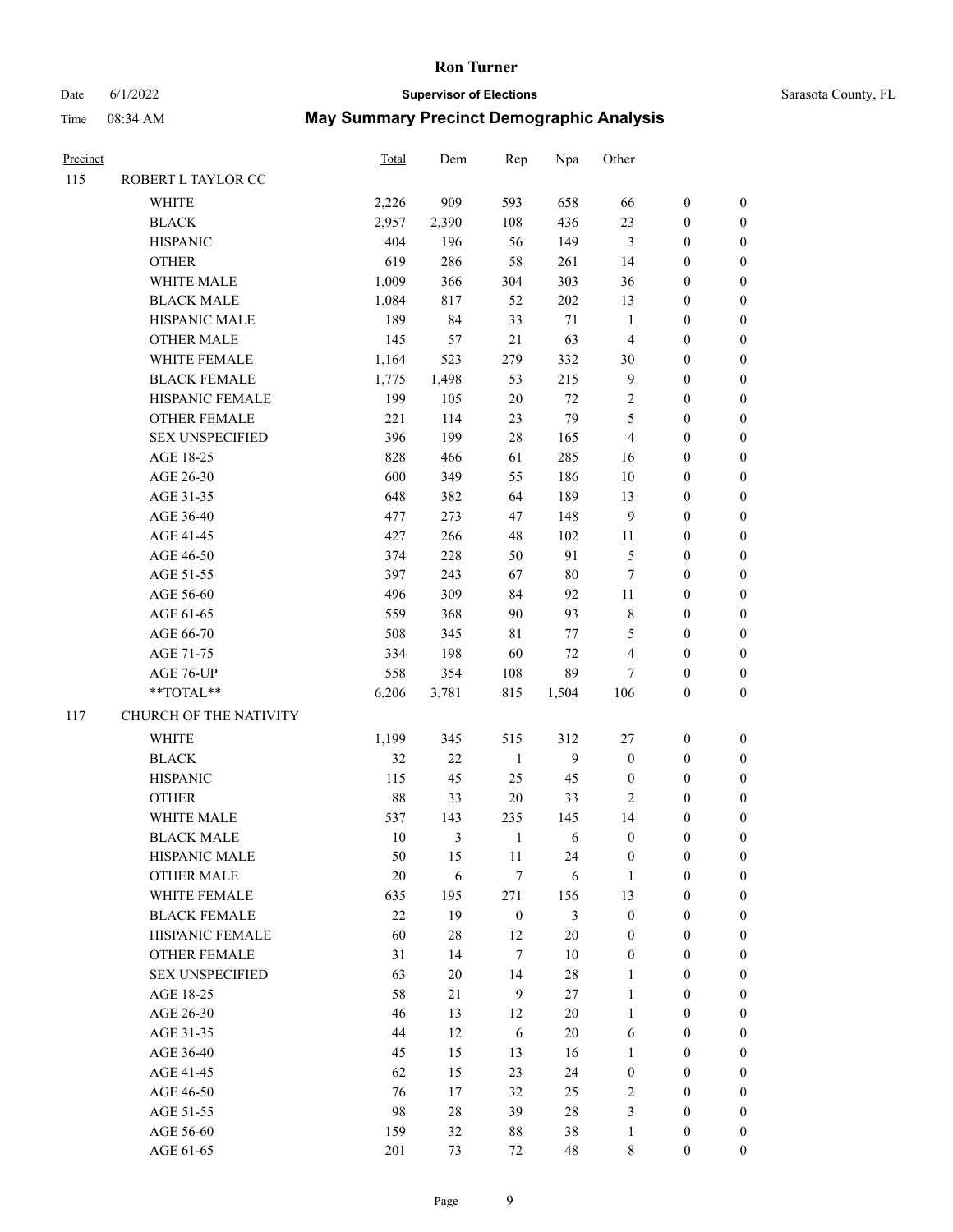# Date 6/1/2022 **Supervisor of Elections** Time 08:34 AM **May Summary Precinct Demographic Analysis**

| Sarasota County, FL |  |
|---------------------|--|
|                     |  |

| Precinct |                        | <b>Total</b> | Dem            | Rep              | Npa     | Other            |                  |                  |
|----------|------------------------|--------------|----------------|------------------|---------|------------------|------------------|------------------|
| 115      | ROBERT L TAYLOR CC     |              |                |                  |         |                  |                  |                  |
|          | <b>WHITE</b>           | 2,226        | 909            | 593              | 658     | 66               | $\boldsymbol{0}$ | $\boldsymbol{0}$ |
|          | <b>BLACK</b>           | 2,957        | 2,390          | 108              | 436     | 23               | $\boldsymbol{0}$ | $\boldsymbol{0}$ |
|          | <b>HISPANIC</b>        | 404          | 196            | 56               | 149     | 3                | $\boldsymbol{0}$ | $\boldsymbol{0}$ |
|          | <b>OTHER</b>           | 619          | 286            | 58               | 261     | 14               | $\boldsymbol{0}$ | $\boldsymbol{0}$ |
|          | WHITE MALE             | 1,009        | 366            | 304              | 303     | 36               | $\boldsymbol{0}$ | $\boldsymbol{0}$ |
|          | <b>BLACK MALE</b>      | 1,084        | 817            | 52               | 202     | 13               | $\boldsymbol{0}$ | $\boldsymbol{0}$ |
|          | HISPANIC MALE          | 189          | 84             | 33               | $71\,$  | $\mathbf{1}$     | $\boldsymbol{0}$ | $\boldsymbol{0}$ |
|          | <b>OTHER MALE</b>      | 145          | 57             | $21\,$           | 63      | $\overline{4}$   | $\boldsymbol{0}$ | $\boldsymbol{0}$ |
|          | WHITE FEMALE           | 1,164        | 523            | 279              | 332     | 30               | $\boldsymbol{0}$ | $\boldsymbol{0}$ |
|          | <b>BLACK FEMALE</b>    | 1,775        | 1,498          | 53               | 215     | $\overline{9}$   | $\boldsymbol{0}$ | $\boldsymbol{0}$ |
|          | HISPANIC FEMALE        | 199          | 105            | 20               | 72      | $\sqrt{2}$       | $\boldsymbol{0}$ | $\boldsymbol{0}$ |
|          | <b>OTHER FEMALE</b>    | 221          | 114            | 23               | 79      | 5                | $\boldsymbol{0}$ | $\boldsymbol{0}$ |
|          | <b>SEX UNSPECIFIED</b> | 396          | 199            | 28               | 165     | 4                | $\boldsymbol{0}$ | $\boldsymbol{0}$ |
|          | AGE 18-25              | 828          | 466            | 61               | 285     | 16               | $\boldsymbol{0}$ | $\boldsymbol{0}$ |
|          | AGE 26-30              | 600          | 349            | 55               | 186     | 10               | $\boldsymbol{0}$ | $\boldsymbol{0}$ |
|          | AGE 31-35              | 648          | 382            | 64               | 189     | 13               | $\boldsymbol{0}$ | $\boldsymbol{0}$ |
|          | AGE 36-40              | 477          | 273            | 47               | 148     | 9                | $\boldsymbol{0}$ | $\boldsymbol{0}$ |
|          | AGE 41-45              | 427          | 266            | 48               | 102     | $11\,$           | $\boldsymbol{0}$ | $\boldsymbol{0}$ |
|          | AGE 46-50              | 374          | 228            | 50               | 91      | 5                | $\boldsymbol{0}$ | $\boldsymbol{0}$ |
|          | AGE 51-55              | 397          | 243            | 67               | 80      | $\tau$           | $\boldsymbol{0}$ | $\boldsymbol{0}$ |
|          | AGE 56-60              | 496          | 309            | 84               | 92      | $11\,$           | $\boldsymbol{0}$ | $\boldsymbol{0}$ |
|          | AGE 61-65              | 559          | 368            | 90               | 93      | $\,8\,$          | $\boldsymbol{0}$ | $\boldsymbol{0}$ |
|          | AGE 66-70              | 508          | 345            | 81               | $77 \,$ | 5                | $\boldsymbol{0}$ | $\boldsymbol{0}$ |
|          | AGE 71-75              | 334          | 198            | 60               | $72\,$  | 4                | $\boldsymbol{0}$ | $\boldsymbol{0}$ |
|          | AGE 76-UP              | 558          | 354            | 108              | 89      | 7                | $\boldsymbol{0}$ | $\boldsymbol{0}$ |
|          | $**TOTAL**$            | 6,206        | 3,781          | 815              | 1,504   | 106              | $\boldsymbol{0}$ | $\boldsymbol{0}$ |
| 117      | CHURCH OF THE NATIVITY |              |                |                  |         |                  |                  |                  |
|          | <b>WHITE</b>           | 1,199        | 345            | 515              | 312     | 27               | $\boldsymbol{0}$ | $\boldsymbol{0}$ |
|          | <b>BLACK</b>           | 32           | $22\,$         | $\mathbf{1}$     | 9       | $\boldsymbol{0}$ | $\boldsymbol{0}$ | $\boldsymbol{0}$ |
|          | <b>HISPANIC</b>        | 115          | 45             | 25               | 45      | $\boldsymbol{0}$ | $\boldsymbol{0}$ | $\boldsymbol{0}$ |
|          | <b>OTHER</b>           | 88           | 33             | $20\,$           | 33      | $\overline{c}$   | $\boldsymbol{0}$ | $\boldsymbol{0}$ |
|          | WHITE MALE             | 537          | 143            | 235              | 145     | 14               | $\boldsymbol{0}$ | $\boldsymbol{0}$ |
|          | <b>BLACK MALE</b>      | 10           | $\mathfrak{Z}$ | $\mathbf{1}$     | 6       | $\boldsymbol{0}$ | $\boldsymbol{0}$ | $\boldsymbol{0}$ |
|          | HISPANIC MALE          | 50           | 15             | 11               | 24      | $\boldsymbol{0}$ | $\boldsymbol{0}$ | $\mathbf{0}$     |
|          | <b>OTHER MALE</b>      | $20\,$       | $\sqrt{6}$     | $\tau$           | 6       | $\mathbf{1}$     | $\boldsymbol{0}$ | $\boldsymbol{0}$ |
|          | WHITE FEMALE           | 635          | 195            | 271              | 156     | 13               | $\boldsymbol{0}$ | $\boldsymbol{0}$ |
|          | <b>BLACK FEMALE</b>    | $22\,$       | 19             | $\boldsymbol{0}$ | 3       | $\boldsymbol{0}$ | $\boldsymbol{0}$ | $\boldsymbol{0}$ |
|          | HISPANIC FEMALE        | 60           | $28\,$         | 12               | $20\,$  | $\boldsymbol{0}$ | $\boldsymbol{0}$ | $\boldsymbol{0}$ |
|          | OTHER FEMALE           | 31           | 14             | $\tau$           | $10\,$  | $\boldsymbol{0}$ | $\boldsymbol{0}$ | $\mathbf{0}$     |
|          | <b>SEX UNSPECIFIED</b> | 63           | $20\,$         | 14               | 28      | $\mathbf{1}$     | $\boldsymbol{0}$ | $\boldsymbol{0}$ |
|          | AGE 18-25              | 58           | 21             | 9                | $27\,$  | $\mathbf{1}$     | $\boldsymbol{0}$ | $\boldsymbol{0}$ |
|          | AGE 26-30              | 46           | 13             | 12               | $20\,$  | $\mathbf{1}$     | $\boldsymbol{0}$ | $\boldsymbol{0}$ |
|          | AGE 31-35              | 44           | 12             | 6                | $20\,$  | 6                | $\boldsymbol{0}$ | $\boldsymbol{0}$ |
|          | AGE 36-40              | 45           | 15             | 13               | 16      | $\mathbf{1}$     | $\boldsymbol{0}$ | $\mathbf{0}$     |
|          | AGE 41-45              | 62           | 15             | 23               | 24      | $\boldsymbol{0}$ | $\boldsymbol{0}$ | $\boldsymbol{0}$ |
|          | AGE 46-50              | 76           | 17             | 32               | 25      | $\sqrt{2}$       | $\boldsymbol{0}$ | $\mathbf{0}$     |
|          | AGE 51-55              | 98           | 28             | 39               | $28\,$  | 3                | $\boldsymbol{0}$ | $\boldsymbol{0}$ |

AGE 56-60 159 32 88 38 1 0 0 AGE 61-65 201 73 72 48 8 0 0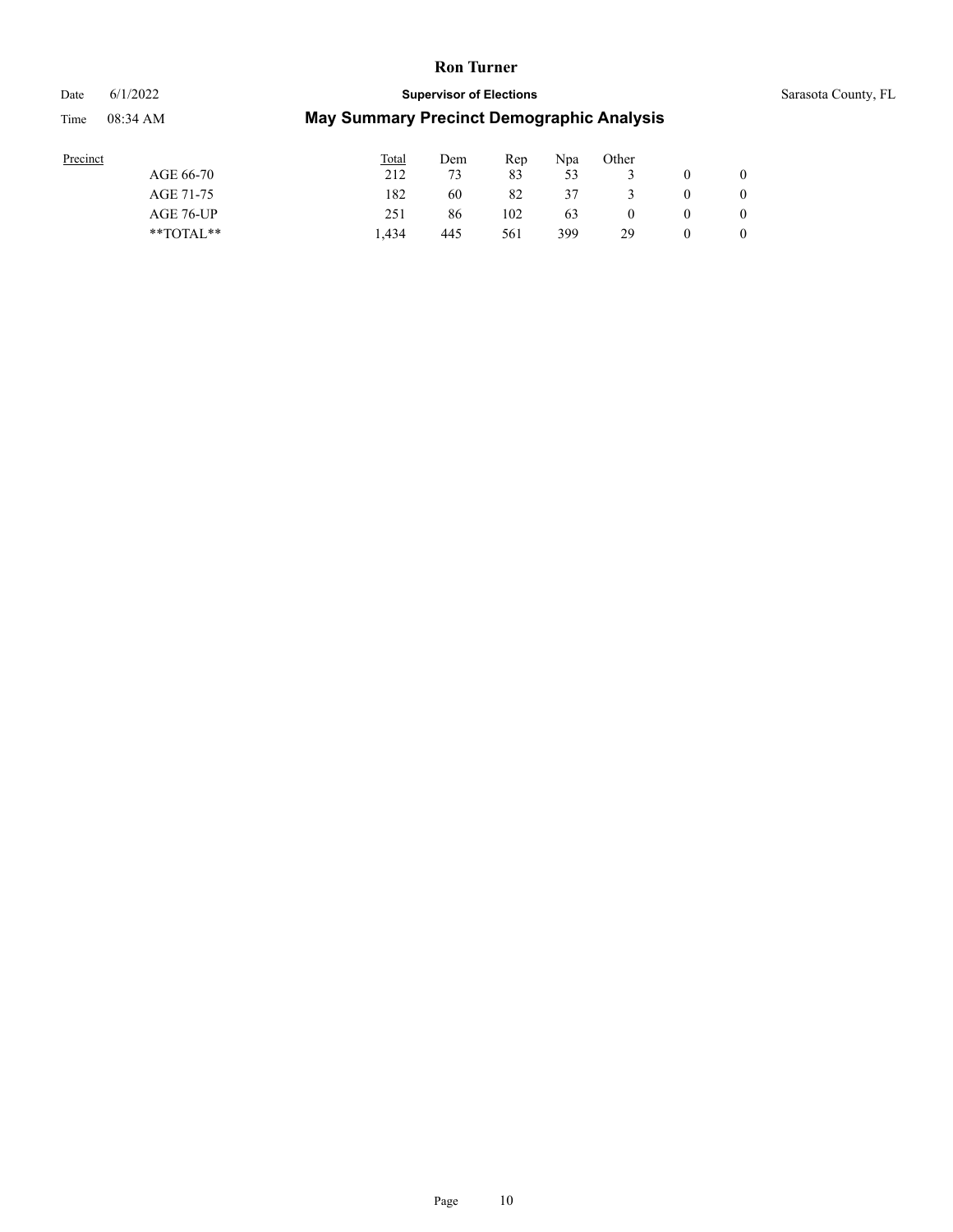#### Date 6/1/2022 **Supervisor of Elections** Supervisor **Supervisor of Elections** Sarasota County, FL

| Precinct      | <b>Total</b> | Dem | Rep | Npa | Other |                |
|---------------|--------------|-----|-----|-----|-------|----------------|
| AGE 66-70     | 212          | 73  | 83  | 53  |       |                |
| AGE 71-75     | 182          | 60  | 82  | 37  |       |                |
| AGE 76-UP     | 251          | 86  | 102 | 63  |       | $\overline{0}$ |
| $*$ TOTAL $*$ | .434         | 445 | 561 | 399 | 29    | 0              |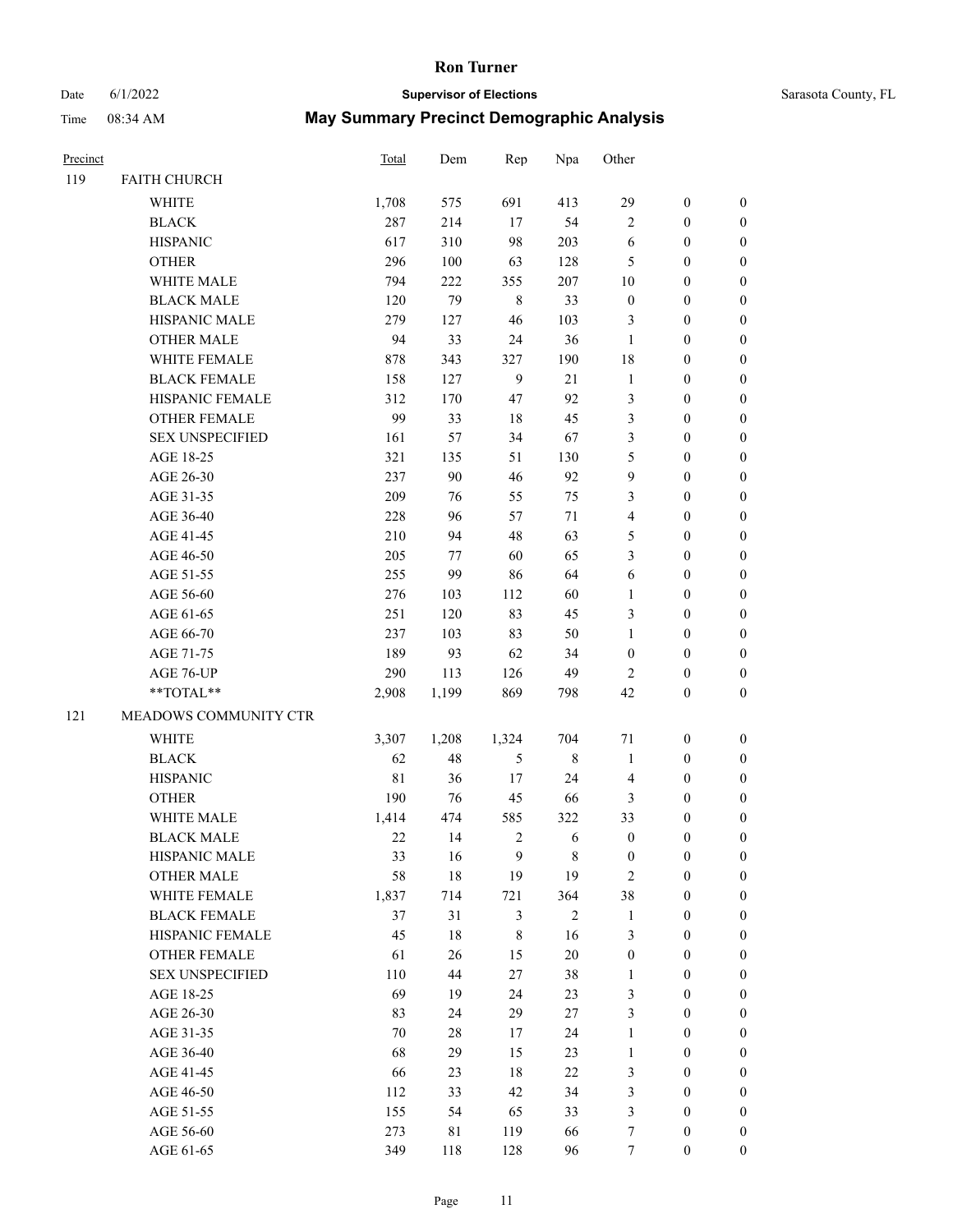# Date 6/1/2022 **Supervisor of Elections Supervisor of Elections** Sarasota County, FL Time 08:34 AM **May Summary Precinct Demographic Analysis**

| Precinct |                      | Total | Dem | Rep | Npa | Other    |              |          |
|----------|----------------------|-------|-----|-----|-----|----------|--------------|----------|
| 119      | <b>FAITH CHURCH</b>  |       |     |     |     |          |              |          |
|          | WHITE                | 1.708 | 575 | 691 | 413 | 29       | $\theta$     | $\theta$ |
|          | <b>BLACK</b>         | 287   | 214 | 17  | 54  | 2        | $\theta$     | 0        |
|          | <b>HISPANIC</b>      | 617   | 310 | 98  | 203 | 6        | $\theta$     | 0        |
|          | <b>OTHER</b>         | 296   | 100 | 63  | 128 | 5        | $\mathbf{0}$ | 0        |
|          | WHITE MALE           | 794   | 222 | 355 | 207 | 10       | $\theta$     | 0        |
|          | <b>BLACK MALE</b>    | 120   | 79  | 8   | 33  | $\theta$ | $\theta$     | 0        |
|          | <b>HISPANIC MALE</b> | 279   | 127 | 46  | 103 | 3        | $\theta$     | 0        |
|          | <b>OTHER MALE</b>    | 94    | 33  | 24  | 36  |          | $\mathbf{0}$ | 0        |
|          | <b>WHITE FEMALE</b>  | 878   | 343 | 327 | 190 | 18       | $\mathbf{0}$ | 0        |
|          |                      |       |     |     |     |          |              |          |

|     | <b>WHITE MALE</b>      | 794         | 222    | 355              | 207         | 10               | $\boldsymbol{0}$ | $\boldsymbol{0}$ |
|-----|------------------------|-------------|--------|------------------|-------------|------------------|------------------|------------------|
|     | <b>BLACK MALE</b>      | 120         | 79     | $\,8\,$          | 33          | $\boldsymbol{0}$ | $\boldsymbol{0}$ | $\boldsymbol{0}$ |
|     | HISPANIC MALE          | 279         | 127    | 46               | 103         | 3                | $\boldsymbol{0}$ | $\boldsymbol{0}$ |
|     | <b>OTHER MALE</b>      | 94          | 33     | 24               | 36          | $\mathbf{1}$     | $\boldsymbol{0}$ | $\boldsymbol{0}$ |
|     | WHITE FEMALE           | 878         | 343    | 327              | 190         | 18               | $\boldsymbol{0}$ | $\boldsymbol{0}$ |
|     | <b>BLACK FEMALE</b>    | 158         | 127    | $\boldsymbol{9}$ | 21          | $\mathbf{1}$     | $\boldsymbol{0}$ | $\boldsymbol{0}$ |
|     | HISPANIC FEMALE        | 312         | 170    | 47               | 92          | 3                | $\boldsymbol{0}$ | 0                |
|     | <b>OTHER FEMALE</b>    | 99          | 33     | 18               | 45          | 3                | $\boldsymbol{0}$ | 0                |
|     | <b>SEX UNSPECIFIED</b> | 161         | 57     | 34               | 67          | 3                | $\boldsymbol{0}$ | 0                |
|     | AGE 18-25              | 321         | 135    | 51               | 130         | 5                | $\boldsymbol{0}$ | 0                |
|     | AGE 26-30              | 237         | 90     | 46               | 92          | 9                | $\boldsymbol{0}$ | $\boldsymbol{0}$ |
|     | AGE 31-35              | 209         | 76     | 55               | 75          | 3                | $\boldsymbol{0}$ | $\boldsymbol{0}$ |
|     | AGE 36-40              | 228         | 96     | 57               | 71          | 4                | $\boldsymbol{0}$ | $\boldsymbol{0}$ |
|     | AGE 41-45              | 210         | 94     | 48               | 63          | 5                | $\boldsymbol{0}$ | $\boldsymbol{0}$ |
|     | AGE 46-50              | 205         | 77     | 60               | 65          | 3                | $\boldsymbol{0}$ | $\boldsymbol{0}$ |
|     | AGE 51-55              | 255         | 99     | 86               | 64          | 6                | $\boldsymbol{0}$ | $\boldsymbol{0}$ |
|     | AGE 56-60              | 276         | 103    | 112              | 60          | $\mathbf{1}$     | $\boldsymbol{0}$ | $\boldsymbol{0}$ |
|     | AGE 61-65              | 251         | 120    | 83               | 45          | 3                | 0                | 0                |
|     | AGE 66-70              | 237         | 103    | 83               | 50          | 1                | $\boldsymbol{0}$ | 0                |
|     | AGE 71-75              | 189         | 93     | 62               | 34          | $\boldsymbol{0}$ | $\boldsymbol{0}$ | 0                |
|     | AGE 76-UP              | 290         | 113    | 126              | 49          | $\overline{2}$   | 0                | $\boldsymbol{0}$ |
|     | **TOTAL**              | 2,908       | 1,199  | 869              | 798         | 42               | $\boldsymbol{0}$ | $\boldsymbol{0}$ |
| 121 | MEADOWS COMMUNITY CTR  |             |        |                  |             |                  |                  |                  |
|     | WHITE                  | 3,307       | 1,208  | 1,324            | 704         | 71               | $\boldsymbol{0}$ | $\boldsymbol{0}$ |
|     | <b>BLACK</b>           | 62          | 48     | 5                | $\,$ 8 $\,$ | $\mathbf{1}$     | $\boldsymbol{0}$ | $\boldsymbol{0}$ |
|     | <b>HISPANIC</b>        | $8\sqrt{1}$ | 36     | 17               | 24          | 4                | $\boldsymbol{0}$ | $\boldsymbol{0}$ |
|     | <b>OTHER</b>           | 190         | 76     | 45               | 66          | 3                | $\boldsymbol{0}$ | $\boldsymbol{0}$ |
|     | WHITE MALE             | 1,414       | 474    | 585              | 322         | 33               | $\boldsymbol{0}$ | $\boldsymbol{0}$ |
|     | <b>BLACK MALE</b>      | $22\,$      | 14     | $\sqrt{2}$       | 6           | $\boldsymbol{0}$ | $\boldsymbol{0}$ | 0                |
|     | HISPANIC MALE          | 33          | 16     | 9                | $\,$ 8 $\,$ | $\boldsymbol{0}$ | 0                | 0                |
|     | <b>OTHER MALE</b>      | 58          | 18     | 19               | 19          | $\overline{2}$   | $\boldsymbol{0}$ | 0                |
|     | WHITE FEMALE           | 1,837       | 714    | 721              | 364         | 38               | $\boldsymbol{0}$ | 0                |
|     | <b>BLACK FEMALE</b>    | 37          | 31     | 3                | $\sqrt{2}$  | $\mathbf{1}$     | 0                | $\boldsymbol{0}$ |
|     | HISPANIC FEMALE        | 45          | 18     | 8                | 16          | 3                | $\boldsymbol{0}$ | $\boldsymbol{0}$ |
|     | <b>OTHER FEMALE</b>    | 61          | 26     | 15               | $20\,$      | $\boldsymbol{0}$ | $\boldsymbol{0}$ | $\boldsymbol{0}$ |
|     | <b>SEX UNSPECIFIED</b> | 110         | 44     | 27               | 38          | $\,1$            | $\boldsymbol{0}$ | $\overline{0}$   |
|     | AGE 18-25              | 69          | 19     | 24               | 23          | 3                | $\boldsymbol{0}$ | 0                |
|     | AGE 26-30              | 83          | 24     | 29               | $27\,$      | 3                | $\boldsymbol{0}$ | 0                |
|     | AGE 31-35              | $70\,$      | $28\,$ | 17               | 24          | $\mathbf{1}$     | $\boldsymbol{0}$ | 0                |
|     | AGE 36-40              | 68          | 29     | 15               | 23          | $\mathbf{1}$     | $\boldsymbol{0}$ | 0                |
|     | AGE 41-45              | 66          | 23     | $18\,$           | 22          | 3                | $\boldsymbol{0}$ | 0                |
|     | AGE 46-50              | 112         | 33     | 42               | 34          | 3                | $\boldsymbol{0}$ | 0                |
|     | AGE 51-55              | 155         | 54     | 65               | 33          | 3                | $\boldsymbol{0}$ | $\overline{0}$   |
|     | AGE 56-60              | 273         | 81     | 119              | 66          | 7                | $\boldsymbol{0}$ | $\boldsymbol{0}$ |
|     |                        |             |        |                  |             |                  |                  |                  |

AGE 61-65 349 118 128 96 7 0 0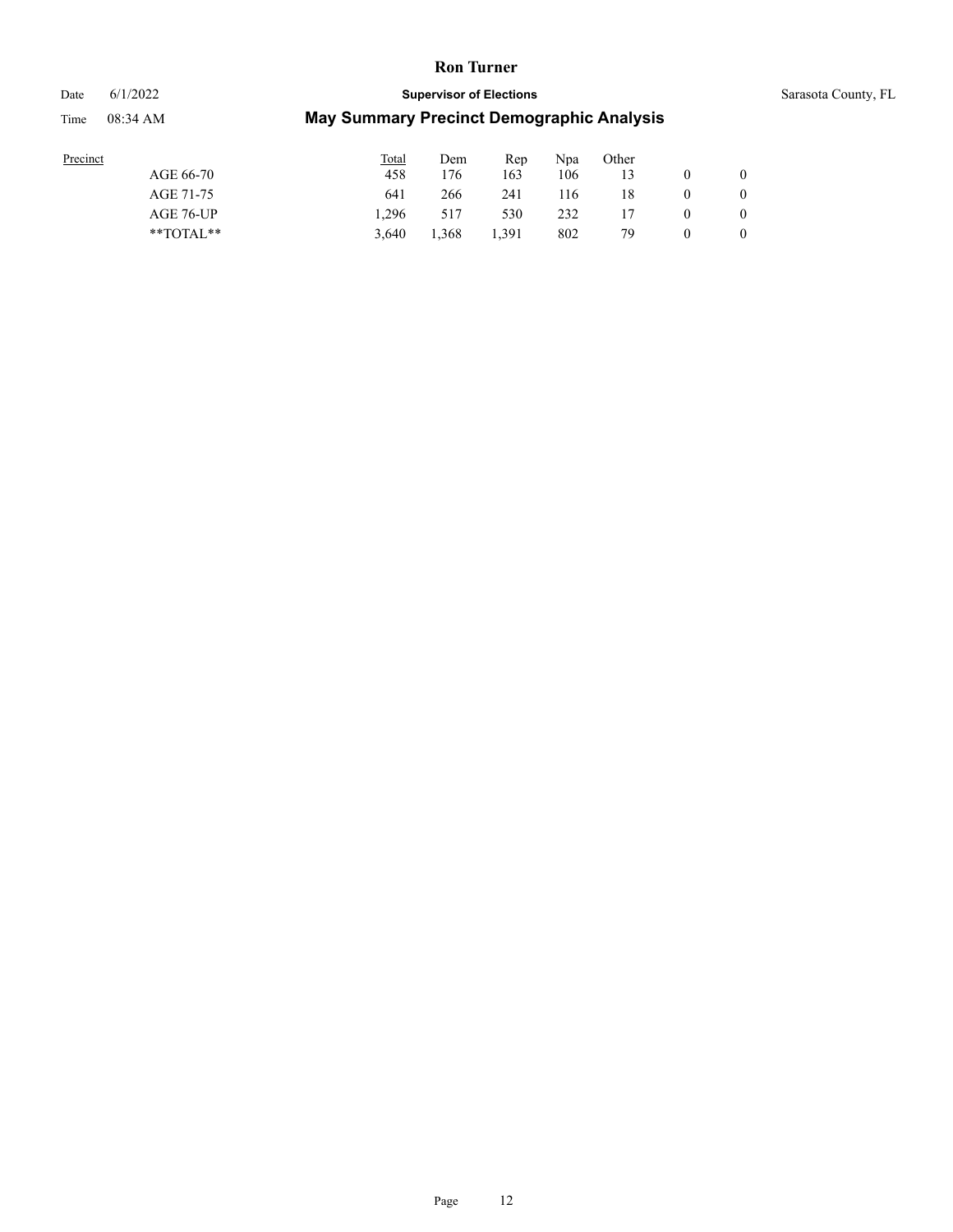#### Date 6/1/2022 **Supervisor of Elections** Supervisor **Supervisor of Elections** Sarasota County, FL

| Precinct      | <b>Total</b> | Dem   | Rep   | Npa | Other |              |
|---------------|--------------|-------|-------|-----|-------|--------------|
| AGE 66-70     | 458          | '76   | 163   | 106 |       | $\mathbf{0}$ |
| AGE 71-75     | 641          | 266   | 241   | 116 | 18    | $\mathbf{0}$ |
| AGE 76-UP     | 1.296        | 517   | 530   | 232 |       | $\mathbf{0}$ |
| $*$ $TOTAL**$ | 3.640        | 1,368 | 1.391 | 802 | 79    | $\mathbf{0}$ |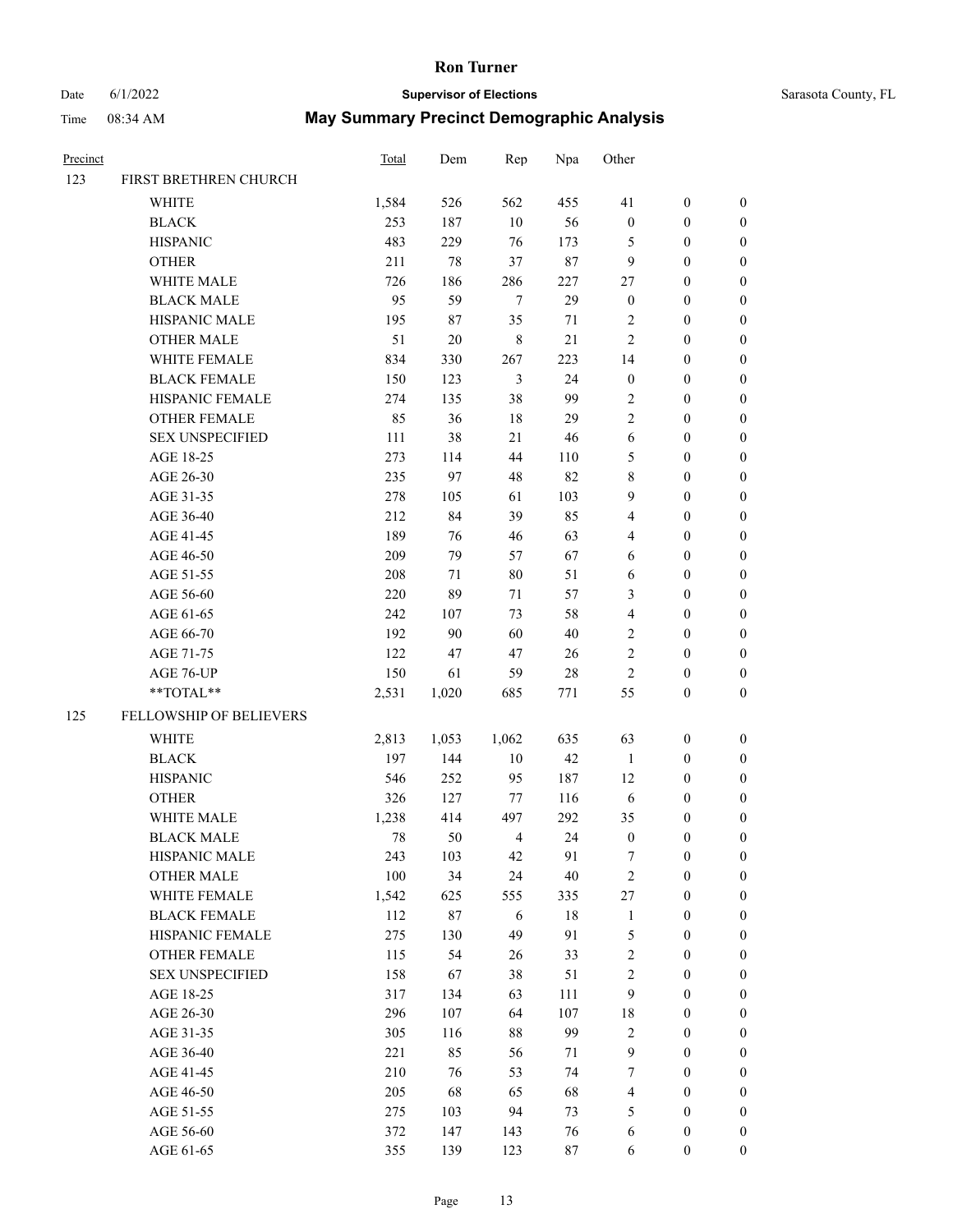# Date 6/1/2022 **Supervisor of Elections** Supervisor **Supervisor of Elections** Sarasota County, FL

| Precinct |                         | <b>Total</b> | Dem    | Rep                      | Npa    | Other            |                  |                  |
|----------|-------------------------|--------------|--------|--------------------------|--------|------------------|------------------|------------------|
| 123      | FIRST BRETHREN CHURCH   |              |        |                          |        |                  |                  |                  |
|          | WHITE                   | 1,584        | 526    | 562                      | 455    | 41               | $\boldsymbol{0}$ | 0                |
|          | <b>BLACK</b>            | 253          | 187    | $10\,$                   | 56     | $\boldsymbol{0}$ | $\boldsymbol{0}$ | 0                |
|          | <b>HISPANIC</b>         | 483          | 229    | 76                       | 173    | 5                | $\boldsymbol{0}$ | $\boldsymbol{0}$ |
|          | <b>OTHER</b>            | 211          | 78     | 37                       | 87     | 9                | $\boldsymbol{0}$ | $\boldsymbol{0}$ |
|          | WHITE MALE              | 726          | 186    | 286                      | 227    | 27               | $\boldsymbol{0}$ | $\boldsymbol{0}$ |
|          | <b>BLACK MALE</b>       | 95           | 59     | $\boldsymbol{7}$         | 29     | $\boldsymbol{0}$ | $\boldsymbol{0}$ | $\boldsymbol{0}$ |
|          | HISPANIC MALE           | 195          | $87\,$ | 35                       | 71     | $\sqrt{2}$       | $\boldsymbol{0}$ | $\boldsymbol{0}$ |
|          | <b>OTHER MALE</b>       | 51           | $20\,$ | $\,$ 8 $\,$              | 21     | $\overline{c}$   | $\boldsymbol{0}$ | $\boldsymbol{0}$ |
|          | WHITE FEMALE            | 834          | 330    | 267                      | 223    | 14               | $\boldsymbol{0}$ | $\boldsymbol{0}$ |
|          | <b>BLACK FEMALE</b>     | 150          | 123    | $\mathfrak{Z}$           | 24     | $\boldsymbol{0}$ | $\boldsymbol{0}$ | 0                |
|          | HISPANIC FEMALE         | 274          | 135    | 38                       | 99     | $\overline{c}$   | $\boldsymbol{0}$ | 0                |
|          | OTHER FEMALE            | 85           | 36     | 18                       | 29     | $\overline{c}$   | $\boldsymbol{0}$ | 0                |
|          | <b>SEX UNSPECIFIED</b>  | 111          | 38     | 21                       | $46\,$ | $\sqrt{6}$       | $\boldsymbol{0}$ | $\boldsymbol{0}$ |
|          | AGE 18-25               | 273          | 114    | 44                       | 110    | 5                | $\boldsymbol{0}$ | $\boldsymbol{0}$ |
|          | AGE 26-30               | 235          | 97     | 48                       | 82     | 8                | $\boldsymbol{0}$ | $\boldsymbol{0}$ |
|          | AGE 31-35               | 278          | 105    | 61                       | 103    | 9                | $\boldsymbol{0}$ | $\boldsymbol{0}$ |
|          | AGE 36-40               | 212          | 84     | 39                       | 85     | 4                | $\boldsymbol{0}$ | $\boldsymbol{0}$ |
|          | AGE 41-45               | 189          | 76     | 46                       | 63     | 4                | $\boldsymbol{0}$ | $\boldsymbol{0}$ |
|          | AGE 46-50               | 209          | 79     | 57                       | 67     | 6                | $\boldsymbol{0}$ | $\boldsymbol{0}$ |
|          | AGE 51-55               | 208          | 71     | $80\,$                   | 51     | 6                | $\boldsymbol{0}$ | 0                |
|          | AGE 56-60               | 220          | 89     | 71                       | 57     | 3                | $\boldsymbol{0}$ | 0                |
|          | AGE 61-65               | 242          | 107    | 73                       | 58     | $\overline{4}$   | $\boldsymbol{0}$ | 0                |
|          | AGE 66-70               | 192          | 90     | 60                       | $40\,$ | $\sqrt{2}$       | $\boldsymbol{0}$ | $\boldsymbol{0}$ |
|          | AGE 71-75               | 122          | 47     | 47                       | $26\,$ | $\sqrt{2}$       | $\boldsymbol{0}$ | $\boldsymbol{0}$ |
|          | AGE 76-UP               | 150          | 61     | 59                       | 28     | $\overline{c}$   | $\boldsymbol{0}$ | $\boldsymbol{0}$ |
|          | **TOTAL**               | 2,531        | 1,020  | 685                      | 771    | 55               | $\boldsymbol{0}$ | $\boldsymbol{0}$ |
| 125      | FELLOWSHIP OF BELIEVERS |              |        |                          |        |                  |                  |                  |
|          | WHITE                   | 2,813        | 1,053  | 1,062                    | 635    | 63               | $\boldsymbol{0}$ | $\boldsymbol{0}$ |
|          | <b>BLACK</b>            | 197          | 144    | 10                       | 42     | $\mathbf{1}$     | $\boldsymbol{0}$ | $\boldsymbol{0}$ |
|          | <b>HISPANIC</b>         | 546          | 252    | 95                       | 187    | 12               | $\boldsymbol{0}$ | $\boldsymbol{0}$ |
|          | <b>OTHER</b>            | 326          | 127    | 77                       | 116    | 6                | $\boldsymbol{0}$ | $\boldsymbol{0}$ |
|          | WHITE MALE              | 1,238        | 414    | 497                      | 292    | 35               | 0                | $\boldsymbol{0}$ |
|          | <b>BLACK MALE</b>       | 78           | 50     | $\overline{\mathcal{A}}$ | 24     | $\boldsymbol{0}$ | $\boldsymbol{0}$ | $\boldsymbol{0}$ |
|          | HISPANIC MALE           | 243          | 103    | 42                       | 91     | 7                | $\boldsymbol{0}$ | 0                |
|          | <b>OTHER MALE</b>       | 100          | 34     | 24                       | $40\,$ | $\sqrt{2}$       | $\boldsymbol{0}$ | 0                |
|          | WHITE FEMALE            | 1,542        | 625    | 555                      | 335    | 27               | $\boldsymbol{0}$ | $\overline{0}$   |
|          | <b>BLACK FEMALE</b>     | 112          | $87\,$ | $\sqrt{6}$               | 18     | $\mathbf{1}$     | $\boldsymbol{0}$ | 0                |
|          | HISPANIC FEMALE         | 275          | 130    | 49                       | 91     | 5                | $\boldsymbol{0}$ | 0                |
|          | OTHER FEMALE            | 115          | 54     | 26                       | 33     | $\sqrt{2}$       | $\boldsymbol{0}$ | 0                |
|          | <b>SEX UNSPECIFIED</b>  | 158          | 67     | 38                       | 51     | $\mathbf{2}$     | $\boldsymbol{0}$ | 0                |
|          | AGE 18-25               | 317          | 134    | 63                       | 111    | $\boldsymbol{9}$ | $\boldsymbol{0}$ | 0                |
|          | AGE 26-30               | 296          | 107    | 64                       | 107    | 18               | $\boldsymbol{0}$ | 0                |
|          | AGE 31-35               | 305          | 116    | $88\,$                   | 99     | $\sqrt{2}$       | $\boldsymbol{0}$ | 0                |
|          | AGE 36-40               | 221          | 85     | 56                       | 71     | $\mathbf{9}$     | $\boldsymbol{0}$ | 0                |
|          | AGE 41-45               | 210          | 76     | 53                       | 74     | 7                | $\boldsymbol{0}$ | $\overline{0}$   |
|          | AGE 46-50               | 205          | 68     | 65                       | 68     | 4                | $\boldsymbol{0}$ | $\overline{0}$   |
|          | AGE 51-55               | 275          | 103    | 94                       | 73     | 5                | $\boldsymbol{0}$ | $\overline{0}$   |
|          | AGE 56-60               | 372          | 147    | 143                      | 76     | 6                | $\boldsymbol{0}$ | 0                |
|          | AGE 61-65               | 355          | 139    | 123                      | 87     | 6                | $\boldsymbol{0}$ | $\overline{0}$   |
|          |                         |              |        |                          |        |                  |                  |                  |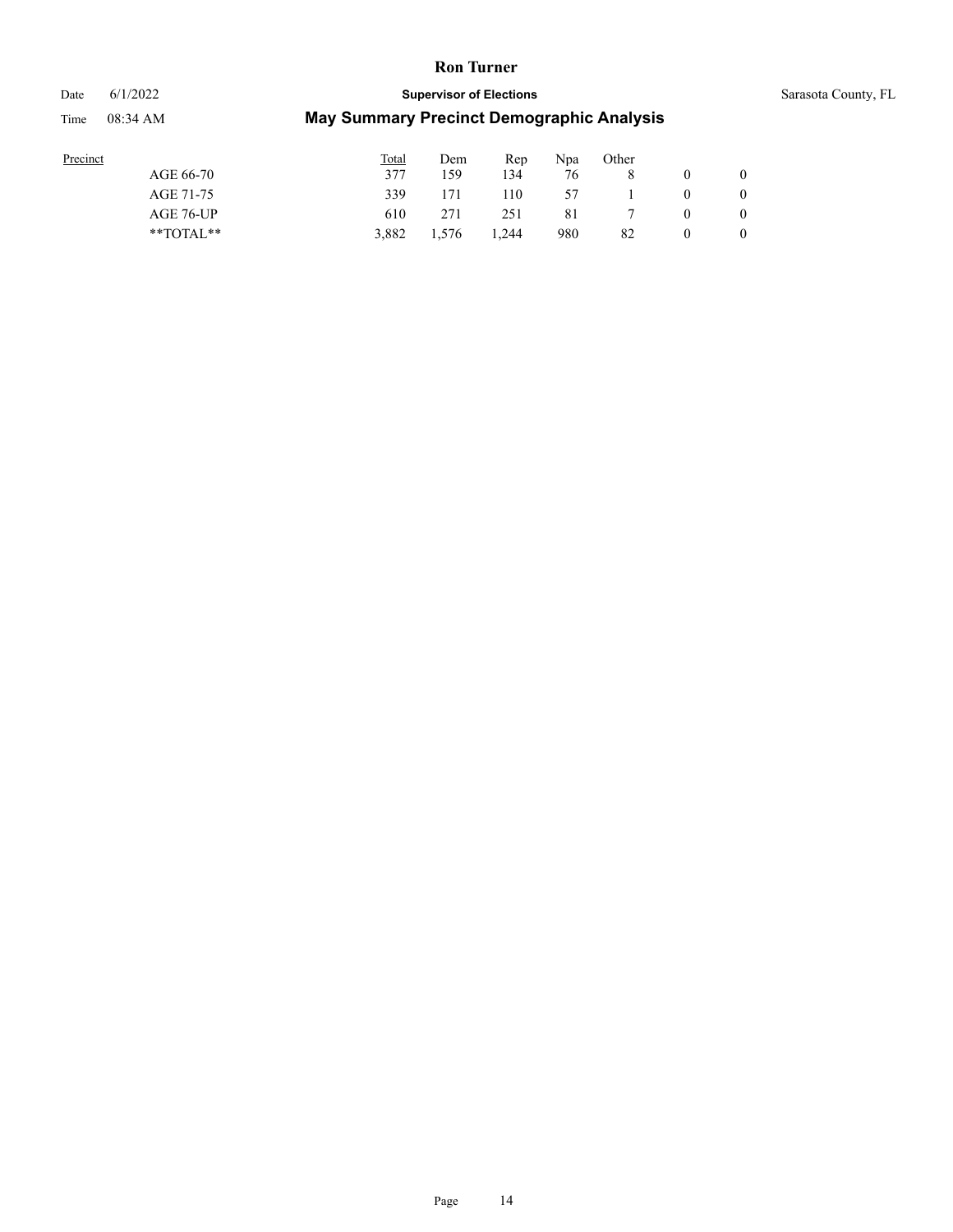#### Date 6/1/2022 **Supervisor of Elections** Supervisor **Supervisor of Elections** Sarasota County, FL

| Precinct |               | <b>Total</b> | Dem   | Rep   | Npa | Other |                |
|----------|---------------|--------------|-------|-------|-----|-------|----------------|
|          | AGE 66-70     | 377          | 159   | 134   | 76  |       | $\overline{0}$ |
|          | AGE 71-75     | 339          | 171   | 110   | 57  |       | $\overline{0}$ |
|          | AGE 76-UP     | 610          | 271   | 251   | 81  |       | $\overline{0}$ |
|          | $*$ TOTAL $*$ | 3.882        | 1.576 | 1.244 | 980 | 82    | $\mathbf{0}$   |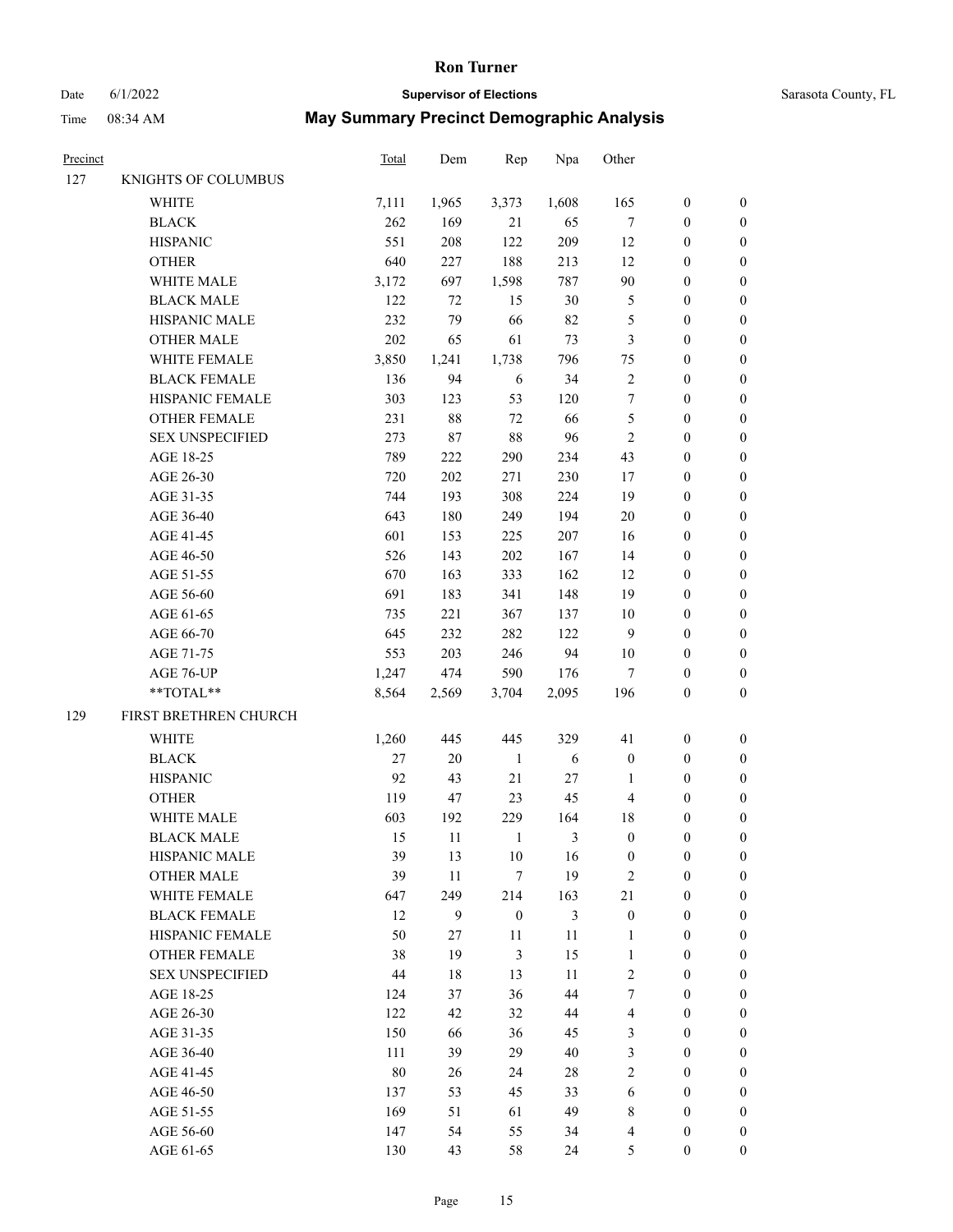# Date 6/1/2022 **Supervisor of Elections** Supervisor **Supervisor of Elections** Sarasota County, FL

| Precinct |                        | <b>Total</b> | Dem          | Rep              | Npa            | Other                   |                  |                  |
|----------|------------------------|--------------|--------------|------------------|----------------|-------------------------|------------------|------------------|
| 127      | KNIGHTS OF COLUMBUS    |              |              |                  |                |                         |                  |                  |
|          | WHITE                  | 7,111        | 1,965        | 3,373            | 1,608          | 165                     | $\boldsymbol{0}$ | 0                |
|          | <b>BLACK</b>           | 262          | 169          | 21               | 65             | $\boldsymbol{7}$        | $\boldsymbol{0}$ | $\boldsymbol{0}$ |
|          | <b>HISPANIC</b>        | 551          | 208          | 122              | 209            | 12                      | $\boldsymbol{0}$ | $\boldsymbol{0}$ |
|          | <b>OTHER</b>           | 640          | 227          | 188              | 213            | 12                      | $\boldsymbol{0}$ | $\boldsymbol{0}$ |
|          | WHITE MALE             | 3,172        | 697          | 1,598            | 787            | 90                      | $\boldsymbol{0}$ | $\boldsymbol{0}$ |
|          | <b>BLACK MALE</b>      | 122          | 72           | 15               | 30             | 5                       | $\boldsymbol{0}$ | $\boldsymbol{0}$ |
|          | HISPANIC MALE          | 232          | 79           | 66               | 82             | 5                       | $\boldsymbol{0}$ | $\boldsymbol{0}$ |
|          | <b>OTHER MALE</b>      | 202          | 65           | 61               | 73             | $\mathfrak{Z}$          | $\boldsymbol{0}$ | $\boldsymbol{0}$ |
|          | WHITE FEMALE           | 3,850        | 1,241        | 1,738            | 796            | 75                      | $\boldsymbol{0}$ | $\boldsymbol{0}$ |
|          | <b>BLACK FEMALE</b>    | 136          | 94           | 6                | 34             | $\sqrt{2}$              | $\boldsymbol{0}$ | $\boldsymbol{0}$ |
|          | HISPANIC FEMALE        | 303          | 123          | 53               | 120            | 7                       | $\boldsymbol{0}$ | 0                |
|          | OTHER FEMALE           | 231          | $88\,$       | $72\,$           | 66             | 5                       | $\boldsymbol{0}$ | 0                |
|          | <b>SEX UNSPECIFIED</b> | 273          | $87\,$       | $88\,$           | 96             | $\sqrt{2}$              | $\boldsymbol{0}$ | $\boldsymbol{0}$ |
|          | AGE 18-25              | 789          | 222          | 290              | 234            | 43                      | $\boldsymbol{0}$ | $\boldsymbol{0}$ |
|          | AGE 26-30              | 720          | 202          | 271              | 230            | 17                      | $\boldsymbol{0}$ | $\boldsymbol{0}$ |
|          | AGE 31-35              | 744          | 193          | 308              | 224            | 19                      | $\boldsymbol{0}$ | $\boldsymbol{0}$ |
|          | AGE 36-40              | 643          | 180          | 249              | 194            | $20\,$                  | $\boldsymbol{0}$ | $\boldsymbol{0}$ |
|          | AGE 41-45              | 601          | 153          | 225              | 207            | 16                      | $\boldsymbol{0}$ | $\boldsymbol{0}$ |
|          | AGE 46-50              | 526          | 143          | $202\,$          | 167            | 14                      | $\boldsymbol{0}$ | $\boldsymbol{0}$ |
|          | AGE 51-55              | 670          | 163          | 333              | 162            | 12                      | $\boldsymbol{0}$ | 0                |
|          | AGE 56-60              | 691          | 183          | 341              | 148            | 19                      | $\boldsymbol{0}$ | 0                |
|          | AGE 61-65              | 735          | 221          | 367              | 137            | $10\,$                  | $\boldsymbol{0}$ | $\boldsymbol{0}$ |
|          | AGE 66-70              | 645          | 232          | 282              | 122            | 9                       | $\boldsymbol{0}$ | $\boldsymbol{0}$ |
|          | AGE 71-75              | 553          | 203          | 246              | 94             | $10\,$                  | $\boldsymbol{0}$ | $\boldsymbol{0}$ |
|          | AGE 76-UP              | 1,247        | 474          | 590              | 176            | $\tau$                  | $\boldsymbol{0}$ | $\boldsymbol{0}$ |
|          | **TOTAL**              | 8,564        | 2,569        | 3,704            | 2,095          | 196                     | $\boldsymbol{0}$ | $\boldsymbol{0}$ |
|          |                        |              |              |                  |                |                         |                  |                  |
| 129      | FIRST BRETHREN CHURCH  |              |              |                  |                |                         |                  |                  |
|          | WHITE                  | 1,260        | 445          | 445              | 329            | 41                      | $\boldsymbol{0}$ | $\boldsymbol{0}$ |
|          | <b>BLACK</b>           | 27           | $20\,$       | $\mathbf{1}$     | 6              | $\boldsymbol{0}$        | $\boldsymbol{0}$ | $\boldsymbol{0}$ |
|          | <b>HISPANIC</b>        | 92           | 43           | $21\,$           | $27\,$         | $\mathbf{1}$            | $\boldsymbol{0}$ | $\boldsymbol{0}$ |
|          | <b>OTHER</b>           | 119          | 47           | 23               | 45             | 4                       | $\boldsymbol{0}$ | $\boldsymbol{0}$ |
|          | WHITE MALE             | 603          | 192          | 229              | 164            | 18                      | 0                | $\boldsymbol{0}$ |
|          | <b>BLACK MALE</b>      | 15           | 11           | 1                | 3              | $\boldsymbol{0}$        | $\boldsymbol{0}$ | $\boldsymbol{0}$ |
|          | HISPANIC MALE          | 39           | 13           | 10               | 16             | $\boldsymbol{0}$        | $\boldsymbol{0}$ | 0                |
|          | <b>OTHER MALE</b>      | 39           | $11\,$       | $\tau$           | 19             | $\overline{c}$          | $\boldsymbol{0}$ | 0                |
|          | WHITE FEMALE           | 647          | 249          | 214              | 163            | 21                      | $\boldsymbol{0}$ | $\overline{0}$   |
|          | <b>BLACK FEMALE</b>    | 12           | $\mathbf{9}$ | $\boldsymbol{0}$ | $\mathfrak{Z}$ | $\boldsymbol{0}$        | $\boldsymbol{0}$ | 0                |
|          | HISPANIC FEMALE        | 50           | 27           | 11               | 11             | $\mathbf{1}$            | $\boldsymbol{0}$ | 0                |
|          | <b>OTHER FEMALE</b>    | 38           | 19           | $\mathfrak{Z}$   | 15             | $\mathbf{1}$            | $\boldsymbol{0}$ | 0                |
|          | <b>SEX UNSPECIFIED</b> | $44\,$       | $18\,$       | 13               | 11             | $\mathbf{2}$            | $\boldsymbol{0}$ | 0                |
|          | AGE 18-25              | 124          | 37           | 36               | 44             | 7                       | $\boldsymbol{0}$ | 0                |
|          | AGE 26-30              | 122          | 42           | 32               | $44\,$         | $\overline{\mathbf{4}}$ | $\boldsymbol{0}$ | 0                |
|          | AGE 31-35              | 150          | 66           | 36               | 45             | 3                       | $\boldsymbol{0}$ | 0                |
|          | AGE 36-40              | 111          | 39           | 29               | $40\,$         | 3                       | $\boldsymbol{0}$ | 0                |
|          | AGE 41-45              | $80\,$       | 26           | 24               | $28\,$         | $\sqrt{2}$              | $\boldsymbol{0}$ | $\overline{0}$   |
|          | AGE 46-50              | 137          | 53           | 45               | 33             | 6                       | $\boldsymbol{0}$ | $\overline{0}$   |
|          | AGE 51-55              | 169          | 51           | 61               | 49             | 8                       | $\boldsymbol{0}$ | 0                |
|          | AGE 56-60              | 147          | 54           | 55               | 34             | 4                       | $\boldsymbol{0}$ | 0                |
|          | AGE 61-65              | 130          | 43           | 58               | 24             | 5                       | $\boldsymbol{0}$ | $\overline{0}$   |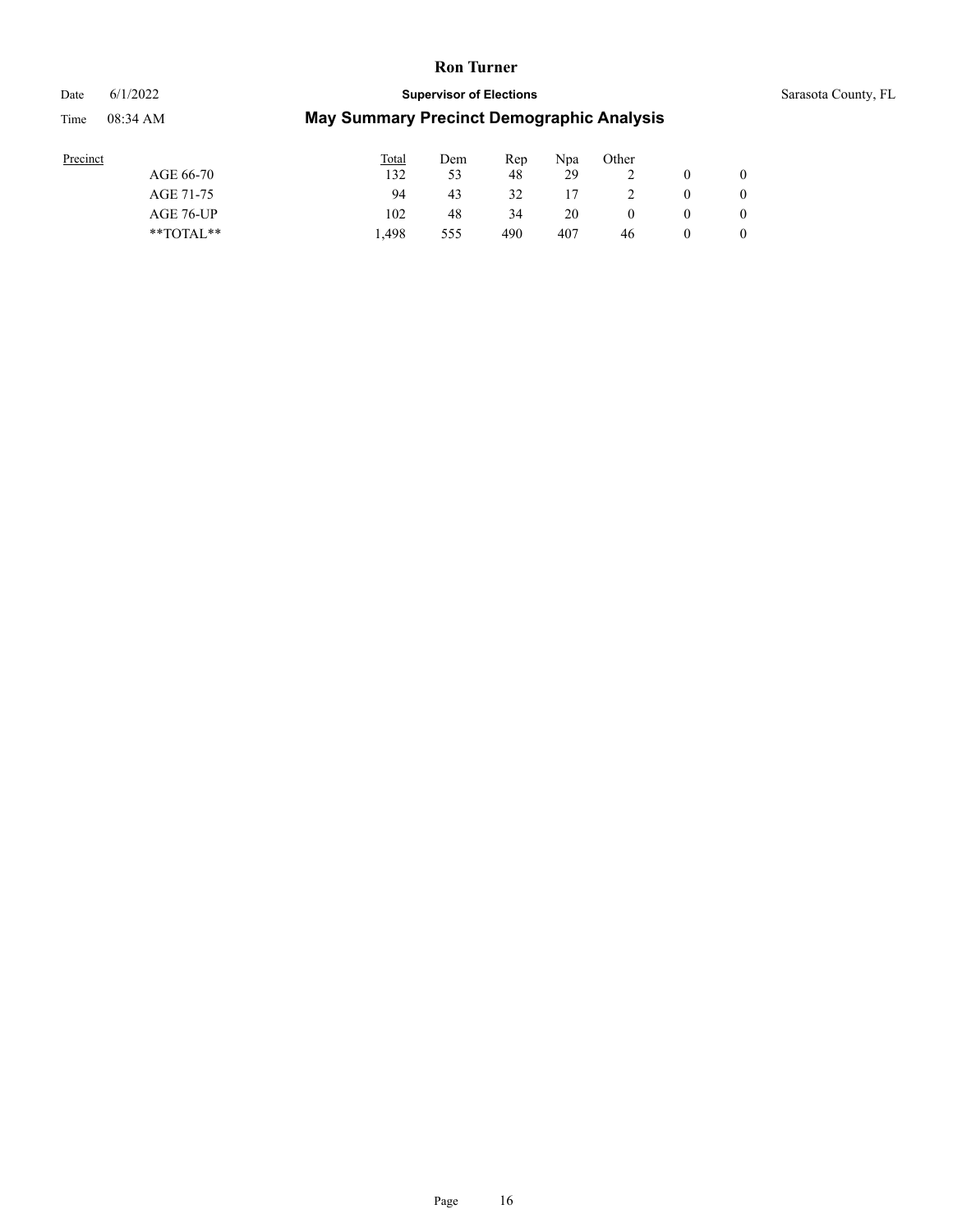# Date 6/1/2022 **Supervisor of Elections** Sarasota County, FL

| Precinct |               | <b>Total</b> | Dem | Rep | Npa | Other |                |
|----------|---------------|--------------|-----|-----|-----|-------|----------------|
|          | AGE 66-70     | 132          | 53  | 48  | 29  |       | $\overline{0}$ |
|          | AGE 71-75     | 94           | 43  | 32  | 17  |       | $\overline{0}$ |
|          | AGE 76-UP     | 102          | 48  | 34  | 20  |       | $\overline{0}$ |
|          | $*$ TOTAL $*$ | 1.498        | 555 | 490 | 407 | 46    | $\overline{0}$ |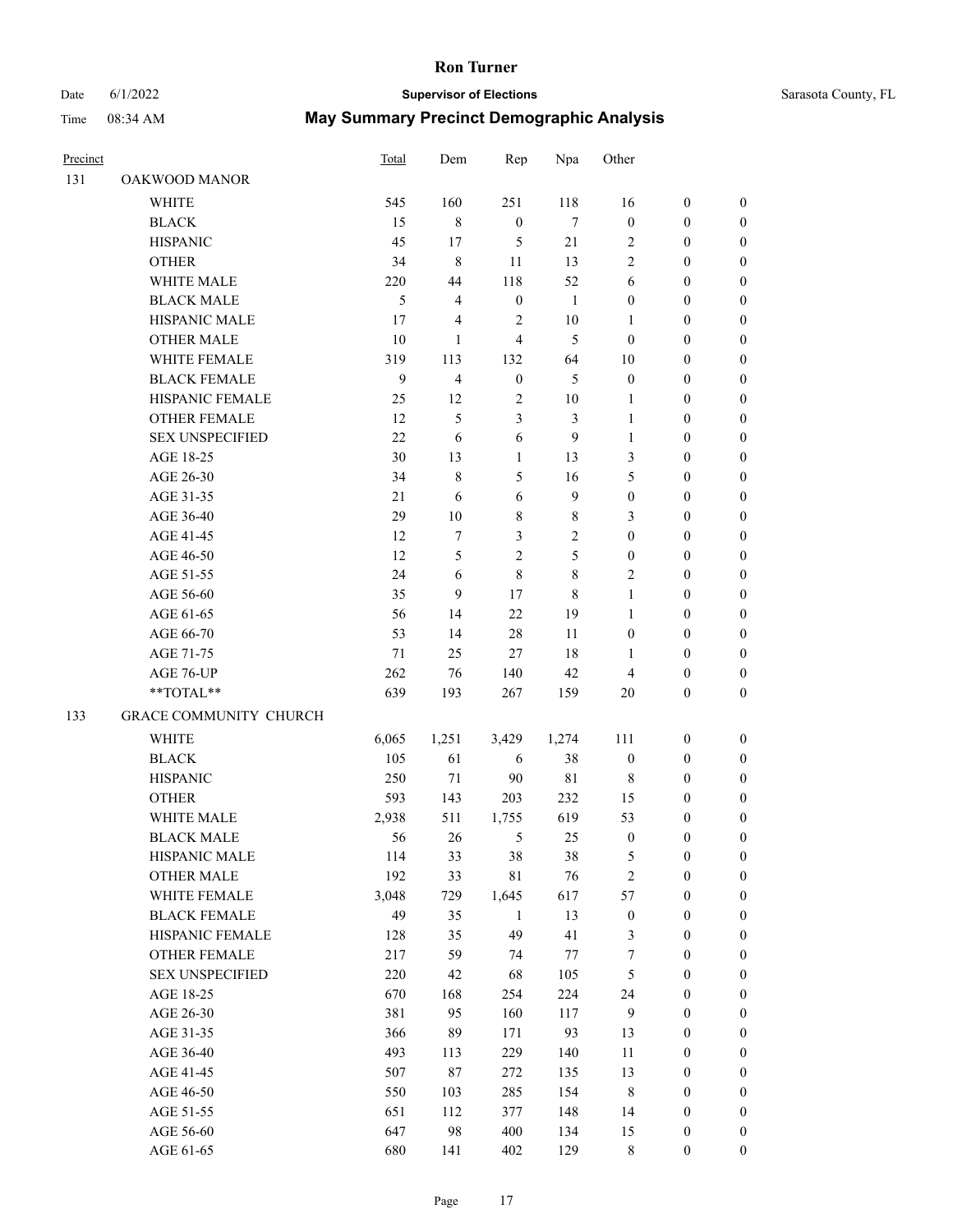# Date 6/1/2022 **Supervisor of Elections** Sarasota County, FL

| Precinct |                                                            | Total        | Dem            | Rep                | Npa              | Other            |                                      |                                  |
|----------|------------------------------------------------------------|--------------|----------------|--------------------|------------------|------------------|--------------------------------------|----------------------------------|
| 131      | OAKWOOD MANOR                                              |              |                |                    |                  |                  |                                      |                                  |
|          | <b>WHITE</b>                                               | 545          | 160            | 251                | 118              | 16               | $\boldsymbol{0}$                     | $\boldsymbol{0}$                 |
|          | <b>BLACK</b>                                               | 15           | $\,$ 8 $\,$    | $\boldsymbol{0}$   | $\tau$           | $\boldsymbol{0}$ | $\boldsymbol{0}$                     | $\boldsymbol{0}$                 |
|          | <b>HISPANIC</b>                                            | 45           | 17             | 5                  | 21               | 2                | $\boldsymbol{0}$                     | $\boldsymbol{0}$                 |
|          | <b>OTHER</b>                                               | 34           | 8              | 11                 | 13               | 2                | $\boldsymbol{0}$                     | $\boldsymbol{0}$                 |
|          | WHITE MALE                                                 | 220          | 44             | 118                | 52               | 6                | $\boldsymbol{0}$                     | $\boldsymbol{0}$                 |
|          | <b>BLACK MALE</b>                                          | 5            | $\overline{4}$ | $\boldsymbol{0}$   | 1                | 0                | $\boldsymbol{0}$                     | $\boldsymbol{0}$                 |
|          | HISPANIC MALE                                              | 17           | $\overline{4}$ | $\overline{c}$     | 10               | 1                | $\boldsymbol{0}$                     | $\boldsymbol{0}$                 |
|          | <b>OTHER MALE</b>                                          | 10           | $\mathbf{1}$   | 4                  | 5                | $\boldsymbol{0}$ | $\boldsymbol{0}$                     | $\boldsymbol{0}$                 |
|          | WHITE FEMALE                                               | 319          | 113            | 132                | 64               | 10               | $\boldsymbol{0}$                     | $\boldsymbol{0}$                 |
|          | <b>BLACK FEMALE</b>                                        | 9            | $\overline{4}$ | $\boldsymbol{0}$   | 5                | $\boldsymbol{0}$ | $\boldsymbol{0}$                     | $\boldsymbol{0}$                 |
|          | HISPANIC FEMALE                                            | 25           | 12             | 2                  | 10               | 1                | $\boldsymbol{0}$                     | 0                                |
|          | <b>OTHER FEMALE</b>                                        | 12           | 5              | 3                  | 3                | $\mathbf{1}$     | $\boldsymbol{0}$                     | $\boldsymbol{0}$                 |
|          | <b>SEX UNSPECIFIED</b>                                     | 22           | 6              | 6                  | 9                | $\mathbf{1}$     | $\boldsymbol{0}$                     | $\boldsymbol{0}$                 |
|          | AGE 18-25                                                  | 30           | 13             | $\mathbf{1}$       | 13               | 3                | $\boldsymbol{0}$                     | $\boldsymbol{0}$                 |
|          | AGE 26-30                                                  | 34           | $\,$ 8 $\,$    | 5                  | 16               | 5                | $\boldsymbol{0}$                     | $\boldsymbol{0}$                 |
|          | AGE 31-35                                                  | 21           | 6              | 6                  | $\boldsymbol{9}$ | $\boldsymbol{0}$ | $\boldsymbol{0}$                     | $\boldsymbol{0}$                 |
|          | AGE 36-40                                                  | 29           | 10             | 8                  | $\,$ 8 $\,$      | 3                | $\boldsymbol{0}$                     | $\boldsymbol{0}$                 |
|          | AGE 41-45                                                  | 12           | $\tau$         | 3                  | $\mathfrak{2}$   | $\boldsymbol{0}$ | $\boldsymbol{0}$                     | $\boldsymbol{0}$                 |
|          | AGE 46-50                                                  | 12           | 5              | $\overline{c}$     | 5                | $\boldsymbol{0}$ | $\boldsymbol{0}$                     | $\boldsymbol{0}$                 |
|          | AGE 51-55                                                  | 24           | 6              | 8                  | $\,$ 8 $\,$      | 2                | $\boldsymbol{0}$                     | $\boldsymbol{0}$                 |
|          | AGE 56-60                                                  | 35           | 9              | 17                 | $\,$ 8 $\,$      | $\mathbf{1}$     | $\boldsymbol{0}$                     | 0                                |
|          | AGE 61-65                                                  | 56           | 14             | 22                 | 19               | $\mathbf{1}$     | $\boldsymbol{0}$                     | 0                                |
|          | AGE 66-70                                                  | 53           | 14             | 28                 | 11               | $\boldsymbol{0}$ | $\boldsymbol{0}$                     | $\boldsymbol{0}$                 |
|          | AGE 71-75                                                  | 71           | 25             | 27                 | 18               | 1                | 0                                    | $\boldsymbol{0}$                 |
|          | AGE 76-UP                                                  | 262          | 76             | 140                | 42               | 4                | $\boldsymbol{0}$                     | $\boldsymbol{0}$                 |
|          | $\mathrm{*}\mathrm{*} \mathrm{TOTAL} \mathrm{*}\mathrm{*}$ | 639          | 193            | 267                | 159              | 20               | $\boldsymbol{0}$                     | $\boldsymbol{0}$                 |
| 133      | GRACE COMMUNITY CHURCH                                     |              |                |                    |                  |                  |                                      |                                  |
|          |                                                            |              |                |                    |                  |                  |                                      |                                  |
|          | <b>WHITE</b>                                               | 6,065        | 1,251          | 3,429              | 1,274            | 111              | $\boldsymbol{0}$                     | $\boldsymbol{0}$                 |
|          | <b>BLACK</b>                                               | 105          | 61             | 6                  | 38               | $\boldsymbol{0}$ | $\boldsymbol{0}$                     | $\boldsymbol{0}$                 |
|          | <b>HISPANIC</b><br><b>OTHER</b>                            | 250          | 71             | 90                 | 81               | 8                | $\boldsymbol{0}$                     | $\boldsymbol{0}$                 |
|          |                                                            | 593          | 143            | 203                | 232              | 15               | $\boldsymbol{0}$                     | $\boldsymbol{0}$                 |
|          | WHITE MALE                                                 | 2,938        | 511            | 1,755              | 619              | 53               | $\boldsymbol{0}$                     | $\boldsymbol{0}$                 |
|          | <b>BLACK MALE</b>                                          | 56           | 26             | 5                  | 25               | $\boldsymbol{0}$ | $\boldsymbol{0}$                     | $\boldsymbol{0}$                 |
|          | HISPANIC MALE                                              | 114          | 33             | 38                 | 38               | 5                | 0                                    | 0                                |
|          | <b>OTHER MALE</b>                                          | 192<br>3,048 | 33             | 81                 | 76               | $\mathbf{2}$     | $\boldsymbol{0}$                     | $\overline{0}$                   |
|          | WHITE FEMALE<br><b>BLACK FEMALE</b>                        |              | 729            | 1,645              | 617              | 57               | $\boldsymbol{0}$                     | $\overline{0}$                   |
|          |                                                            | 49           | 35             | $\mathbf{1}$<br>49 | 13               | $\boldsymbol{0}$ | $\boldsymbol{0}$                     | $\overline{0}$                   |
|          | HISPANIC FEMALE                                            | 128          | 35             |                    | 41               | 3                | $\boldsymbol{0}$                     | 0                                |
|          | <b>OTHER FEMALE</b>                                        | 217          | 59             | 74                 | 77               | $\boldsymbol{7}$ | $\boldsymbol{0}$                     | $\overline{0}$                   |
|          | <b>SEX UNSPECIFIED</b><br>AGE 18-25                        | 220          | 42             | 68<br>254          | 105<br>224       | 5<br>24          | $\boldsymbol{0}$                     | 0                                |
|          |                                                            | 670          | 168            |                    |                  |                  | $\boldsymbol{0}$                     | 0                                |
|          | AGE 26-30                                                  | 381<br>366   | 95<br>89       | 160                | 117<br>93        | $\mathbf{9}$     | $\boldsymbol{0}$<br>$\boldsymbol{0}$ | 0                                |
|          | AGE 31-35                                                  |              |                | 171                |                  | 13               |                                      | 0                                |
|          | AGE 36-40                                                  | 493          | 113            | 229                | 140              | 11               | $\boldsymbol{0}$                     | 0                                |
|          | AGE 41-45                                                  | 507<br>550   | 87             | 272                | 135              | 13               | $\boldsymbol{0}$<br>$\boldsymbol{0}$ | $\overline{0}$<br>$\overline{0}$ |
|          | AGE 46-50                                                  |              | 103            | 285                | 154              | 8                |                                      |                                  |
|          | AGE 51-55                                                  | 651          | 112            | 377                | 148              | 14               | $\boldsymbol{0}$                     | $\overline{0}$                   |
|          | AGE 56-60                                                  | 647          | 98             | 400                | 134              | 15               | $\boldsymbol{0}$                     | 0                                |
|          | AGE 61-65                                                  | 680          | 141            | 402                | 129              | 8                | $\boldsymbol{0}$                     | $\boldsymbol{0}$                 |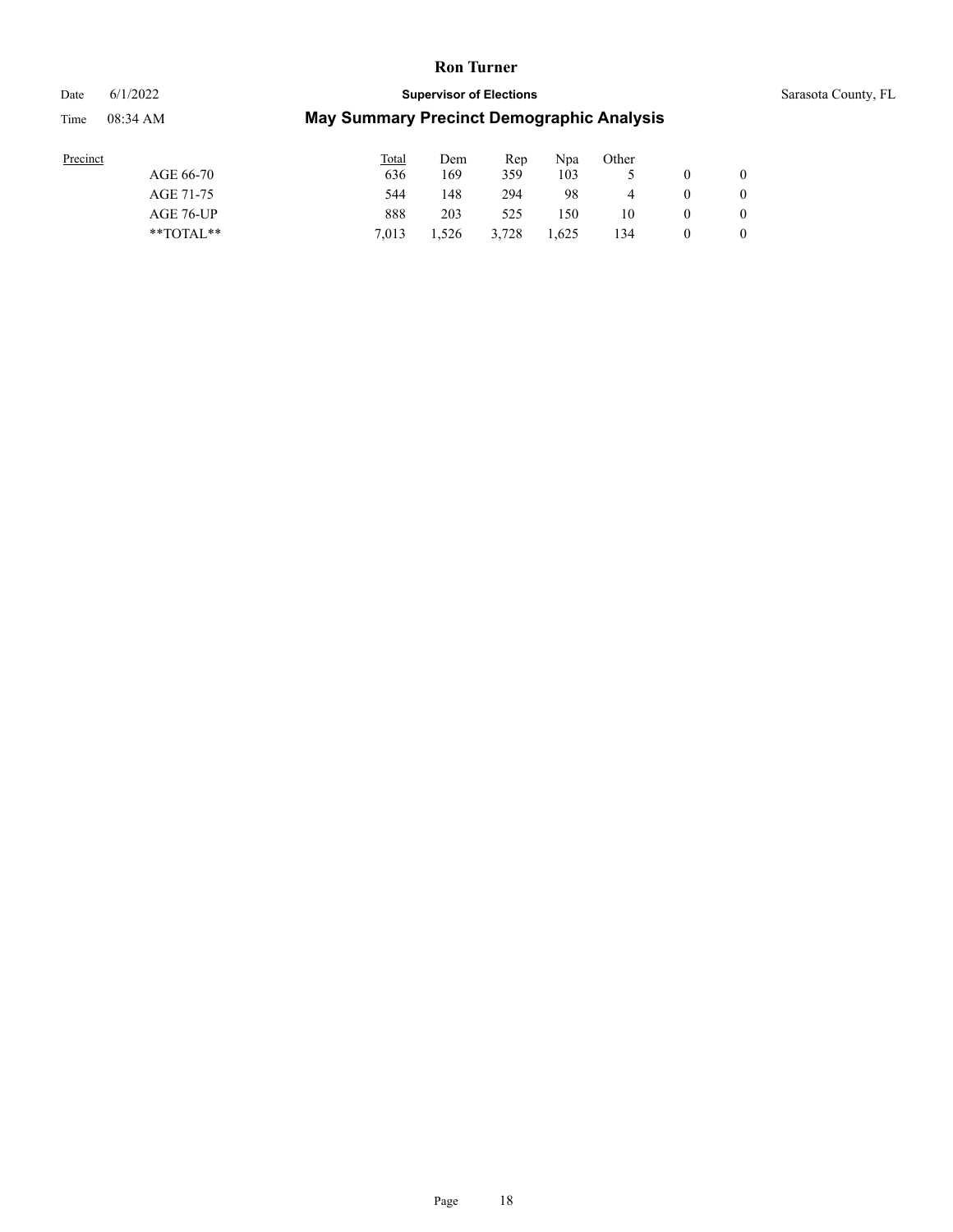#### Date 6/1/2022 **Supervisor of Elections** Supervisor **Supervisor of Elections** Sarasota County, FL

| Precinct      | <b>Total</b> | Dem   | Rep   | Npa   | Other |   |                |
|---------------|--------------|-------|-------|-------|-------|---|----------------|
| AGE 66-70     | 636          | 169   | 359   | 103   |       |   | $\overline{0}$ |
| AGE 71-75     | 544          | 148   | 294   | 98    | 4     |   | 0              |
| AGE 76-UP     | 888          | 203   | 525   | 150   | 10    | 0 | $\overline{0}$ |
| $*$ TOTAL $*$ | 7.013        | 1,526 | 3.728 | 1,625 | 134   |   | $\overline{0}$ |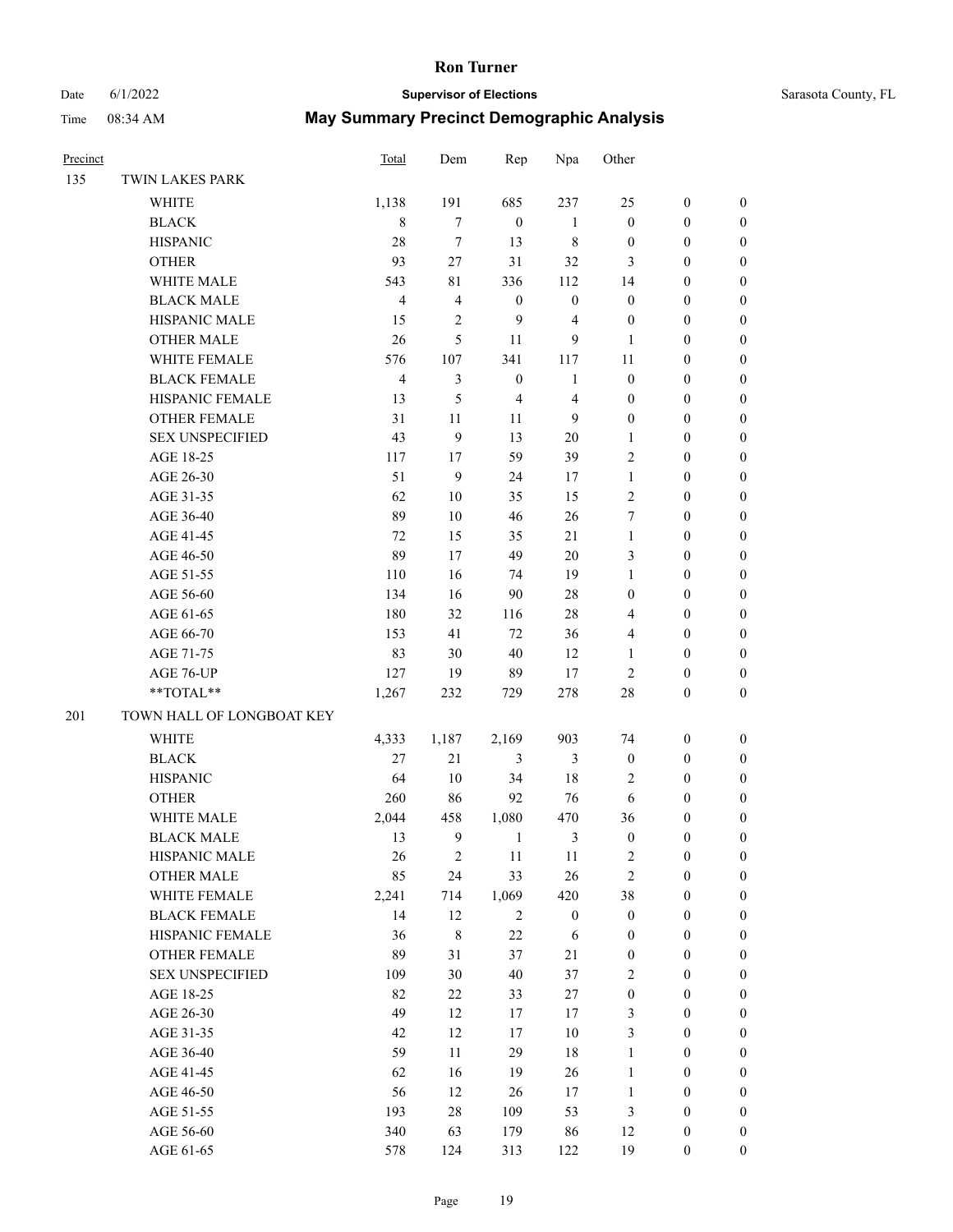# Date 6/1/2022 **Supervisor of Elections** Supervisor **Supervisor of Elections** Sarasota County, FL

| Precinct |                           | <b>Total</b>            | Dem            | Rep                     | Npa              | Other            |                  |                  |
|----------|---------------------------|-------------------------|----------------|-------------------------|------------------|------------------|------------------|------------------|
| 135      | TWIN LAKES PARK           |                         |                |                         |                  |                  |                  |                  |
|          | WHITE                     | 1,138                   | 191            | 685                     | 237              | 25               | $\boldsymbol{0}$ | 0                |
|          | <b>BLACK</b>              | $\,$ 8 $\,$             | $\tau$         | $\boldsymbol{0}$        | $\mathbf{1}$     | $\boldsymbol{0}$ | $\boldsymbol{0}$ | $\boldsymbol{0}$ |
|          | <b>HISPANIC</b>           | 28                      | $\tau$         | 13                      | $\,$ 8 $\,$      | $\boldsymbol{0}$ | $\boldsymbol{0}$ | $\boldsymbol{0}$ |
|          | <b>OTHER</b>              | 93                      | $27\,$         | 31                      | 32               | 3                | $\boldsymbol{0}$ | $\boldsymbol{0}$ |
|          | WHITE MALE                | 543                     | $8\sqrt{1}$    | 336                     | 112              | 14               | $\boldsymbol{0}$ | $\boldsymbol{0}$ |
|          | <b>BLACK MALE</b>         | $\overline{4}$          | $\overline{4}$ | $\boldsymbol{0}$        | $\boldsymbol{0}$ | $\boldsymbol{0}$ | $\boldsymbol{0}$ | $\boldsymbol{0}$ |
|          | HISPANIC MALE             | 15                      | $\overline{2}$ | 9                       | 4                | $\boldsymbol{0}$ | $\boldsymbol{0}$ | $\boldsymbol{0}$ |
|          | <b>OTHER MALE</b>         | 26                      | 5              | 11                      | 9                | $\mathbf{1}$     | $\boldsymbol{0}$ | $\boldsymbol{0}$ |
|          | WHITE FEMALE              | 576                     | 107            | 341                     | 117              | 11               | $\boldsymbol{0}$ | $\boldsymbol{0}$ |
|          | <b>BLACK FEMALE</b>       | $\overline{\mathbf{4}}$ | 3              | $\boldsymbol{0}$        | $\mathbf{1}$     | $\boldsymbol{0}$ | $\boldsymbol{0}$ | 0                |
|          | HISPANIC FEMALE           | 13                      | 5              | $\overline{\mathbf{4}}$ | $\overline{4}$   | $\boldsymbol{0}$ | $\boldsymbol{0}$ | 0                |
|          | OTHER FEMALE              | 31                      | 11             | 11                      | 9                | $\boldsymbol{0}$ | $\boldsymbol{0}$ | 0                |
|          | <b>SEX UNSPECIFIED</b>    | 43                      | 9              | 13                      | $20\,$           | $\mathbf{1}$     | $\boldsymbol{0}$ | $\boldsymbol{0}$ |
|          | AGE 18-25                 | 117                     | 17             | 59                      | 39               | $\overline{c}$   | $\boldsymbol{0}$ | $\boldsymbol{0}$ |
|          | AGE 26-30                 | 51                      | $\mathbf{9}$   | 24                      | 17               | $\mathbf{1}$     | $\boldsymbol{0}$ | $\boldsymbol{0}$ |
|          | AGE 31-35                 | 62                      | 10             | 35                      | 15               | $\mathfrak{2}$   | $\boldsymbol{0}$ | $\boldsymbol{0}$ |
|          | AGE 36-40                 | 89                      | $10\,$         | 46                      | 26               | 7                | $\boldsymbol{0}$ | $\boldsymbol{0}$ |
|          | AGE 41-45                 | 72                      | 15             | 35                      | 21               | $\mathbf{1}$     | $\boldsymbol{0}$ | $\boldsymbol{0}$ |
|          | AGE 46-50                 | 89                      | 17             | 49                      | $20\,$           | 3                | $\boldsymbol{0}$ | $\boldsymbol{0}$ |
|          | AGE 51-55                 | 110                     | 16             | 74                      | 19               | $\mathbf{1}$     | $\boldsymbol{0}$ | 0                |
|          | AGE 56-60                 | 134                     | 16             | 90                      | 28               | $\boldsymbol{0}$ | $\boldsymbol{0}$ | 0                |
|          | AGE 61-65                 | 180                     | 32             | 116                     | $28\,$           | 4                | $\boldsymbol{0}$ | 0                |
|          | AGE 66-70                 | 153                     | 41             | $72\,$                  | 36               | 4                | $\boldsymbol{0}$ | $\boldsymbol{0}$ |
|          | AGE 71-75                 | 83                      | 30             | $40\,$                  | 12               | $\mathbf{1}$     | $\boldsymbol{0}$ | $\boldsymbol{0}$ |
|          | AGE 76-UP                 | 127                     | 19             | 89                      | 17               | $\overline{c}$   | $\boldsymbol{0}$ | $\boldsymbol{0}$ |
|          | **TOTAL**                 | 1,267                   | 232            | 729                     | 278              | 28               | $\boldsymbol{0}$ | $\boldsymbol{0}$ |
| 201      | TOWN HALL OF LONGBOAT KEY |                         |                |                         |                  |                  |                  |                  |
|          | WHITE                     | 4,333                   | 1,187          | 2,169                   | 903              | 74               | $\boldsymbol{0}$ | $\boldsymbol{0}$ |
|          | <b>BLACK</b>              | 27                      | 21             | 3                       | 3                | $\boldsymbol{0}$ | $\boldsymbol{0}$ | $\boldsymbol{0}$ |
|          | <b>HISPANIC</b>           | 64                      | $10\,$         | 34                      | 18               | $\overline{c}$   | $\boldsymbol{0}$ | $\boldsymbol{0}$ |
|          | <b>OTHER</b>              | 260                     | 86             | 92                      | 76               | 6                | $\boldsymbol{0}$ | $\boldsymbol{0}$ |
|          | WHITE MALE                | 2,044                   | 458            | 1,080                   | 470              | 36               | 0                | $\boldsymbol{0}$ |
|          | <b>BLACK MALE</b>         | 13                      | $\overline{9}$ | 1                       | 3                | $\boldsymbol{0}$ | $\theta$         | $\boldsymbol{0}$ |
|          | HISPANIC MALE             | 26                      | $\sqrt{2}$     | 11                      | 11               | $\overline{c}$   | $\boldsymbol{0}$ | 0                |
|          | <b>OTHER MALE</b>         | 85                      | 24             | 33                      | 26               | $\sqrt{2}$       | $\boldsymbol{0}$ | 0                |
|          | WHITE FEMALE              | 2,241                   | 714            | 1,069                   | 420              | 38               | $\boldsymbol{0}$ | $\overline{0}$   |
|          | <b>BLACK FEMALE</b>       | 14                      | 12             | $\sqrt{2}$              | $\boldsymbol{0}$ | $\boldsymbol{0}$ | $\boldsymbol{0}$ | 0                |
|          | HISPANIC FEMALE           | 36                      | $\,8\,$        | 22                      | 6                | $\boldsymbol{0}$ | $\boldsymbol{0}$ | 0                |
|          | OTHER FEMALE              | 89                      | 31             | 37                      | 21               | $\boldsymbol{0}$ | $\boldsymbol{0}$ | $\theta$         |
|          | <b>SEX UNSPECIFIED</b>    | 109                     | 30             | $40\,$                  | 37               | $\mathfrak{2}$   | $\boldsymbol{0}$ | 0                |
|          | AGE 18-25                 | 82                      | 22             | 33                      | 27               | $\boldsymbol{0}$ | $\boldsymbol{0}$ | 0                |
|          | AGE 26-30                 | 49                      | 12             | 17                      | 17               | $\mathfrak{Z}$   | $\boldsymbol{0}$ | 0                |
|          | AGE 31-35                 | 42                      | 12             | 17                      | $10\,$           | 3                | $\boldsymbol{0}$ | 0                |
|          | AGE 36-40                 | 59                      | $11\,$         | 29                      | $18\,$           | $\mathbf{1}$     | $\boldsymbol{0}$ | 0                |
|          | AGE 41-45                 | 62                      | 16             | 19                      | 26               | $\mathbf{1}$     | $\boldsymbol{0}$ | $\overline{0}$   |
|          | AGE 46-50                 | 56                      | 12             | 26                      | 17               | $\mathbf{1}$     | $\boldsymbol{0}$ | $\overline{0}$   |
|          | AGE 51-55                 | 193                     | $28\,$         | 109                     | 53               | 3                | $\boldsymbol{0}$ | $\overline{0}$   |
|          | AGE 56-60                 | 340                     | 63             | 179                     | 86               | 12               | $\boldsymbol{0}$ | 0                |
|          | AGE 61-65                 | 578                     | 124            | 313                     | 122              | 19               | $\boldsymbol{0}$ | $\overline{0}$   |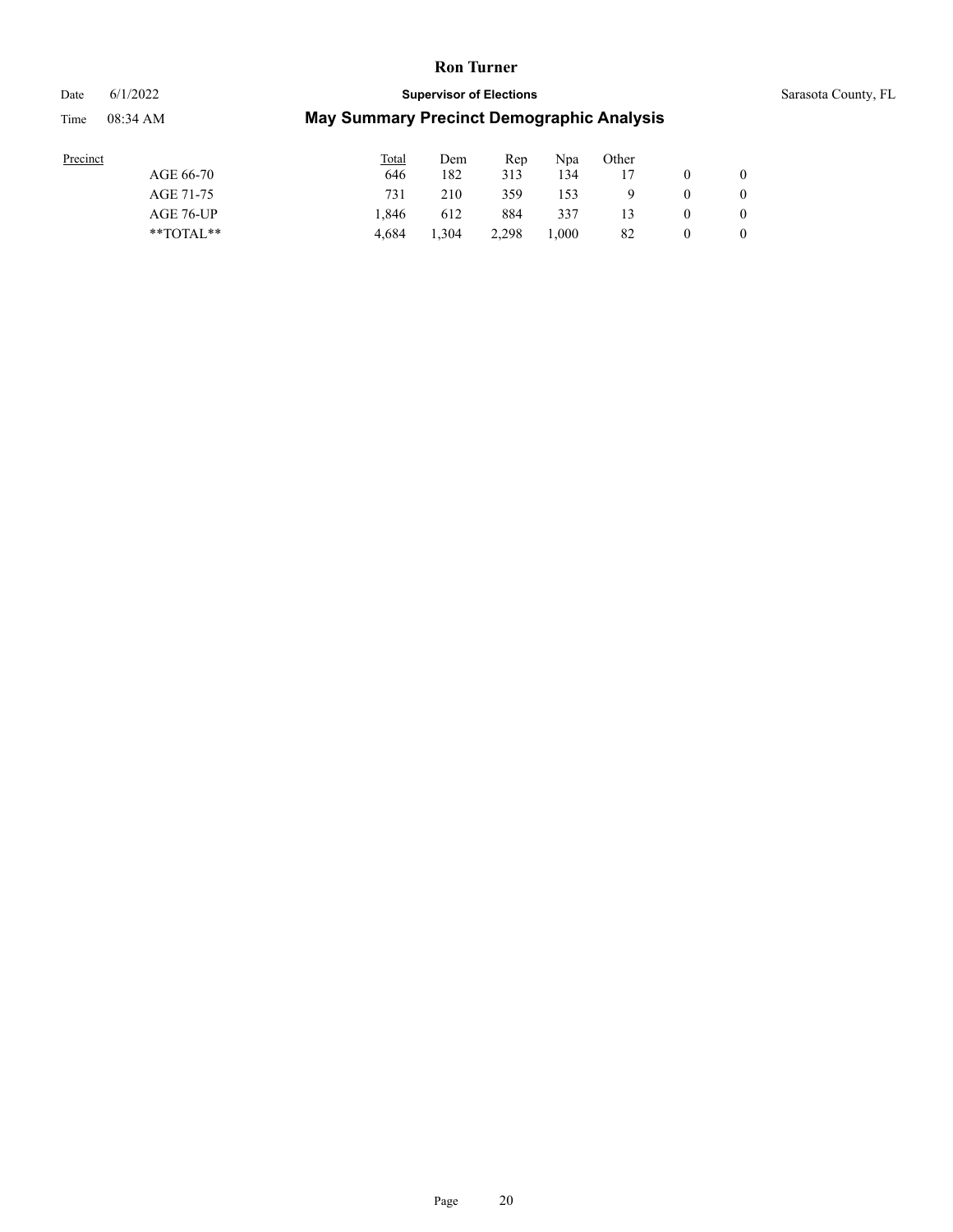### Date 6/1/2022 **Supervisor of Elections** Supervisor **Supervisor of Elections** Sarasota County, FL

| Precinct      | <b>Total</b> | Dem   | Rep   | Npa   | Other |   |                |
|---------------|--------------|-------|-------|-------|-------|---|----------------|
| AGE 66-70     | 646          | 182   | 313   | 134   |       |   | $\overline{0}$ |
| AGE 71-75     | 731          | 210   | 359   | 153   |       |   | 0              |
| AGE 76-UP     | 1.846        | 612   | 884   | 337   |       | 0 | $\overline{0}$ |
| $*$ TOTAL $*$ | 4.684        | 1.304 | 2.298 | 1.000 | 82    | 0 | $\overline{0}$ |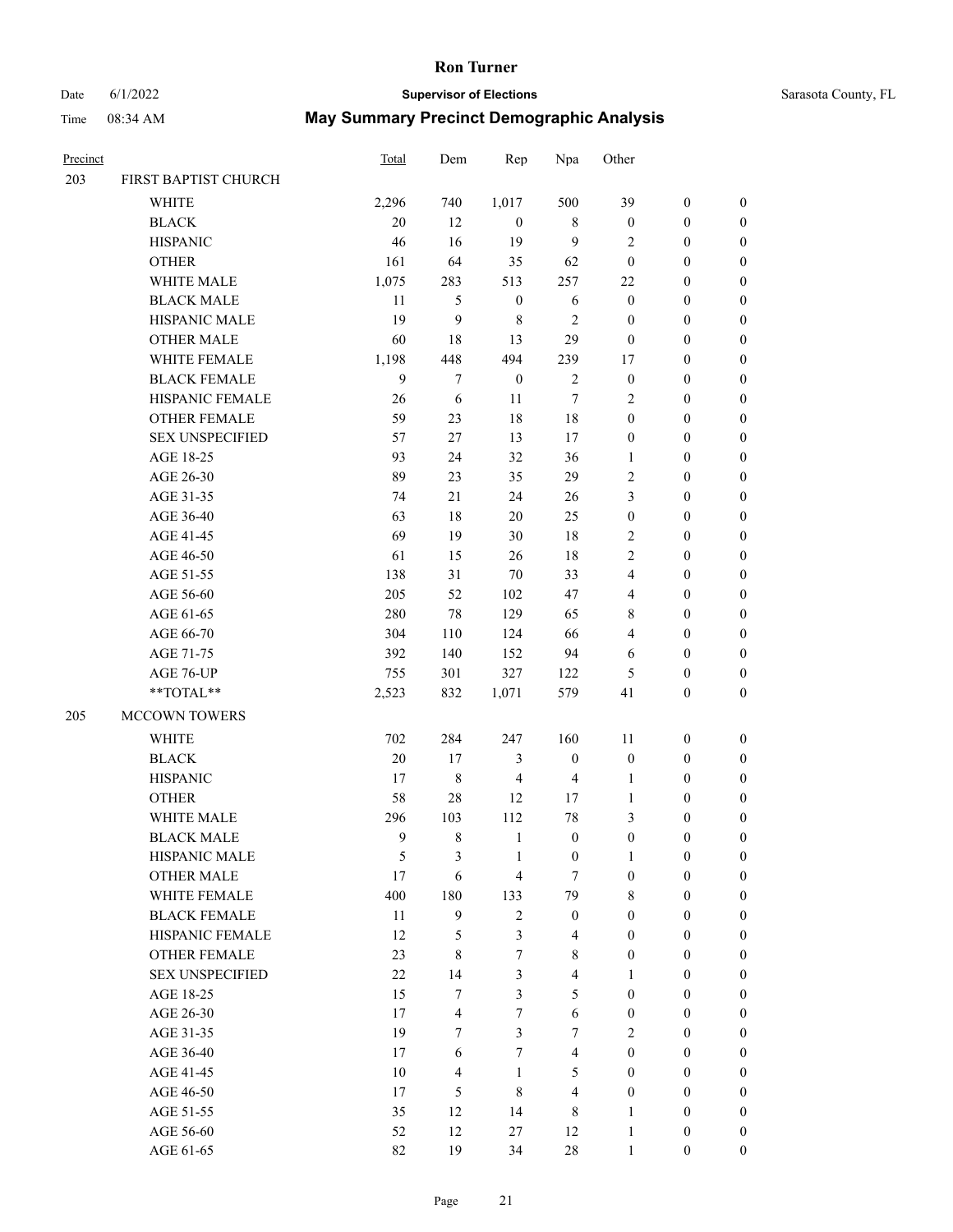# Date 6/1/2022 **Supervisor of Elections** Supervisor **Supervisor of Elections** Sarasota County, FL

| Precinct |                        | <b>Total</b> | Dem            | Rep              | Npa                     | Other                   |                  |                  |
|----------|------------------------|--------------|----------------|------------------|-------------------------|-------------------------|------------------|------------------|
| 203      | FIRST BAPTIST CHURCH   |              |                |                  |                         |                         |                  |                  |
|          | <b>WHITE</b>           | 2,296        | 740            | 1,017            | 500                     | 39                      | $\boldsymbol{0}$ | $\boldsymbol{0}$ |
|          | <b>BLACK</b>           | 20           | 12             | $\mathbf{0}$     | 8                       | $\boldsymbol{0}$        | $\boldsymbol{0}$ | $\boldsymbol{0}$ |
|          | <b>HISPANIC</b>        | 46           | 16             | 19               | 9                       | 2                       | $\boldsymbol{0}$ | $\boldsymbol{0}$ |
|          | <b>OTHER</b>           | 161          | 64             | 35               | 62                      | $\boldsymbol{0}$        | $\boldsymbol{0}$ | $\boldsymbol{0}$ |
|          | WHITE MALE             | 1,075        | 283            | 513              | 257                     | $22\,$                  | $\boldsymbol{0}$ | $\boldsymbol{0}$ |
|          | <b>BLACK MALE</b>      | 11           | 5              | $\boldsymbol{0}$ | $\sqrt{6}$              | $\boldsymbol{0}$        | $\boldsymbol{0}$ | $\boldsymbol{0}$ |
|          | HISPANIC MALE          | 19           | 9              | $\,$ 8 $\,$      | $\mathfrak{2}$          | $\boldsymbol{0}$        | $\boldsymbol{0}$ | $\boldsymbol{0}$ |
|          | <b>OTHER MALE</b>      | 60           | 18             | 13               | 29                      | $\boldsymbol{0}$        | $\boldsymbol{0}$ | $\boldsymbol{0}$ |
|          | WHITE FEMALE           | 1,198        | 448            | 494              | 239                     | 17                      | $\boldsymbol{0}$ | $\boldsymbol{0}$ |
|          | <b>BLACK FEMALE</b>    | 9            | $\tau$         | $\boldsymbol{0}$ | $\sqrt{2}$              | $\boldsymbol{0}$        | $\boldsymbol{0}$ | $\boldsymbol{0}$ |
|          | HISPANIC FEMALE        | 26           | 6              | 11               | $\tau$                  | $\overline{2}$          | $\boldsymbol{0}$ | 0                |
|          | <b>OTHER FEMALE</b>    | 59           | 23             | 18               | 18                      | $\boldsymbol{0}$        | $\boldsymbol{0}$ | $\boldsymbol{0}$ |
|          | <b>SEX UNSPECIFIED</b> | 57           | 27             | 13               | 17                      | $\boldsymbol{0}$        | $\boldsymbol{0}$ | $\boldsymbol{0}$ |
|          | AGE 18-25              | 93           | 24             | 32               | 36                      | 1                       | $\boldsymbol{0}$ | $\boldsymbol{0}$ |
|          | AGE 26-30              | 89           | 23             | 35               | 29                      | 2                       | $\boldsymbol{0}$ | $\boldsymbol{0}$ |
|          | AGE 31-35              | 74           | 21             | 24               | 26                      | 3                       | $\boldsymbol{0}$ | $\boldsymbol{0}$ |
|          | AGE 36-40              | 63           | 18             | 20               | 25                      | $\boldsymbol{0}$        | $\boldsymbol{0}$ | $\boldsymbol{0}$ |
|          | AGE 41-45              | 69           | 19             | 30               | 18                      | 2                       | $\boldsymbol{0}$ | $\boldsymbol{0}$ |
|          | AGE 46-50              | 61           | 15             | 26               | 18                      | $\overline{c}$          | $\boldsymbol{0}$ | $\boldsymbol{0}$ |
|          | AGE 51-55              | 138          | 31             | 70               | 33                      | $\overline{\mathbf{4}}$ | $\boldsymbol{0}$ | $\boldsymbol{0}$ |
|          | AGE 56-60              | 205          | 52             | 102              | 47                      | $\overline{4}$          | $\boldsymbol{0}$ | 0                |
|          | AGE 61-65              | 280          | 78             | 129              | 65                      | 8                       | $\boldsymbol{0}$ | $\boldsymbol{0}$ |
|          | AGE 66-70              | 304          | 110            | 124              | 66                      | 4                       | $\boldsymbol{0}$ | $\boldsymbol{0}$ |
|          | AGE 71-75              | 392          | 140            | 152              | 94                      | 6                       | $\boldsymbol{0}$ | $\boldsymbol{0}$ |
|          | AGE 76-UP              | 755          | 301            | 327              | 122                     | 5                       | $\boldsymbol{0}$ | $\boldsymbol{0}$ |
|          | $**TOTAL**$            | 2,523        | 832            | 1,071            | 579                     | 41                      | $\boldsymbol{0}$ | $\boldsymbol{0}$ |
|          |                        |              |                |                  |                         |                         |                  |                  |
| 205      | MCCOWN TOWERS          |              |                |                  |                         |                         |                  |                  |
|          | <b>WHITE</b>           | 702          | 284            | 247              | 160                     | 11                      | $\boldsymbol{0}$ | $\boldsymbol{0}$ |
|          | <b>BLACK</b>           | 20           | 17             | $\mathfrak{Z}$   | $\boldsymbol{0}$        | $\boldsymbol{0}$        | $\boldsymbol{0}$ | $\boldsymbol{0}$ |
|          | <b>HISPANIC</b>        | 17           | $\,$ 8 $\,$    | $\overline{4}$   | $\overline{\mathbf{4}}$ | $\mathbf{1}$            | $\boldsymbol{0}$ | $\boldsymbol{0}$ |
|          | <b>OTHER</b>           | 58           | 28             | 12               | 17                      | $\mathbf{1}$            | $\boldsymbol{0}$ | $\boldsymbol{0}$ |
|          | WHITE MALE             | 296          | 103            | 112              | $78\,$                  | 3                       | $\boldsymbol{0}$ | $\boldsymbol{0}$ |
|          | <b>BLACK MALE</b>      | 9            | 8              | $\mathbf{1}$     | $\boldsymbol{0}$        | $\boldsymbol{0}$        | $\boldsymbol{0}$ | $\boldsymbol{0}$ |
|          | <b>HISPANIC MALE</b>   | 5            | 3              | $\mathbf{1}$     | $\boldsymbol{0}$        | $\mathbf{1}$            | $\boldsymbol{0}$ | 0                |
|          | <b>OTHER MALE</b>      | 17           | 6              | $\overline{4}$   | $\tau$                  | $\boldsymbol{0}$        | $\boldsymbol{0}$ | $\overline{0}$   |
|          | WHITE FEMALE           | 400          | 180            | 133              | 79                      | 8                       | $\boldsymbol{0}$ | $\overline{0}$   |
|          | <b>BLACK FEMALE</b>    | 11           | 9              | $\sqrt{2}$       | $\boldsymbol{0}$        | $\boldsymbol{0}$        | $\boldsymbol{0}$ | $\overline{0}$   |
|          | HISPANIC FEMALE        | 12           | 5              | 3                | $\overline{4}$          | $\boldsymbol{0}$        | $\overline{0}$   | $\overline{0}$   |
|          | <b>OTHER FEMALE</b>    | 23           | 8              | $\tau$           | $\,$ 8 $\,$             | $\boldsymbol{0}$        | $\boldsymbol{0}$ | $\theta$         |
|          | <b>SEX UNSPECIFIED</b> | 22           | 14             | 3                | $\overline{4}$          | $\mathbf{1}$            | $\boldsymbol{0}$ | $\theta$         |
|          | AGE 18-25              | 15           | $\tau$         | 3                | 5                       | $\overline{0}$          | $\boldsymbol{0}$ | $\theta$         |
|          | AGE 26-30              | 17           | 4              | $\tau$           | 6                       | $\boldsymbol{0}$        | $\boldsymbol{0}$ | 0                |
|          | AGE 31-35              | 19           | 7              | 3                | $\tau$                  | $\overline{2}$          | $\boldsymbol{0}$ | 0                |
|          | AGE 36-40              | 17           | 6              | $\tau$           | $\overline{4}$          | $\overline{0}$          | $\boldsymbol{0}$ | $\overline{0}$   |
|          | AGE 41-45              | 10           | $\overline{4}$ | $\mathbf{1}$     | 5                       | $\boldsymbol{0}$        | $\boldsymbol{0}$ | $\overline{0}$   |
|          | AGE 46-50              | 17           | 5              | 8                | $\overline{4}$          | $\boldsymbol{0}$        | $\boldsymbol{0}$ | $\overline{0}$   |
|          | AGE 51-55              | 35           | 12             | 14               | $\,$ 8 $\,$             | $\mathbf{1}$            | $\boldsymbol{0}$ | $\overline{0}$   |
|          | AGE 56-60              | 52           | 12             | 27               | 12                      | $\mathbf{1}$            | $\boldsymbol{0}$ | $\boldsymbol{0}$ |
|          | AGE 61-65              | 82           | 19             | 34               | $28\,$                  | $\mathbf{1}$            | $\boldsymbol{0}$ | $\boldsymbol{0}$ |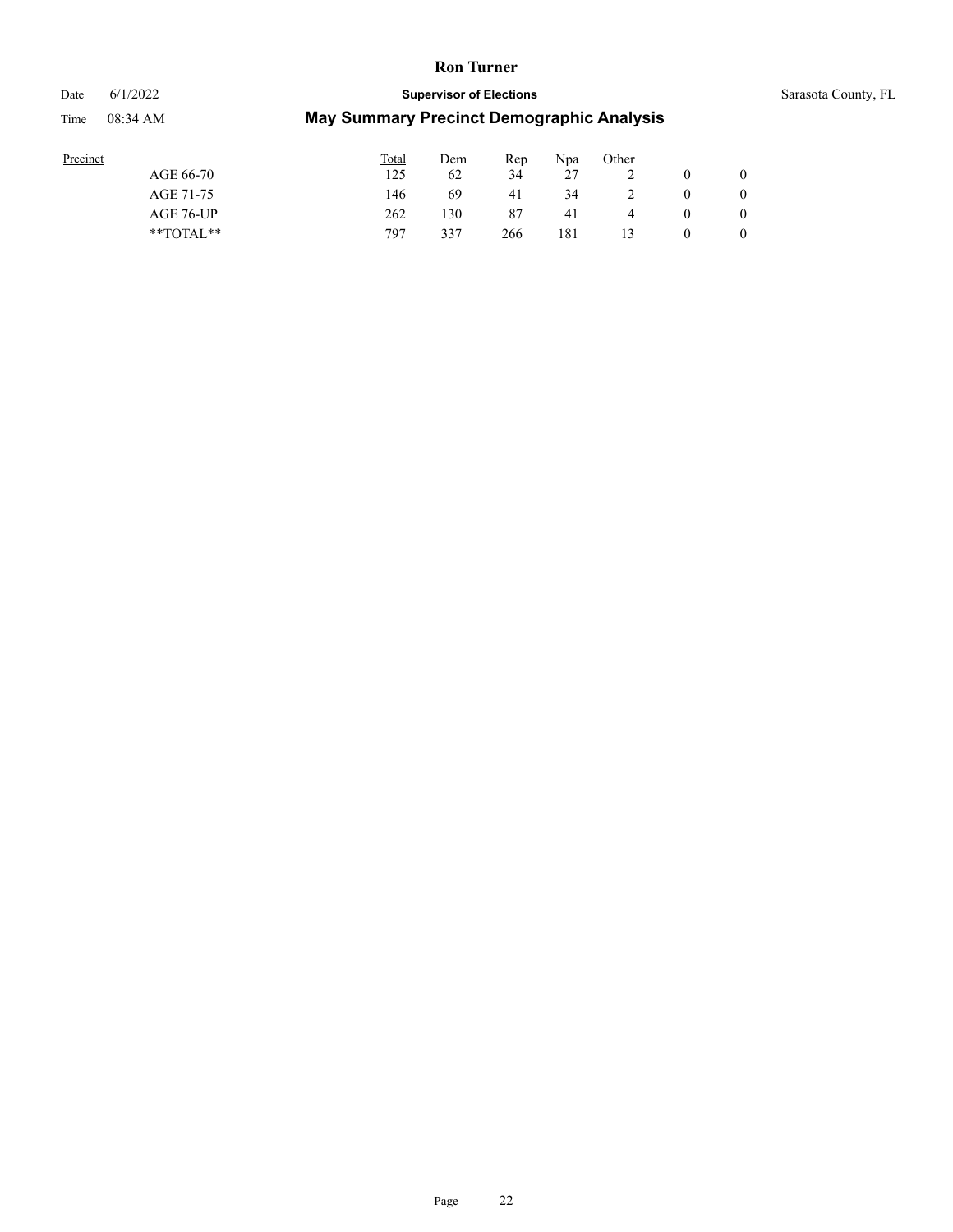# Date 6/1/2022 **Supervisor of Elections** Supervisor **Supervisor of Elections** Sarasota County, FL Time 08:34 AM **May Summary Precinct Demographic Analysis**

| Precinct |               | Total | Dem | Rep | Npa | Other |          |  |
|----------|---------------|-------|-----|-----|-----|-------|----------|--|
|          | AGE 66-70     | 125   | 62  | 34  | 27  |       |          |  |
|          | AGE 71-75     | 146   | 69  | 41  | 34  | ∸     | $\theta$ |  |
|          | AGE 76-UP     | 262   | 130 | 87  | 41  |       | $\theta$ |  |
|          | $*$ TOTAL $*$ | 797   | 337 | 266 | 181 | 13    | 0        |  |
|          |               |       |     |     |     |       |          |  |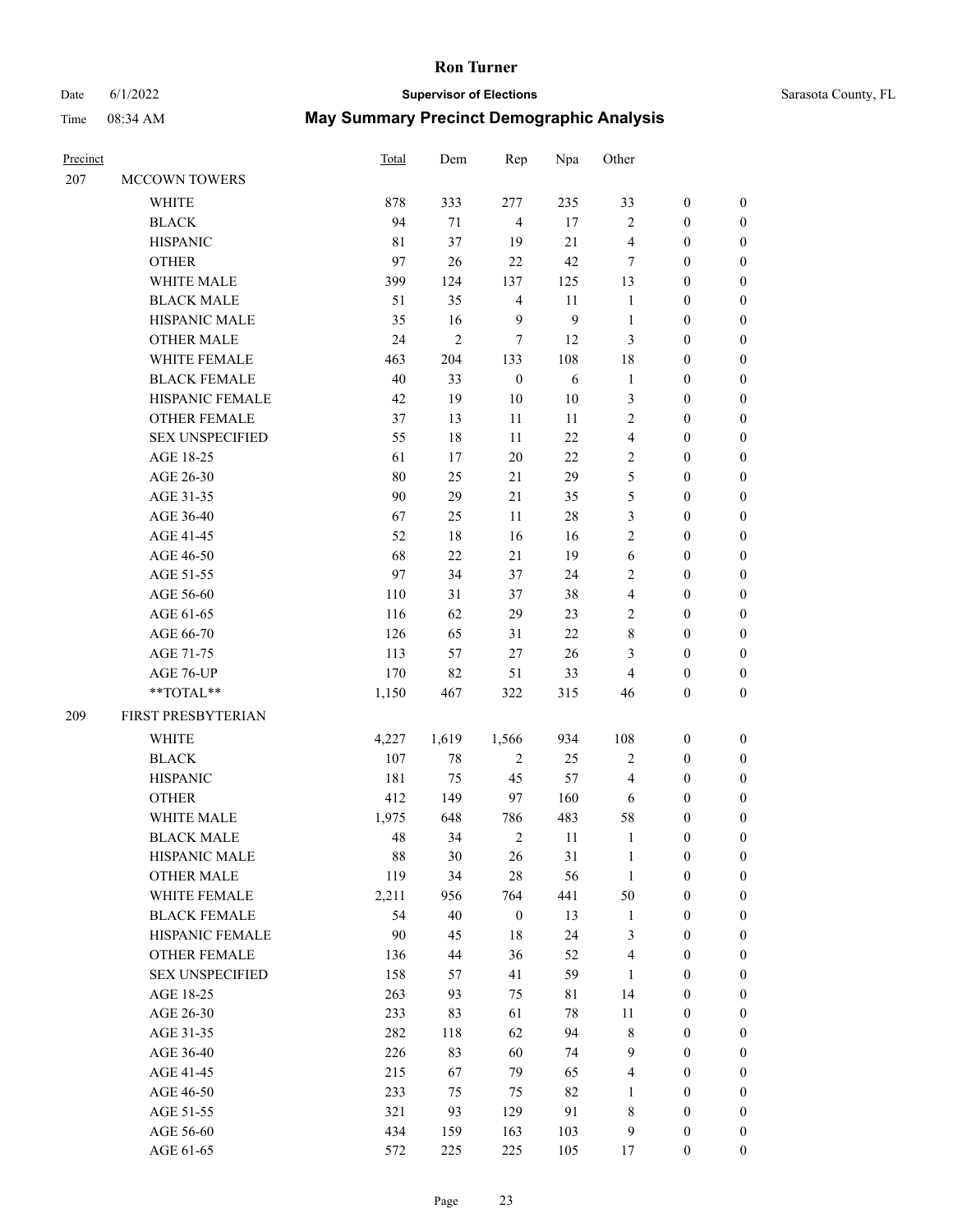# Date 6/1/2022 **Supervisor of Elections** Supervisor **Supervisor of Elections** Sarasota County, FL

| Precinct |                                                            | Total | Dem            | Rep              | Npa    | Other          |                  |                  |
|----------|------------------------------------------------------------|-------|----------------|------------------|--------|----------------|------------------|------------------|
| 207      | MCCOWN TOWERS                                              |       |                |                  |        |                |                  |                  |
|          | <b>WHITE</b>                                               | 878   | 333            | 277              | 235    | 33             | $\boldsymbol{0}$ | $\boldsymbol{0}$ |
|          | <b>BLACK</b>                                               | 94    | 71             | $\overline{4}$   | 17     | $\mathbf{2}$   | $\boldsymbol{0}$ | $\boldsymbol{0}$ |
|          | <b>HISPANIC</b>                                            | 81    | 37             | 19               | 21     | 4              | $\boldsymbol{0}$ | $\boldsymbol{0}$ |
|          | <b>OTHER</b>                                               | 97    | 26             | 22               | 42     | 7              | $\boldsymbol{0}$ | $\boldsymbol{0}$ |
|          | WHITE MALE                                                 | 399   | 124            | 137              | 125    | 13             | $\boldsymbol{0}$ | $\boldsymbol{0}$ |
|          | <b>BLACK MALE</b>                                          | 51    | 35             | $\overline{4}$   | 11     | $\mathbf{1}$   | $\boldsymbol{0}$ | $\boldsymbol{0}$ |
|          | HISPANIC MALE                                              | 35    | 16             | 9                | 9      | $\mathbf{1}$   | $\boldsymbol{0}$ | $\boldsymbol{0}$ |
|          | <b>OTHER MALE</b>                                          | 24    | $\overline{c}$ | 7                | 12     | 3              | $\boldsymbol{0}$ | $\boldsymbol{0}$ |
|          | WHITE FEMALE                                               | 463   | 204            | 133              | 108    | 18             | $\boldsymbol{0}$ | $\boldsymbol{0}$ |
|          | <b>BLACK FEMALE</b>                                        | 40    | 33             | $\boldsymbol{0}$ | 6      | $\mathbf{1}$   | $\boldsymbol{0}$ | 0                |
|          | HISPANIC FEMALE                                            | 42    | 19             | 10               | $10\,$ | 3              | $\boldsymbol{0}$ | 0                |
|          | <b>OTHER FEMALE</b>                                        | 37    | 13             | 11               | 11     | 2              | $\boldsymbol{0}$ | $\boldsymbol{0}$ |
|          | <b>SEX UNSPECIFIED</b>                                     | 55    | 18             | 11               | 22     | $\overline{4}$ | $\boldsymbol{0}$ | $\boldsymbol{0}$ |
|          | AGE 18-25                                                  | 61    | 17             | 20               | 22     | $\overline{2}$ | $\boldsymbol{0}$ | $\boldsymbol{0}$ |
|          | AGE 26-30                                                  | 80    | 25             | 21               | 29     | 5              | $\boldsymbol{0}$ | $\boldsymbol{0}$ |
|          | AGE 31-35                                                  | 90    | 29             | 21               | 35     | 5              | $\boldsymbol{0}$ | $\boldsymbol{0}$ |
|          | AGE 36-40                                                  | 67    | 25             | 11               | $28\,$ | 3              | $\boldsymbol{0}$ | $\boldsymbol{0}$ |
|          | AGE 41-45                                                  | 52    | 18             | 16               | 16     | 2              | $\boldsymbol{0}$ | $\boldsymbol{0}$ |
|          | AGE 46-50                                                  | 68    | 22             | 21               | 19     | 6              | $\boldsymbol{0}$ | $\boldsymbol{0}$ |
|          | AGE 51-55                                                  | 97    | 34             | 37               | 24     | 2              | $\boldsymbol{0}$ | $\boldsymbol{0}$ |
|          | AGE 56-60                                                  | 110   | 31             | 37               | 38     | $\overline{4}$ | $\boldsymbol{0}$ | 0                |
|          | AGE 61-65                                                  | 116   | 62             | 29               | 23     | 2              | $\boldsymbol{0}$ | 0                |
|          | AGE 66-70                                                  | 126   | 65             | 31               | 22     | 8              | $\boldsymbol{0}$ | $\boldsymbol{0}$ |
|          | AGE 71-75                                                  | 113   | 57             | 27               | 26     | 3              | $\boldsymbol{0}$ | $\boldsymbol{0}$ |
|          | AGE 76-UP                                                  | 170   | 82             | 51               | 33     | 4              | $\boldsymbol{0}$ | $\boldsymbol{0}$ |
|          | $\mathrm{*}\mathrm{*} \mathrm{TOTAL} \mathrm{*}\mathrm{*}$ | 1,150 | 467            | 322              | 315    | 46             | $\boldsymbol{0}$ | $\boldsymbol{0}$ |
| 209      | FIRST PRESBYTERIAN                                         |       |                |                  |        |                |                  |                  |
|          | <b>WHITE</b>                                               | 4,227 | 1,619          | 1,566            | 934    | 108            | $\boldsymbol{0}$ | $\boldsymbol{0}$ |
|          | <b>BLACK</b>                                               | 107   | 78             | $\overline{2}$   | 25     | $\mathbf{2}$   | $\boldsymbol{0}$ | $\boldsymbol{0}$ |
|          | <b>HISPANIC</b>                                            | 181   | 75             | 45               | 57     | 4              | $\boldsymbol{0}$ | $\boldsymbol{0}$ |
|          | <b>OTHER</b>                                               | 412   | 149            | 97               | 160    | 6              | $\boldsymbol{0}$ | $\boldsymbol{0}$ |
|          | WHITE MALE                                                 | 1,975 | 648            | 786              | 483    | 58             | $\boldsymbol{0}$ | 0                |
|          | <b>BLACK MALE</b>                                          | 48    | 34             | $\overline{2}$   | 11     | $\mathbf{1}$   | $\boldsymbol{0}$ | $\boldsymbol{0}$ |
|          | HISPANIC MALE                                              | 88    | 30             | 26               | 31     | 1              | $\boldsymbol{0}$ | 0                |
|          | <b>OTHER MALE</b>                                          | 119   | 34             | $28\,$           | 56     | $\mathbf{1}$   | $\boldsymbol{0}$ | $\overline{0}$   |
|          | WHITE FEMALE                                               | 2,211 | 956            | 764              | 441    | 50             | $\boldsymbol{0}$ | $\overline{0}$   |
|          | <b>BLACK FEMALE</b>                                        | 54    | 40             | $\boldsymbol{0}$ | 13     | $\mathbf{1}$   | $\boldsymbol{0}$ | $\overline{0}$   |
|          | HISPANIC FEMALE                                            | 90    | 45             | $18\,$           | 24     | 3              | $\boldsymbol{0}$ | $\overline{0}$   |
|          | <b>OTHER FEMALE</b>                                        | 136   | 44             | 36               | 52     | 4              | $\boldsymbol{0}$ | $\overline{0}$   |
|          | <b>SEX UNSPECIFIED</b>                                     | 158   | 57             | 41               | 59     | $\mathbf{1}$   | $\boldsymbol{0}$ | 0                |
|          | AGE 18-25                                                  | 263   | 93             | 75               | 81     | 14             | $\boldsymbol{0}$ | 0                |
|          | AGE 26-30                                                  | 233   | 83             | 61               | $78\,$ | 11             | $\boldsymbol{0}$ | 0                |
|          | AGE 31-35                                                  | 282   | 118            | 62               | 94     | 8              | $\boldsymbol{0}$ | 0                |
|          | AGE 36-40                                                  | 226   | 83             | 60               | 74     | 9              | $\boldsymbol{0}$ | 0                |
|          | AGE 41-45                                                  | 215   | 67             | 79               | 65     | $\overline{4}$ | $\boldsymbol{0}$ | $\overline{0}$   |
|          | AGE 46-50                                                  | 233   | 75             | 75               | 82     | $\mathbf{1}$   | $\boldsymbol{0}$ | $\overline{0}$   |
|          | AGE 51-55                                                  | 321   | 93             | 129              | 91     | 8              | $\boldsymbol{0}$ | $\overline{0}$   |
|          | AGE 56-60                                                  | 434   | 159            | 163              | 103    | 9              | $\boldsymbol{0}$ | $\boldsymbol{0}$ |
|          | AGE 61-65                                                  | 572   | 225            | 225              | 105    | 17             | $\boldsymbol{0}$ | $\boldsymbol{0}$ |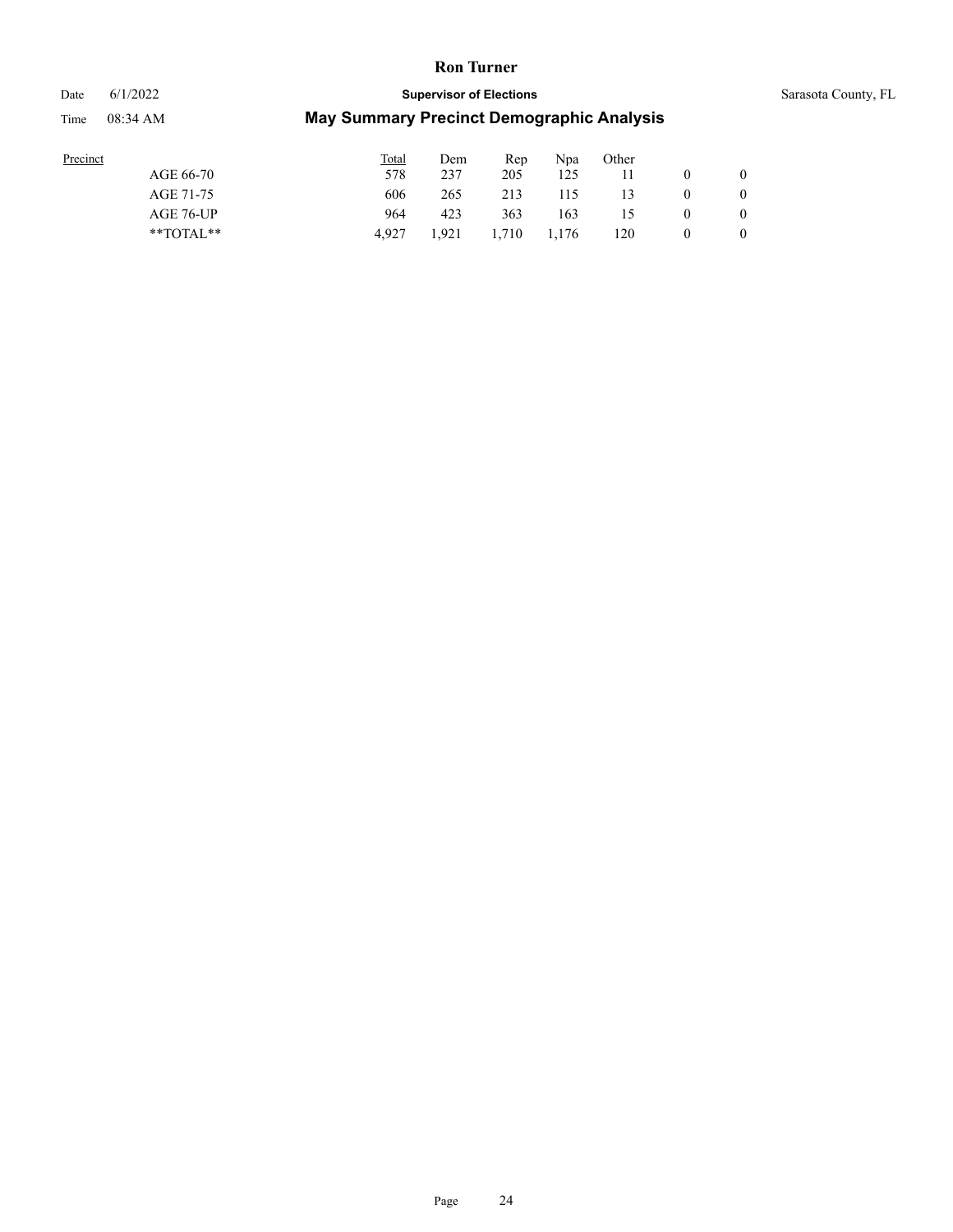# Date 6/1/2022 **Supervisor of Elections** Supervisor **Supervisor of Elections** Sarasota County, FL Time 08:34 AM **May Summary Precinct Demographic Analysis**

| Precinct  | Total Dem Rep Npa Other |  |  |
|-----------|-------------------------|--|--|
| AGE 66-70 | 578 237 205 125 11      |  |  |

| AGE 66-70     | 578   | 237   | 205   | 125   |     |          | $\theta$       |
|---------------|-------|-------|-------|-------|-----|----------|----------------|
| AGE 71-75     | 606   | 265   | 213   | 115   | 13  | $\theta$ | $\overline{0}$ |
| AGE 76-UP     | 964   | 423   | 363   | 163   | 15  | $\theta$ | $\overline{0}$ |
| $*$ TOTAL $*$ | 4.927 | 1.921 | 1.710 | 1,176 | 120 | $\theta$ | $\theta$       |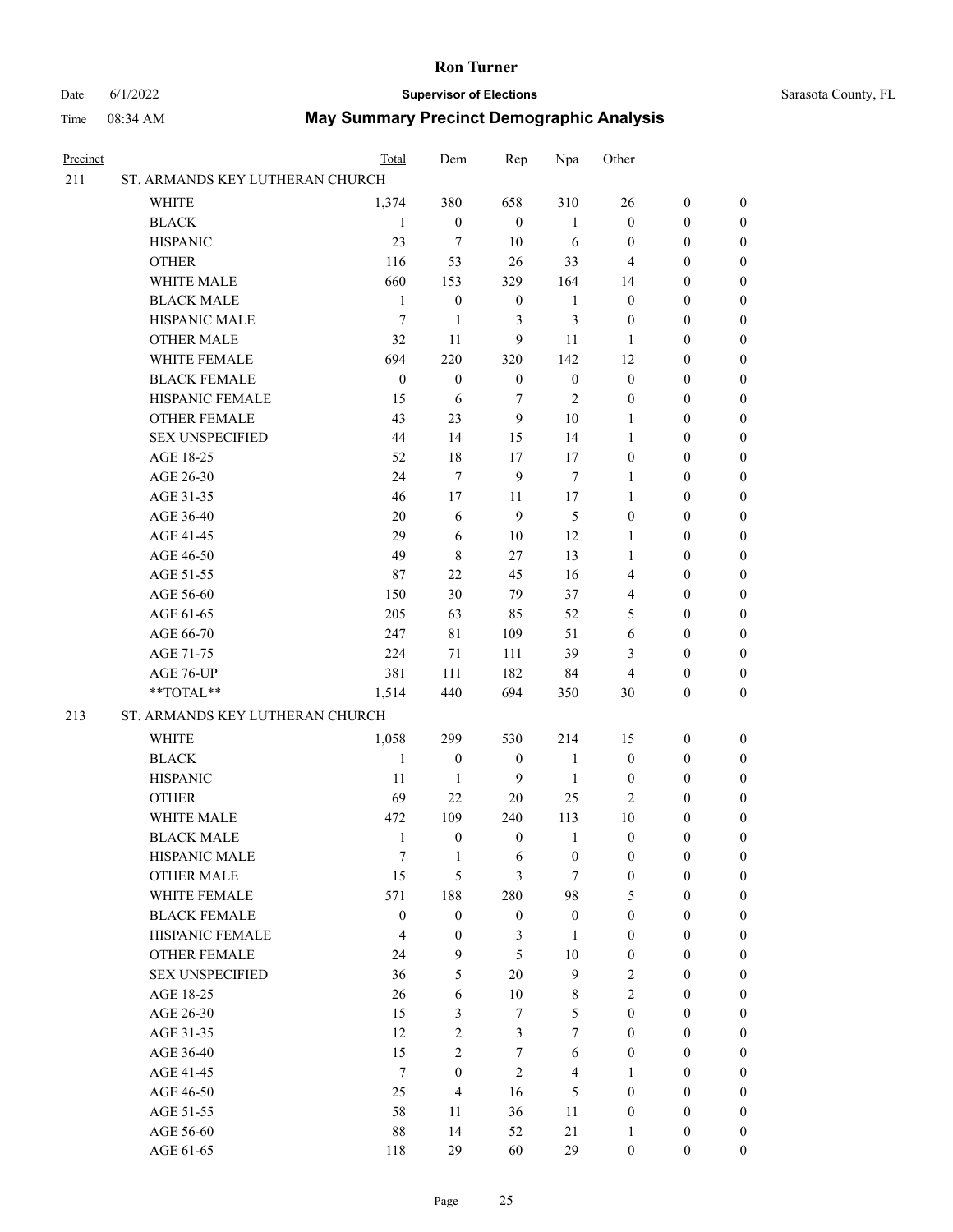#### Date 6/1/2022 **Supervisor of Elections** Supervisor **Supervisor of Elections** Sarasota County, FL

| Precinct |                                 | Total            | Dem                     | Rep              | Npa                     | Other            |                  |                  |
|----------|---------------------------------|------------------|-------------------------|------------------|-------------------------|------------------|------------------|------------------|
| 211      | ST. ARMANDS KEY LUTHERAN CHURCH |                  |                         |                  |                         |                  |                  |                  |
|          | <b>WHITE</b>                    | 1,374            | 380                     | 658              | 310                     | 26               | $\boldsymbol{0}$ | $\boldsymbol{0}$ |
|          | <b>BLACK</b>                    | 1                | $\boldsymbol{0}$        | $\boldsymbol{0}$ | $\mathbf{1}$            | $\boldsymbol{0}$ | $\boldsymbol{0}$ | $\boldsymbol{0}$ |
|          | <b>HISPANIC</b>                 | 23               | $\tau$                  | 10               | 6                       | $\boldsymbol{0}$ | $\boldsymbol{0}$ | $\boldsymbol{0}$ |
|          | <b>OTHER</b>                    | 116              | 53                      | 26               | 33                      | 4                | $\boldsymbol{0}$ | $\boldsymbol{0}$ |
|          | WHITE MALE                      | 660              | 153                     | 329              | 164                     | 14               | $\boldsymbol{0}$ | $\boldsymbol{0}$ |
|          | <b>BLACK MALE</b>               | $\mathbf{1}$     | $\boldsymbol{0}$        | $\boldsymbol{0}$ | $\mathbf{1}$            | $\boldsymbol{0}$ | $\boldsymbol{0}$ | $\boldsymbol{0}$ |
|          | HISPANIC MALE                   | $\overline{7}$   | 1                       | 3                | $\mathfrak{Z}$          | $\boldsymbol{0}$ | $\boldsymbol{0}$ | $\boldsymbol{0}$ |
|          | <b>OTHER MALE</b>               | 32               | 11                      | 9                | 11                      | 1                | $\boldsymbol{0}$ | 0                |
|          | WHITE FEMALE                    | 694              | 220                     | 320              | 142                     | 12               | $\boldsymbol{0}$ | 0                |
|          | <b>BLACK FEMALE</b>             | $\boldsymbol{0}$ | $\boldsymbol{0}$        | $\mathbf{0}$     | $\boldsymbol{0}$        | $\boldsymbol{0}$ | $\boldsymbol{0}$ | $\boldsymbol{0}$ |
|          | HISPANIC FEMALE                 | 15               | 6                       | $\tau$           | $\overline{2}$          | $\boldsymbol{0}$ | $\boldsymbol{0}$ | $\boldsymbol{0}$ |
|          | OTHER FEMALE                    | 43               | 23                      | 9                | $10\,$                  | $\mathbf{1}$     | $\boldsymbol{0}$ | $\boldsymbol{0}$ |
|          | <b>SEX UNSPECIFIED</b>          | 44               | 14                      | 15               | 14                      | $\mathbf{1}$     | $\boldsymbol{0}$ | $\boldsymbol{0}$ |
|          | AGE 18-25                       | 52               | 18                      | 17               | 17                      | $\boldsymbol{0}$ | $\boldsymbol{0}$ | $\boldsymbol{0}$ |
|          | AGE 26-30                       | 24               | $\tau$                  | 9                | $\tau$                  | $\mathbf{1}$     | $\boldsymbol{0}$ | $\boldsymbol{0}$ |
|          | AGE 31-35                       | 46               | 17                      | 11               | 17                      | $\mathbf{1}$     | $\boldsymbol{0}$ | $\boldsymbol{0}$ |
|          | AGE 36-40                       | 20               | 6                       | 9                | 5                       | $\boldsymbol{0}$ | $\boldsymbol{0}$ | $\boldsymbol{0}$ |
|          | AGE 41-45                       | 29               | 6                       | 10               | 12                      | $\mathbf{1}$     | $\boldsymbol{0}$ | 0                |
|          | AGE 46-50                       | 49               | $\,$ 8 $\,$             | 27               | 13                      | $\mathbf{1}$     | $\boldsymbol{0}$ | 0                |
|          | AGE 51-55                       | 87               | 22                      | 45               | 16                      | 4                | $\boldsymbol{0}$ | $\boldsymbol{0}$ |
|          | AGE 56-60                       | 150              | 30                      | 79               | 37                      | 4                | $\boldsymbol{0}$ | $\boldsymbol{0}$ |
|          | AGE 61-65                       | 205              | 63                      | 85               | 52                      | 5                | $\boldsymbol{0}$ | $\boldsymbol{0}$ |
|          | AGE 66-70                       | 247              | 81                      | 109              | 51                      | 6                | $\boldsymbol{0}$ | $\boldsymbol{0}$ |
|          | AGE 71-75                       | 224              | 71                      | 111              | 39                      | 3                | $\boldsymbol{0}$ | $\boldsymbol{0}$ |
|          | AGE 76-UP                       | 381              | 111                     | 182              | 84                      | 4                | $\boldsymbol{0}$ | $\boldsymbol{0}$ |
|          | **TOTAL**                       | 1,514            | 440                     | 694              | 350                     | 30               | $\boldsymbol{0}$ | $\boldsymbol{0}$ |
| 213      | ST. ARMANDS KEY LUTHERAN CHURCH |                  |                         |                  |                         |                  |                  |                  |
|          | <b>WHITE</b>                    | 1,058            | 299                     | 530              | 214                     | 15               | $\boldsymbol{0}$ | $\boldsymbol{0}$ |
|          | <b>BLACK</b>                    | $\mathbf{1}$     | $\boldsymbol{0}$        | $\boldsymbol{0}$ | $\mathbf{1}$            | $\boldsymbol{0}$ | $\boldsymbol{0}$ | $\boldsymbol{0}$ |
|          | <b>HISPANIC</b>                 | 11               | $\mathbf{1}$            | 9                | $\mathbf{1}$            | $\boldsymbol{0}$ | $\boldsymbol{0}$ | 0                |
|          | <b>OTHER</b>                    | 69               | 22                      | 20               | 25                      | $\mathbf{2}$     | $\boldsymbol{0}$ | 0                |
|          | WHITE MALE                      | 472              | 109                     | 240              | 113                     | 10               | $\boldsymbol{0}$ | $\boldsymbol{0}$ |
|          | <b>BLACK MALE</b>               | 1                | $\boldsymbol{0}$        | $\boldsymbol{0}$ | $\mathbf{1}$            | $\boldsymbol{0}$ | $\boldsymbol{0}$ | $\boldsymbol{0}$ |
|          | HISPANIC MALE                   | 7                | $\mathbf{1}$            | 6                | $\boldsymbol{0}$        | $\boldsymbol{0}$ | $\boldsymbol{0}$ | $\boldsymbol{0}$ |
|          | <b>OTHER MALE</b>               | 15               | 5                       | 3                | $\tau$                  | $\boldsymbol{0}$ | $\boldsymbol{0}$ | $\overline{0}$   |
|          | WHITE FEMALE                    | 571              | 188                     | 280              | 98                      | 5                | $\boldsymbol{0}$ | $\theta$         |
|          | <b>BLACK FEMALE</b>             | $\boldsymbol{0}$ | $\mathbf{0}$            | $\boldsymbol{0}$ | $\boldsymbol{0}$        | $\boldsymbol{0}$ | $\boldsymbol{0}$ | $\theta$         |
|          | HISPANIC FEMALE                 | $\overline{4}$   | $\boldsymbol{0}$        | $\mathfrak{Z}$   | $\mathbf{1}$            | $\boldsymbol{0}$ | $\boldsymbol{0}$ | $\theta$         |
|          | <b>OTHER FEMALE</b>             | 24               | 9                       | 5                | $10\,$                  | $\boldsymbol{0}$ | $\boldsymbol{0}$ | 0                |
|          | <b>SEX UNSPECIFIED</b>          | 36               | 5                       | 20               | 9                       | $\overline{2}$   | $\boldsymbol{0}$ | 0                |
|          | AGE 18-25                       | 26               | 6                       | 10               | $\,$ 8 $\,$             | $\overline{2}$   | $\boldsymbol{0}$ | 0                |
|          | AGE 26-30                       | 15               | 3                       | $\tau$           | 5                       | $\boldsymbol{0}$ | $\boldsymbol{0}$ | $\overline{0}$   |
|          | AGE 31-35                       | 12               | $\overline{2}$          | $\mathfrak{Z}$   | $\tau$                  | $\boldsymbol{0}$ | $\boldsymbol{0}$ | $\overline{0}$   |
|          | AGE 36-40                       | 15               | $\overline{c}$          | $\tau$           | 6                       | $\boldsymbol{0}$ | $\boldsymbol{0}$ | $\overline{0}$   |
|          | AGE 41-45                       | $\tau$           | $\boldsymbol{0}$        | $\mathfrak{2}$   | $\overline{\mathbf{4}}$ | 1                | $\boldsymbol{0}$ | $\overline{0}$   |
|          | AGE 46-50                       | 25               | $\overline{\mathbf{4}}$ | 16               | 5                       | $\boldsymbol{0}$ | $\boldsymbol{0}$ | $\overline{0}$   |
|          | AGE 51-55                       | 58               | 11                      | 36               | 11                      | $\boldsymbol{0}$ | $\boldsymbol{0}$ | $\theta$         |
|          | AGE 56-60                       | $88\,$           | 14                      | 52               | 21                      | $\mathbf{1}$     | $\boldsymbol{0}$ | $\boldsymbol{0}$ |
|          | AGE 61-65                       | 118              | 29                      | 60               | 29                      | $\boldsymbol{0}$ | $\boldsymbol{0}$ | $\boldsymbol{0}$ |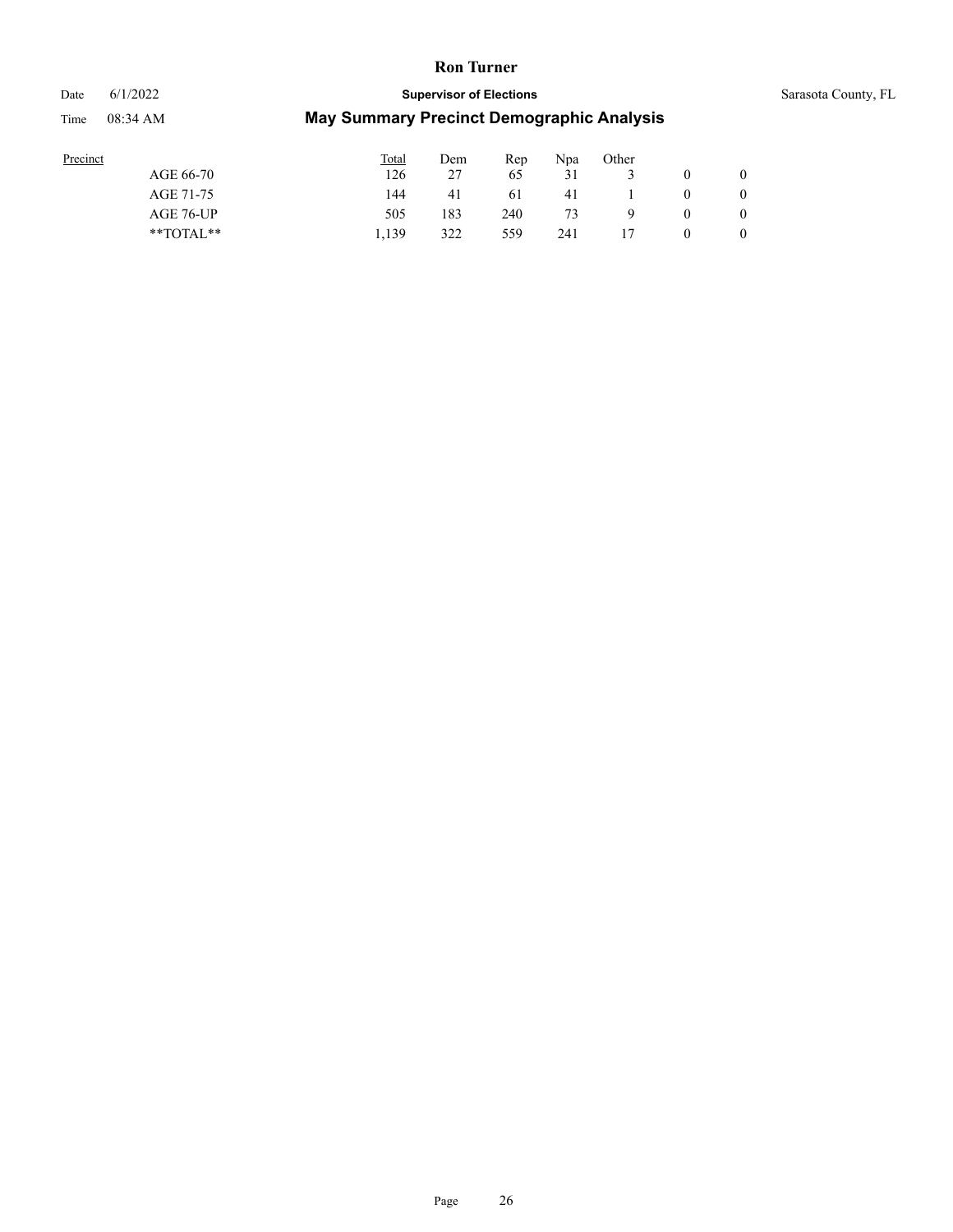# Date 6/1/2022 **Supervisor of Elections** Supervisor **Supervisor of Elections** Sarasota County, FL Time 08:34 AM **May Summary Precinct Demographic Analysis**

| Precinct      | Total | Dem | Rep | Npa | Other |          |   |
|---------------|-------|-----|-----|-----|-------|----------|---|
| AGE 66-70     | 126   | 27  | 65  | 31  |       |          |   |
| AGE 71-75     | 144   | 41  | 61  | 41  |       | $\theta$ |   |
| AGE 76-UP     | 505   | 183 | 240 | 73  | 9     | $\theta$ |   |
| $*$ TOTAL $*$ | 1.139 | 322 | 559 | 241 |       | 0        | 0 |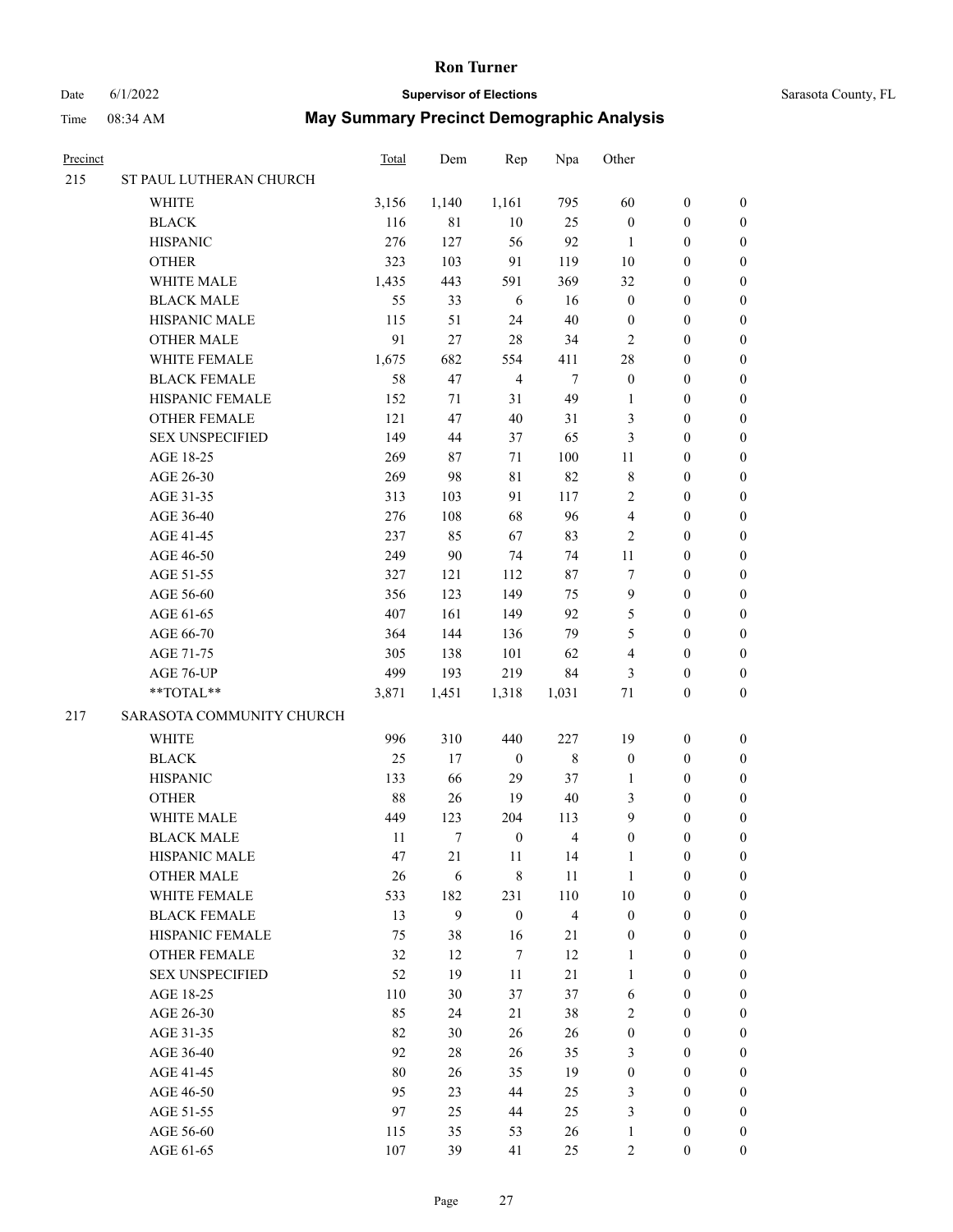# Date 6/1/2022 **Supervisor of Elections** Supervisor **Supervisor of Elections** Sarasota County, FL

| Precinct |                           | <b>Total</b> | Dem              | Rep              | Npa            | Other            |                  |                  |
|----------|---------------------------|--------------|------------------|------------------|----------------|------------------|------------------|------------------|
| 215      | ST PAUL LUTHERAN CHURCH   |              |                  |                  |                |                  |                  |                  |
|          | WHITE                     | 3,156        | 1,140            | 1,161            | 795            | 60               | $\boldsymbol{0}$ | 0                |
|          | <b>BLACK</b>              | 116          | $8\sqrt{1}$      | $10\,$           | 25             | $\boldsymbol{0}$ | $\boldsymbol{0}$ | $\boldsymbol{0}$ |
|          | <b>HISPANIC</b>           | 276          | 127              | 56               | 92             | $\mathbf{1}$     | $\boldsymbol{0}$ | $\boldsymbol{0}$ |
|          | <b>OTHER</b>              | 323          | 103              | 91               | 119            | $10\,$           | $\boldsymbol{0}$ | $\boldsymbol{0}$ |
|          | WHITE MALE                | 1,435        | 443              | 591              | 369            | 32               | $\boldsymbol{0}$ | $\boldsymbol{0}$ |
|          | <b>BLACK MALE</b>         | 55           | 33               | $\sqrt{6}$       | 16             | $\boldsymbol{0}$ | $\boldsymbol{0}$ | $\boldsymbol{0}$ |
|          | HISPANIC MALE             | 115          | 51               | 24               | $40\,$         | $\boldsymbol{0}$ | $\boldsymbol{0}$ | $\boldsymbol{0}$ |
|          | <b>OTHER MALE</b>         | 91           | 27               | $28\,$           | 34             | $\mathfrak{2}$   | $\boldsymbol{0}$ | $\boldsymbol{0}$ |
|          | WHITE FEMALE              | 1,675        | 682              | 554              | 411            | 28               | $\boldsymbol{0}$ | $\boldsymbol{0}$ |
|          | <b>BLACK FEMALE</b>       | 58           | 47               | $\overline{4}$   | $\tau$         | $\boldsymbol{0}$ | $\boldsymbol{0}$ | $\boldsymbol{0}$ |
|          | HISPANIC FEMALE           | 152          | 71               | 31               | 49             | 1                | $\boldsymbol{0}$ | 0                |
|          | OTHER FEMALE              | 121          | 47               | $40\,$           | 31             | 3                | $\boldsymbol{0}$ | 0                |
|          | <b>SEX UNSPECIFIED</b>    | 149          | 44               | 37               | 65             | 3                | $\boldsymbol{0}$ | $\boldsymbol{0}$ |
|          | AGE 18-25                 | 269          | 87               | 71               | 100            | 11               | $\boldsymbol{0}$ | $\boldsymbol{0}$ |
|          | AGE 26-30                 | 269          | 98               | $8\sqrt{1}$      | 82             | $\,$ $\,$        | $\boldsymbol{0}$ | $\boldsymbol{0}$ |
|          | AGE 31-35                 | 313          | 103              | 91               | 117            | $\sqrt{2}$       | $\boldsymbol{0}$ | $\boldsymbol{0}$ |
|          | AGE 36-40                 | 276          | 108              | 68               | 96             | 4                | $\boldsymbol{0}$ | $\boldsymbol{0}$ |
|          | AGE 41-45                 | 237          | 85               | 67               | 83             | $\mathfrak{2}$   | $\boldsymbol{0}$ | $\boldsymbol{0}$ |
|          | AGE 46-50                 | 249          | $90\,$           | 74               | 74             | $11\,$           | $\boldsymbol{0}$ | $\boldsymbol{0}$ |
|          | AGE 51-55                 | 327          | 121              | 112              | 87             | 7                | $\boldsymbol{0}$ | 0                |
|          | AGE 56-60                 | 356          | 123              | 149              | 75             | 9                | $\boldsymbol{0}$ | 0                |
|          | AGE 61-65                 | 407          | 161              | 149              | 92             | 5                | $\boldsymbol{0}$ | $\boldsymbol{0}$ |
|          | AGE 66-70                 | 364          | 144              | 136              | 79             | 5                | $\boldsymbol{0}$ | $\boldsymbol{0}$ |
|          | AGE 71-75                 | 305          | 138              | 101              | 62             | $\overline{4}$   | $\boldsymbol{0}$ | $\boldsymbol{0}$ |
|          | AGE 76-UP                 | 499          | 193              | 219              | 84             | 3                | $\boldsymbol{0}$ | $\boldsymbol{0}$ |
|          | **TOTAL**                 | 3,871        | 1,451            | 1,318            | 1,031          | 71               | $\boldsymbol{0}$ | $\boldsymbol{0}$ |
| 217      | SARASOTA COMMUNITY CHURCH |              |                  |                  |                |                  |                  |                  |
|          | WHITE                     | 996          | 310              | 440              | 227            | 19               | $\boldsymbol{0}$ | $\boldsymbol{0}$ |
|          | <b>BLACK</b>              | 25           | 17               | $\boldsymbol{0}$ | $\,$ 8 $\,$    | $\boldsymbol{0}$ | $\boldsymbol{0}$ | $\boldsymbol{0}$ |
|          | <b>HISPANIC</b>           | 133          | 66               | 29               | 37             | $\mathbf{1}$     | $\boldsymbol{0}$ | $\boldsymbol{0}$ |
|          | <b>OTHER</b>              | 88           | 26               | 19               | $40\,$         | 3                | $\boldsymbol{0}$ | $\boldsymbol{0}$ |
|          | WHITE MALE                | 449          | 123              | 204              | 113            | 9                | $\boldsymbol{0}$ | $\boldsymbol{0}$ |
|          | <b>BLACK MALE</b>         | 11           | 7                | $\boldsymbol{0}$ | 4              | $\boldsymbol{0}$ | $\boldsymbol{0}$ | $\boldsymbol{0}$ |
|          | HISPANIC MALE             | 47           | 21               | 11               | 14             | $\mathbf{1}$     | $\boldsymbol{0}$ | 0                |
|          | <b>OTHER MALE</b>         | 26           | $\sqrt{6}$       | $\,$ 8 $\,$      | $11\,$         | $\mathbf{1}$     | $\boldsymbol{0}$ | 0                |
|          | WHITE FEMALE              | 533          | 182              | 231              | 110            | $10\,$           | $\boldsymbol{0}$ | $\overline{0}$   |
|          | <b>BLACK FEMALE</b>       | 13           | $\boldsymbol{9}$ | $\boldsymbol{0}$ | $\overline{4}$ | $\boldsymbol{0}$ | $\boldsymbol{0}$ | 0                |
|          | HISPANIC FEMALE           | 75           | 38               | 16               | 21             | $\boldsymbol{0}$ | $\boldsymbol{0}$ | 0                |
|          | OTHER FEMALE              | 32           | 12               | $\boldsymbol{7}$ | 12             | $\mathbf{1}$     | $\boldsymbol{0}$ | $\overline{0}$   |
|          | <b>SEX UNSPECIFIED</b>    | 52           | 19               | 11               | 21             | $\mathbf{1}$     | $\boldsymbol{0}$ | $\overline{0}$   |
|          | AGE 18-25                 | 110          | 30               | 37               | 37             | $\sqrt{6}$       | $\boldsymbol{0}$ | $\overline{0}$   |
|          | AGE 26-30                 | 85           | 24               | $21\,$           | 38             | 2                | $\boldsymbol{0}$ | 0                |
|          | AGE 31-35                 | 82           | 30               | $26\,$           | 26             | $\boldsymbol{0}$ | $\boldsymbol{0}$ | 0                |
|          | AGE 36-40                 | 92           | $28\,$           | 26               | 35             | 3                | $\boldsymbol{0}$ | 0                |
|          | AGE 41-45                 | $80\,$       | 26               | 35               | 19             | $\boldsymbol{0}$ | $\boldsymbol{0}$ | $\overline{0}$   |
|          | AGE 46-50                 | 95           | 23               | 44               | 25             | 3                | $\boldsymbol{0}$ | $\overline{0}$   |
|          | AGE 51-55                 | 97           | 25               | 44               | 25             | 3                | $\boldsymbol{0}$ | 0                |
|          | AGE 56-60                 | 115          | 35               | 53               | 26             | $\mathbf{1}$     | $\boldsymbol{0}$ | 0                |
|          | AGE 61-65                 | 107          | 39               | 41               | 25             | $\sqrt{2}$       | $\boldsymbol{0}$ | $\overline{0}$   |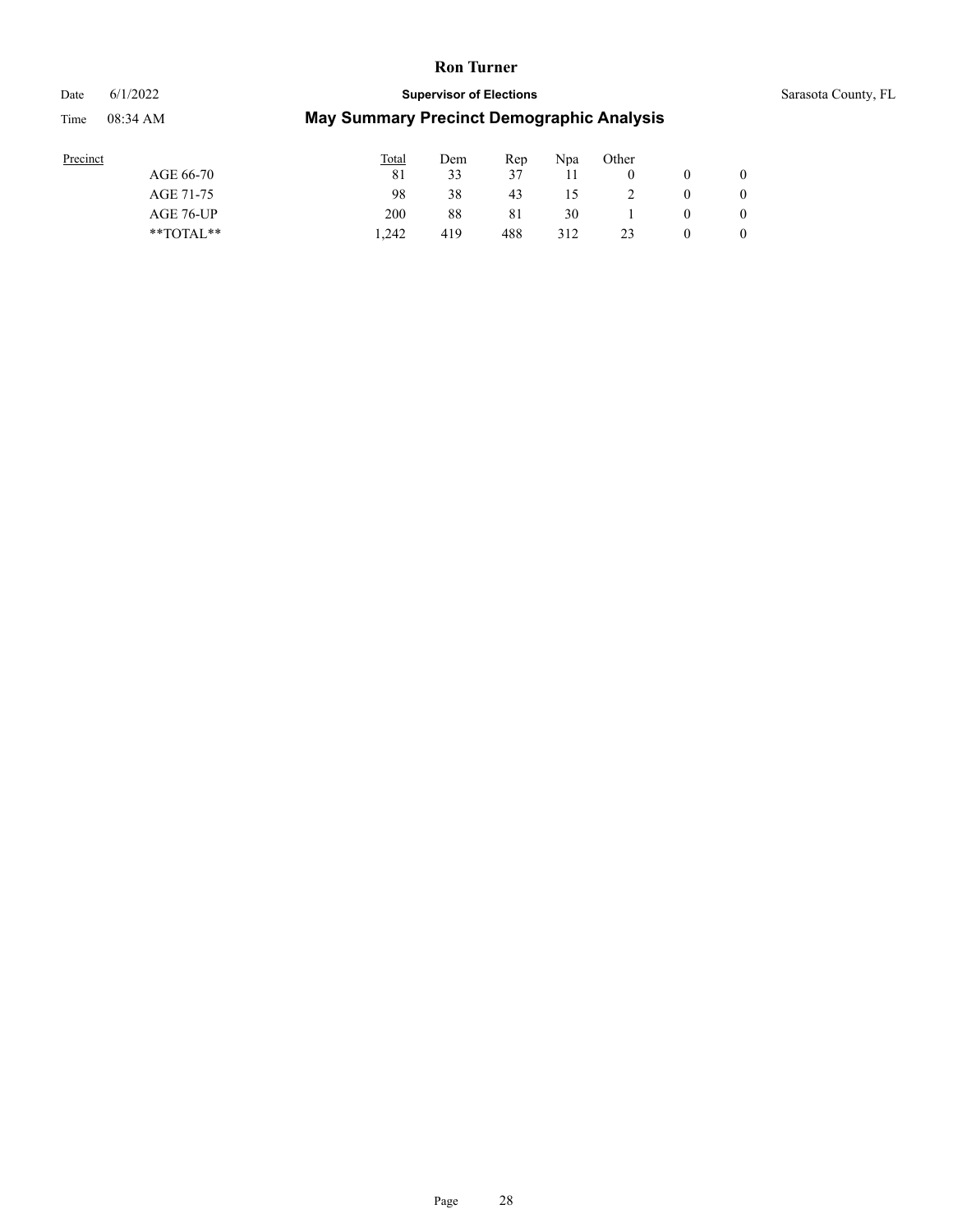#### Date 6/1/2022 **Supervisor of Elections** Supervisor **Supervisor of Elections** Sarasota County, FL

| Precinct |               | <b>Total</b> | Dem | Rep | Npa | Other |                |
|----------|---------------|--------------|-----|-----|-----|-------|----------------|
|          | AGE 66-70     | 81           | 33  | 37  |     |       | $\overline{0}$ |
|          | AGE 71-75     | 98           | 38  | 43  | 15  |       | $\overline{0}$ |
|          | AGE 76-UP     | 200          | 88  | 81  | 30  |       | $\overline{0}$ |
|          | $*$ TOTAL $*$ | 1.242        | 419 | 488 | 312 | 23    | $\overline{0}$ |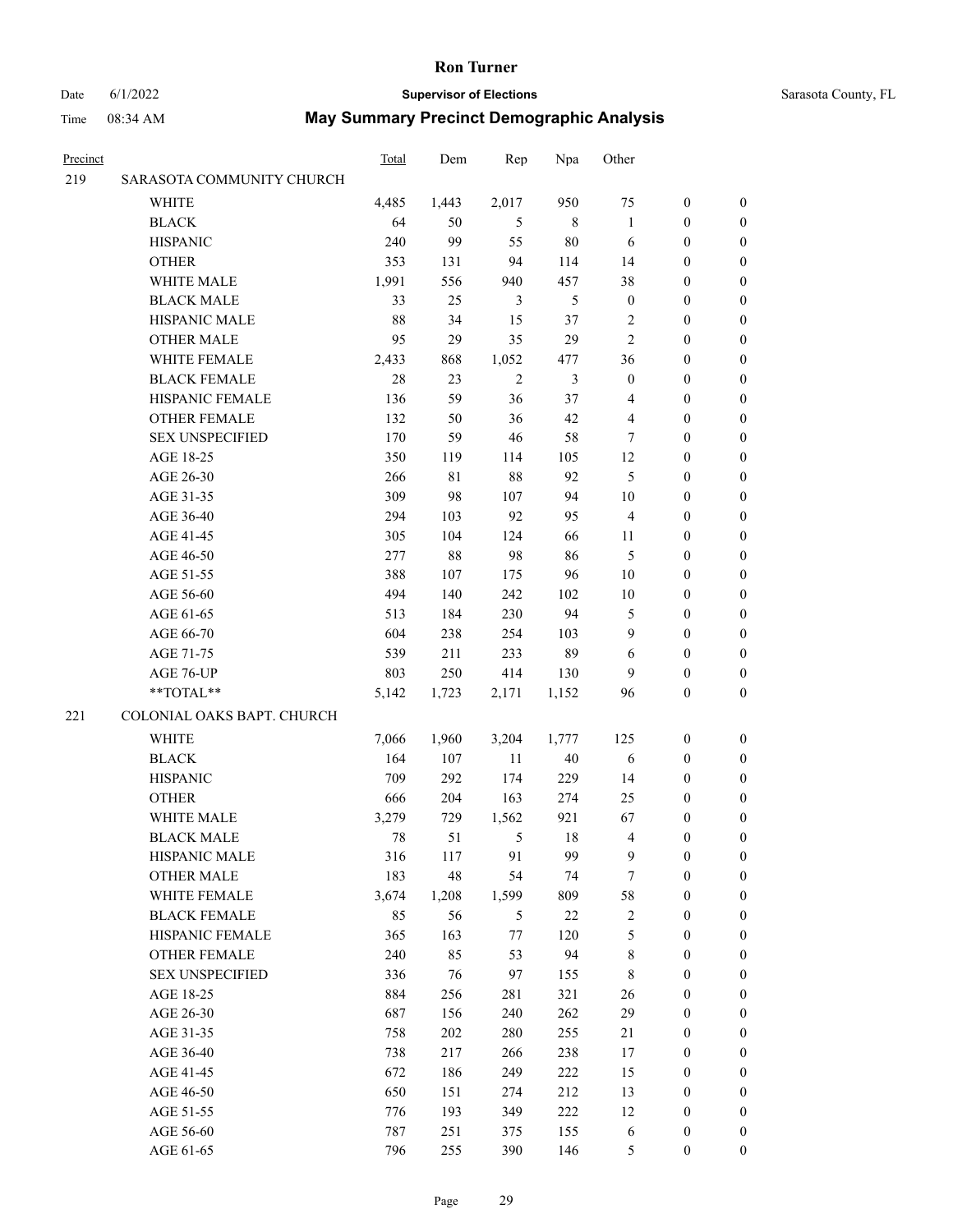# Date 6/1/2022 **Supervisor of Elections** Sarasota County, FL

| Precinct |                            | <b>Total</b> | Dem         | Rep            | Npa            | Other            |                  |                  |
|----------|----------------------------|--------------|-------------|----------------|----------------|------------------|------------------|------------------|
| 219      | SARASOTA COMMUNITY CHURCH  |              |             |                |                |                  |                  |                  |
|          | <b>WHITE</b>               | 4,485        | 1,443       | 2,017          | 950            | 75               | $\boldsymbol{0}$ | $\boldsymbol{0}$ |
|          | <b>BLACK</b>               | 64           | 50          | 5              | 8              | $\mathbf{1}$     | $\boldsymbol{0}$ | $\boldsymbol{0}$ |
|          | <b>HISPANIC</b>            | 240          | 99          | 55             | 80             | 6                | $\boldsymbol{0}$ | $\boldsymbol{0}$ |
|          | <b>OTHER</b>               | 353          | 131         | 94             | 114            | 14               | $\boldsymbol{0}$ | $\boldsymbol{0}$ |
|          | WHITE MALE                 | 1,991        | 556         | 940            | 457            | 38               | $\boldsymbol{0}$ | $\boldsymbol{0}$ |
|          | <b>BLACK MALE</b>          | 33           | 25          | 3              | 5              | $\boldsymbol{0}$ | $\boldsymbol{0}$ | $\boldsymbol{0}$ |
|          | HISPANIC MALE              | 88           | 34          | 15             | 37             | $\overline{c}$   | $\boldsymbol{0}$ | $\boldsymbol{0}$ |
|          | <b>OTHER MALE</b>          | 95           | 29          | 35             | 29             | $\mathbf{2}$     | $\boldsymbol{0}$ | $\boldsymbol{0}$ |
|          | WHITE FEMALE               | 2,433        | 868         | 1,052          | 477            | 36               | $\boldsymbol{0}$ | $\boldsymbol{0}$ |
|          | <b>BLACK FEMALE</b>        | 28           | 23          | $\overline{2}$ | $\mathfrak{Z}$ | $\boldsymbol{0}$ | $\boldsymbol{0}$ | 0                |
|          | HISPANIC FEMALE            | 136          | 59          | 36             | 37             | 4                | $\boldsymbol{0}$ | 0                |
|          | <b>OTHER FEMALE</b>        | 132          | 50          | 36             | 42             | 4                | $\boldsymbol{0}$ | 0                |
|          | <b>SEX UNSPECIFIED</b>     | 170          | 59          | 46             | 58             | 7                | $\boldsymbol{0}$ | $\boldsymbol{0}$ |
|          | AGE 18-25                  | 350          | 119         | 114            | 105            | 12               | $\boldsymbol{0}$ | $\boldsymbol{0}$ |
|          | AGE 26-30                  | 266          | $8\sqrt{1}$ | 88             | 92             | 5                | $\boldsymbol{0}$ | $\boldsymbol{0}$ |
|          | AGE 31-35                  | 309          | 98          | 107            | 94             | 10               | $\boldsymbol{0}$ | $\boldsymbol{0}$ |
|          | AGE 36-40                  | 294          | 103         | 92             | 95             | 4                | $\boldsymbol{0}$ | $\boldsymbol{0}$ |
|          | AGE 41-45                  | 305          | 104         | 124            | 66             | 11               | $\boldsymbol{0}$ | $\boldsymbol{0}$ |
|          | AGE 46-50                  | 277          | 88          | 98             | 86             | 5                | $\boldsymbol{0}$ | $\boldsymbol{0}$ |
|          | AGE 51-55                  | 388          | 107         | 175            | 96             | 10               | $\boldsymbol{0}$ | 0                |
|          | AGE 56-60                  | 494          | 140         | 242            | 102            | 10               | $\boldsymbol{0}$ | 0                |
|          | AGE 61-65                  | 513          | 184         | 230            | 94             | 5                | $\boldsymbol{0}$ | 0                |
|          | AGE 66-70                  | 604          | 238         | 254            | 103            | 9                | $\boldsymbol{0}$ | 0                |
|          | AGE 71-75                  | 539          | 211         | 233            | 89             | 6                | $\boldsymbol{0}$ | $\boldsymbol{0}$ |
|          | AGE 76-UP                  | 803          | 250         | 414            | 130            | 9                | $\boldsymbol{0}$ | $\boldsymbol{0}$ |
|          | **TOTAL**                  | 5,142        | 1,723       | 2,171          | 1,152          | 96               | $\boldsymbol{0}$ | $\boldsymbol{0}$ |
| 221      | COLONIAL OAKS BAPT. CHURCH |              |             |                |                |                  |                  |                  |
|          | <b>WHITE</b>               | 7,066        | 1,960       | 3,204          | 1,777          | 125              | $\boldsymbol{0}$ | $\boldsymbol{0}$ |
|          | <b>BLACK</b>               | 164          | 107         | 11             | $40\,$         | 6                | $\boldsymbol{0}$ | $\boldsymbol{0}$ |
|          | <b>HISPANIC</b>            | 709          | 292         | 174            | 229            | 14               | $\boldsymbol{0}$ | $\boldsymbol{0}$ |
|          | <b>OTHER</b>               | 666          | 204         | 163            | 274            | 25               | $\boldsymbol{0}$ | $\boldsymbol{0}$ |
|          | WHITE MALE                 | 3,279        | 729         | 1,562          | 921            | 67               | $\boldsymbol{0}$ | 0                |
|          | <b>BLACK MALE</b>          | 78           | 51          | 5              | $18\,$         | $\overline{4}$   | $\boldsymbol{0}$ | 0                |
|          | HISPANIC MALE              | 316          | 117         | 91             | 99             | 9                | $\boldsymbol{0}$ | 0                |
|          | <b>OTHER MALE</b>          | 183          | 48          | 54             | 74             | 7                | $\boldsymbol{0}$ | $\overline{0}$   |
|          | WHITE FEMALE               | 3,674        | 1,208       | 1,599          | 809            | 58               | $\boldsymbol{0}$ | $\overline{0}$   |
|          | <b>BLACK FEMALE</b>        | 85           | 56          | 5              | 22             | $\sqrt{2}$       | $\boldsymbol{0}$ | $\overline{0}$   |
|          | HISPANIC FEMALE            | 365          | 163         | 77             | 120            | 5                | $\boldsymbol{0}$ | 0                |
|          | <b>OTHER FEMALE</b>        | 240          | 85          | 53             | 94             | 8                | $\boldsymbol{0}$ | $\theta$         |
|          | <b>SEX UNSPECIFIED</b>     | 336          | 76          | 97             | 155            | $\,$ 8 $\,$      | $\boldsymbol{0}$ | 0                |
|          | AGE 18-25                  | 884          | 256         | 281            | 321            | 26               | $\boldsymbol{0}$ | 0                |
|          | AGE 26-30                  | 687          | 156         | 240            | 262            | 29               | $\boldsymbol{0}$ | 0                |
|          | AGE 31-35                  | 758          | 202         | 280            | 255            | 21               | $\boldsymbol{0}$ | 0                |
|          | AGE 36-40                  | 738          | 217         | 266            | 238            | 17               | $\boldsymbol{0}$ | 0                |
|          | AGE 41-45                  | 672          | 186         | 249            | 222            | 15               | $\boldsymbol{0}$ | 0                |
|          | AGE 46-50                  | 650          | 151         | 274            | 212            | 13               | $\boldsymbol{0}$ | $\overline{0}$   |
|          | AGE 51-55                  | 776          | 193         | 349            | 222            | 12               | $\boldsymbol{0}$ | $\overline{0}$   |
|          | AGE 56-60                  | 787          | 251         | 375            | 155            | 6                | $\boldsymbol{0}$ | 0                |
|          | AGE 61-65                  | 796          | 255         | 390            | 146            | 5                | $\boldsymbol{0}$ | $\boldsymbol{0}$ |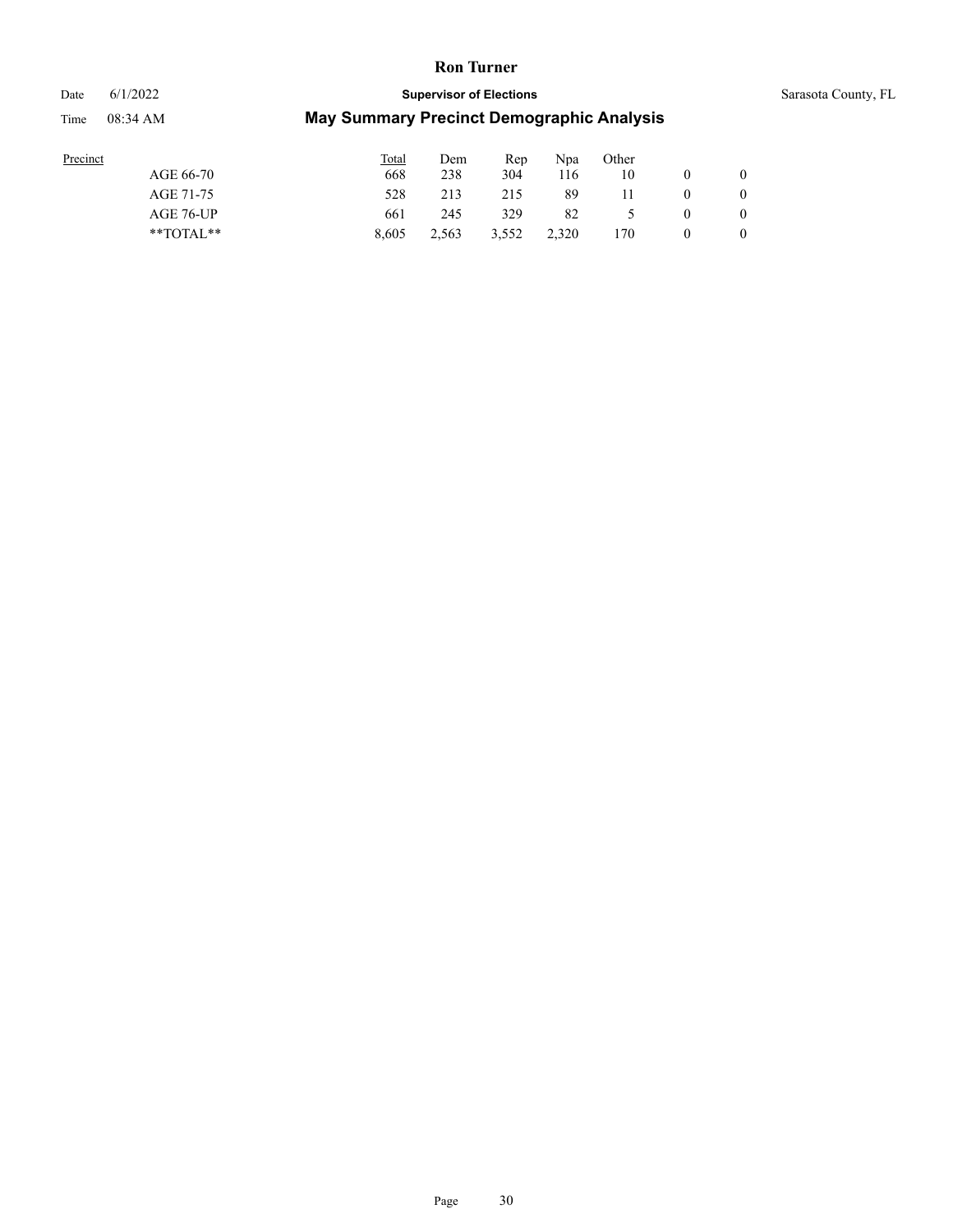### Date 6/1/2022 **Supervisor of Elections** Supervisor **Supervisor of Elections** Sarasota County, FL

| Precinct  |               | <b>Total</b> | Dem   | Rep   | Npa   | Other |              |
|-----------|---------------|--------------|-------|-------|-------|-------|--------------|
| AGE 66-70 |               | 668          | 238   | 304   | 116   | 10    | $\mathbf{0}$ |
| AGE 71-75 |               | 528          | 213   | 215   | 89    |       | $\mathbf{0}$ |
|           | AGE 76-UP     | 661          | 245   | 329   | 82    |       | $\mathbf{0}$ |
|           | $*$ $TOTAL**$ | 8.605        | 2.563 | 3.552 | 2.320 | 70ء   | $\mathbf{0}$ |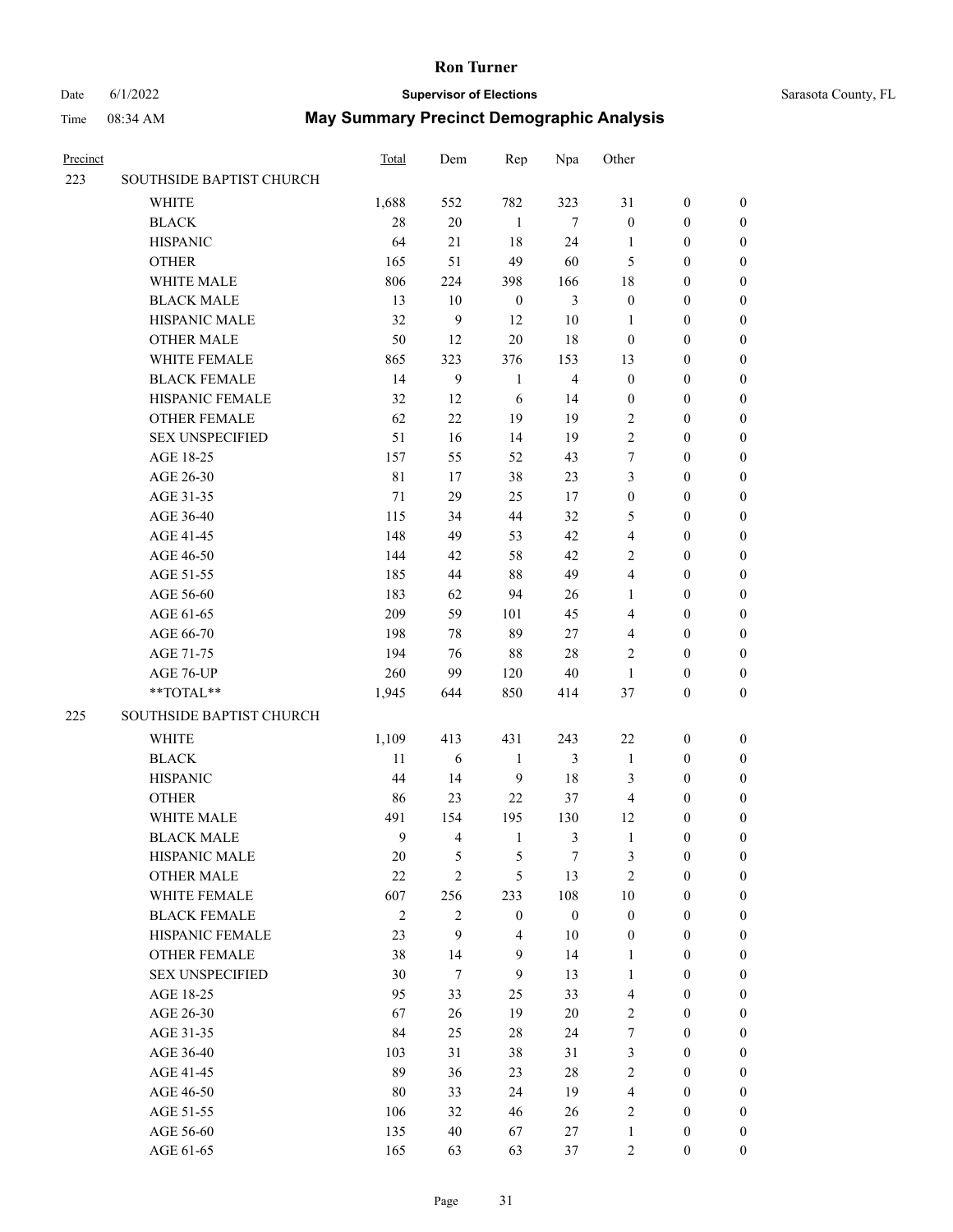#### Date 6/1/2022 **Supervisor of Elections** Supervisor **Supervisor of Elections** Sarasota County, FL

| Precinct |                                        | Total            | Dem                     | Rep                                | Npa                    | Other                                |                                      |                                  |
|----------|----------------------------------------|------------------|-------------------------|------------------------------------|------------------------|--------------------------------------|--------------------------------------|----------------------------------|
| 223      | SOUTHSIDE BAPTIST CHURCH               |                  |                         |                                    |                        |                                      |                                      |                                  |
|          | <b>WHITE</b>                           | 1,688            | 552                     | 782                                | 323                    | 31                                   | $\boldsymbol{0}$                     | $\boldsymbol{0}$                 |
|          | <b>BLACK</b>                           | 28               | $20\,$                  | 1                                  | $\tau$                 | $\boldsymbol{0}$                     | $\boldsymbol{0}$                     | $\boldsymbol{0}$                 |
|          | <b>HISPANIC</b>                        | 64               | 21                      | 18                                 | 24                     | $\mathbf{1}$                         | $\boldsymbol{0}$                     | $\boldsymbol{0}$                 |
|          | <b>OTHER</b>                           | 165              | 51                      | 49                                 | 60                     | 5                                    | $\boldsymbol{0}$                     | $\boldsymbol{0}$                 |
|          | WHITE MALE                             | 806              | 224                     | 398                                | 166                    | 18                                   | $\boldsymbol{0}$                     | $\boldsymbol{0}$                 |
|          | <b>BLACK MALE</b>                      | 13               | 10                      | $\boldsymbol{0}$                   | $\mathfrak{Z}$         | $\boldsymbol{0}$                     | $\boldsymbol{0}$                     | $\boldsymbol{0}$                 |
|          | HISPANIC MALE                          | 32               | 9                       | 12                                 | 10                     | $\mathbf{1}$                         | $\boldsymbol{0}$                     | $\boldsymbol{0}$                 |
|          | <b>OTHER MALE</b>                      | 50               | 12                      | 20                                 | 18                     | $\boldsymbol{0}$                     | $\boldsymbol{0}$                     | $\boldsymbol{0}$                 |
|          | WHITE FEMALE                           | 865              | 323                     | 376                                | 153                    | 13                                   | $\boldsymbol{0}$                     | $\boldsymbol{0}$                 |
|          | <b>BLACK FEMALE</b>                    | 14               | 9                       | $\mathbf{1}$                       | $\overline{4}$         | $\boldsymbol{0}$                     | $\boldsymbol{0}$                     | 0                                |
|          | HISPANIC FEMALE                        | 32               | 12                      | 6                                  | 14                     | $\boldsymbol{0}$                     | $\boldsymbol{0}$                     | 0                                |
|          | <b>OTHER FEMALE</b>                    | 62               | 22                      | 19                                 | 19                     | $\overline{2}$                       | $\boldsymbol{0}$                     | 0                                |
|          | <b>SEX UNSPECIFIED</b>                 | 51               | 16                      | 14                                 | 19                     | $\overline{2}$                       | $\boldsymbol{0}$                     | $\boldsymbol{0}$                 |
|          | AGE 18-25                              | 157              | 55                      | 52                                 | 43                     | 7                                    | $\boldsymbol{0}$                     | $\boldsymbol{0}$                 |
|          | AGE 26-30                              | $8\sqrt{1}$      | 17                      | 38                                 | 23                     | 3                                    | $\boldsymbol{0}$                     | $\boldsymbol{0}$                 |
|          | AGE 31-35                              | 71               | 29                      | 25                                 | 17                     | $\boldsymbol{0}$                     | $\boldsymbol{0}$                     | $\boldsymbol{0}$                 |
|          | AGE 36-40                              | 115              | 34                      | 44                                 | 32                     | 5                                    | $\boldsymbol{0}$                     | $\boldsymbol{0}$                 |
|          | AGE 41-45                              | 148              | 49                      | 53                                 | 42                     | $\overline{\mathbf{4}}$              | $\boldsymbol{0}$                     | $\boldsymbol{0}$                 |
|          | AGE 46-50                              | 144              | 42                      | 58                                 | 42                     | $\mathfrak{2}$                       | $\boldsymbol{0}$                     | $\boldsymbol{0}$                 |
|          | AGE 51-55                              | 185              | 44                      | 88                                 | 49                     | 4                                    | $\boldsymbol{0}$                     | $\boldsymbol{0}$                 |
|          | AGE 56-60                              | 183              | 62                      | 94                                 | 26                     | 1                                    | $\boldsymbol{0}$                     | 0                                |
|          | AGE 61-65                              | 209              | 59                      | 101                                | 45                     | 4                                    | $\boldsymbol{0}$                     | 0                                |
|          | AGE 66-70                              | 198              | 78                      | 89                                 | 27                     | 4                                    | $\boldsymbol{0}$                     | $\boldsymbol{0}$                 |
|          | AGE 71-75                              | 194              | 76                      | 88                                 | $28\,$                 | 2                                    | $\boldsymbol{0}$                     | $\boldsymbol{0}$                 |
|          | AGE 76-UP                              | 260              | 99                      | 120                                | 40                     | $\mathbf{1}$                         | $\boldsymbol{0}$                     | $\boldsymbol{0}$                 |
|          | **TOTAL**                              | 1,945            | 644                     | 850                                | 414                    | 37                                   | $\boldsymbol{0}$                     | $\boldsymbol{0}$                 |
| 225      | SOUTHSIDE BAPTIST CHURCH               |                  |                         |                                    |                        |                                      |                                      |                                  |
|          |                                        |                  |                         |                                    |                        |                                      |                                      |                                  |
|          | <b>WHITE</b>                           | 1,109            | 413                     | 431                                | 243                    | 22                                   | $\boldsymbol{0}$                     | $\boldsymbol{0}$                 |
|          | <b>BLACK</b>                           | 11               | $\sqrt{6}$              | $\mathbf{1}$                       | 3                      | $\mathbf{1}$                         | $\boldsymbol{0}$                     | $\boldsymbol{0}$                 |
|          | <b>HISPANIC</b>                        | 44               | 14                      | 9                                  | 18                     | 3                                    | $\boldsymbol{0}$                     | $\boldsymbol{0}$                 |
|          | <b>OTHER</b>                           | 86               | 23                      | 22                                 | 37                     | $\overline{4}$                       | $\boldsymbol{0}$                     | $\boldsymbol{0}$                 |
|          | WHITE MALE                             | 491              | 154                     | 195                                | 130                    | 12                                   | $\boldsymbol{0}$                     | 0                                |
|          | <b>BLACK MALE</b>                      | 9                | $\overline{\mathbf{4}}$ | $\mathbf{1}$                       | 3                      | $\mathbf{1}$                         | $\boldsymbol{0}$                     | $\boldsymbol{0}$                 |
|          | HISPANIC MALE                          | 20               | 5                       | 5                                  | 7                      | 3                                    | $\boldsymbol{0}$                     | 0                                |
|          | <b>OTHER MALE</b><br>WHITE FEMALE      | 22               | $\overline{2}$          | 5                                  | 13                     | $\mathfrak{2}$                       | $\boldsymbol{0}$                     | $\overline{0}$                   |
|          |                                        | 607              | 256                     | 233                                | 108                    | $10\,$                               | $\boldsymbol{0}$                     | $\overline{0}$                   |
|          | <b>BLACK FEMALE</b><br>HISPANIC FEMALE | $\sqrt{2}$<br>23 | $\overline{2}$<br>9     | $\boldsymbol{0}$<br>$\overline{4}$ | $\boldsymbol{0}$<br>10 | $\boldsymbol{0}$<br>$\boldsymbol{0}$ | $\boldsymbol{0}$<br>$\boldsymbol{0}$ | $\overline{0}$<br>$\overline{0}$ |
|          | <b>OTHER FEMALE</b>                    | 38               | 14                      | $\mathbf{9}$                       | 14                     | 1                                    | $\boldsymbol{0}$                     | $\theta$                         |
|          | <b>SEX UNSPECIFIED</b>                 | 30               | $\tau$                  | $\mathbf{9}$                       |                        |                                      | $\boldsymbol{0}$                     | $\overline{0}$                   |
|          | AGE 18-25                              | 95               | 33                      |                                    | 13<br>33               | $\mathbf{1}$<br>$\overline{4}$       | $\boldsymbol{0}$                     | 0                                |
|          | AGE 26-30                              | 67               | 26                      | 25<br>19                           | $20\,$                 | $\overline{c}$                       | $\boldsymbol{0}$                     | 0                                |
|          | AGE 31-35                              | 84               | 25                      | 28                                 | 24                     | $\tau$                               | $\boldsymbol{0}$                     | 0                                |
|          |                                        |                  | 31                      |                                    | 31                     |                                      | $\boldsymbol{0}$                     | $\overline{0}$                   |
|          | AGE 36-40                              | 103              |                         | 38                                 |                        | 3                                    |                                      |                                  |
|          | AGE 41-45                              | 89               | 36<br>33                | 23<br>24                           | 28<br>19               | $\overline{c}$<br>$\overline{4}$     | $\boldsymbol{0}$<br>$\boldsymbol{0}$ | $\overline{0}$<br>$\overline{0}$ |
|          | AGE 46-50                              | 80               | 32                      | 46                                 |                        | $\overline{2}$                       | $\boldsymbol{0}$                     | $\overline{0}$                   |
|          | AGE 51-55                              | 106              |                         |                                    | 26                     | $\mathbf{1}$                         | $\boldsymbol{0}$                     |                                  |
|          | AGE 56-60                              | 135              | 40                      | 67                                 | 27                     |                                      |                                      | 0                                |
|          | AGE 61-65                              | 165              | 63                      | 63                                 | 37                     | $\overline{c}$                       | $\boldsymbol{0}$                     | $\boldsymbol{0}$                 |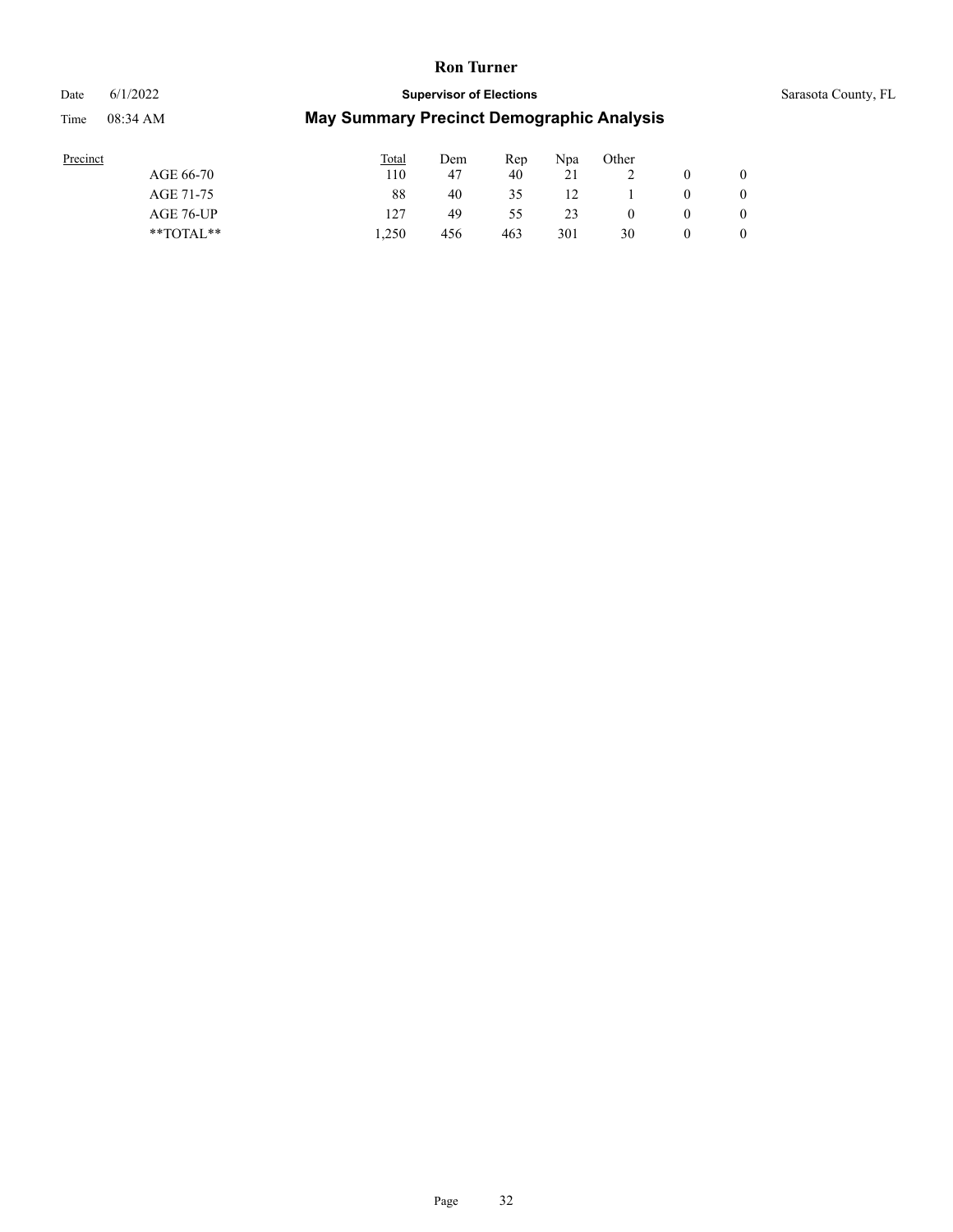Date 6/1/2022 **Supervisor of Elections** Supervisor **Supervisor of Elections** Sarasota County, FL

| Precinct      | <b>Total</b> | Dem | Rep | Npa | Other |                |
|---------------|--------------|-----|-----|-----|-------|----------------|
| AGE 66-70     | 110          | -47 | 40  | 21  |       | $\overline{0}$ |
| AGE 71-75     | 88           | 40  | 35  | 12  |       | $\mathbf{0}$   |
| AGE 76-UP     | 127          | 49  | 55  | 23  |       | $\mathbf{0}$   |
| $*$ TOTAL $*$ | .250         | 456 | 463 | 301 | 30    | $\overline{0}$ |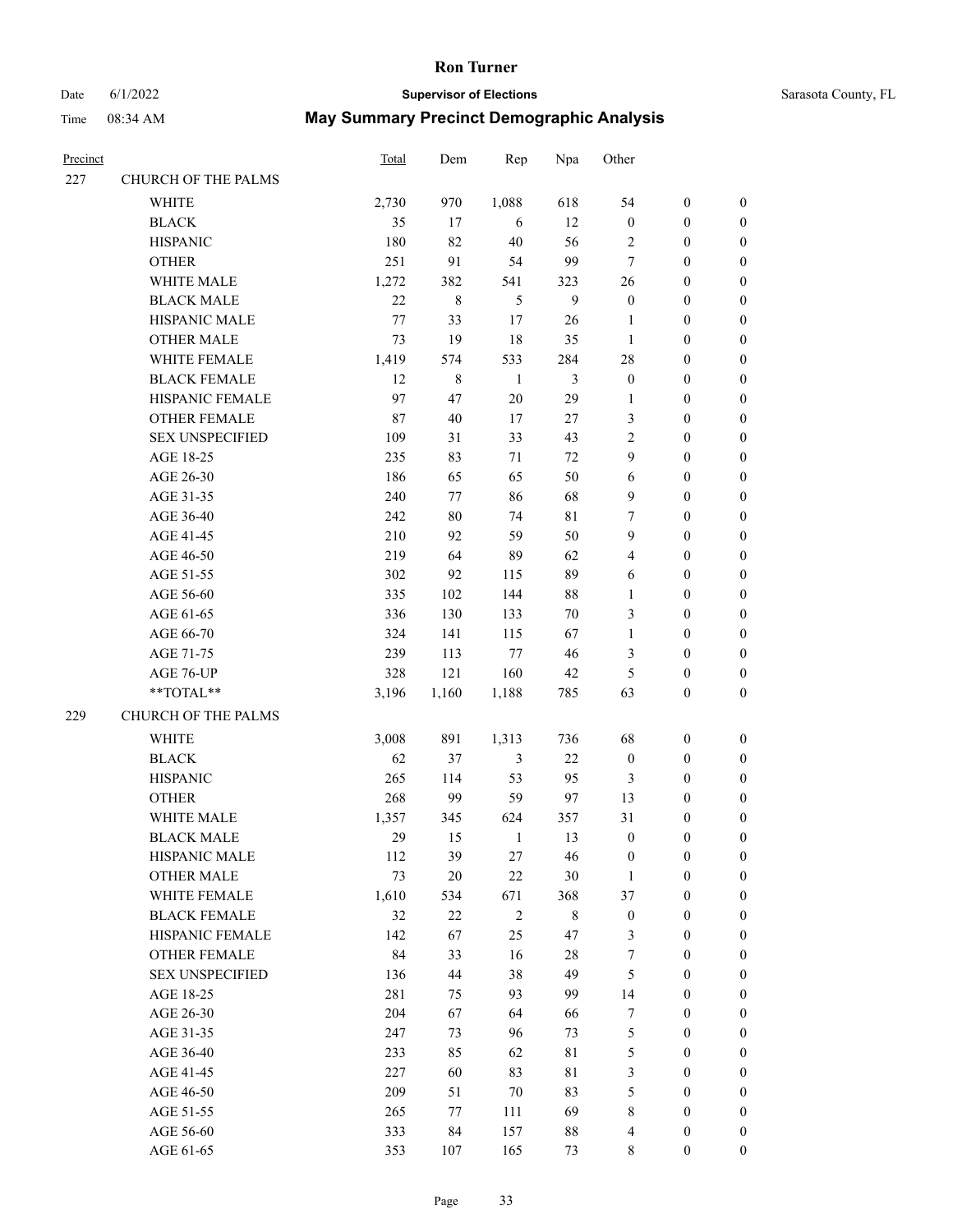# Date 6/1/2022 **Supervisor of Elections** Supervisor **Supervisor of Elections** Sarasota County, FL

| Precinct |                        | <b>Total</b> | Dem         | Rep            | Npa            | Other            |                  |                  |
|----------|------------------------|--------------|-------------|----------------|----------------|------------------|------------------|------------------|
| 227      | CHURCH OF THE PALMS    |              |             |                |                |                  |                  |                  |
|          | WHITE                  | 2,730        | 970         | 1,088          | 618            | 54               | $\boldsymbol{0}$ | 0                |
|          | <b>BLACK</b>           | 35           | 17          | 6              | 12             | $\boldsymbol{0}$ | $\boldsymbol{0}$ | $\boldsymbol{0}$ |
|          | <b>HISPANIC</b>        | 180          | 82          | $40\,$         | 56             | $\sqrt{2}$       | $\boldsymbol{0}$ | $\boldsymbol{0}$ |
|          | <b>OTHER</b>           | 251          | 91          | 54             | 99             | $\boldsymbol{7}$ | $\boldsymbol{0}$ | $\boldsymbol{0}$ |
|          | WHITE MALE             | 1,272        | 382         | 541            | 323            | 26               | $\boldsymbol{0}$ | $\boldsymbol{0}$ |
|          | <b>BLACK MALE</b>      | 22           | $\,8\,$     | 5              | $\mathbf{9}$   | $\boldsymbol{0}$ | $\boldsymbol{0}$ | $\boldsymbol{0}$ |
|          | HISPANIC MALE          | $77\,$       | 33          | 17             | $26\,$         | 1                | $\boldsymbol{0}$ | $\boldsymbol{0}$ |
|          | <b>OTHER MALE</b>      | 73           | 19          | 18             | 35             | $\mathbf{1}$     | $\boldsymbol{0}$ | $\boldsymbol{0}$ |
|          | WHITE FEMALE           | 1,419        | 574         | 533            | 284            | 28               | $\boldsymbol{0}$ | $\boldsymbol{0}$ |
|          | <b>BLACK FEMALE</b>    | 12           | $\,$ 8 $\,$ | $\mathbf{1}$   | $\mathfrak{Z}$ | $\boldsymbol{0}$ | $\boldsymbol{0}$ | $\boldsymbol{0}$ |
|          | HISPANIC FEMALE        | 97           | 47          | $20\,$         | 29             | 1                | $\boldsymbol{0}$ | 0                |
|          | OTHER FEMALE           | $87\,$       | $40\,$      | 17             | $27\,$         | 3                | $\boldsymbol{0}$ | 0                |
|          | <b>SEX UNSPECIFIED</b> | 109          | 31          | 33             | 43             | $\mathbf{2}$     | $\boldsymbol{0}$ | $\boldsymbol{0}$ |
|          | AGE 18-25              | 235          | 83          | 71             | $72\,$         | 9                | $\boldsymbol{0}$ | $\boldsymbol{0}$ |
|          | AGE 26-30              | 186          | 65          | 65             | 50             | 6                | $\boldsymbol{0}$ | $\boldsymbol{0}$ |
|          | AGE 31-35              | 240          | 77          | 86             | 68             | 9                | $\boldsymbol{0}$ | $\boldsymbol{0}$ |
|          | AGE 36-40              | 242          | $80\,$      | 74             | $8\sqrt{1}$    | 7                | $\boldsymbol{0}$ | $\boldsymbol{0}$ |
|          | AGE 41-45              | 210          | 92          | 59             | 50             | 9                | $\boldsymbol{0}$ | $\boldsymbol{0}$ |
|          | AGE 46-50              | 219          | 64          | 89             | 62             | 4                | $\boldsymbol{0}$ | $\boldsymbol{0}$ |
|          | AGE 51-55              | 302          | 92          | 115            | 89             | 6                | $\boldsymbol{0}$ | 0                |
|          | AGE 56-60              | 335          | 102         | 144            | 88             | $\mathbf{1}$     | $\boldsymbol{0}$ | 0                |
|          | AGE 61-65              | 336          | 130         | 133            | $70\,$         | 3                | $\boldsymbol{0}$ | 0                |
|          | AGE 66-70              | 324          | 141         | 115            | 67             | $\mathbf{1}$     | $\boldsymbol{0}$ | $\boldsymbol{0}$ |
|          | AGE 71-75              | 239          | 113         | $77\,$         | $46\,$         | 3                | $\boldsymbol{0}$ | $\boldsymbol{0}$ |
|          | AGE 76-UP              | 328          | 121         | 160            | 42             | 5                | $\boldsymbol{0}$ | $\boldsymbol{0}$ |
|          | **TOTAL**              | 3,196        | 1,160       | 1,188          | 785            | 63               | $\boldsymbol{0}$ | $\boldsymbol{0}$ |
| 229      | CHURCH OF THE PALMS    |              |             |                |                |                  |                  |                  |
|          | WHITE                  | 3,008        | 891         | 1,313          | 736            | 68               | $\boldsymbol{0}$ | $\boldsymbol{0}$ |
|          | <b>BLACK</b>           | 62           | 37          | $\mathfrak{Z}$ | $22\,$         | $\boldsymbol{0}$ | $\boldsymbol{0}$ | $\boldsymbol{0}$ |
|          | <b>HISPANIC</b>        | 265          | 114         | 53             | 95             | 3                | $\boldsymbol{0}$ | $\boldsymbol{0}$ |
|          | <b>OTHER</b>           | 268          | 99          | 59             | 97             | 13               | $\boldsymbol{0}$ | $\boldsymbol{0}$ |
|          | WHITE MALE             | 1,357        | 345         | 624            | 357            | 31               | 0                | $\boldsymbol{0}$ |
|          | <b>BLACK MALE</b>      | 29           | 15          | 1              | 13             | $\boldsymbol{0}$ | $\boldsymbol{0}$ | $\boldsymbol{0}$ |
|          | HISPANIC MALE          | 112          | 39          | 27             | 46             | $\boldsymbol{0}$ | $\boldsymbol{0}$ | 0                |
|          | <b>OTHER MALE</b>      | 73           | $20\,$      | $22\,$         | $30\,$         | 1                | $\boldsymbol{0}$ | 0                |
|          | WHITE FEMALE           | 1,610        | 534         | 671            | 368            | 37               | $\boldsymbol{0}$ | $\overline{0}$   |
|          | <b>BLACK FEMALE</b>    | 32           | 22          | $\sqrt{2}$     | $\,$ 8 $\,$    | $\boldsymbol{0}$ | $\boldsymbol{0}$ | 0                |
|          | HISPANIC FEMALE        | 142          | 67          | 25             | 47             | 3                | $\boldsymbol{0}$ | 0                |
|          | <b>OTHER FEMALE</b>    | 84           | 33          | 16             | 28             | 7                | $\boldsymbol{0}$ | $\overline{0}$   |
|          | <b>SEX UNSPECIFIED</b> | 136          | 44          | 38             | 49             | 5                | $\boldsymbol{0}$ | 0                |
|          | AGE 18-25              | 281          | 75          | 93             | 99             | 14               | $\boldsymbol{0}$ | 0                |
|          | AGE 26-30              | 204          | 67          | 64             | 66             | 7                | $\boldsymbol{0}$ | 0                |
|          | AGE 31-35              | 247          | 73          | 96             | 73             | $\mathfrak s$    | $\boldsymbol{0}$ | 0                |
|          | AGE 36-40              | 233          | 85          | 62             | $8\sqrt{1}$    | 5                | $\boldsymbol{0}$ | 0                |
|          | AGE 41-45              | 227          | 60          | 83             | $8\sqrt{1}$    | 3                | $\boldsymbol{0}$ | $\overline{0}$   |
|          | AGE 46-50              | 209          | 51          | $70\,$         | 83             | 5                | $\boldsymbol{0}$ | $\overline{0}$   |
|          | AGE 51-55              | 265          | 77          | 111            | 69             | 8                | $\boldsymbol{0}$ | 0                |
|          | AGE 56-60              | 333          | 84          | 157            | $88\,$         | 4                | $\boldsymbol{0}$ | 0                |
|          | AGE 61-65              | 353          | 107         | 165            | 73             | 8                | $\boldsymbol{0}$ | $\overline{0}$   |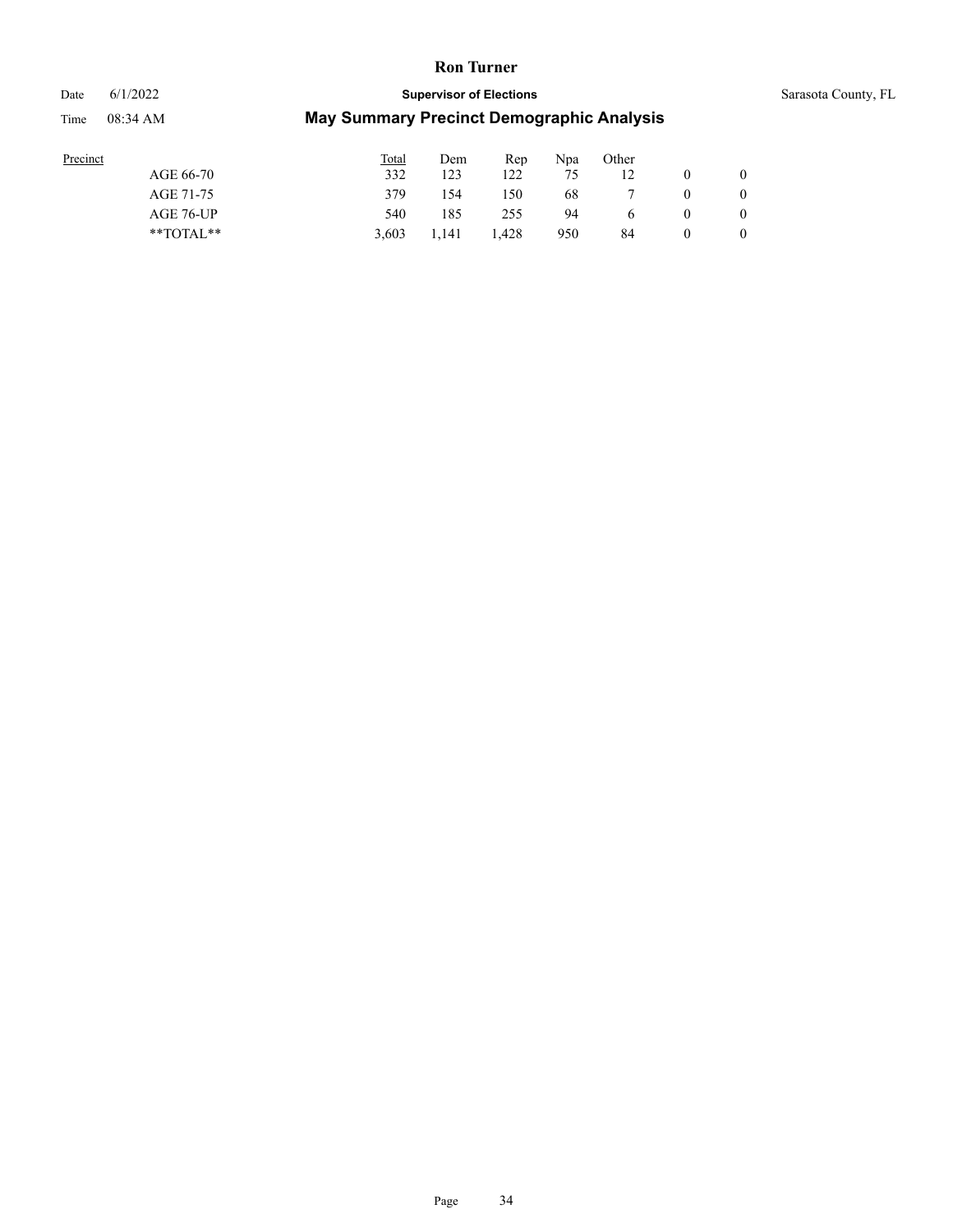#### Date 6/1/2022 **Supervisor of Elections** Supervisor **Supervisor of Elections** Sarasota County, FL

| Precinct |               | <b>Total</b> | Dem   | Rep   | Npa | Other |              |
|----------|---------------|--------------|-------|-------|-----|-------|--------------|
|          | AGE 66-70     | 332          | 123   | 122   | 75  |       | $\mathbf{0}$ |
|          | AGE 71-75     | 379          | .54   | 150   | 68  |       | $\mathbf{0}$ |
|          | AGE 76-UP     | 540          | 185   | 255   | 94  |       | $\mathbf{0}$ |
|          | $*$ $TOTAL**$ | 3.603        | 1.141 | 1.428 | 950 | 84    | $\mathbf{0}$ |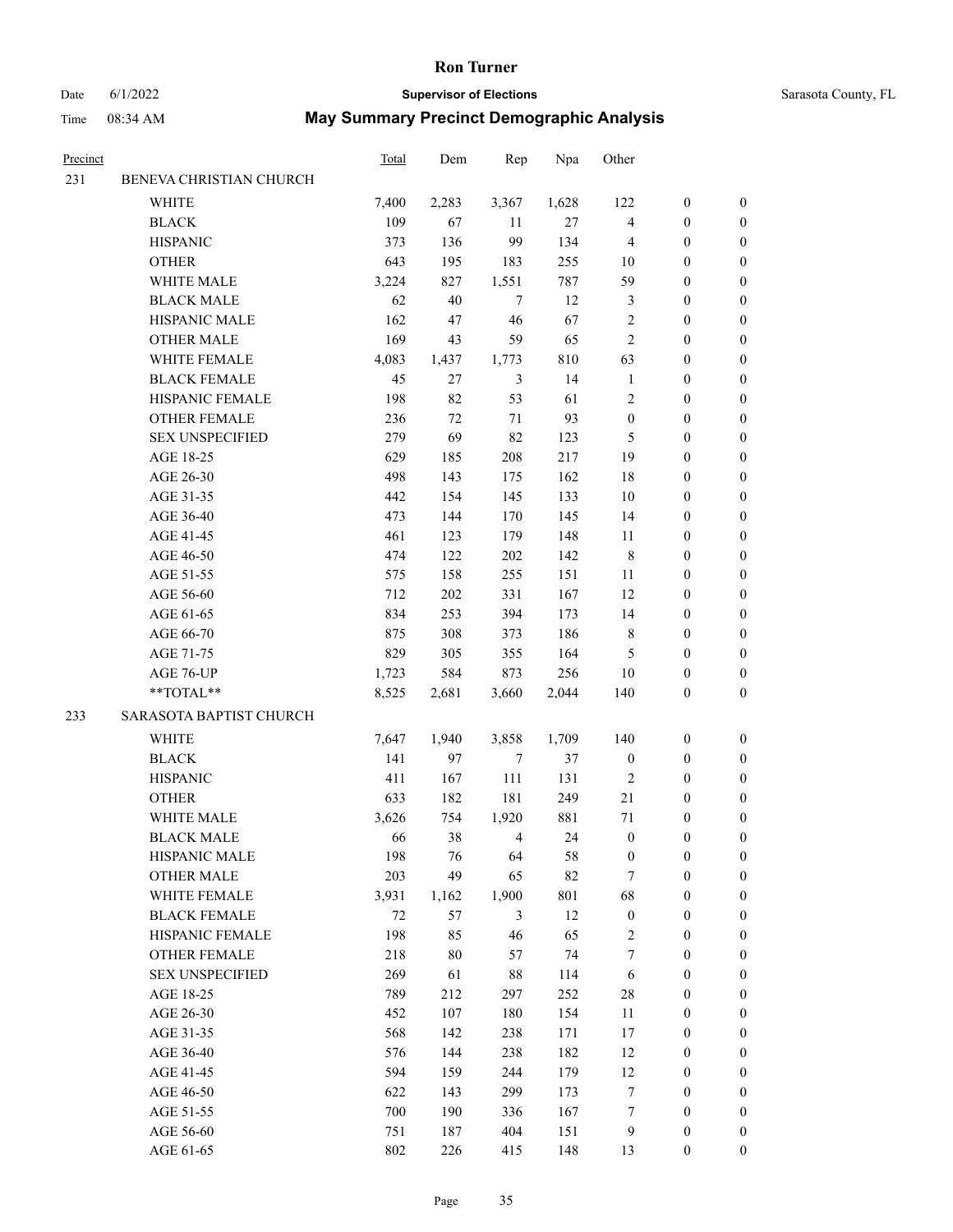#### Date 6/1/2022 **Supervisor of Elections** Supervisor **Supervisor of Elections** Sarasota County, FL

| Precinct |                                        | <b>Total</b> | Dem       | Rep    | Npa        | Other            |                  |                                      |
|----------|----------------------------------------|--------------|-----------|--------|------------|------------------|------------------|--------------------------------------|
| 231      | BENEVA CHRISTIAN CHURCH                |              |           |        |            |                  |                  |                                      |
|          | <b>WHITE</b>                           | 7,400        | 2,283     | 3,367  | 1,628      | 122              | $\boldsymbol{0}$ | 0                                    |
|          | <b>BLACK</b>                           | 109          | 67        | 11     | $27\,$     | 4                | $\boldsymbol{0}$ | 0                                    |
|          | <b>HISPANIC</b>                        | 373          | 136       | 99     | 134        | 4                | $\boldsymbol{0}$ | $\boldsymbol{0}$                     |
|          | <b>OTHER</b>                           | 643          | 195       | 183    | 255        | 10               | $\boldsymbol{0}$ | $\boldsymbol{0}$                     |
|          | WHITE MALE                             | 3,224        | 827       | 1,551  | 787        | 59               | $\boldsymbol{0}$ | $\boldsymbol{0}$                     |
|          | <b>BLACK MALE</b>                      | 62           | 40        | $\tau$ | 12         | 3                | $\boldsymbol{0}$ | $\boldsymbol{0}$                     |
|          | HISPANIC MALE                          | 162          | 47        | 46     | 67         | $\sqrt{2}$       | $\boldsymbol{0}$ | $\boldsymbol{0}$                     |
|          | <b>OTHER MALE</b>                      | 169          | 43        | 59     | 65         | $\overline{c}$   | $\boldsymbol{0}$ | $\boldsymbol{0}$                     |
|          | WHITE FEMALE                           | 4,083        | 1,437     | 1,773  | 810        | 63               | $\boldsymbol{0}$ | $\boldsymbol{0}$                     |
|          | <b>BLACK FEMALE</b>                    | 45           | 27        | 3      | 14         | $\mathbf{1}$     | $\boldsymbol{0}$ | $\boldsymbol{0}$                     |
|          | HISPANIC FEMALE                        | 198          | 82        | 53     | 61         | $\sqrt{2}$       | $\boldsymbol{0}$ | 0                                    |
|          | OTHER FEMALE                           | 236          | 72        | $71\,$ | 93         | $\boldsymbol{0}$ | $\boldsymbol{0}$ | 0                                    |
|          | <b>SEX UNSPECIFIED</b>                 | 279          | 69        | 82     | 123        | 5                | $\boldsymbol{0}$ | $\boldsymbol{0}$                     |
|          | AGE 18-25                              | 629          | 185       | 208    | 217        | 19               | $\boldsymbol{0}$ | $\boldsymbol{0}$                     |
|          | AGE 26-30                              | 498          | 143       | 175    | 162        | 18               | $\boldsymbol{0}$ | $\boldsymbol{0}$                     |
|          | AGE 31-35                              | 442          | 154       | 145    | 133        | 10               | $\boldsymbol{0}$ | $\boldsymbol{0}$                     |
|          | AGE 36-40                              | 473          | 144       | 170    | 145        | 14               | $\boldsymbol{0}$ | $\boldsymbol{0}$                     |
|          | AGE 41-45                              | 461          | 123       | 179    | 148        | 11               | $\boldsymbol{0}$ | $\boldsymbol{0}$                     |
|          | AGE 46-50                              | 474          | 122       | 202    | 142        | $\,8\,$          | $\boldsymbol{0}$ | $\boldsymbol{0}$                     |
|          | AGE 51-55                              | 575          | 158       | 255    | 151        | 11               | $\boldsymbol{0}$ | 0                                    |
|          | AGE 56-60                              | 712          | 202       | 331    | 167        | 12               | $\boldsymbol{0}$ | 0                                    |
|          | AGE 61-65                              | 834          | 253       | 394    | 173        | 14               | $\boldsymbol{0}$ | 0                                    |
|          | AGE 66-70                              | 875          | 308       | 373    | 186        | 8                | $\boldsymbol{0}$ | $\boldsymbol{0}$                     |
|          | AGE 71-75                              | 829          | 305       | 355    | 164        | 5                | $\boldsymbol{0}$ | $\boldsymbol{0}$                     |
|          | AGE 76-UP                              | 1,723        | 584       | 873    | 256        | $10\,$           | $\boldsymbol{0}$ | $\boldsymbol{0}$                     |
|          | **TOTAL**                              | 8,525        | 2,681     | 3,660  | 2,044      | 140              | $\boldsymbol{0}$ | $\boldsymbol{0}$                     |
| 233      | SARASOTA BAPTIST CHURCH                |              |           |        |            |                  |                  |                                      |
|          | WHITE                                  | 7,647        | 1,940     | 3,858  | 1,709      | 140              | $\boldsymbol{0}$ | $\boldsymbol{0}$                     |
|          | <b>BLACK</b>                           | 141          | 97        | $\tau$ | 37         | $\boldsymbol{0}$ | $\boldsymbol{0}$ | $\boldsymbol{0}$                     |
|          | <b>HISPANIC</b>                        | 411          | 167       | 111    | 131        | $\sqrt{2}$       | $\boldsymbol{0}$ | $\boldsymbol{0}$                     |
|          |                                        |              |           |        |            | 21               |                  |                                      |
|          | <b>OTHER</b><br>WHITE MALE             | 633<br>3,626 | 182       | 181    | 249<br>881 | $71\,$           | $\boldsymbol{0}$ | $\boldsymbol{0}$                     |
|          | <b>BLACK MALE</b>                      | 66           | 754<br>38 | 1,920  |            | $\boldsymbol{0}$ | 0<br>0           | $\boldsymbol{0}$<br>$\boldsymbol{0}$ |
|          |                                        |              |           | 4      | 24         |                  | $\boldsymbol{0}$ |                                      |
|          | HISPANIC MALE                          | 198          | 76<br>49  | 64     | 58         | $\boldsymbol{0}$ |                  | 0                                    |
|          | <b>OTHER MALE</b>                      | 203          |           | 65     | 82         | 7                | $\boldsymbol{0}$ | 0<br>$\overline{0}$                  |
|          | WHITE FEMALE                           | 3,931        | 1,162     | 1,900  | 801        | 68               | $\boldsymbol{0}$ |                                      |
|          | <b>BLACK FEMALE</b>                    | 72           | 57        | 3      | 12         | $\boldsymbol{0}$ | $\boldsymbol{0}$ | 0                                    |
|          | HISPANIC FEMALE                        | 198          | 85        | 46     | 65         | $\sqrt{2}$       | $\boldsymbol{0}$ | 0                                    |
|          | OTHER FEMALE<br><b>SEX UNSPECIFIED</b> | 218          | 80        | 57     | 74         | 7                | $\boldsymbol{0}$ | 0                                    |
|          |                                        | 269          | 61        | 88     | 114        | 6                | $\boldsymbol{0}$ | 0                                    |
|          | AGE 18-25                              | 789          | 212       | 297    | 252        | 28               | $\boldsymbol{0}$ | 0                                    |
|          | AGE 26-30                              | 452          | 107       | 180    | 154        | 11               | $\boldsymbol{0}$ | 0                                    |
|          | AGE 31-35                              | 568          | 142       | 238    | 171        | 17               | $\boldsymbol{0}$ | 0                                    |
|          | AGE 36-40                              | 576          | 144       | 238    | 182        | 12               | $\boldsymbol{0}$ | 0                                    |
|          | AGE 41-45                              | 594          | 159       | 244    | 179        | 12               | $\boldsymbol{0}$ | $\overline{0}$                       |
|          | AGE 46-50                              | 622          | 143       | 299    | 173        | 7                | $\boldsymbol{0}$ | $\overline{0}$                       |
|          | AGE 51-55                              | 700          | 190       | 336    | 167        | 7                | $\boldsymbol{0}$ | 0                                    |
|          | AGE 56-60                              | 751          | 187       | 404    | 151        | 9                | $\boldsymbol{0}$ | 0                                    |
|          | AGE 61-65                              | 802          | 226       | 415    | 148        | 13               | $\boldsymbol{0}$ | $\overline{0}$                       |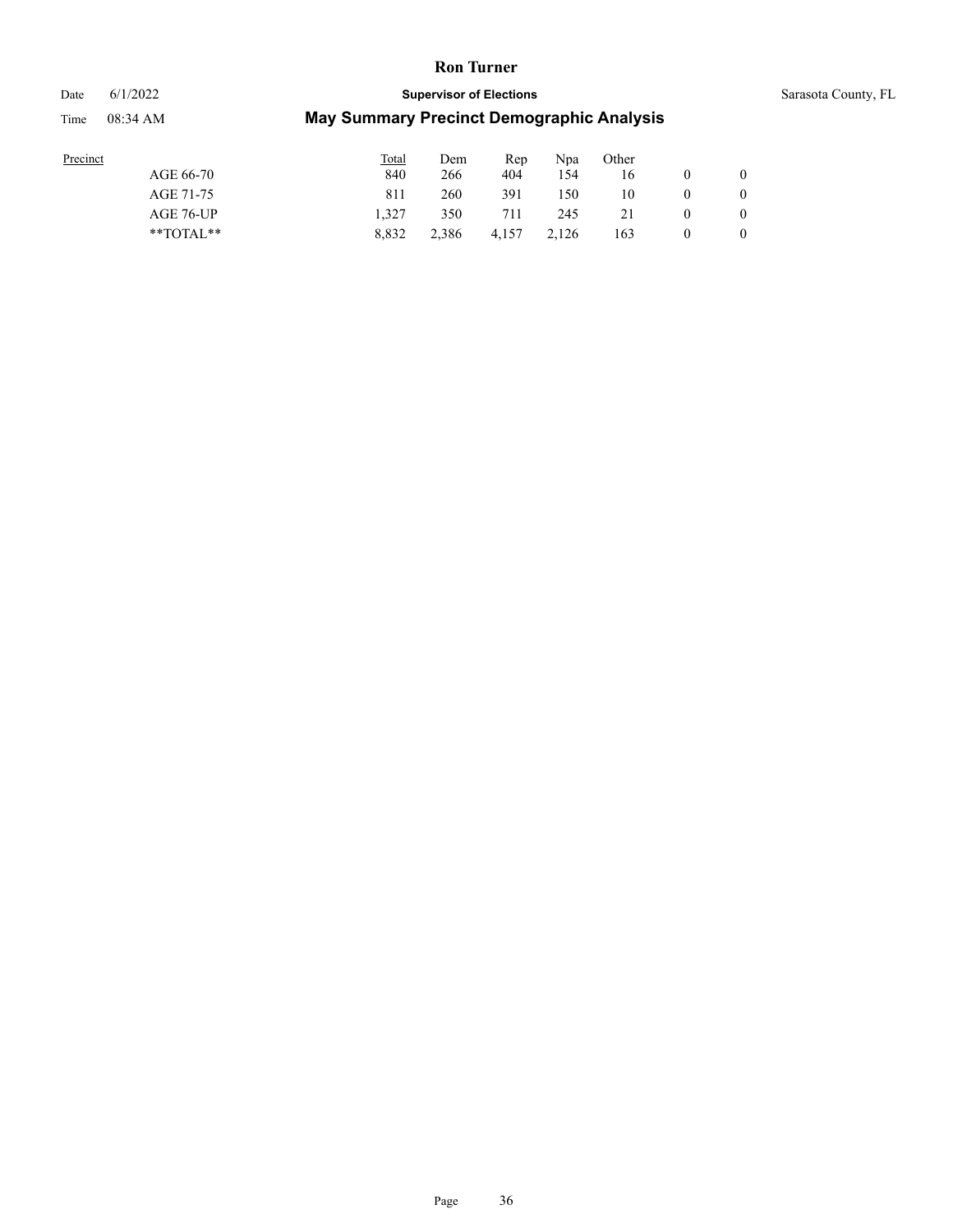Date 6/1/2022 **Supervisor of Elections** Supervisor **Supervisor of Elections** Sarasota County, FL

| Precinct |               | <b>Total</b> | Dem   | Rep   | Npa   | Other |   |
|----------|---------------|--------------|-------|-------|-------|-------|---|
|          | AGE 66-70     | 840          | 266   | 404   | 154   | 16    |   |
|          | AGE 71-75     | 811          | 260   | 391   | 150   | 10    |   |
|          | AGE 76-UP     | 1.327        | 350   | 711   | 245   |       |   |
|          | $*$ TOTAL $*$ | 8.832        | 2.386 | 4.157 | 2.126 | 163   | 0 |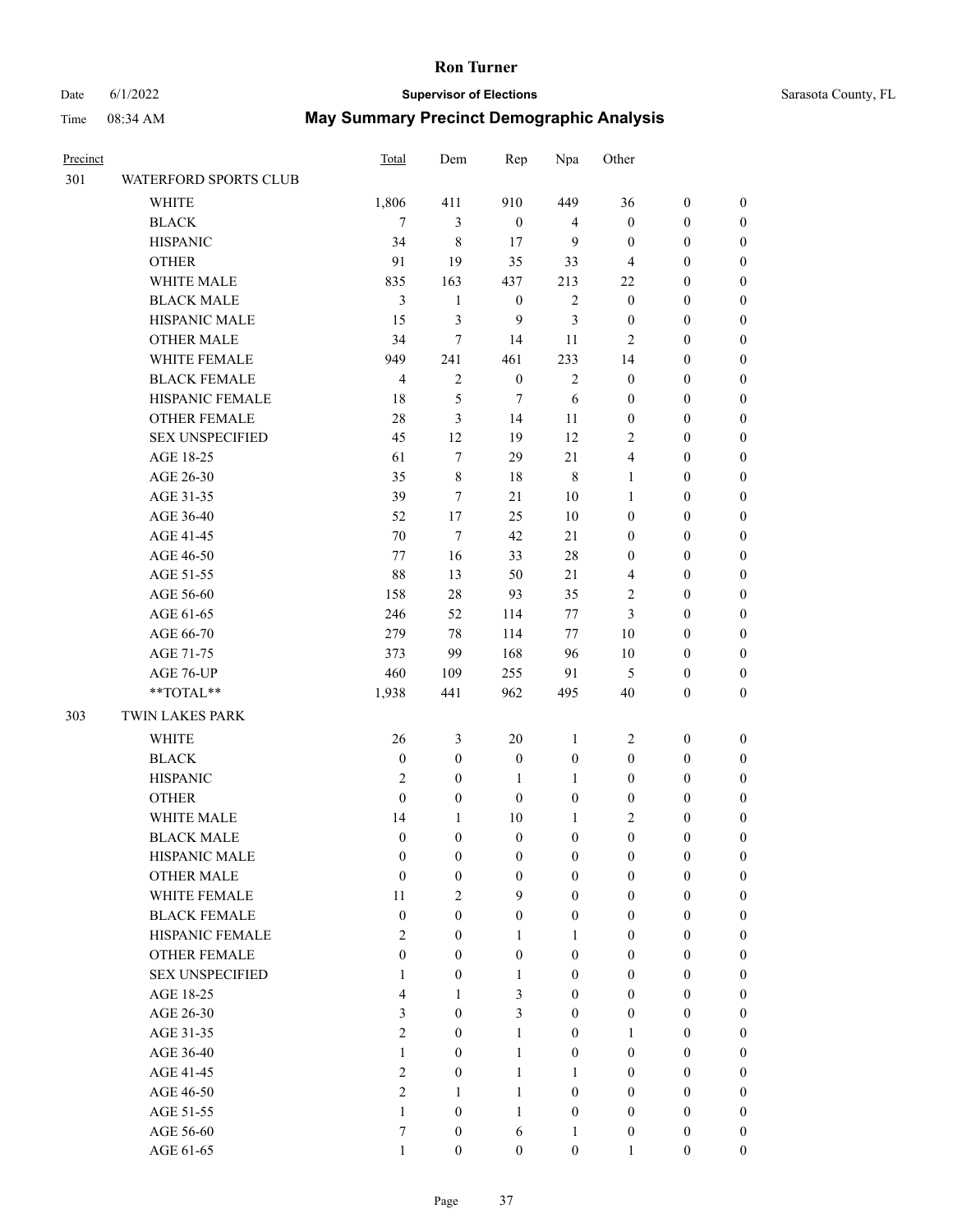## Date 6/1/2022 **Supervisor of Elections** Supervisor **Supervisor of Elections** Sarasota County, FL

| Precinct |                        | Total                   | Dem              | Rep              | Npa              | Other                   |                  |                  |
|----------|------------------------|-------------------------|------------------|------------------|------------------|-------------------------|------------------|------------------|
| 301      | WATERFORD SPORTS CLUB  |                         |                  |                  |                  |                         |                  |                  |
|          | WHITE                  | 1,806                   | 411              | 910              | 449              | 36                      | $\boldsymbol{0}$ | 0                |
|          | <b>BLACK</b>           | 7                       | 3                | $\boldsymbol{0}$ | $\overline{4}$   | $\boldsymbol{0}$        | $\boldsymbol{0}$ | $\boldsymbol{0}$ |
|          | <b>HISPANIC</b>        | 34                      | $\,8\,$          | 17               | 9                | $\boldsymbol{0}$        | $\boldsymbol{0}$ | $\boldsymbol{0}$ |
|          | <b>OTHER</b>           | 91                      | 19               | 35               | 33               | 4                       | $\boldsymbol{0}$ | $\boldsymbol{0}$ |
|          | WHITE MALE             | 835                     | 163              | 437              | 213              | 22                      | $\boldsymbol{0}$ | $\boldsymbol{0}$ |
|          | <b>BLACK MALE</b>      | 3                       | $\mathbf{1}$     | $\boldsymbol{0}$ | $\sqrt{2}$       | $\boldsymbol{0}$        | $\boldsymbol{0}$ | $\boldsymbol{0}$ |
|          | HISPANIC MALE          | 15                      | $\mathfrak{Z}$   | 9                | $\mathfrak{Z}$   | $\boldsymbol{0}$        | $\boldsymbol{0}$ | $\boldsymbol{0}$ |
|          | <b>OTHER MALE</b>      | 34                      | $\tau$           | 14               | 11               | $\overline{c}$          | $\boldsymbol{0}$ | $\boldsymbol{0}$ |
|          | WHITE FEMALE           | 949                     | 241              | 461              | 233              | 14                      | $\boldsymbol{0}$ | $\boldsymbol{0}$ |
|          | <b>BLACK FEMALE</b>    | $\overline{4}$          | $\sqrt{2}$       | $\boldsymbol{0}$ | $\sqrt{2}$       | $\boldsymbol{0}$        | $\boldsymbol{0}$ | $\boldsymbol{0}$ |
|          | HISPANIC FEMALE        | 18                      | 5                | $\tau$           | 6                | $\boldsymbol{0}$        | $\boldsymbol{0}$ | 0                |
|          | <b>OTHER FEMALE</b>    | $28\,$                  | 3                | 14               | 11               | $\boldsymbol{0}$        | $\boldsymbol{0}$ | $\boldsymbol{0}$ |
|          | <b>SEX UNSPECIFIED</b> | 45                      | 12               | 19               | 12               | $\mathbf{2}$            | $\boldsymbol{0}$ | $\boldsymbol{0}$ |
|          | AGE 18-25              | 61                      | $\tau$           | 29               | 21               | $\overline{4}$          | $\boldsymbol{0}$ | $\boldsymbol{0}$ |
|          | AGE 26-30              | 35                      | 8                | $18\,$           | $\,$ 8 $\,$      | $\mathbf{1}$            | $\boldsymbol{0}$ | $\boldsymbol{0}$ |
|          | AGE 31-35              | 39                      | 7                | 21               | 10               | $\mathbf{1}$            | $\boldsymbol{0}$ | $\boldsymbol{0}$ |
|          | AGE 36-40              | 52                      | $17\,$           | 25               | $10\,$           | $\boldsymbol{0}$        | $\boldsymbol{0}$ | $\boldsymbol{0}$ |
|          | AGE 41-45              | 70                      | $\tau$           | 42               | 21               | $\boldsymbol{0}$        | $\boldsymbol{0}$ | $\boldsymbol{0}$ |
|          | AGE 46-50              | $77 \,$                 | 16               | 33               | $28\,$           | $\boldsymbol{0}$        | $\boldsymbol{0}$ | $\boldsymbol{0}$ |
|          | AGE 51-55              | 88                      | 13               | 50               | $21\,$           | 4                       | $\boldsymbol{0}$ | 0                |
|          | AGE 56-60              | 158                     | $28\,$           | 93               | 35               | 2                       | $\boldsymbol{0}$ | 0                |
|          | AGE 61-65              | 246                     | 52               | 114              | $77 \,$          | $\mathfrak{Z}$          | $\boldsymbol{0}$ | $\boldsymbol{0}$ |
|          | AGE 66-70              | 279                     | 78               | 114              | $77 \,$          | $10\,$                  | $\boldsymbol{0}$ | $\boldsymbol{0}$ |
|          | AGE 71-75              | 373                     | 99               | 168              | 96               | $10\,$                  | $\boldsymbol{0}$ | $\boldsymbol{0}$ |
|          | AGE 76-UP              | 460                     | 109              | 255              | 91               | 5                       | $\boldsymbol{0}$ | $\boldsymbol{0}$ |
|          | **TOTAL**              | 1,938                   | 441              | 962              | 495              | 40                      | $\boldsymbol{0}$ | $\boldsymbol{0}$ |
| 303      | TWIN LAKES PARK        |                         |                  |                  |                  |                         |                  |                  |
|          |                        |                         |                  |                  |                  |                         |                  |                  |
|          | <b>WHITE</b>           | 26                      | $\mathfrak{Z}$   | $20\,$           | $\mathbf{1}$     | $\overline{2}$          | $\boldsymbol{0}$ | $\boldsymbol{0}$ |
|          | <b>BLACK</b>           | $\boldsymbol{0}$        | $\boldsymbol{0}$ | $\boldsymbol{0}$ | $\boldsymbol{0}$ | $\boldsymbol{0}$        | $\boldsymbol{0}$ | $\boldsymbol{0}$ |
|          | <b>HISPANIC</b>        | $\mathfrak{2}$          | $\boldsymbol{0}$ | $\mathbf{1}$     | $\mathbf{1}$     | $\boldsymbol{0}$        | $\boldsymbol{0}$ | $\boldsymbol{0}$ |
|          | <b>OTHER</b>           | $\boldsymbol{0}$        | $\boldsymbol{0}$ | $\boldsymbol{0}$ | $\boldsymbol{0}$ | $\boldsymbol{0}$        | $\boldsymbol{0}$ | $\boldsymbol{0}$ |
|          | WHITE MALE             | 14                      | $\mathbf{1}$     | $10\,$           | 1                | $\overline{\mathbf{c}}$ | $\boldsymbol{0}$ | $\boldsymbol{0}$ |
|          | <b>BLACK MALE</b>      | $\mathbf{0}$            | $\boldsymbol{0}$ | $\boldsymbol{0}$ | $\boldsymbol{0}$ | $\boldsymbol{0}$        | $\boldsymbol{0}$ | $\boldsymbol{0}$ |
|          | HISPANIC MALE          | $\boldsymbol{0}$        | $\boldsymbol{0}$ | $\boldsymbol{0}$ | $\mathbf{0}$     | $\boldsymbol{0}$        | $\boldsymbol{0}$ | $\overline{0}$   |
|          | <b>OTHER MALE</b>      | $\boldsymbol{0}$        | $\boldsymbol{0}$ | $\boldsymbol{0}$ | $\boldsymbol{0}$ | $\boldsymbol{0}$        | $\boldsymbol{0}$ | $\overline{0}$   |
|          | WHITE FEMALE           | 11                      | $\mathbf{2}$     | 9                | $\mathbf{0}$     | $\mathbf{0}$            | $\boldsymbol{0}$ | $\overline{0}$   |
|          | <b>BLACK FEMALE</b>    | $\boldsymbol{0}$        | $\boldsymbol{0}$ | $\boldsymbol{0}$ | $\boldsymbol{0}$ | $\boldsymbol{0}$        | $\boldsymbol{0}$ | $\overline{0}$   |
|          | HISPANIC FEMALE        | $\overline{c}$          | $\boldsymbol{0}$ | $\mathbf{1}$     | $\mathbf{1}$     | $\overline{0}$          | $\boldsymbol{0}$ | $\overline{0}$   |
|          | <b>OTHER FEMALE</b>    | $\boldsymbol{0}$        | $\overline{0}$   | $\boldsymbol{0}$ | $\boldsymbol{0}$ | $\overline{0}$          | $\boldsymbol{0}$ | $\theta$         |
|          | <b>SEX UNSPECIFIED</b> | $\mathbf{1}$            | $\boldsymbol{0}$ | $\mathbf{1}$     | $\boldsymbol{0}$ | $\mathbf{0}$            | $\boldsymbol{0}$ | $\overline{0}$   |
|          | AGE 18-25              | $\overline{\mathbf{4}}$ | 1                | 3                | $\boldsymbol{0}$ | $\mathbf{0}$            | $\boldsymbol{0}$ | $\overline{0}$   |
|          | AGE 26-30              | $\mathfrak{Z}$          | $\boldsymbol{0}$ | 3                | $\boldsymbol{0}$ | $\boldsymbol{0}$        | $\boldsymbol{0}$ | $\overline{0}$   |
|          | AGE 31-35              | $\overline{c}$          | $\boldsymbol{0}$ | $\mathbf{1}$     | $\boldsymbol{0}$ | $\mathbf{1}$            | $\boldsymbol{0}$ | $\overline{0}$   |
|          | AGE 36-40              | 1                       | $\overline{0}$   | $\mathbf{1}$     | $\boldsymbol{0}$ | $\boldsymbol{0}$        | $\boldsymbol{0}$ | $\overline{0}$   |
|          | AGE 41-45              | $\overline{c}$          | $\boldsymbol{0}$ | $\mathbf{1}$     | $\mathbf{1}$     | $\mathbf{0}$            | $\boldsymbol{0}$ | $\overline{0}$   |
|          | AGE 46-50              | $\overline{c}$          | 1                | $\mathbf{1}$     | $\mathbf{0}$     | $\boldsymbol{0}$        | $\boldsymbol{0}$ | $\overline{0}$   |
|          | AGE 51-55              | $\mathbf{1}$            | $\boldsymbol{0}$ | $\mathbf{1}$     | $\boldsymbol{0}$ | $\boldsymbol{0}$        | $\boldsymbol{0}$ | $\theta$         |
|          | AGE 56-60              | $\tau$                  | $\boldsymbol{0}$ | $\sqrt{6}$       | $\mathbf{1}$     | $\boldsymbol{0}$        | $\boldsymbol{0}$ | $\overline{0}$   |
|          | AGE 61-65              | $\mathbf{1}$            | $\boldsymbol{0}$ | $\boldsymbol{0}$ | $\boldsymbol{0}$ | $\mathbf{1}$            | $\boldsymbol{0}$ | $\overline{0}$   |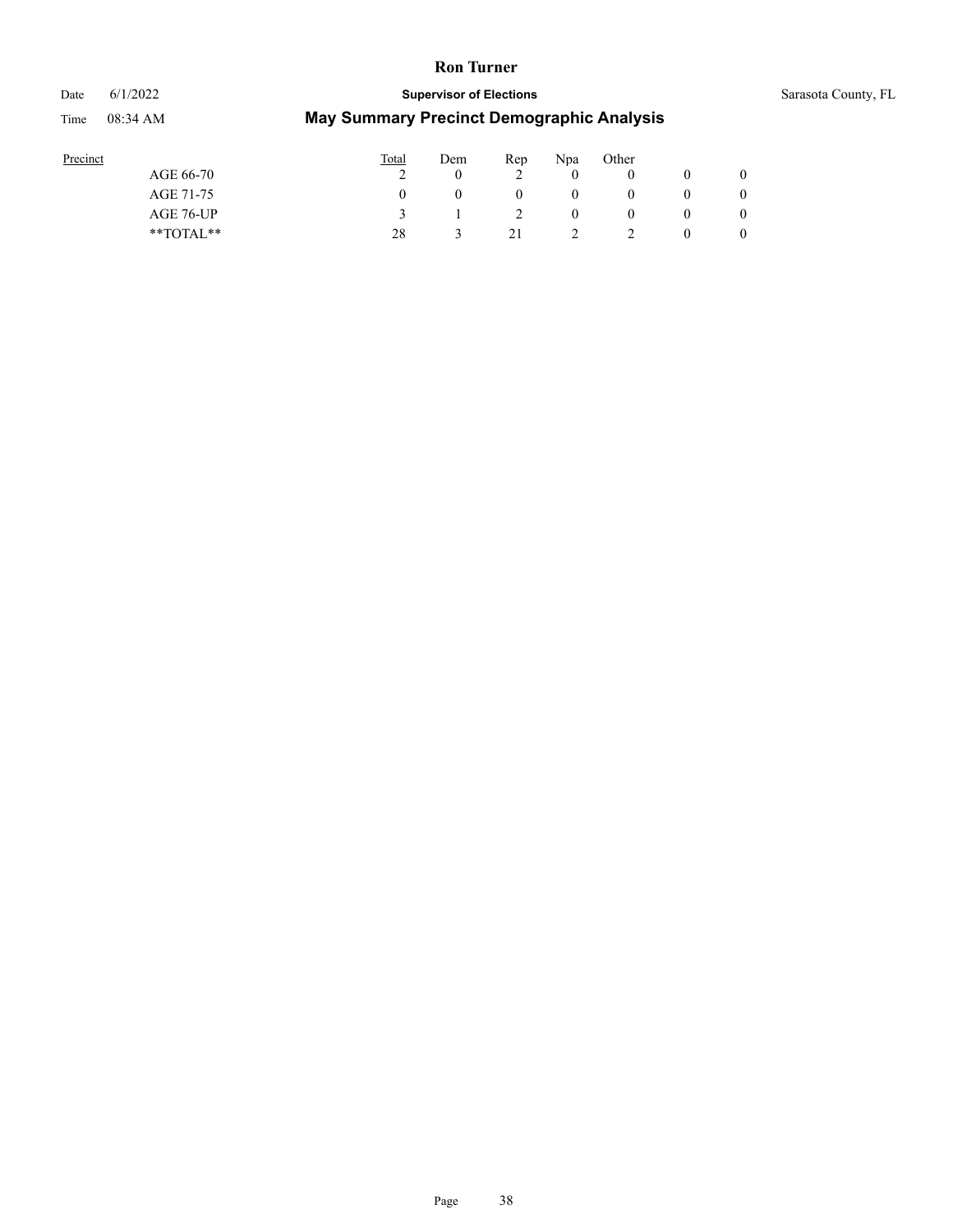## Date 6/1/2022 **Supervisor of Elections** Supervisor **Supervisor of Elections** Sarasota County, FL

| Precinct      | Total | Dem | Rep | Npa      | Other |                |
|---------------|-------|-----|-----|----------|-------|----------------|
| AGE 66-70     |       |     | ∸   |          |       | $\overline{0}$ |
| AGE 71-75     |       |     | O   | $_{0}$   |       | $\overline{0}$ |
| AGE 76-UP     |       |     | ∼   | $\theta$ |       | $\theta$       |
| $*$ TOTAL $*$ | 28    |     | 21  | ∸        |       | $\theta$       |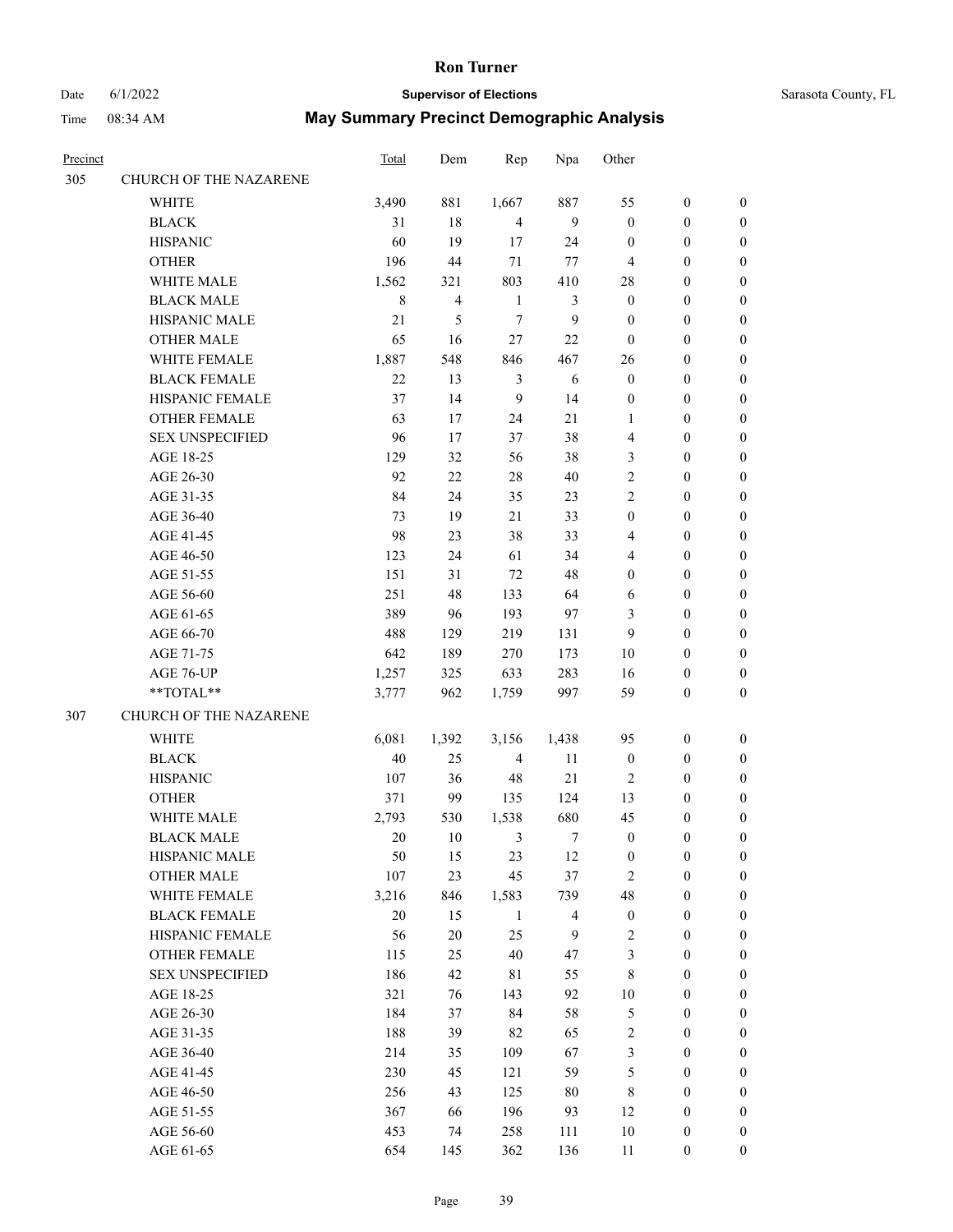## Date 6/1/2022 **Supervisor of Elections** Supervisor **Supervisor of Elections** Sarasota County, FL

| Precinct |                        | <b>Total</b> | Dem            | Rep            | Npa            | Other            |                  |                  |
|----------|------------------------|--------------|----------------|----------------|----------------|------------------|------------------|------------------|
| 305      | CHURCH OF THE NAZARENE |              |                |                |                |                  |                  |                  |
|          | WHITE                  | 3,490        | 881            | 1,667          | 887            | 55               | $\boldsymbol{0}$ | 0                |
|          | <b>BLACK</b>           | 31           | 18             | $\overline{4}$ | $\overline{9}$ | $\boldsymbol{0}$ | $\boldsymbol{0}$ | 0                |
|          | <b>HISPANIC</b>        | 60           | 19             | 17             | 24             | $\boldsymbol{0}$ | $\boldsymbol{0}$ | $\boldsymbol{0}$ |
|          | <b>OTHER</b>           | 196          | 44             | $71\,$         | 77             | 4                | $\boldsymbol{0}$ | $\boldsymbol{0}$ |
|          | WHITE MALE             | 1,562        | 321            | 803            | 410            | 28               | $\boldsymbol{0}$ | $\boldsymbol{0}$ |
|          | <b>BLACK MALE</b>      | $\,8\,$      | $\overline{4}$ | $\mathbf{1}$   | $\mathfrak{Z}$ | $\boldsymbol{0}$ | $\boldsymbol{0}$ | $\boldsymbol{0}$ |
|          | HISPANIC MALE          | 21           | 5              | $\tau$         | 9              | $\boldsymbol{0}$ | $\boldsymbol{0}$ | $\boldsymbol{0}$ |
|          | <b>OTHER MALE</b>      | 65           | 16             | $27\,$         | $22\,$         | $\boldsymbol{0}$ | $\boldsymbol{0}$ | $\boldsymbol{0}$ |
|          | WHITE FEMALE           | 1,887        | 548            | 846            | 467            | 26               | $\boldsymbol{0}$ | $\boldsymbol{0}$ |
|          | <b>BLACK FEMALE</b>    | 22           | 13             | $\mathfrak{Z}$ | $\sqrt{6}$     | $\boldsymbol{0}$ | $\boldsymbol{0}$ | 0                |
|          | HISPANIC FEMALE        | 37           | 14             | 9              | 14             | $\boldsymbol{0}$ | $\boldsymbol{0}$ | 0                |
|          | OTHER FEMALE           | 63           | 17             | 24             | 21             | 1                | $\boldsymbol{0}$ | 0                |
|          | <b>SEX UNSPECIFIED</b> | 96           | 17             | 37             | 38             | 4                | $\boldsymbol{0}$ | $\boldsymbol{0}$ |
|          | AGE 18-25              | 129          | 32             | 56             | 38             | 3                | $\boldsymbol{0}$ | $\boldsymbol{0}$ |
|          | AGE 26-30              | 92           | $22\,$         | $28\,$         | $40\,$         | 2                | $\boldsymbol{0}$ | $\boldsymbol{0}$ |
|          | AGE 31-35              | 84           | 24             | 35             | 23             | $\sqrt{2}$       | $\boldsymbol{0}$ | $\boldsymbol{0}$ |
|          | AGE 36-40              | 73           | 19             | $21\,$         | 33             | $\boldsymbol{0}$ | $\boldsymbol{0}$ | $\boldsymbol{0}$ |
|          | AGE 41-45              | 98           | 23             | 38             | 33             | 4                | $\boldsymbol{0}$ | $\boldsymbol{0}$ |
|          | AGE 46-50              | 123          | 24             | 61             | 34             | 4                | $\boldsymbol{0}$ | $\boldsymbol{0}$ |
|          | AGE 51-55              | 151          | 31             | $72\,$         | 48             | $\boldsymbol{0}$ | $\boldsymbol{0}$ | 0                |
|          | AGE 56-60              | 251          | 48             | 133            | 64             | 6                | $\boldsymbol{0}$ | 0                |
|          | AGE 61-65              | 389          | 96             | 193            | 97             | 3                | $\boldsymbol{0}$ | 0                |
|          | AGE 66-70              | 488          | 129            | 219            | 131            | 9                | $\boldsymbol{0}$ | $\boldsymbol{0}$ |
|          | AGE 71-75              | 642          | 189            | 270            | 173            | $10\,$           | $\boldsymbol{0}$ | $\boldsymbol{0}$ |
|          | AGE 76-UP              | 1,257        | 325            | 633            | 283            | 16               | $\boldsymbol{0}$ | $\boldsymbol{0}$ |
|          | **TOTAL**              | 3,777        | 962            | 1,759          | 997            | 59               | $\boldsymbol{0}$ | $\boldsymbol{0}$ |
| 307      | CHURCH OF THE NAZARENE |              |                |                |                |                  |                  |                  |
|          | WHITE                  | 6,081        | 1,392          | 3,156          | 1,438          | 95               | $\boldsymbol{0}$ | $\boldsymbol{0}$ |
|          | <b>BLACK</b>           | 40           | 25             | $\overline{4}$ | 11             | $\boldsymbol{0}$ | $\boldsymbol{0}$ | $\boldsymbol{0}$ |
|          | <b>HISPANIC</b>        | 107          | 36             | 48             | $21\,$         | $\overline{2}$   | $\boldsymbol{0}$ | $\boldsymbol{0}$ |
|          | <b>OTHER</b>           | 371          | 99             | 135            | 124            | 13               | $\boldsymbol{0}$ | $\boldsymbol{0}$ |
|          | WHITE MALE             | 2,793        | 530            | 1,538          | 680            | 45               | 0                | $\boldsymbol{0}$ |
|          | <b>BLACK MALE</b>      | $20\,$       | 10             | 3              | 7              | $\boldsymbol{0}$ | $\boldsymbol{0}$ | $\boldsymbol{0}$ |
|          | HISPANIC MALE          | 50           | 15             | 23             | 12             | $\boldsymbol{0}$ | $\boldsymbol{0}$ | 0                |
|          | <b>OTHER MALE</b>      | 107          | 23             | 45             | 37             | $\overline{c}$   | $\boldsymbol{0}$ | 0                |
|          | WHITE FEMALE           | 3,216        | 846            | 1,583          | 739            | 48               | $\boldsymbol{0}$ | $\overline{0}$   |
|          | <b>BLACK FEMALE</b>    | $20\,$       | 15             | $\mathbf{1}$   | $\overline{4}$ | $\boldsymbol{0}$ | $\boldsymbol{0}$ | 0                |
|          | HISPANIC FEMALE        | 56           | $20\,$         | 25             | $\overline{9}$ | $\overline{c}$   | $\boldsymbol{0}$ | 0                |
|          | OTHER FEMALE           | 115          | 25             | $40\,$         | 47             | 3                | $\boldsymbol{0}$ | 0                |
|          | <b>SEX UNSPECIFIED</b> | 186          | 42             | 81             | 55             | 8                | $\boldsymbol{0}$ | 0                |
|          | AGE 18-25              | 321          | 76             | 143            | 92             | $10\,$           | $\boldsymbol{0}$ | 0                |
|          | AGE 26-30              | 184          | 37             | 84             | 58             | 5                | $\boldsymbol{0}$ | 0                |
|          | AGE 31-35              | 188          | 39             | 82             | 65             | $\sqrt{2}$       | $\boldsymbol{0}$ | 0                |
|          | AGE 36-40              | 214          | 35             | 109            | 67             | $\mathfrak{Z}$   | $\boldsymbol{0}$ | 0                |
|          | AGE 41-45              | 230          | 45             | 121            | 59             | 5                | $\boldsymbol{0}$ | $\overline{0}$   |
|          | AGE 46-50              | 256          | 43             | 125            | $80\,$         | 8                | $\boldsymbol{0}$ | $\overline{0}$   |
|          | AGE 51-55              | 367          | 66             | 196            | 93             | 12               | $\boldsymbol{0}$ | 0                |
|          | AGE 56-60              | 453          | 74             | 258            | 111            | $10\,$           | $\boldsymbol{0}$ | 0                |
|          | AGE 61-65              | 654          | 145            | 362            | 136            | 11               | $\boldsymbol{0}$ | $\overline{0}$   |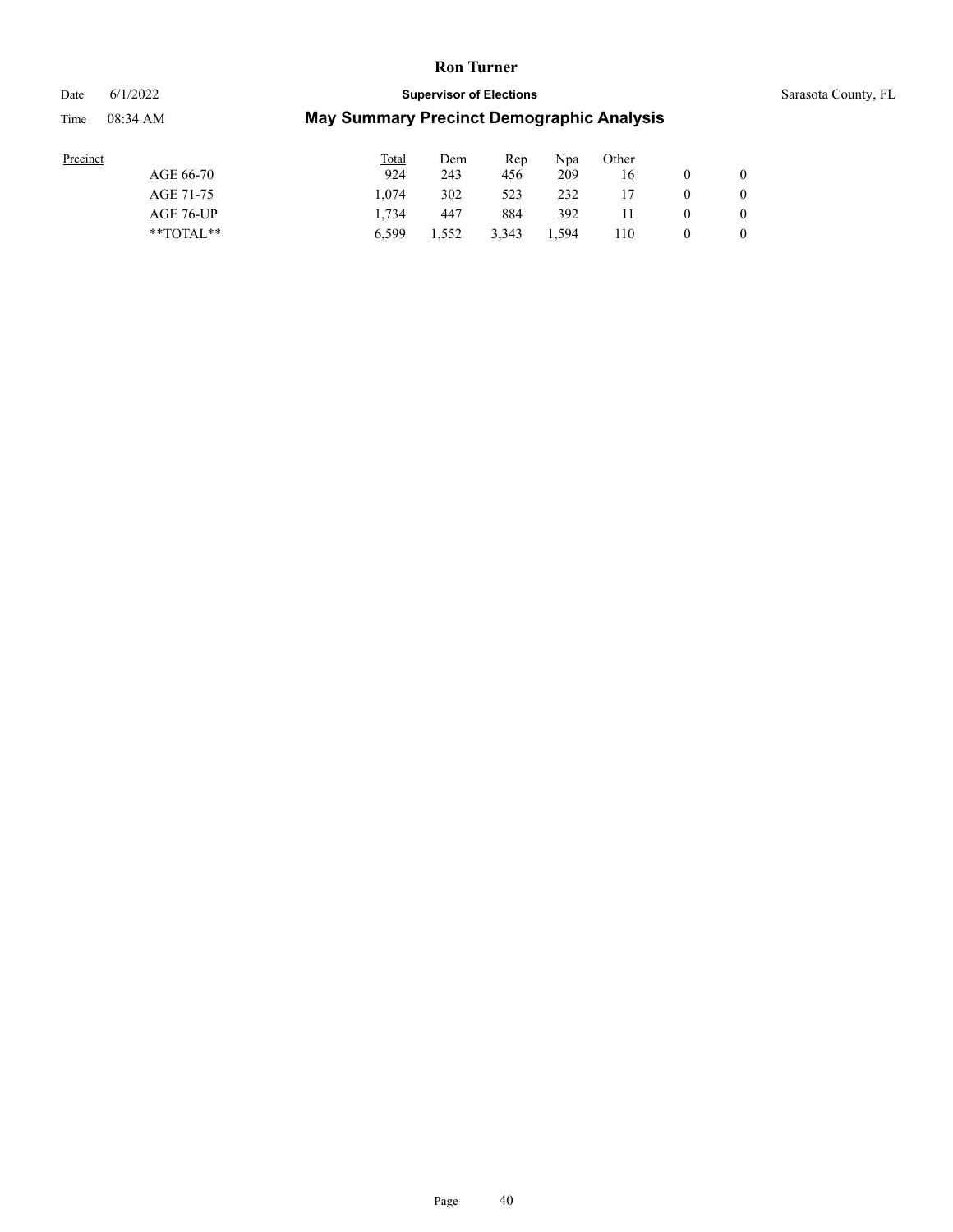### Date 6/1/2022 **Supervisor of Elections** Supervisor **Supervisor of Elections** Sarasota County, FL

| Precinct |               | Total | Dem   | Rep   | Npa   | Other |   |   |
|----------|---------------|-------|-------|-------|-------|-------|---|---|
|          | AGE 66-70     | 924   | 243   | 456   | 209   | 16    |   |   |
|          | AGE 71-75     | 1.074 | 302   | 523   | 232   |       | 0 |   |
|          | AGE 76-UP     | 1.734 | 447   | 884   | 392   |       | v | 0 |
|          | $*$ TOTAL $*$ | 6.599 | 1.552 | 3,343 | 1,594 | 110   |   | 0 |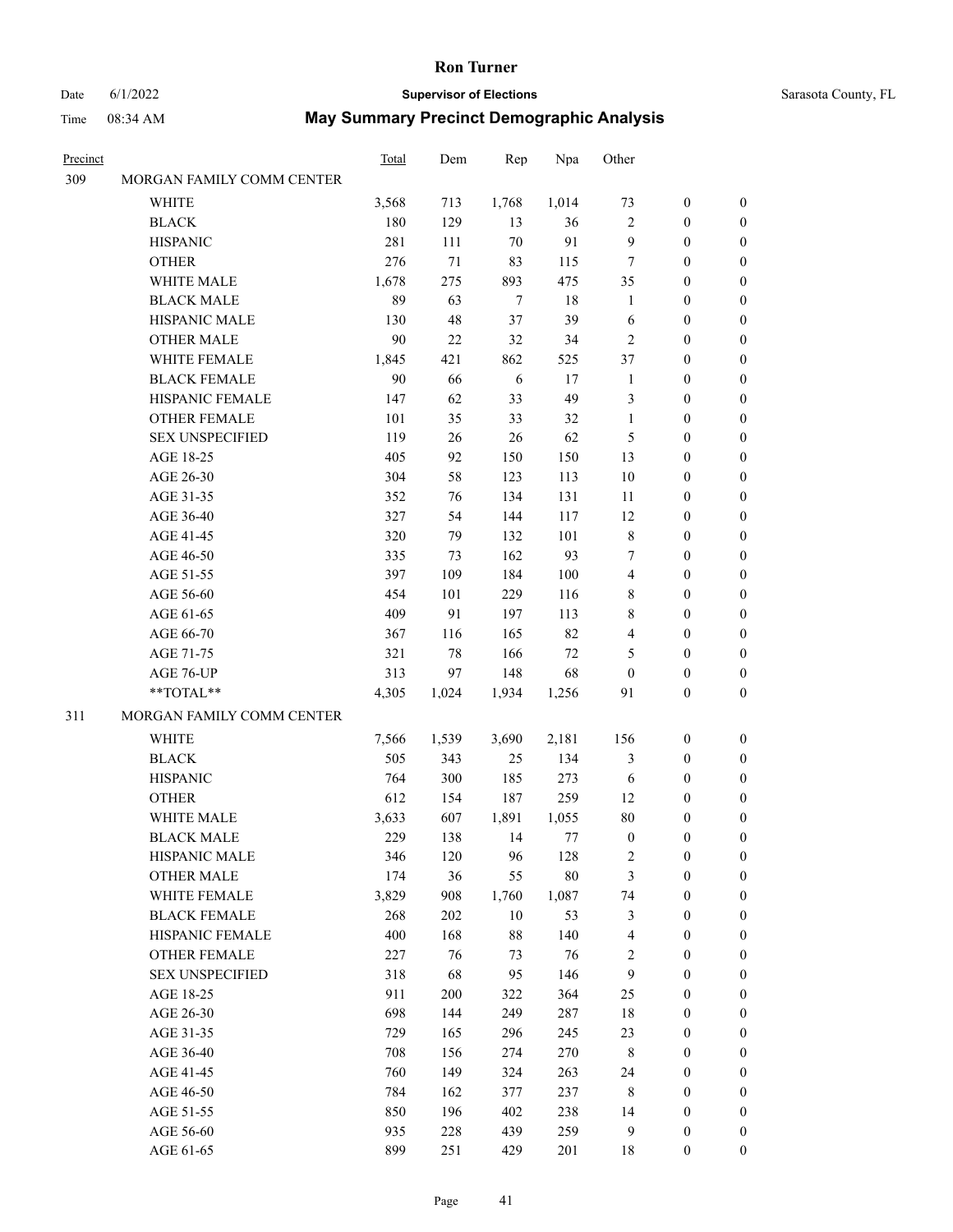### Date 6/1/2022 **Supervisor of Elections** Supervisor **Supervisor of Elections** Sarasota County, FL

| Precinct |                                        | <b>Total</b> | Dem       | Rep              | Npa           | Other            |                                      |                       |
|----------|----------------------------------------|--------------|-----------|------------------|---------------|------------------|--------------------------------------|-----------------------|
| 309      | MORGAN FAMILY COMM CENTER              |              |           |                  |               |                  |                                      |                       |
|          | WHITE                                  | 3,568        | 713       | 1,768            | 1,014         | 73               | $\boldsymbol{0}$                     | 0                     |
|          | <b>BLACK</b>                           | 180          | 129       | 13               | 36            | $\mathfrak{2}$   | $\boldsymbol{0}$                     | 0                     |
|          | <b>HISPANIC</b>                        | 281          | 111       | $70\,$           | 91            | 9                | $\boldsymbol{0}$                     | $\boldsymbol{0}$      |
|          | <b>OTHER</b>                           | 276          | 71        | 83               | 115           | 7                | $\boldsymbol{0}$                     | $\boldsymbol{0}$      |
|          | WHITE MALE                             | 1,678        | 275       | 893              | 475           | 35               | $\boldsymbol{0}$                     | $\boldsymbol{0}$      |
|          | <b>BLACK MALE</b>                      | 89           | 63        | $\boldsymbol{7}$ | 18            | $\mathbf{1}$     | $\boldsymbol{0}$                     | $\boldsymbol{0}$      |
|          | HISPANIC MALE                          | 130          | 48        | 37               | 39            | 6                | $\boldsymbol{0}$                     | $\boldsymbol{0}$      |
|          | <b>OTHER MALE</b>                      | $90\,$       | 22        | 32               | 34            | $\mathfrak{2}$   | $\boldsymbol{0}$                     | $\boldsymbol{0}$      |
|          | WHITE FEMALE                           | 1,845        | 421       | 862              | 525           | 37               | $\boldsymbol{0}$                     | $\boldsymbol{0}$      |
|          | <b>BLACK FEMALE</b>                    | 90           | 66        | $\sqrt{6}$       | 17            | $\mathbf{1}$     | $\boldsymbol{0}$                     | 0                     |
|          | HISPANIC FEMALE                        | 147          | 62        | 33               | 49            | 3                | $\boldsymbol{0}$                     | 0                     |
|          | OTHER FEMALE                           | 101          | 35        | 33               | 32            | $\mathbf{1}$     | $\boldsymbol{0}$                     | 0                     |
|          | <b>SEX UNSPECIFIED</b>                 | 119          | 26        | 26               | 62            | 5                | $\boldsymbol{0}$                     | $\boldsymbol{0}$      |
|          | AGE 18-25                              | 405          | 92        | 150              | 150           | 13               | $\boldsymbol{0}$                     | $\boldsymbol{0}$      |
|          | AGE 26-30                              | 304          | 58        | 123              | 113           | $10\,$           | $\boldsymbol{0}$                     | $\boldsymbol{0}$      |
|          | AGE 31-35                              | 352          | 76        | 134              | 131           | 11               | $\boldsymbol{0}$                     | $\boldsymbol{0}$      |
|          | AGE 36-40                              | 327          | 54        | 144              | 117           | 12               | $\boldsymbol{0}$                     | $\boldsymbol{0}$      |
|          | AGE 41-45                              | 320          | 79        | 132              | 101           | 8                | $\boldsymbol{0}$                     | $\boldsymbol{0}$      |
|          | AGE 46-50                              | 335          | 73        | 162              | 93            | 7                | $\boldsymbol{0}$                     | $\boldsymbol{0}$      |
|          | AGE 51-55                              | 397          | 109       | 184              | 100           | 4                | $\boldsymbol{0}$                     | 0                     |
|          | AGE 56-60                              | 454          | 101       | 229              | 116           | 8                | $\boldsymbol{0}$                     | 0                     |
|          | AGE 61-65                              | 409          | 91        | 197              | 113           | 8                | $\boldsymbol{0}$                     | 0                     |
|          | AGE 66-70                              | 367          | 116       | 165              | 82            | 4                | $\boldsymbol{0}$                     | $\boldsymbol{0}$      |
|          | AGE 71-75                              | 321          | $78\,$    | 166              | $72\,$        | 5                | $\boldsymbol{0}$                     | $\boldsymbol{0}$      |
|          | AGE 76-UP                              | 313          | 97        | 148              | 68            | $\boldsymbol{0}$ | $\boldsymbol{0}$                     | $\boldsymbol{0}$      |
|          | **TOTAL**                              | 4,305        | 1,024     | 1,934            | 1,256         | 91               | $\boldsymbol{0}$                     | $\boldsymbol{0}$      |
| 311      | MORGAN FAMILY COMM CENTER              |              |           |                  |               |                  |                                      |                       |
|          | WHITE                                  | 7,566        | 1,539     | 3,690            | 2,181         | 156              | $\boldsymbol{0}$                     | 0                     |
|          | <b>BLACK</b>                           | 505          | 343       | 25               | 134           | 3                | $\boldsymbol{0}$                     | $\boldsymbol{0}$      |
|          | <b>HISPANIC</b>                        | 764          | 300       | 185              | 273           | 6                | $\boldsymbol{0}$                     | $\boldsymbol{0}$      |
|          | <b>OTHER</b>                           | 612          | 154       | 187              | 259           | 12               | $\boldsymbol{0}$                     |                       |
|          | WHITE MALE                             | 3,633        |           |                  |               | $80\,$           |                                      | $\boldsymbol{0}$      |
|          | <b>BLACK MALE</b>                      |              | 607       | 1,891            | 1,055         | $\boldsymbol{0}$ | 0<br>$\boldsymbol{0}$                | 0<br>$\boldsymbol{0}$ |
|          |                                        | 229          | 138       | 14               | 77            |                  | $\boldsymbol{0}$                     | 0                     |
|          | HISPANIC MALE<br><b>OTHER MALE</b>     | 346<br>174   | 120<br>36 | 96               | 128<br>$80\,$ | 2                |                                      |                       |
|          |                                        |              |           | 55               |               | 3                | $\boldsymbol{0}$                     | 0                     |
|          | WHITE FEMALE<br><b>BLACK FEMALE</b>    | 3,829        | 908       | 1,760            | 1,087<br>53   | 74               | $\boldsymbol{0}$<br>$\boldsymbol{0}$ | 0                     |
|          |                                        | 268<br>400   | 202       | 10<br>$88\,$     | 140           | $\mathfrak{Z}$   | $\boldsymbol{0}$                     | 0<br>0                |
|          | HISPANIC FEMALE                        |              | 168       |                  |               | 4<br>$\sqrt{2}$  | $\boldsymbol{0}$                     | 0                     |
|          | OTHER FEMALE<br><b>SEX UNSPECIFIED</b> | 227          | 76        | 73               | 76            |                  |                                      |                       |
|          |                                        | 318          | 68        | 95               | 146           | $\mathbf{9}$     | $\boldsymbol{0}$                     | 0                     |
|          | AGE 18-25                              | 911          | 200       | 322              | 364           | 25               | $\boldsymbol{0}$                     | 0                     |
|          | AGE 26-30                              | 698          | 144       | 249              | 287           | 18               | $\boldsymbol{0}$                     | 0                     |
|          | AGE 31-35                              | 729          | 165       | 296              | 245           | 23               | $\boldsymbol{0}$                     | 0                     |
|          | AGE 36-40                              | 708          | 156       | 274              | 270           | 8                | $\boldsymbol{0}$                     | 0                     |
|          | AGE 41-45                              | 760          | 149       | 324              | 263           | 24               | $\boldsymbol{0}$                     | $\overline{0}$        |
|          | AGE 46-50                              | 784          | 162       | 377              | 237           | 8                | $\boldsymbol{0}$                     | $\overline{0}$        |
|          | AGE 51-55                              | 850          | 196       | 402              | 238           | 14               | $\boldsymbol{0}$                     | $\overline{0}$        |
|          | AGE 56-60                              | 935          | 228       | 439              | 259           | 9                | $\boldsymbol{0}$                     | 0                     |
|          | AGE 61-65                              | 899          | 251       | 429              | 201           | 18               | $\boldsymbol{0}$                     | $\overline{0}$        |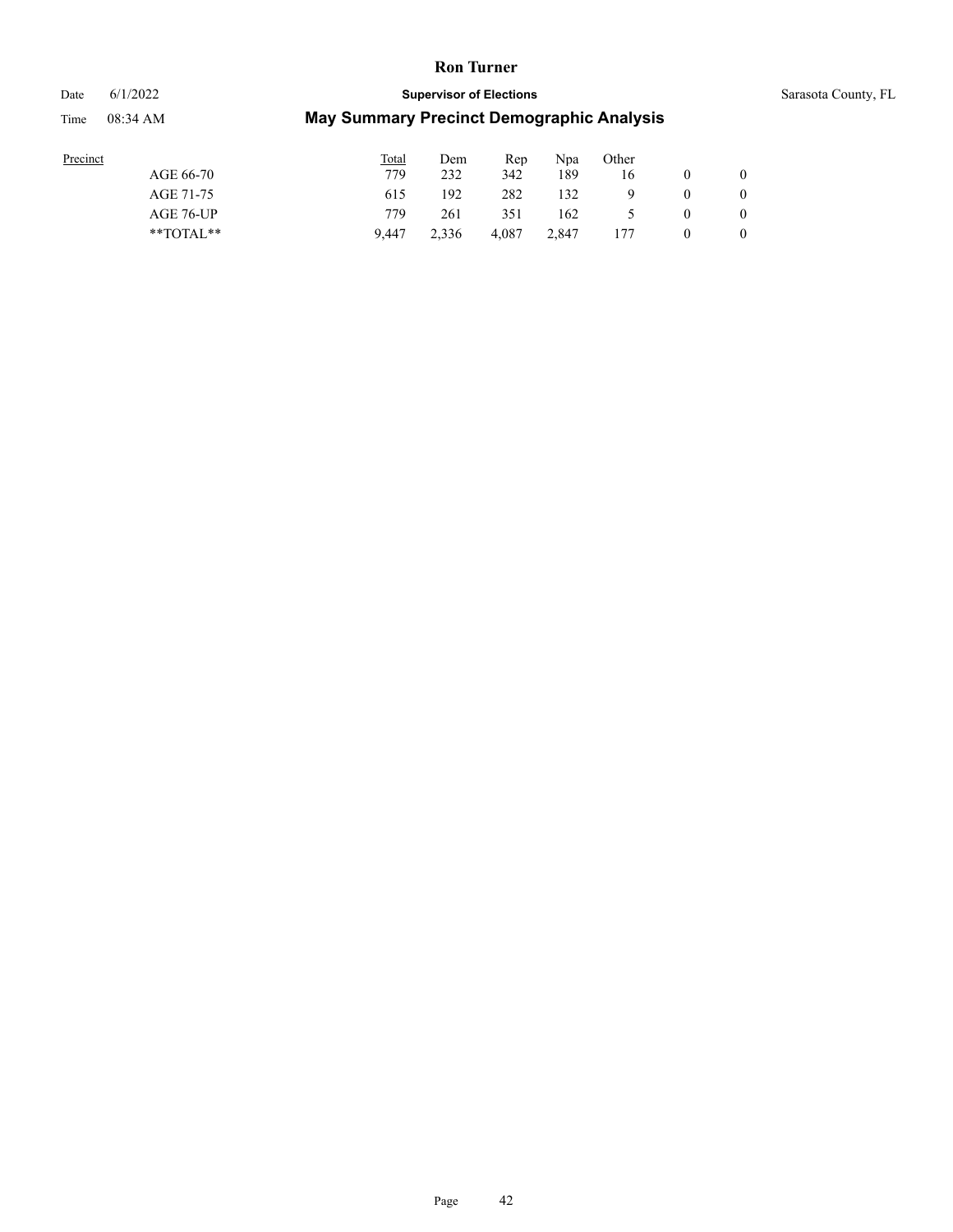#### Date 6/1/2022 **Supervisor of Elections** Supervisor **Supervisor of Elections** Sarasota County, FL

| Precinct      | <b>Total</b> | Dem   | Rep   | Npa   | Other |                  |
|---------------|--------------|-------|-------|-------|-------|------------------|
| AGE 66-70     | 779          | 232   | 342   | 189   | 16    | $\mathbf{0}$     |
| AGE 71-75     | 615          | 192   | 282   | 132   |       | $\mathbf{0}$     |
| AGE 76-UP     | 779          | 261   | 351   | 162   |       | $\mathbf{0}$     |
| $*$ $TOTAL**$ | 9.447        | 2.336 | 4.087 | 2.847 | 177   | $\boldsymbol{0}$ |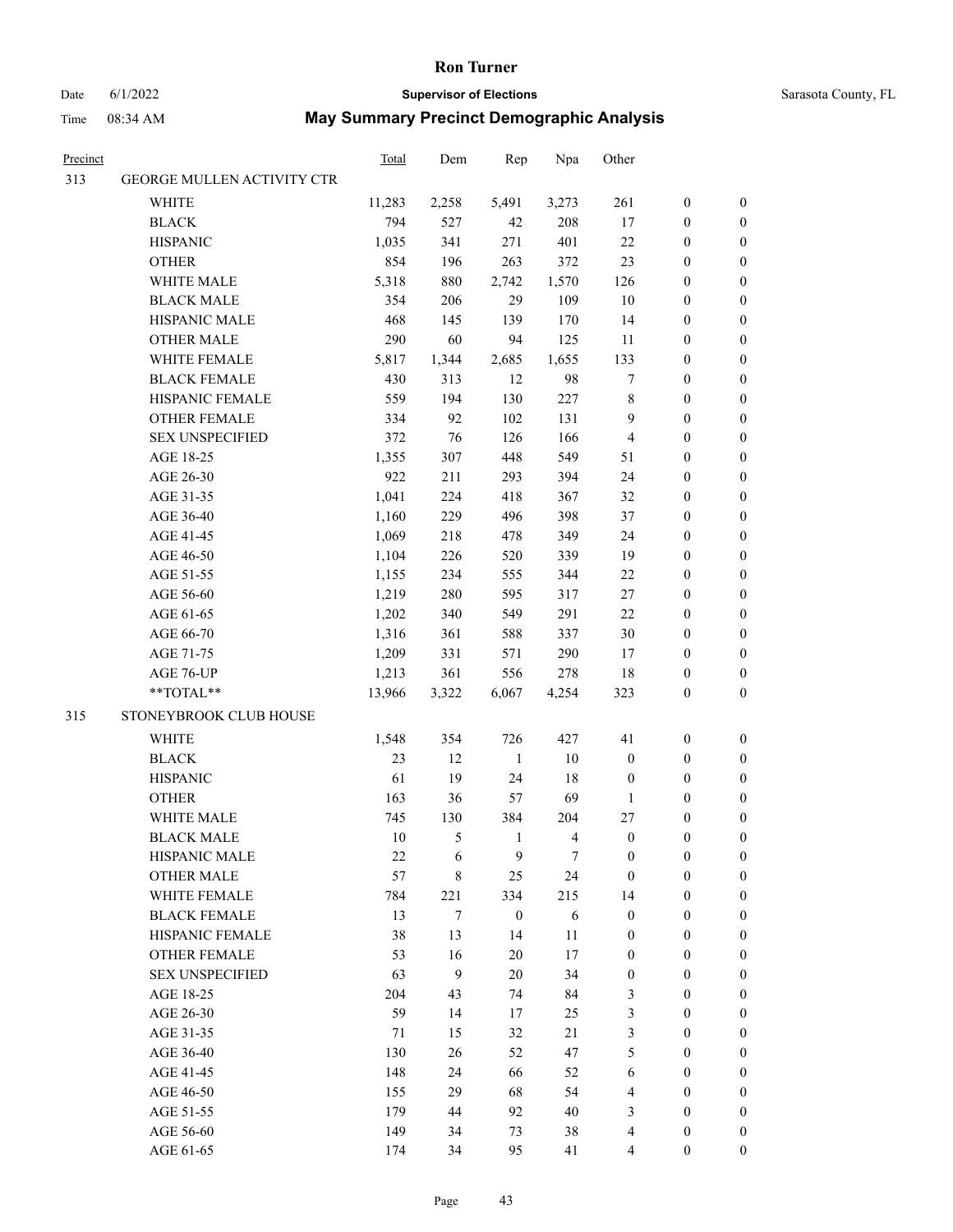### Date 6/1/2022 **Supervisor of Elections** Supervisor **Supervisor of Elections** Sarasota County, FL

| <u>Precinct</u> |                            | <b>Total</b> | Dem   | Rep              | Npa                     | Other            |                  |                  |
|-----------------|----------------------------|--------------|-------|------------------|-------------------------|------------------|------------------|------------------|
| 313             | GEORGE MULLEN ACTIVITY CTR |              |       |                  |                         |                  |                  |                  |
|                 | <b>WHITE</b>               | 11,283       | 2,258 | 5,491            | 3,273                   | 261              | $\boldsymbol{0}$ | $\boldsymbol{0}$ |
|                 | <b>BLACK</b>               | 794          | 527   | 42               | 208                     | 17               | $\boldsymbol{0}$ | $\boldsymbol{0}$ |
|                 | <b>HISPANIC</b>            | 1,035        | 341   | 271              | 401                     | $22\,$           | $\boldsymbol{0}$ | $\boldsymbol{0}$ |
|                 | <b>OTHER</b>               | 854          | 196   | 263              | 372                     | 23               | $\boldsymbol{0}$ | $\boldsymbol{0}$ |
|                 | WHITE MALE                 | 5,318        | 880   | 2,742            | 1,570                   | 126              | $\boldsymbol{0}$ | $\boldsymbol{0}$ |
|                 | <b>BLACK MALE</b>          | 354          | 206   | 29               | 109                     | $10\,$           | $\boldsymbol{0}$ | $\boldsymbol{0}$ |
|                 | HISPANIC MALE              | 468          | 145   | 139              | 170                     | 14               | $\boldsymbol{0}$ | $\boldsymbol{0}$ |
|                 | <b>OTHER MALE</b>          | 290          | 60    | 94               | 125                     | 11               | $\boldsymbol{0}$ | $\boldsymbol{0}$ |
|                 | WHITE FEMALE               | 5,817        | 1,344 | 2,685            | 1,655                   | 133              | $\boldsymbol{0}$ | $\boldsymbol{0}$ |
|                 | <b>BLACK FEMALE</b>        | 430          | 313   | 12               | 98                      | 7                | $\boldsymbol{0}$ | 0                |
|                 | HISPANIC FEMALE            | 559          | 194   | 130              | 227                     | 8                | $\boldsymbol{0}$ | 0                |
|                 | <b>OTHER FEMALE</b>        | 334          | 92    | 102              | 131                     | 9                | $\boldsymbol{0}$ | 0                |
|                 | <b>SEX UNSPECIFIED</b>     | 372          | 76    | 126              | 166                     | $\overline{4}$   | $\boldsymbol{0}$ | $\boldsymbol{0}$ |
|                 | AGE 18-25                  | 1,355        | 307   | 448              | 549                     | 51               | $\boldsymbol{0}$ | $\boldsymbol{0}$ |
|                 | AGE 26-30                  | 922          | 211   | 293              | 394                     | 24               | $\boldsymbol{0}$ | $\boldsymbol{0}$ |
|                 | AGE 31-35                  | 1,041        | 224   | 418              | 367                     | 32               | $\boldsymbol{0}$ | $\boldsymbol{0}$ |
|                 | AGE 36-40                  | 1,160        | 229   | 496              | 398                     | 37               | $\boldsymbol{0}$ | $\boldsymbol{0}$ |
|                 | AGE 41-45                  | 1,069        | 218   | 478              | 349                     | 24               | $\boldsymbol{0}$ | $\boldsymbol{0}$ |
|                 | AGE 46-50                  | 1,104        | 226   | 520              | 339                     | 19               | $\boldsymbol{0}$ | $\boldsymbol{0}$ |
|                 | AGE 51-55                  | 1,155        | 234   | 555              | 344                     | 22               | $\boldsymbol{0}$ | $\boldsymbol{0}$ |
|                 | AGE 56-60                  | 1,219        | 280   | 595              | 317                     | 27               | $\boldsymbol{0}$ | 0                |
|                 | AGE 61-65                  | 1,202        | 340   | 549              | 291                     | 22               | $\boldsymbol{0}$ | 0                |
|                 | AGE 66-70                  | 1,316        | 361   | 588              | 337                     | 30               | $\boldsymbol{0}$ | 0                |
|                 | AGE 71-75                  | 1,209        | 331   | 571              | 290                     | 17               | $\boldsymbol{0}$ | $\boldsymbol{0}$ |
|                 | AGE 76-UP                  | 1,213        | 361   | 556              | 278                     | 18               | $\boldsymbol{0}$ | $\boldsymbol{0}$ |
|                 | **TOTAL**                  | 13,966       | 3,322 | 6,067            | 4,254                   | 323              | $\boldsymbol{0}$ | $\boldsymbol{0}$ |
| 315             | STONEYBROOK CLUB HOUSE     |              |       |                  |                         |                  |                  |                  |
|                 | <b>WHITE</b>               | 1,548        | 354   | 726              | 427                     | 41               | $\boldsymbol{0}$ | $\boldsymbol{0}$ |
|                 | <b>BLACK</b>               | 23           | 12    | $\mathbf{1}$     | 10                      | $\boldsymbol{0}$ | $\boldsymbol{0}$ | $\boldsymbol{0}$ |
|                 | <b>HISPANIC</b>            | 61           | 19    | 24               | 18                      | $\boldsymbol{0}$ | $\boldsymbol{0}$ | $\boldsymbol{0}$ |
|                 | <b>OTHER</b>               | 163          | 36    | 57               | 69                      | $\mathbf{1}$     | $\boldsymbol{0}$ | $\boldsymbol{0}$ |
|                 | WHITE MALE                 | 745          | 130   | 384              | 204                     | 27               | $\boldsymbol{0}$ | 0                |
|                 | <b>BLACK MALE</b>          | 10           | 5     | $\mathbf{1}$     | $\overline{\mathbf{4}}$ | $\boldsymbol{0}$ | $\boldsymbol{0}$ | 0                |
|                 | HISPANIC MALE              | 22           | 6     | 9                | 7                       | $\boldsymbol{0}$ | $\boldsymbol{0}$ | 0                |
|                 | <b>OTHER MALE</b>          | 57           | 8     | 25               | 24                      | $\boldsymbol{0}$ | $\boldsymbol{0}$ | $\overline{0}$   |
|                 | WHITE FEMALE               | 784          | 221   | 334              | 215                     | 14               | $\boldsymbol{0}$ | $\overline{0}$   |
|                 | <b>BLACK FEMALE</b>        | 13           | 7     | $\boldsymbol{0}$ | 6                       | $\boldsymbol{0}$ | $\boldsymbol{0}$ | $\overline{0}$   |
|                 | HISPANIC FEMALE            | 38           | 13    | 14               | 11                      | $\boldsymbol{0}$ | $\boldsymbol{0}$ | $\overline{0}$   |
|                 | <b>OTHER FEMALE</b>        | 53           | 16    | 20               | 17                      | $\boldsymbol{0}$ | $\boldsymbol{0}$ | $\theta$         |
|                 | <b>SEX UNSPECIFIED</b>     | 63           | 9     | 20               | 34                      | $\boldsymbol{0}$ | $\boldsymbol{0}$ | $\overline{0}$   |
|                 | AGE 18-25                  | 204          | 43    | 74               | 84                      | 3                | $\boldsymbol{0}$ | 0                |
|                 | AGE 26-30                  | 59           | 14    | 17               | 25                      | 3                | $\boldsymbol{0}$ | 0                |
|                 | AGE 31-35                  | 71           | 15    | 32               | 21                      | 3                | $\boldsymbol{0}$ | 0                |
|                 | AGE 36-40                  | 130          | 26    | 52               | 47                      | 5                | $\boldsymbol{0}$ | 0                |
|                 | AGE 41-45                  | 148          | 24    | 66               | 52                      | 6                | $\boldsymbol{0}$ | $\overline{0}$   |
|                 | AGE 46-50                  | 155          | 29    | 68               | 54                      | 4                | $\boldsymbol{0}$ | $\overline{0}$   |
|                 | AGE 51-55                  | 179          | 44    | 92               | 40                      | 3                | $\boldsymbol{0}$ | $\overline{0}$   |
|                 | AGE 56-60                  | 149          | 34    | 73               | 38                      | 4                | $\boldsymbol{0}$ | 0                |
|                 | AGE 61-65                  | 174          | 34    | 95               | 41                      | $\overline{4}$   | $\mathbf{0}$     | $\overline{0}$   |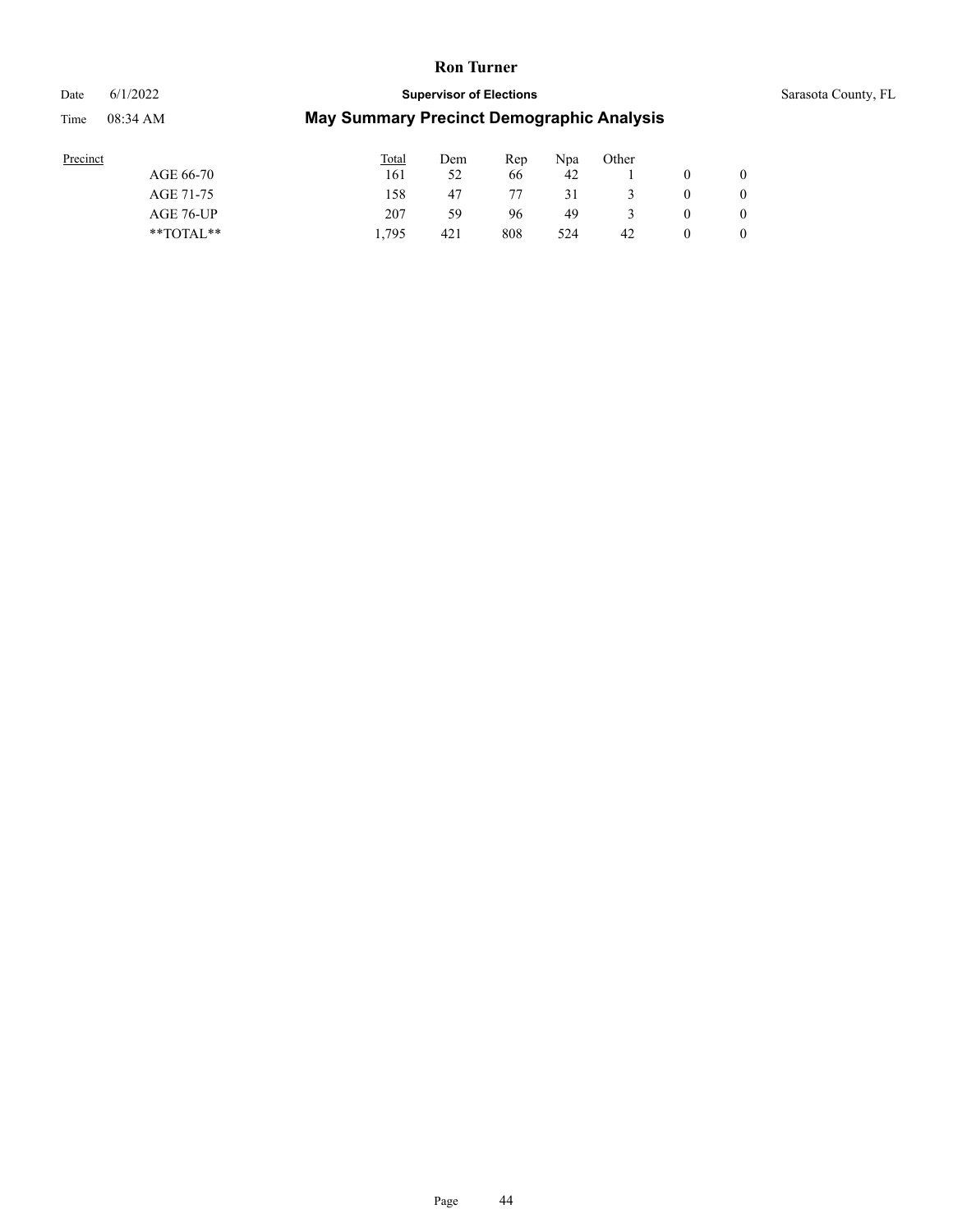#### Date 6/1/2022 **Supervisor of Elections** Supervisor **Supervisor of Elections** Sarasota County, FL

| Precinct |               | <b>Total</b> | Dem | Rep | Npa | Other |              |
|----------|---------------|--------------|-----|-----|-----|-------|--------------|
|          | AGE 66-70     | 161          | 52  | 66  | 42  |       | $\mathbf{0}$ |
|          | AGE 71-75     | 158          | 47  | 77  | 31  |       | $\mathbf{0}$ |
|          | AGE 76-UP     | 207          | 59  | 96  | 49  |       | $\mathbf{0}$ |
|          | $*$ $TOTAL**$ | 1.795        | 421 | 808 | 524 | 42    | $\mathbf{0}$ |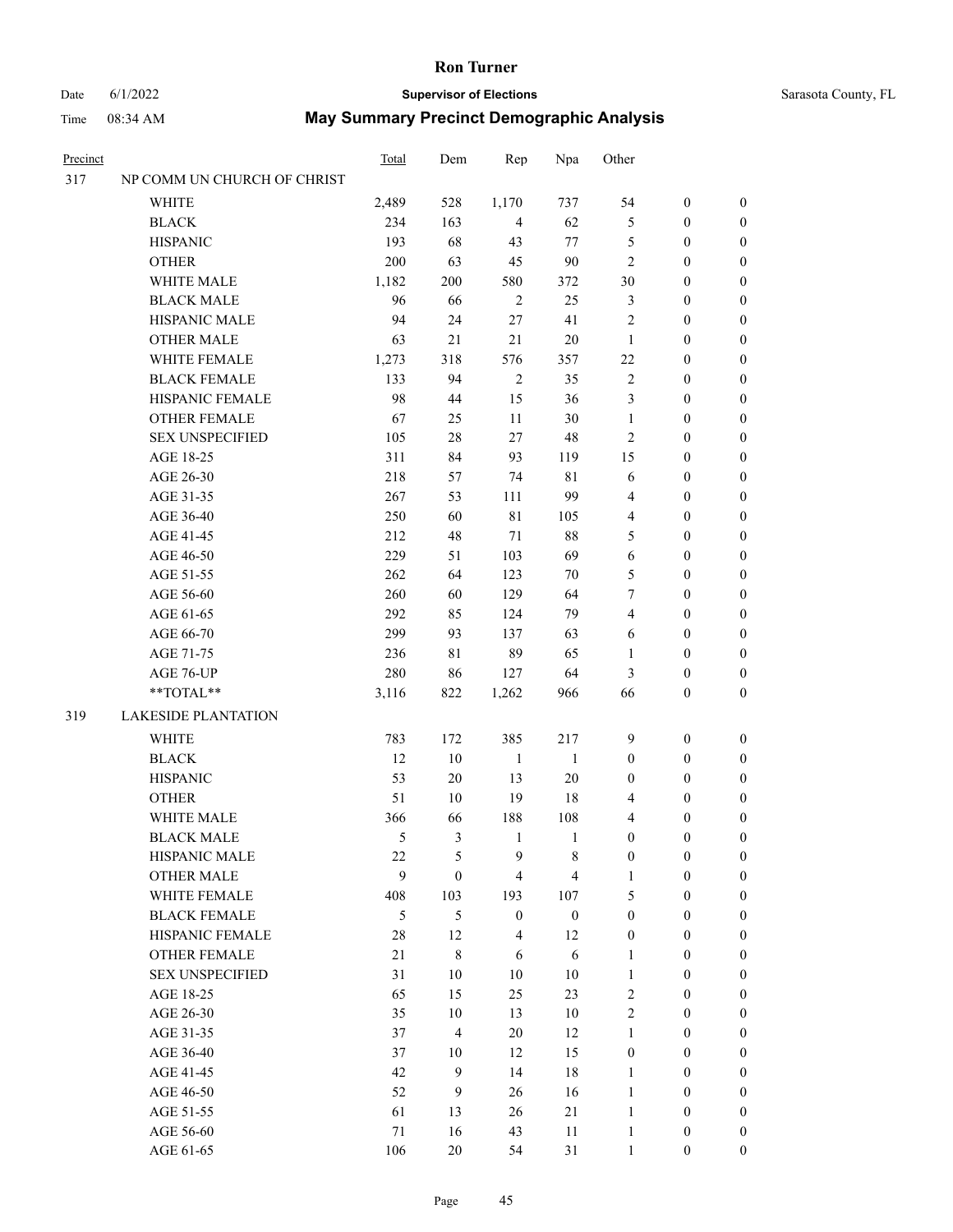### Date 6/1/2022 **Supervisor of Elections** Supervisor **Supervisor of Elections** Sarasota County, FL

| Precinct |                             | <b>Total</b> | Dem                     | Rep              | Npa              | Other            |                  |                  |
|----------|-----------------------------|--------------|-------------------------|------------------|------------------|------------------|------------------|------------------|
| 317      | NP COMM UN CHURCH OF CHRIST |              |                         |                  |                  |                  |                  |                  |
|          | <b>WHITE</b>                | 2,489        | 528                     | 1,170            | 737              | 54               | $\boldsymbol{0}$ | $\boldsymbol{0}$ |
|          | <b>BLACK</b>                | 234          | 163                     | $\overline{4}$   | 62               | 5                | $\boldsymbol{0}$ | $\boldsymbol{0}$ |
|          | <b>HISPANIC</b>             | 193          | 68                      | 43               | 77               | 5                | $\boldsymbol{0}$ | $\boldsymbol{0}$ |
|          | <b>OTHER</b>                | 200          | 63                      | 45               | 90               | $\overline{c}$   | $\boldsymbol{0}$ | $\boldsymbol{0}$ |
|          | WHITE MALE                  | 1,182        | 200                     | 580              | 372              | 30               | $\boldsymbol{0}$ | $\boldsymbol{0}$ |
|          | <b>BLACK MALE</b>           | 96           | 66                      | $\overline{2}$   | 25               | 3                | $\boldsymbol{0}$ | $\boldsymbol{0}$ |
|          | HISPANIC MALE               | 94           | 24                      | 27               | 41               | $\overline{c}$   | $\boldsymbol{0}$ | $\boldsymbol{0}$ |
|          | <b>OTHER MALE</b>           | 63           | 21                      | 21               | $20\,$           | $\mathbf{1}$     | $\boldsymbol{0}$ | $\boldsymbol{0}$ |
|          | WHITE FEMALE                | 1,273        | 318                     | 576              | 357              | 22               | $\boldsymbol{0}$ | $\boldsymbol{0}$ |
|          | <b>BLACK FEMALE</b>         | 133          | 94                      | $\sqrt{2}$       | 35               | $\mathfrak{2}$   | $\boldsymbol{0}$ | $\boldsymbol{0}$ |
|          | HISPANIC FEMALE             | 98           | 44                      | 15               | 36               | 3                | $\boldsymbol{0}$ | 0                |
|          | <b>OTHER FEMALE</b>         | 67           | 25                      | 11               | 30               | $\mathbf{1}$     | $\boldsymbol{0}$ | 0                |
|          | <b>SEX UNSPECIFIED</b>      | 105          | 28                      | 27               | $48\,$           | $\mathfrak{2}$   | $\boldsymbol{0}$ | $\boldsymbol{0}$ |
|          | AGE 18-25                   | 311          | 84                      | 93               | 119              | 15               | $\boldsymbol{0}$ | $\boldsymbol{0}$ |
|          | AGE 26-30                   | 218          | 57                      | 74               | $8\sqrt{1}$      | 6                | $\boldsymbol{0}$ | $\boldsymbol{0}$ |
|          | AGE 31-35                   | 267          | 53                      | 111              | 99               | 4                | $\boldsymbol{0}$ | $\boldsymbol{0}$ |
|          | AGE 36-40                   | 250          | 60                      | $8\sqrt{1}$      | 105              | 4                | $\boldsymbol{0}$ | $\boldsymbol{0}$ |
|          | AGE 41-45                   | 212          | 48                      | 71               | $88\,$           | 5                | $\boldsymbol{0}$ | $\boldsymbol{0}$ |
|          | AGE 46-50                   | 229          | 51                      | 103              | 69               | 6                | $\boldsymbol{0}$ | $\boldsymbol{0}$ |
|          | AGE 51-55                   | 262          | 64                      | 123              | 70               | 5                | $\boldsymbol{0}$ | $\boldsymbol{0}$ |
|          | AGE 56-60                   | 260          | 60                      | 129              | 64               | 7                | $\boldsymbol{0}$ | 0                |
|          | AGE 61-65                   | 292          | 85                      | 124              | 79               | 4                | $\boldsymbol{0}$ | 0                |
|          | AGE 66-70                   | 299          | 93                      | 137              | 63               | 6                | $\boldsymbol{0}$ | $\boldsymbol{0}$ |
|          | AGE 71-75                   | 236          | 81                      | 89               | 65               | 1                | $\boldsymbol{0}$ | $\boldsymbol{0}$ |
|          | AGE 76-UP                   | 280          | 86                      | 127              | 64               | 3                | $\boldsymbol{0}$ | $\boldsymbol{0}$ |
|          | **TOTAL**                   | 3,116        | 822                     | 1,262            | 966              | 66               | $\boldsymbol{0}$ | $\boldsymbol{0}$ |
| 319      | <b>LAKESIDE PLANTATION</b>  |              |                         |                  |                  |                  |                  |                  |
|          | <b>WHITE</b>                | 783          | 172                     | 385              | 217              | 9                | $\boldsymbol{0}$ | $\boldsymbol{0}$ |
|          | <b>BLACK</b>                | 12           | $10\,$                  | $\mathbf{1}$     | $\mathbf{1}$     | $\boldsymbol{0}$ | $\boldsymbol{0}$ | $\boldsymbol{0}$ |
|          | <b>HISPANIC</b>             | 53           | 20                      | 13               | $20\,$           | $\boldsymbol{0}$ | $\boldsymbol{0}$ | $\boldsymbol{0}$ |
|          | <b>OTHER</b>                | 51           | 10                      | 19               | 18               | 4                | $\boldsymbol{0}$ | $\boldsymbol{0}$ |
|          | WHITE MALE                  | 366          | 66                      | 188              | 108              | 4                | $\boldsymbol{0}$ | $\boldsymbol{0}$ |
|          | <b>BLACK MALE</b>           | 5            | 3                       | $\mathbf{1}$     | $\mathbf{1}$     | $\boldsymbol{0}$ | $\boldsymbol{0}$ | 0                |
|          | HISPANIC MALE               | 22           | 5                       | 9                | 8                | $\boldsymbol{0}$ | $\boldsymbol{0}$ | 0                |
|          | <b>OTHER MALE</b>           | 9            | $\boldsymbol{0}$        | $\overline{4}$   | $\overline{4}$   | $\mathbf{1}$     | $\boldsymbol{0}$ | $\overline{0}$   |
|          | WHITE FEMALE                | 408          | 103                     | 193              | 107              | 5                | $\boldsymbol{0}$ | $\overline{0}$   |
|          | <b>BLACK FEMALE</b>         | 5            | 5                       | $\boldsymbol{0}$ | $\boldsymbol{0}$ | $\boldsymbol{0}$ | $\boldsymbol{0}$ | $\overline{0}$   |
|          | HISPANIC FEMALE             | 28           | 12                      | $\overline{4}$   | 12               | $\boldsymbol{0}$ | $\boldsymbol{0}$ | 0                |
|          | <b>OTHER FEMALE</b>         | 21           | $\,$ 8 $\,$             | 6                | 6                | $\mathbf{1}$     | $\boldsymbol{0}$ | $\theta$         |
|          | <b>SEX UNSPECIFIED</b>      | 31           | 10                      | 10               | $10\,$           | $\mathbf{1}$     | $\boldsymbol{0}$ | $\overline{0}$   |
|          | AGE 18-25                   | 65           | 15                      | 25               | 23               | $\overline{2}$   | $\boldsymbol{0}$ | 0                |
|          | AGE 26-30                   | 35           | 10                      | 13               | $10\,$           | $\overline{2}$   | $\boldsymbol{0}$ | 0                |
|          | AGE 31-35                   | 37           | $\overline{\mathbf{4}}$ | 20               | 12               | $\mathbf{1}$     | $\boldsymbol{0}$ | 0                |
|          | AGE 36-40                   | 37           | 10                      | 12               | 15               | $\boldsymbol{0}$ | $\boldsymbol{0}$ | 0                |
|          | AGE 41-45                   | 42           | 9                       | 14               | 18               | $\mathbf{1}$     | $\boldsymbol{0}$ | $\overline{0}$   |
|          | AGE 46-50                   | 52           | 9                       | 26               | 16               | $\mathbf{1}$     | $\boldsymbol{0}$ | $\overline{0}$   |
|          | AGE 51-55                   | 61           | 13                      | 26               | 21               | $\mathbf{1}$     | $\boldsymbol{0}$ | $\overline{0}$   |
|          | AGE 56-60                   | 71           | 16                      | 43               | 11               | $\mathbf{1}$     | $\boldsymbol{0}$ | 0                |
|          | AGE 61-65                   | 106          | 20                      | 54               | 31               | $\mathbf{1}$     | $\boldsymbol{0}$ | $\overline{0}$   |
|          |                             |              |                         |                  |                  |                  |                  |                  |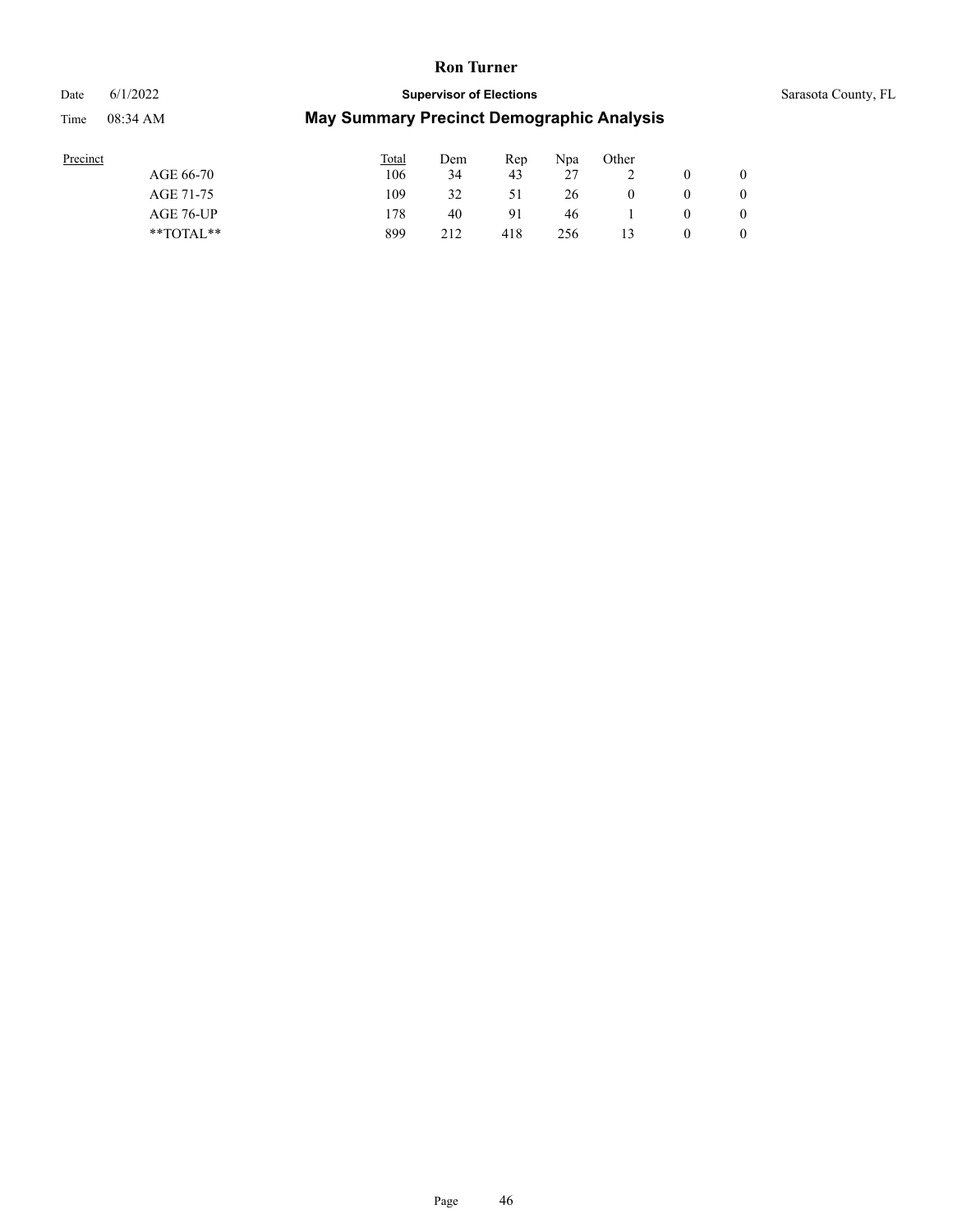# Date 6/1/2022 **Supervisor of Elections** Sarasota County, FL

| Precinct      | <b>Total</b> | Dem | Rep | Npa | Other |   |   |
|---------------|--------------|-----|-----|-----|-------|---|---|
| AGE 66-70     | 106          | 34  | 43  | 27  |       |   |   |
| AGE 71-75     | 109          | 32  | 51  | 26  | 0     |   |   |
| AGE 76-UP     | .78          | 40  | 91  | 46  |       | 0 |   |
| $*$ TOTAL $*$ | 899          | 212 | 418 | 256 |       |   | 0 |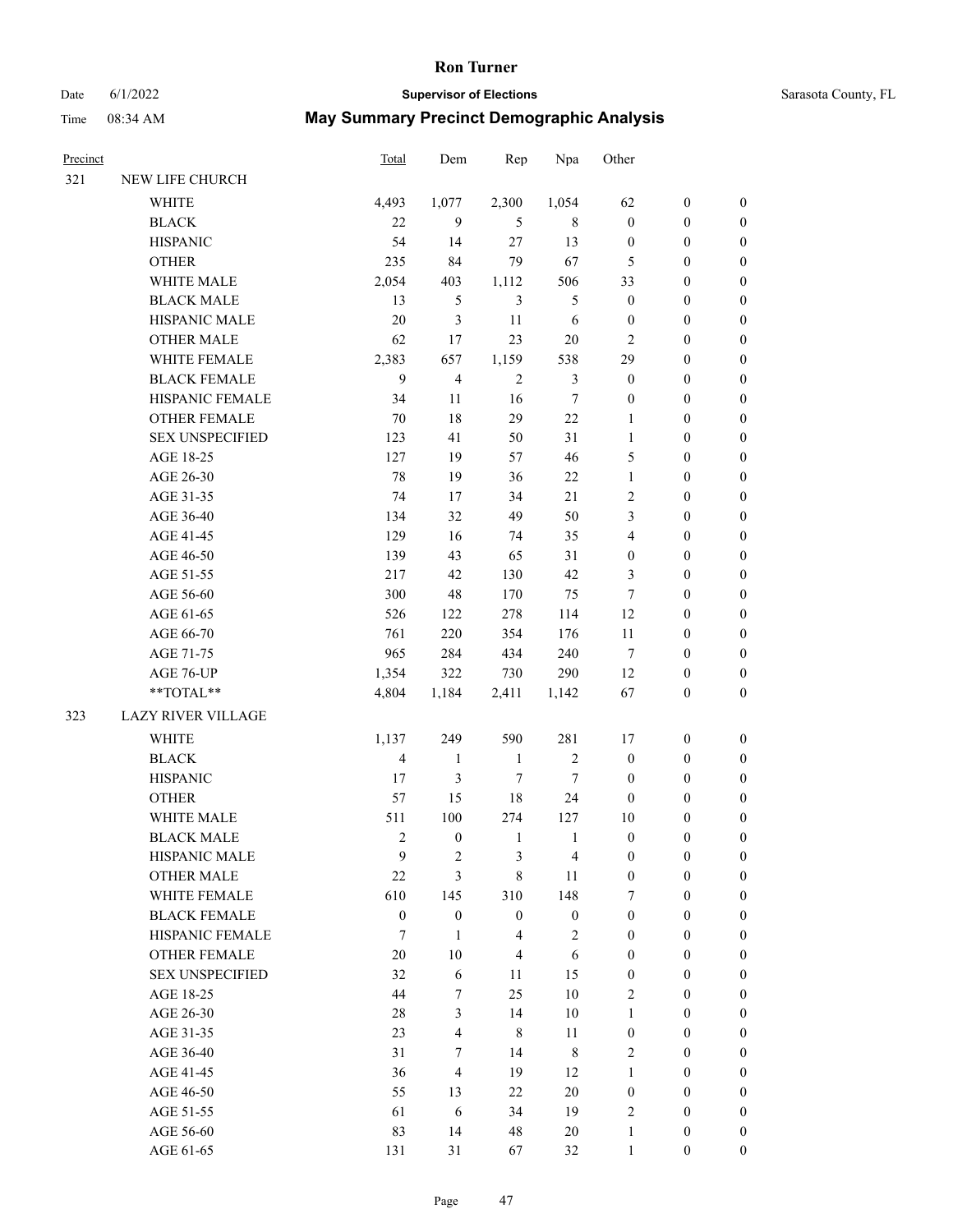# Date 6/1/2022 **Supervisor of Elections** Supervisor **Supervisor of Elections** Sarasota County, FL

| Precinct |                           | <b>Total</b>     | Dem                     | Rep              | Npa              | Other                   |                  |                  |
|----------|---------------------------|------------------|-------------------------|------------------|------------------|-------------------------|------------------|------------------|
| 321      | NEW LIFE CHURCH           |                  |                         |                  |                  |                         |                  |                  |
|          | <b>WHITE</b>              | 4,493            | 1,077                   | 2,300            | 1,054            | 62                      | $\boldsymbol{0}$ | $\boldsymbol{0}$ |
|          | <b>BLACK</b>              | 22               | 9                       | 5                | 8                | $\boldsymbol{0}$        | $\boldsymbol{0}$ | $\boldsymbol{0}$ |
|          | <b>HISPANIC</b>           | 54               | 14                      | 27               | 13               | $\boldsymbol{0}$        | $\boldsymbol{0}$ | $\boldsymbol{0}$ |
|          | <b>OTHER</b>              | 235              | 84                      | 79               | 67               | 5                       | $\boldsymbol{0}$ | $\boldsymbol{0}$ |
|          | WHITE MALE                | 2,054            | 403                     | 1,112            | 506              | 33                      | $\boldsymbol{0}$ | $\boldsymbol{0}$ |
|          | <b>BLACK MALE</b>         | 13               | 5                       | $\mathfrak{Z}$   | 5                | $\boldsymbol{0}$        | $\boldsymbol{0}$ | $\boldsymbol{0}$ |
|          | HISPANIC MALE             | 20               | 3                       | 11               | 6                | $\boldsymbol{0}$        | $\boldsymbol{0}$ | $\boldsymbol{0}$ |
|          | <b>OTHER MALE</b>         | 62               | 17                      | 23               | 20               | $\mathfrak{2}$          | $\boldsymbol{0}$ | $\boldsymbol{0}$ |
|          | WHITE FEMALE              | 2,383            | 657                     | 1,159            | 538              | 29                      | $\boldsymbol{0}$ | $\boldsymbol{0}$ |
|          | <b>BLACK FEMALE</b>       | 9                | $\overline{\mathbf{4}}$ | $\sqrt{2}$       | $\mathfrak{Z}$   | $\boldsymbol{0}$        | $\boldsymbol{0}$ | $\boldsymbol{0}$ |
|          | HISPANIC FEMALE           | 34               | 11                      | 16               | $\tau$           | $\boldsymbol{0}$        | $\boldsymbol{0}$ | 0                |
|          | <b>OTHER FEMALE</b>       | 70               | 18                      | 29               | 22               | $\mathbf{1}$            | $\boldsymbol{0}$ | $\boldsymbol{0}$ |
|          | <b>SEX UNSPECIFIED</b>    | 123              | 41                      | 50               | 31               | $\mathbf{1}$            | $\boldsymbol{0}$ | $\boldsymbol{0}$ |
|          | AGE 18-25                 | 127              | 19                      | 57               | 46               | 5                       | $\boldsymbol{0}$ | $\boldsymbol{0}$ |
|          | AGE 26-30                 | 78               | 19                      | 36               | $22\,$           | $\mathbf{1}$            | $\boldsymbol{0}$ | $\boldsymbol{0}$ |
|          | AGE 31-35                 | 74               | 17                      | 34               | 21               | $\overline{c}$          | $\boldsymbol{0}$ | $\boldsymbol{0}$ |
|          | AGE 36-40                 | 134              | 32                      | 49               | 50               | 3                       | $\boldsymbol{0}$ | $\boldsymbol{0}$ |
|          | AGE 41-45                 | 129              | 16                      | 74               | 35               | $\overline{\mathbf{4}}$ | $\boldsymbol{0}$ | $\boldsymbol{0}$ |
|          | AGE 46-50                 | 139              | 43                      | 65               | 31               | $\boldsymbol{0}$        | $\boldsymbol{0}$ | $\boldsymbol{0}$ |
|          | AGE 51-55                 | 217              | 42                      | 130              | 42               | 3                       | $\boldsymbol{0}$ | $\boldsymbol{0}$ |
|          | AGE 56-60                 | 300              | 48                      | 170              | 75               | $\tau$                  | $\boldsymbol{0}$ | 0                |
|          | AGE 61-65                 | 526              | 122                     | 278              | 114              | 12                      | $\boldsymbol{0}$ | 0                |
|          | AGE 66-70                 | 761              | 220                     | 354              | 176              | 11                      | $\boldsymbol{0}$ | $\boldsymbol{0}$ |
|          | AGE 71-75                 | 965              | 284                     | 434              | 240              | 7                       | $\boldsymbol{0}$ | $\boldsymbol{0}$ |
|          | AGE 76-UP                 | 1,354            | 322                     | 730              | 290              | 12                      | $\boldsymbol{0}$ | $\boldsymbol{0}$ |
|          | $**TOTAL**$               | 4,804            | 1,184                   | 2,411            | 1,142            | 67                      | $\boldsymbol{0}$ | $\boldsymbol{0}$ |
| 323      | <b>LAZY RIVER VILLAGE</b> |                  |                         |                  |                  |                         |                  |                  |
|          | <b>WHITE</b>              | 1,137            | 249                     | 590              | 281              | 17                      | $\boldsymbol{0}$ | $\boldsymbol{0}$ |
|          | <b>BLACK</b>              | $\overline{4}$   | $\mathbf{1}$            | $\mathbf{1}$     | $\sqrt{2}$       | $\boldsymbol{0}$        | $\boldsymbol{0}$ | $\boldsymbol{0}$ |
|          | <b>HISPANIC</b>           | 17               | 3                       | $\tau$           | $\tau$           | $\boldsymbol{0}$        | $\boldsymbol{0}$ | $\boldsymbol{0}$ |
|          | <b>OTHER</b>              | 57               | 15                      | 18               | 24               | $\boldsymbol{0}$        | $\boldsymbol{0}$ | $\boldsymbol{0}$ |
|          | WHITE MALE                | 511              | 100                     | 274              | 127              | 10                      | $\boldsymbol{0}$ | $\boldsymbol{0}$ |
|          | <b>BLACK MALE</b>         | $\mathfrak{2}$   | $\boldsymbol{0}$        | $\mathbf{1}$     | $\mathbf{1}$     | $\boldsymbol{0}$        | $\boldsymbol{0}$ | $\boldsymbol{0}$ |
|          | HISPANIC MALE             | 9                | 2                       | 3                | 4                | 0                       | $\boldsymbol{0}$ | 0                |
|          | <b>OTHER MALE</b>         | $22\,$           | 3                       | 8                | 11               | $\boldsymbol{0}$        | $\boldsymbol{0}$ | $\overline{0}$   |
|          | WHITE FEMALE              | 610              | 145                     | 310              | 148              | 7                       | $\boldsymbol{0}$ | $\overline{0}$   |
|          | <b>BLACK FEMALE</b>       | $\boldsymbol{0}$ | $\boldsymbol{0}$        | $\boldsymbol{0}$ | $\boldsymbol{0}$ | $\boldsymbol{0}$        | $\boldsymbol{0}$ | $\overline{0}$   |
|          | HISPANIC FEMALE           | 7                | $\mathbf{1}$            | $\overline{4}$   | $\sqrt{2}$       | $\boldsymbol{0}$        | $\boldsymbol{0}$ | $\overline{0}$   |
|          | <b>OTHER FEMALE</b>       | $20\,$           | 10                      | $\overline{4}$   | 6                | $\boldsymbol{0}$        | $\boldsymbol{0}$ | $\theta$         |
|          | <b>SEX UNSPECIFIED</b>    | 32               | 6                       | $11\,$           | 15               | $\boldsymbol{0}$        | $\boldsymbol{0}$ | $\overline{0}$   |
|          | AGE 18-25                 | 44               | $\tau$                  | 25               | $10\,$           | $\overline{2}$          | $\boldsymbol{0}$ | 0                |
|          | AGE 26-30                 | 28               | 3                       | 14               | $10\,$           | $\mathbf{1}$            | $\boldsymbol{0}$ | 0                |
|          | AGE 31-35                 | 23               | $\overline{\mathbf{4}}$ | $\,8\,$          | 11               | $\boldsymbol{0}$        | $\boldsymbol{0}$ | 0                |
|          | AGE 36-40                 | 31               | 7                       | 14               | $\,$ 8 $\,$      | $\overline{2}$          | $\boldsymbol{0}$ | $\boldsymbol{0}$ |
|          | AGE 41-45                 | 36               | $\overline{4}$          | 19               | 12               | $\mathbf{1}$            | $\boldsymbol{0}$ | $\overline{0}$   |
|          | AGE 46-50                 | 55               | 13                      | 22               | $20\,$           | $\boldsymbol{0}$        | $\boldsymbol{0}$ | $\overline{0}$   |
|          | AGE 51-55                 | 61               | 6                       | 34               | 19               | 2                       | $\boldsymbol{0}$ | $\overline{0}$   |
|          | AGE 56-60                 | 83               | 14                      | 48               | 20               | $\mathbf{1}$            | $\boldsymbol{0}$ | 0                |
|          | AGE 61-65                 | 131              | 31                      | 67               | 32               | $\mathbf{1}$            | $\mathbf{0}$     | $\overline{0}$   |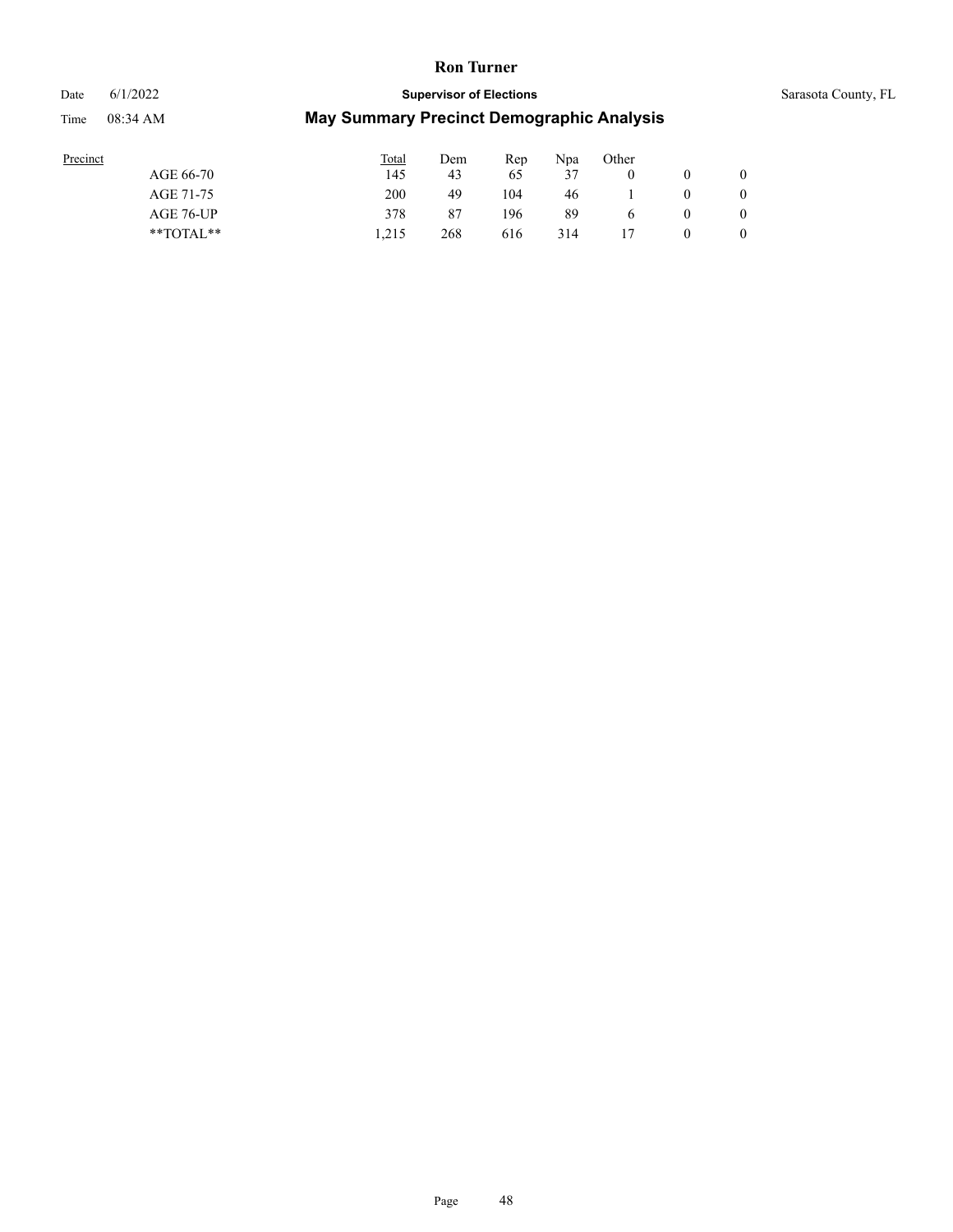### Date 6/1/2022 **Supervisor of Elections** Supervisor **Supervisor of Elections** Sarasota County, FL

| Precinct      | <b>Total</b> | Dem | Rep | Npa | Other        |   |                |
|---------------|--------------|-----|-----|-----|--------------|---|----------------|
| AGE 66-70     | 145          | 43  | 65  | 37  |              |   | $\mathbf{0}$   |
| AGE 71-75     | 200          | 49  | 104 | 46  |              | 0 | 0              |
| AGE 76-UP     | 378          | 87  | 196 | 89  | <sub>6</sub> | 0 | $\overline{0}$ |
| $*$ TOTAL $*$ | 1.215        | 268 | 616 | 314 |              | 0 | $\overline{0}$ |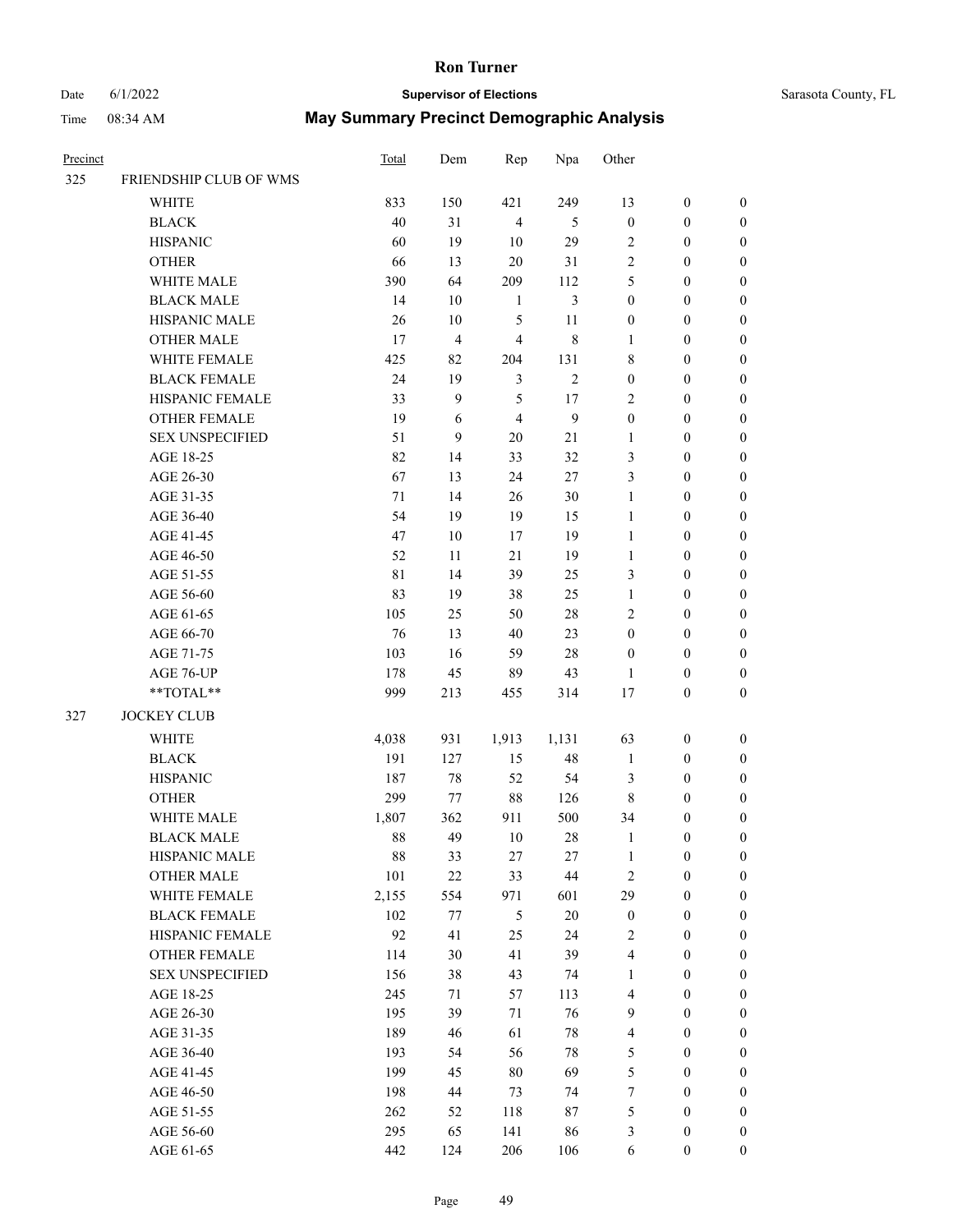# Date 6/1/2022 **Supervisor of Elections** Supervisor **Supervisor of Elections** Sarasota County, FL

| Precinct |                                  | Total | Dem            | Rep            | Npa            | Other                   |                  |                  |
|----------|----------------------------------|-------|----------------|----------------|----------------|-------------------------|------------------|------------------|
| 325      | FRIENDSHIP CLUB OF WMS           |       |                |                |                |                         |                  |                  |
|          | WHITE                            | 833   | 150            | 421            | 249            | 13                      | $\boldsymbol{0}$ | 0                |
|          | <b>BLACK</b>                     | 40    | 31             | $\overline{4}$ | 5              | $\boldsymbol{0}$        | $\boldsymbol{0}$ | $\boldsymbol{0}$ |
|          | <b>HISPANIC</b>                  | 60    | 19             | $10\,$         | 29             | $\sqrt{2}$              | $\boldsymbol{0}$ | $\boldsymbol{0}$ |
|          | <b>OTHER</b>                     | 66    | 13             | $20\,$         | 31             | $\sqrt{2}$              | $\boldsymbol{0}$ | $\boldsymbol{0}$ |
|          | WHITE MALE                       | 390   | 64             | 209            | 112            | 5                       | $\boldsymbol{0}$ | $\boldsymbol{0}$ |
|          | <b>BLACK MALE</b>                | 14    | 10             | $\mathbf{1}$   | $\mathfrak{Z}$ | $\boldsymbol{0}$        | $\boldsymbol{0}$ | $\boldsymbol{0}$ |
|          | HISPANIC MALE                    | 26    | $10\,$         | 5              | 11             | $\boldsymbol{0}$        | $\boldsymbol{0}$ | $\boldsymbol{0}$ |
|          | <b>OTHER MALE</b>                | 17    | $\overline{4}$ | $\overline{4}$ | $\,$ 8 $\,$    | $\mathbf{1}$            | $\boldsymbol{0}$ | $\boldsymbol{0}$ |
|          | WHITE FEMALE                     | 425   | 82             | 204            | 131            | 8                       | $\boldsymbol{0}$ | $\boldsymbol{0}$ |
|          | <b>BLACK FEMALE</b>              | 24    | 19             | $\mathfrak{Z}$ | $\sqrt{2}$     | $\boldsymbol{0}$        | $\boldsymbol{0}$ | 0                |
|          | HISPANIC FEMALE                  | 33    | 9              | 5              | 17             | $\mathbf{2}$            | $\boldsymbol{0}$ | 0                |
|          | OTHER FEMALE                     | 19    | 6              | $\overline{4}$ | $\mathbf{9}$   | $\boldsymbol{0}$        | $\boldsymbol{0}$ | 0                |
|          | <b>SEX UNSPECIFIED</b>           | 51    | 9              | 20             | 21             | $\mathbf{1}$            | $\boldsymbol{0}$ | $\boldsymbol{0}$ |
|          | AGE 18-25                        | 82    | 14             | 33             | 32             | 3                       | $\boldsymbol{0}$ | $\boldsymbol{0}$ |
|          | AGE 26-30                        | 67    | 13             | 24             | $27\,$         | 3                       | $\boldsymbol{0}$ | $\boldsymbol{0}$ |
|          | AGE 31-35                        | 71    | 14             | 26             | $30\,$         | $\mathbf{1}$            | $\boldsymbol{0}$ | $\boldsymbol{0}$ |
|          | AGE 36-40                        | 54    | 19             | 19             | 15             | $\mathbf{1}$            | $\boldsymbol{0}$ | $\boldsymbol{0}$ |
|          | AGE 41-45                        | 47    | $10\,$         | 17             | 19             | $\mathbf{1}$            | $\boldsymbol{0}$ | $\boldsymbol{0}$ |
|          | AGE 46-50                        | 52    | 11             | 21             | 19             | $\mathbf{1}$            | $\boldsymbol{0}$ | $\boldsymbol{0}$ |
|          | AGE 51-55                        | 81    | 14             | 39             | 25             | 3                       | $\boldsymbol{0}$ | 0                |
|          | AGE 56-60                        | 83    | 19             | 38             | 25             | $\mathbf{1}$            | $\boldsymbol{0}$ | 0                |
|          | AGE 61-65                        | 105   | 25             | 50             | 28             | $\mathbf{2}$            | $\boldsymbol{0}$ | 0                |
|          | AGE 66-70                        | 76    | 13             | $40\,$         | 23             | $\boldsymbol{0}$        | $\boldsymbol{0}$ | $\boldsymbol{0}$ |
|          | AGE 71-75                        | 103   | 16             | 59             | 28             | $\boldsymbol{0}$        | $\boldsymbol{0}$ | $\boldsymbol{0}$ |
|          | AGE 76-UP                        | 178   | 45             | 89             | 43             | $\mathbf{1}$            | $\boldsymbol{0}$ | $\boldsymbol{0}$ |
|          | $\mathrm{``TOTAL}^{\mathrm{**}}$ | 999   | 213            | 455            | 314            | $17$                    | $\boldsymbol{0}$ | $\boldsymbol{0}$ |
| 327      | <b>JOCKEY CLUB</b>               |       |                |                |                |                         |                  |                  |
|          | <b>WHITE</b>                     | 4,038 | 931            | 1,913          | 1,131          | 63                      | $\boldsymbol{0}$ | $\boldsymbol{0}$ |
|          | <b>BLACK</b>                     | 191   | 127            | 15             | 48             | $\mathbf{1}$            | $\boldsymbol{0}$ | $\boldsymbol{0}$ |
|          | <b>HISPANIC</b>                  | 187   | 78             | 52             | 54             | 3                       | $\boldsymbol{0}$ | $\boldsymbol{0}$ |
|          | <b>OTHER</b>                     | 299   | 77             | $88\,$         | 126            | 8                       | $\boldsymbol{0}$ | $\boldsymbol{0}$ |
|          | WHITE MALE                       | 1,807 | 362            | 911            | 500            | 34                      | 0                | $\boldsymbol{0}$ |
|          | <b>BLACK MALE</b>                | 88    | 49             | 10             | 28             | 1                       | $\boldsymbol{0}$ | $\boldsymbol{0}$ |
|          | HISPANIC MALE                    | 88    | 33             | 27             | 27             | $\mathbf{1}$            | $\boldsymbol{0}$ | 0                |
|          | <b>OTHER MALE</b>                | 101   | $22\,$         | 33             | 44             | $\sqrt{2}$              | $\boldsymbol{0}$ | 0                |
|          | WHITE FEMALE                     | 2,155 | 554            | 971            | 601            | 29                      | $\boldsymbol{0}$ | $\overline{0}$   |
|          | <b>BLACK FEMALE</b>              | 102   | 77             | 5              | $20\,$         | $\boldsymbol{0}$        | $\boldsymbol{0}$ | 0                |
|          | HISPANIC FEMALE                  | 92    | 41             | 25             | 24             | $\mathbf{2}$            | $\boldsymbol{0}$ | 0                |
|          | <b>OTHER FEMALE</b>              | 114   | 30             | 41             | 39             | 4                       | $\boldsymbol{0}$ | 0                |
|          | <b>SEX UNSPECIFIED</b>           | 156   | 38             | 43             | 74             | $\mathbf{1}$            | $\boldsymbol{0}$ | 0                |
|          | AGE 18-25                        | 245   | 71             | 57             | 113            | 4                       | $\boldsymbol{0}$ | 0                |
|          | AGE 26-30                        | 195   | 39             | 71             | 76             | $\mathbf{9}$            | $\boldsymbol{0}$ | 0                |
|          | AGE 31-35                        | 189   | 46             | 61             | 78             | $\overline{\mathbf{4}}$ | $\boldsymbol{0}$ | 0                |
|          | AGE 36-40                        | 193   | 54             | 56             | 78             | 5                       | $\boldsymbol{0}$ | 0                |
|          | AGE 41-45                        | 199   | 45             | $80\,$         | 69             | $\mathfrak s$           | $\boldsymbol{0}$ | $\overline{0}$   |
|          | AGE 46-50                        | 198   | 44             | 73             | 74             | $\boldsymbol{7}$        | $\boldsymbol{0}$ | $\overline{0}$   |
|          | AGE 51-55                        | 262   | 52             | 118            | 87             | 5                       | $\boldsymbol{0}$ | 0                |
|          | AGE 56-60                        | 295   | 65             | 141            | 86             | 3                       | $\boldsymbol{0}$ | 0                |
|          | AGE 61-65                        | 442   | 124            | 206            | 106            | 6                       | $\boldsymbol{0}$ | $\overline{0}$   |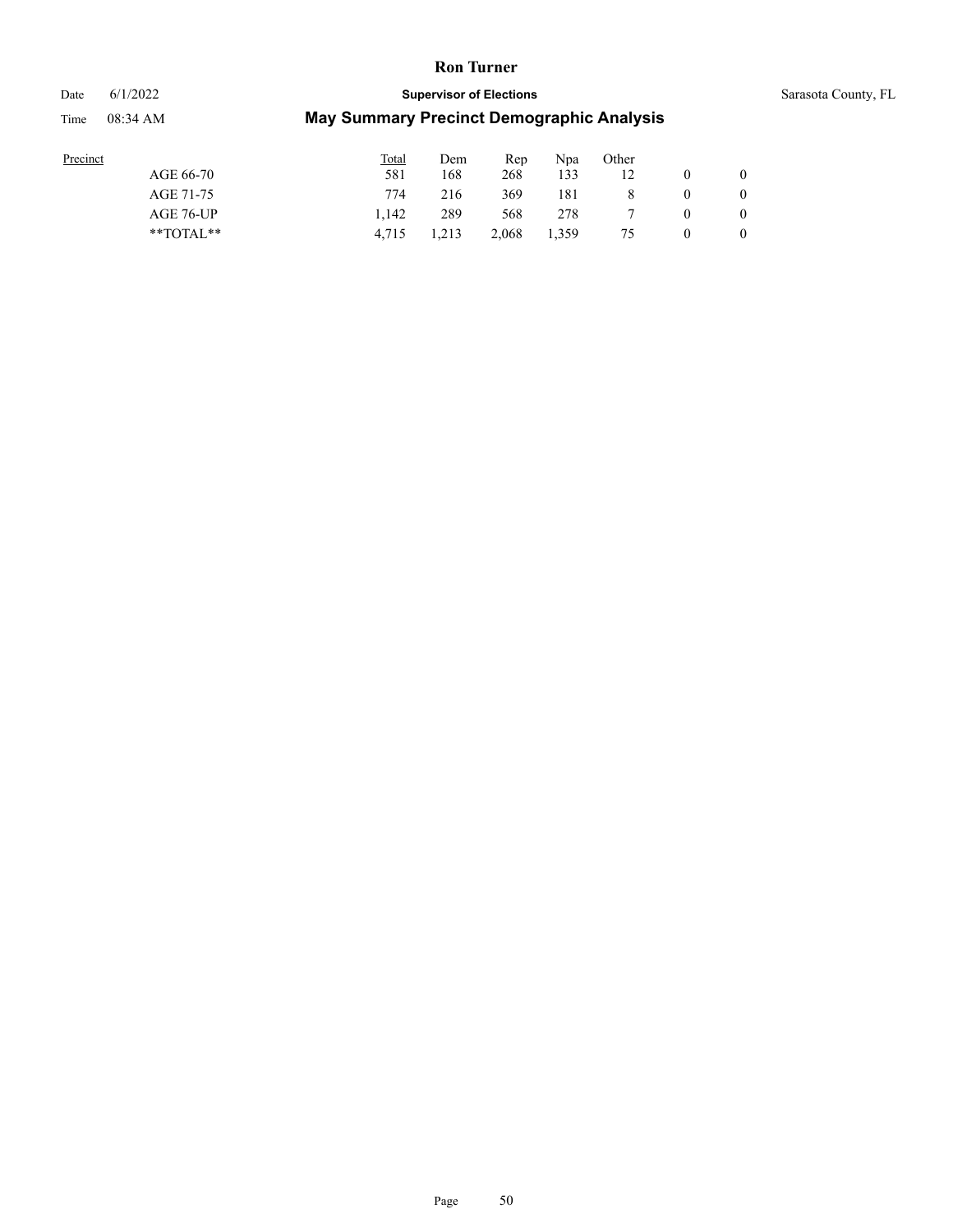## Date 6/1/2022 **Supervisor of Elections Supervisor of Elections** Sarasota County, FL Time 08:34 AM **May Summary Precinct Demographic Analysis**

| Precinct |                | Total | Dem   | Rep   | Npa   | Other |                |
|----------|----------------|-------|-------|-------|-------|-------|----------------|
|          | AGE 66-70      | 581   | 168   | 268   | 133   | 12    | $\overline{0}$ |
|          | AGE 71-75      | 774   | 216   | 369   | 181   |       | $\overline{0}$ |
|          | AGE 76-UP      | 1.142 | 289   | 568   | 278   |       | $\overline{0}$ |
|          | $*$ TOTAL $**$ | 4,715 | 1,213 | 2,068 | 1,359 | 75    | $\overline{0}$ |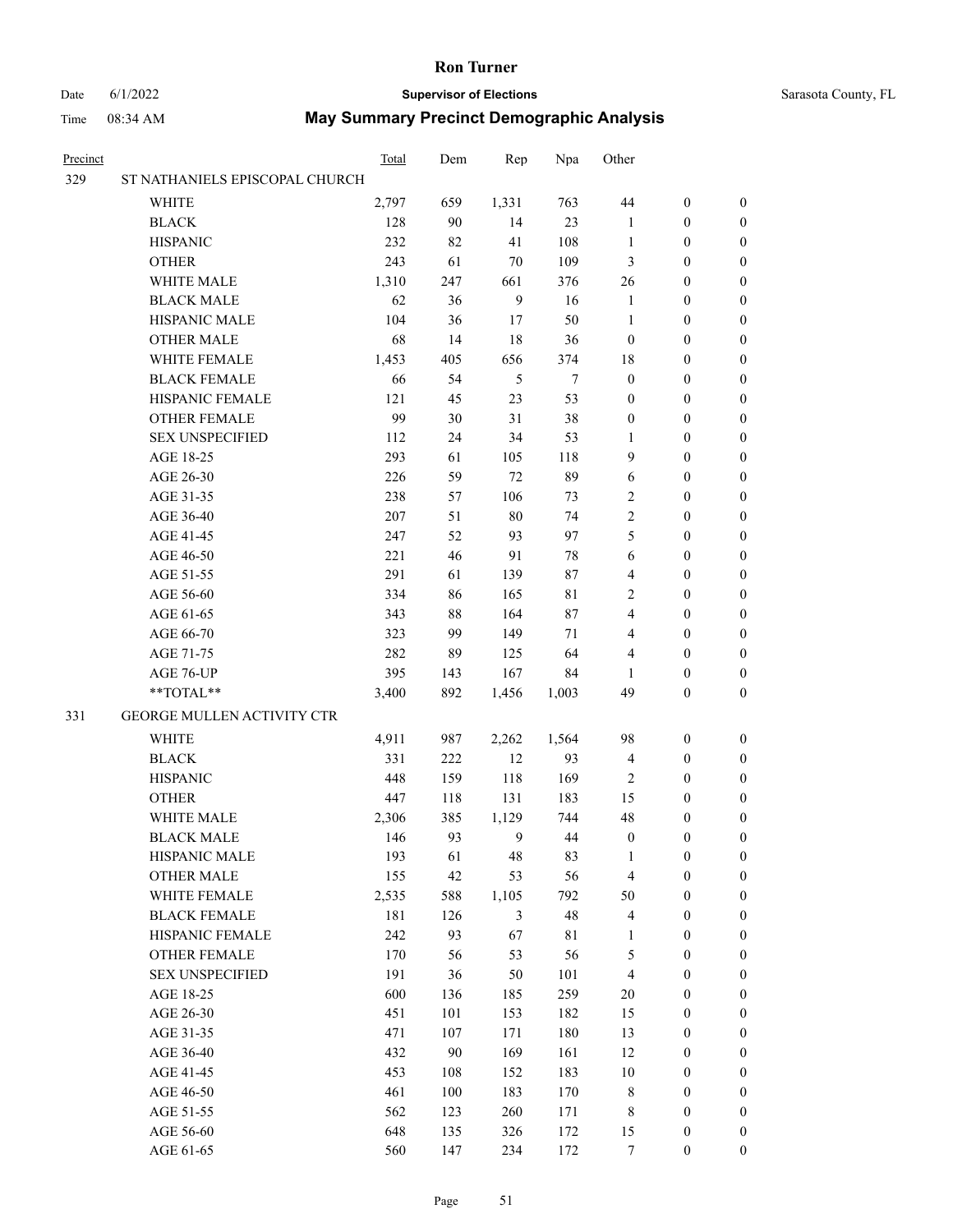## Date 6/1/2022 **Supervisor of Elections** Sarasota County, FL

| Precinct |                                   | <b>Total</b> | Dem | Rep            | Npa         | Other            |                  |                  |
|----------|-----------------------------------|--------------|-----|----------------|-------------|------------------|------------------|------------------|
| 329      | ST NATHANIELS EPISCOPAL CHURCH    |              |     |                |             |                  |                  |                  |
|          | <b>WHITE</b>                      | 2,797        | 659 | 1,331          | 763         | 44               | $\boldsymbol{0}$ | $\boldsymbol{0}$ |
|          | <b>BLACK</b>                      | 128          | 90  | 14             | 23          | 1                | $\boldsymbol{0}$ | $\boldsymbol{0}$ |
|          | <b>HISPANIC</b>                   | 232          | 82  | 41             | 108         | $\mathbf{1}$     | $\boldsymbol{0}$ | $\boldsymbol{0}$ |
|          | <b>OTHER</b>                      | 243          | 61  | 70             | 109         | 3                | $\boldsymbol{0}$ | $\boldsymbol{0}$ |
|          | WHITE MALE                        | 1,310        | 247 | 661            | 376         | 26               | $\boldsymbol{0}$ | $\boldsymbol{0}$ |
|          | <b>BLACK MALE</b>                 | 62           | 36  | 9              | 16          | $\mathbf{1}$     | $\boldsymbol{0}$ | $\boldsymbol{0}$ |
|          | HISPANIC MALE                     | 104          | 36  | 17             | 50          | $\mathbf{1}$     | $\boldsymbol{0}$ | $\boldsymbol{0}$ |
|          | <b>OTHER MALE</b>                 | 68           | 14  | 18             | 36          | $\boldsymbol{0}$ | $\boldsymbol{0}$ | $\boldsymbol{0}$ |
|          | WHITE FEMALE                      | 1,453        | 405 | 656            | 374         | 18               | $\boldsymbol{0}$ | $\boldsymbol{0}$ |
|          | <b>BLACK FEMALE</b>               | 66           | 54  | 5              | 7           | $\boldsymbol{0}$ | $\boldsymbol{0}$ | 0                |
|          | HISPANIC FEMALE                   | 121          | 45  | 23             | 53          | $\boldsymbol{0}$ | $\boldsymbol{0}$ | 0                |
|          | <b>OTHER FEMALE</b>               | 99           | 30  | 31             | 38          | $\boldsymbol{0}$ | $\boldsymbol{0}$ | 0                |
|          | <b>SEX UNSPECIFIED</b>            | 112          | 24  | 34             | 53          | $\mathbf{1}$     | $\boldsymbol{0}$ | $\boldsymbol{0}$ |
|          | AGE 18-25                         | 293          | 61  | 105            | 118         | 9                | $\boldsymbol{0}$ | $\boldsymbol{0}$ |
|          | AGE 26-30                         | 226          | 59  | 72             | 89          | 6                | $\boldsymbol{0}$ | $\boldsymbol{0}$ |
|          | AGE 31-35                         | 238          | 57  | 106            | 73          | $\sqrt{2}$       | $\boldsymbol{0}$ | $\boldsymbol{0}$ |
|          | AGE 36-40                         | 207          | 51  | 80             | 74          | $\overline{c}$   | $\boldsymbol{0}$ | $\boldsymbol{0}$ |
|          | AGE 41-45                         | 247          | 52  | 93             | 97          | 5                | $\boldsymbol{0}$ | $\boldsymbol{0}$ |
|          | AGE 46-50                         | 221          | 46  | 91             | 78          | 6                | $\boldsymbol{0}$ | $\boldsymbol{0}$ |
|          | AGE 51-55                         | 291          | 61  | 139            | 87          | 4                | $\boldsymbol{0}$ | $\boldsymbol{0}$ |
|          | AGE 56-60                         | 334          | 86  | 165            | 81          | 2                | $\boldsymbol{0}$ | 0                |
|          | AGE 61-65                         | 343          | 88  | 164            | 87          | 4                | $\boldsymbol{0}$ | 0                |
|          | AGE 66-70                         | 323          | 99  | 149            | 71          | 4                | $\boldsymbol{0}$ | $\boldsymbol{0}$ |
|          | AGE 71-75                         | 282          | 89  | 125            | 64          | 4                | $\boldsymbol{0}$ | $\boldsymbol{0}$ |
|          | AGE 76-UP                         | 395          | 143 | 167            | 84          | 1                | $\boldsymbol{0}$ | $\boldsymbol{0}$ |
|          | **TOTAL**                         | 3,400        | 892 | 1,456          | 1,003       | 49               | $\boldsymbol{0}$ | $\boldsymbol{0}$ |
|          |                                   |              |     |                |             |                  |                  |                  |
| 331      | <b>GEORGE MULLEN ACTIVITY CTR</b> |              |     |                |             |                  |                  |                  |
|          | <b>WHITE</b>                      | 4,911        | 987 | 2,262          | 1,564       | 98               | $\boldsymbol{0}$ | $\boldsymbol{0}$ |
|          | <b>BLACK</b>                      | 331          | 222 | 12             | 93          | $\overline{4}$   | $\boldsymbol{0}$ | $\boldsymbol{0}$ |
|          | <b>HISPANIC</b>                   | 448          | 159 | 118            | 169         | $\overline{2}$   | $\boldsymbol{0}$ | $\boldsymbol{0}$ |
|          | <b>OTHER</b>                      | 447          | 118 | 131            | 183         | 15               | $\boldsymbol{0}$ | $\boldsymbol{0}$ |
|          | WHITE MALE                        | 2,306        | 385 | 1,129          | 744         | 48               | $\boldsymbol{0}$ | 0                |
|          | <b>BLACK MALE</b>                 | 146          | 93  | 9              | 44          | $\boldsymbol{0}$ | $\boldsymbol{0}$ | 0                |
|          | HISPANIC MALE                     | 193          | 61  | 48             | 83          | 1                | $\boldsymbol{0}$ | 0                |
|          | <b>OTHER MALE</b>                 | 155          | 42  | 53             | 56          | $\overline{4}$   | $\boldsymbol{0}$ | $\overline{0}$   |
|          | WHITE FEMALE                      | 2,535        | 588 | 1,105          | 792         | 50               | $\boldsymbol{0}$ | $\overline{0}$   |
|          | <b>BLACK FEMALE</b>               | 181          | 126 | $\mathfrak{Z}$ | 48          | 4                | $\boldsymbol{0}$ | $\overline{0}$   |
|          | HISPANIC FEMALE                   | 242          | 93  | 67             | $8\sqrt{1}$ | $\mathbf{1}$     | $\boldsymbol{0}$ | 0                |
|          | OTHER FEMALE                      | 170          | 56  | 53             | 56          | 5                | $\boldsymbol{0}$ | $\theta$         |
|          | <b>SEX UNSPECIFIED</b>            | 191          | 36  | 50             | 101         | $\overline{4}$   | $\boldsymbol{0}$ | 0                |
|          | AGE 18-25                         | 600          | 136 | 185            | 259         | $20\,$           | $\boldsymbol{0}$ | 0                |
|          | AGE 26-30                         | 451          | 101 | 153            | 182         | 15               | $\boldsymbol{0}$ | 0                |
|          | AGE 31-35                         | 471          | 107 | 171            | 180         | 13               | $\boldsymbol{0}$ | 0                |
|          | AGE 36-40                         | 432          | 90  | 169            | 161         | 12               | $\boldsymbol{0}$ | 0                |
|          | AGE 41-45                         | 453          | 108 | 152            | 183         | $10\,$           | $\boldsymbol{0}$ | 0                |
|          | AGE 46-50                         | 461          | 100 | 183            | 170         | 8                | $\boldsymbol{0}$ | $\overline{0}$   |
|          | AGE 51-55                         | 562          | 123 | 260            | 171         | 8                | $\boldsymbol{0}$ | $\overline{0}$   |
|          | AGE 56-60                         | 648          | 135 | 326            | 172         | 15               | $\boldsymbol{0}$ | 0                |
|          | AGE 61-65                         | 560          | 147 | 234            | 172         | $\tau$           | $\boldsymbol{0}$ | $\boldsymbol{0}$ |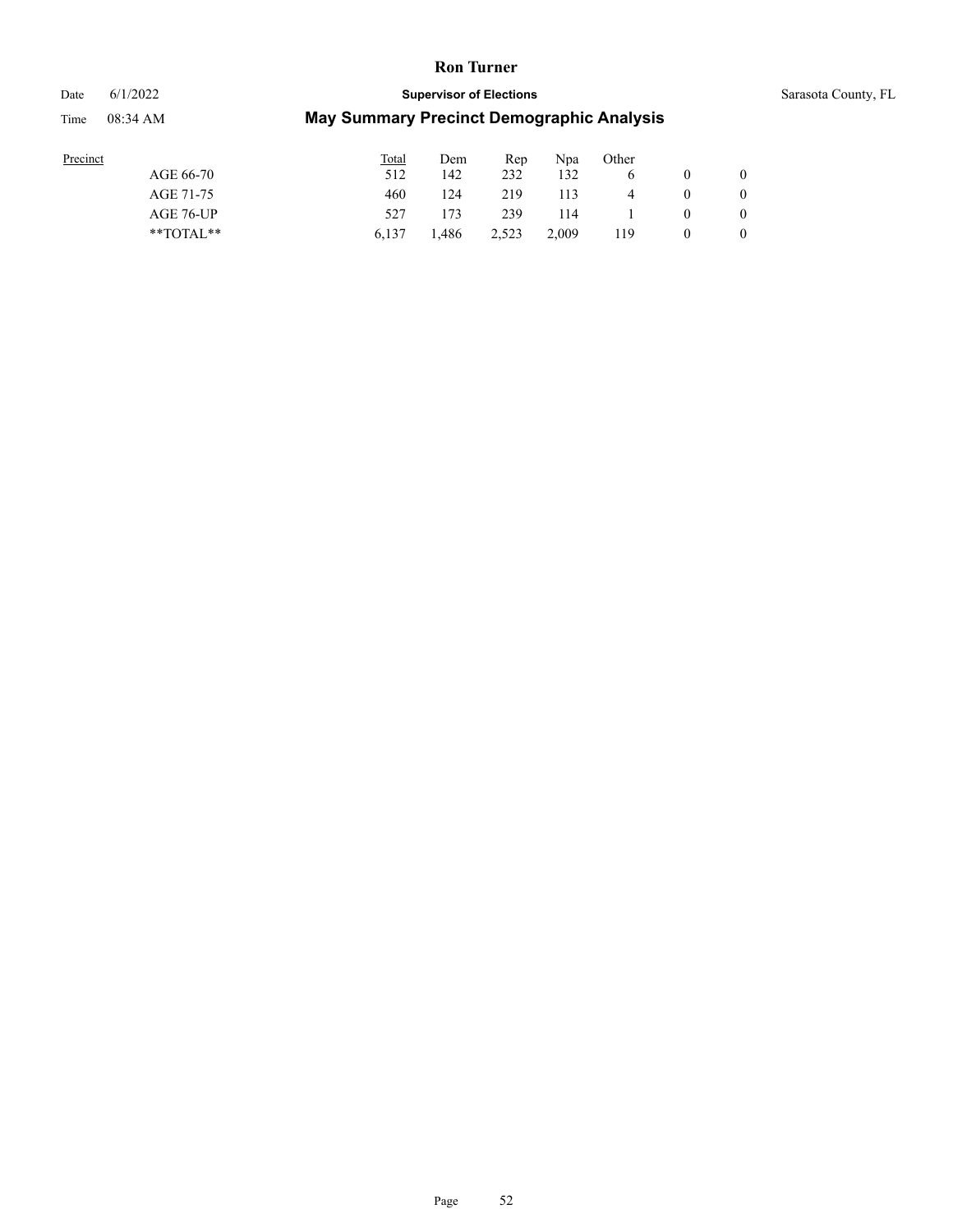## Date 6/1/2022 **Supervisor of Elections** Supervisor **Supervisor of Elections** Sarasota County, FL Time 08:34 AM **May Summary Precinct Demographic Analysis**

| Precinct      | <b>Total</b> | Dem   | Rep   | Npa   | Other |          |                  |
|---------------|--------------|-------|-------|-------|-------|----------|------------------|
| AGE 66-70     | 512          | 142   | 232   | 132   |       |          |                  |
| AGE 71-75     | 460          | 124   | 219   | 113   |       |          |                  |
| AGE 76-UP     | 527          | 173   | 239   | 114   |       | $\left($ | $\boldsymbol{0}$ |
| $*$ TOTAL $*$ | 6.137        | 1,486 | 2.523 | 2.009 | 119   |          | 0                |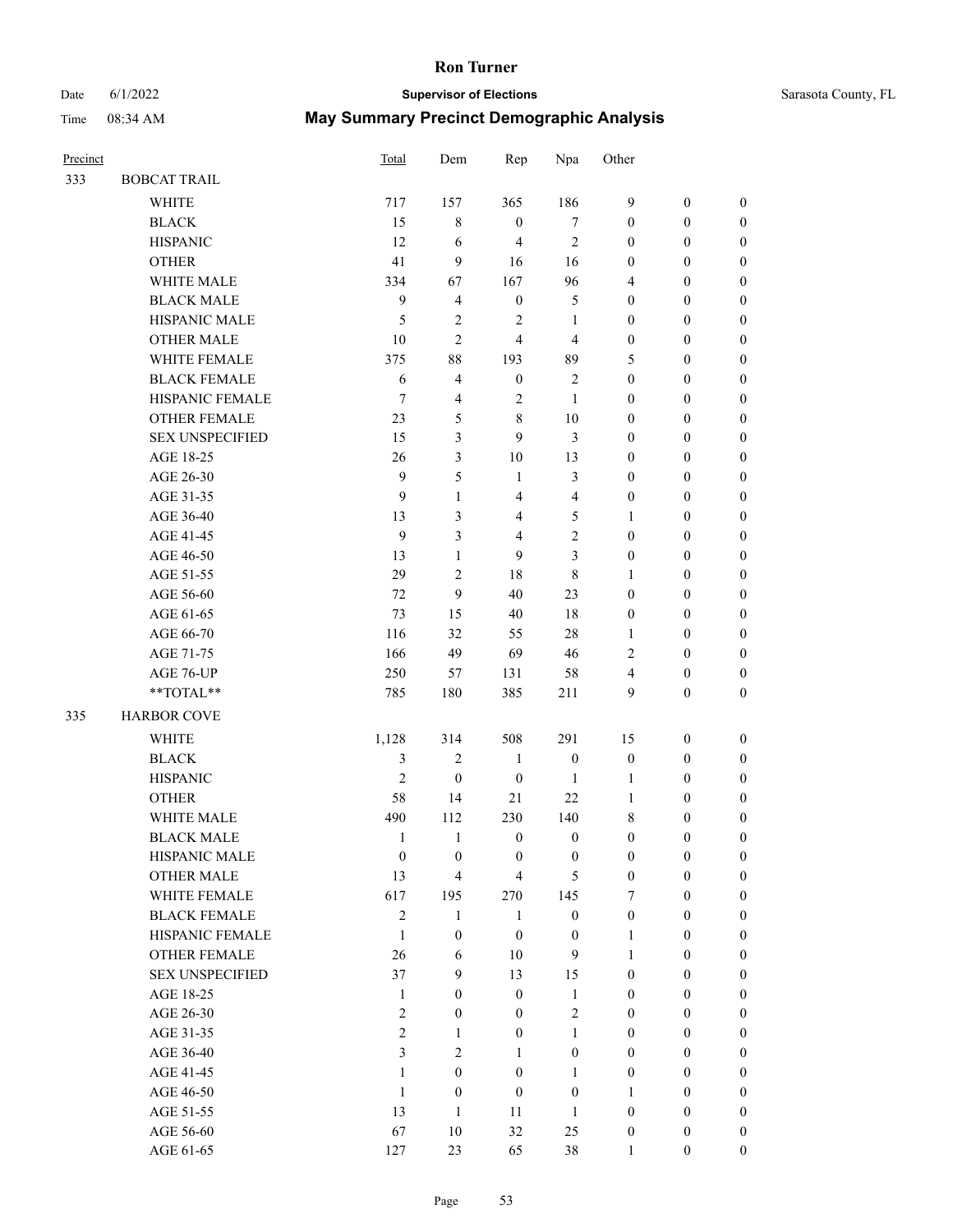## Date 6/1/2022 **Supervisor of Elections** Time 08:34 AM **May Summary Precinct Demographic Analysis**

| Sarasota County, FL |  |  |
|---------------------|--|--|
|---------------------|--|--|

| Precinct |                        | Total            | Dem              | Rep              | Npa              | Other            |                  |                  |
|----------|------------------------|------------------|------------------|------------------|------------------|------------------|------------------|------------------|
| 333      | <b>BOBCAT TRAIL</b>    |                  |                  |                  |                  |                  |                  |                  |
|          | <b>WHITE</b>           | 717              | 157              | 365              | 186              | 9                | $\boldsymbol{0}$ | $\boldsymbol{0}$ |
|          | <b>BLACK</b>           | 15               | $\,$ 8 $\,$      | $\boldsymbol{0}$ | $\tau$           | $\mathbf{0}$     | $\mathbf{0}$     | $\boldsymbol{0}$ |
|          | <b>HISPANIC</b>        | 12               | 6                | 4                | $\overline{2}$   | $\boldsymbol{0}$ | $\boldsymbol{0}$ | $\boldsymbol{0}$ |
|          | <b>OTHER</b>           | 41               | 9                | 16               | 16               | $\boldsymbol{0}$ | $\boldsymbol{0}$ | $\boldsymbol{0}$ |
|          | WHITE MALE             | 334              | 67               | 167              | 96               | 4                | $\boldsymbol{0}$ | $\boldsymbol{0}$ |
|          | <b>BLACK MALE</b>      | 9                | $\overline{4}$   | $\boldsymbol{0}$ | 5                | $\boldsymbol{0}$ | $\boldsymbol{0}$ | $\boldsymbol{0}$ |
|          | HISPANIC MALE          | 5                | $\sqrt{2}$       | $\sqrt{2}$       | 1                | $\boldsymbol{0}$ | $\boldsymbol{0}$ | $\boldsymbol{0}$ |
|          | <b>OTHER MALE</b>      | $10\,$           | $\overline{c}$   | $\overline{4}$   | $\overline{4}$   | $\boldsymbol{0}$ | $\mathbf{0}$     | $\boldsymbol{0}$ |
|          | WHITE FEMALE           | 375              | 88               | 193              | 89               | 5                | $\boldsymbol{0}$ | $\boldsymbol{0}$ |
|          | <b>BLACK FEMALE</b>    | 6                | $\overline{4}$   | $\boldsymbol{0}$ | $\overline{2}$   | $\mathbf{0}$     | $\boldsymbol{0}$ | $\boldsymbol{0}$ |
|          | HISPANIC FEMALE        | 7                | $\overline{4}$   | 2                | 1                | $\mathbf{0}$     | $\boldsymbol{0}$ | $\boldsymbol{0}$ |
|          | OTHER FEMALE           | 23               | 5                | 8                | 10               | $\mathbf{0}$     | $\boldsymbol{0}$ | $\boldsymbol{0}$ |
|          | <b>SEX UNSPECIFIED</b> | 15               | 3                | 9                | 3                | $\boldsymbol{0}$ | $\boldsymbol{0}$ | $\boldsymbol{0}$ |
|          | AGE 18-25              | 26               | 3                | 10               | 13               | $\boldsymbol{0}$ | $\boldsymbol{0}$ | $\boldsymbol{0}$ |
|          | AGE 26-30              | $\boldsymbol{9}$ | 5                | $\mathbf{1}$     | 3                | $\boldsymbol{0}$ | $\boldsymbol{0}$ | $\boldsymbol{0}$ |
|          | AGE 31-35              | 9                | $\mathbf{1}$     | 4                | $\overline{4}$   | $\boldsymbol{0}$ | $\boldsymbol{0}$ | $\boldsymbol{0}$ |
|          | AGE 36-40              | 13               | 3                | 4                | 5                | 1                | $\boldsymbol{0}$ | $\boldsymbol{0}$ |
|          | AGE 41-45              | $\mathbf{9}$     | 3                | 4                | $\overline{2}$   | $\mathbf{0}$     | $\boldsymbol{0}$ | $\boldsymbol{0}$ |
|          | AGE 46-50              | 13               | $\mathbf{1}$     | 9                | 3                | $\mathbf{0}$     | $\boldsymbol{0}$ | $\boldsymbol{0}$ |
|          | AGE 51-55              | 29               | $\overline{c}$   | 18               | 8                | 1                | $\boldsymbol{0}$ | $\boldsymbol{0}$ |
|          | AGE 56-60              | 72               | 9                | 40               | 23               | $\boldsymbol{0}$ | $\boldsymbol{0}$ | $\boldsymbol{0}$ |
|          | AGE 61-65              | 73               | 15               | 40               | 18               | $\mathbf{0}$     | $\mathbf{0}$     | $\boldsymbol{0}$ |
|          | AGE 66-70              | 116              | 32               | 55               | 28               | 1                | $\boldsymbol{0}$ | $\boldsymbol{0}$ |
|          | AGE 71-75              | 166              | 49               | 69               | 46               | 2                | $\boldsymbol{0}$ | $\boldsymbol{0}$ |
|          | AGE 76-UP              | 250              | 57               | 131              | 58               | 4                | $\mathbf{0}$     | $\boldsymbol{0}$ |
|          | **TOTAL**              | 785              | 180              | 385              | 211              | 9                | $\boldsymbol{0}$ | $\boldsymbol{0}$ |
| 335      | <b>HARBOR COVE</b>     |                  |                  |                  |                  |                  |                  |                  |
|          | <b>WHITE</b>           | 1,128            | 314              | 508              | 291              | 15               | $\boldsymbol{0}$ | $\boldsymbol{0}$ |
|          | <b>BLACK</b>           | 3                | $\sqrt{2}$       | $\mathbf{1}$     | $\boldsymbol{0}$ | $\boldsymbol{0}$ | $\boldsymbol{0}$ | $\boldsymbol{0}$ |
|          | <b>HISPANIC</b>        | $\mathfrak{2}$   | $\boldsymbol{0}$ | $\boldsymbol{0}$ | 1                | 1                | $\boldsymbol{0}$ | $\boldsymbol{0}$ |
|          | <b>OTHER</b>           | 58               | 14               | 21               | 22               | 1                | $\boldsymbol{0}$ | 0                |
|          | WHITE MALE             | 490              | 112              | 230              | 140              | 8                | $\boldsymbol{0}$ | $\boldsymbol{0}$ |
|          | <b>BLACK MALE</b>      | -1               | -1               | $\bf{0}$         | $\bf{0}$         | $\boldsymbol{0}$ | 0                | $\boldsymbol{0}$ |
|          | HISPANIC MALE          | $\boldsymbol{0}$ | $\boldsymbol{0}$ | $\mathbf{0}$     | $\boldsymbol{0}$ | $\mathbf{0}$     | $\boldsymbol{0}$ | $\boldsymbol{0}$ |
|          | OTHER MALE             | 13               | $\overline{4}$   | $\overline{4}$   | 5                | $\mathbf{0}$     | $\boldsymbol{0}$ | $\theta$         |
|          | WHITE FEMALE           | 617              | 195              | 270              | 145              | 7                | $\boldsymbol{0}$ | $\theta$         |
|          | <b>BLACK FEMALE</b>    | $\overline{c}$   | $\mathbf{1}$     | 1                | $\boldsymbol{0}$ | $\mathbf{0}$     | $\theta$         | $\theta$         |
|          | HISPANIC FEMALE        | $\mathbf{1}$     | $\boldsymbol{0}$ | $\boldsymbol{0}$ | $\boldsymbol{0}$ | 1                | $\boldsymbol{0}$ | $\theta$         |
|          | <b>OTHER FEMALE</b>    | 26               | 6                | 10               | 9                | 1                | $\boldsymbol{0}$ | $\mathbf{0}$     |
|          | <b>SEX UNSPECIFIED</b> | 37               | 9                | 13               | 15               | $\mathbf{0}$     | $\boldsymbol{0}$ | $\theta$         |
|          | AGE 18-25              | $\mathbf{1}$     | $\mathbf{0}$     | $\mathbf{0}$     | 1                | $\mathbf{0}$     | $\boldsymbol{0}$ | $\theta$         |
|          | AGE 26-30              | 2                | $\mathbf{0}$     | $\mathbf{0}$     | $\overline{2}$   | $\theta$         | $\theta$         | $\theta$         |
|          | AGE 31-35              | $\sqrt{2}$       | $\mathbf{1}$     | $\boldsymbol{0}$ | 1                | $\mathbf{0}$     | $\boldsymbol{0}$ | $\overline{0}$   |
|          | AGE 36-40              | 3                | 2                | 1                | $\mathbf{0}$     | $\mathbf{0}$     | $\boldsymbol{0}$ | $\boldsymbol{0}$ |

AGE 41-45 1 0 0 1 0 0 0 AGE 46-50 1 0 0 0 1 0 0 AGE 51-55 13 1 11 1 0 0 0 AGE 56-60 67 10 32 25 0 0 AGE 61-65 127 23 65 38 1 0 0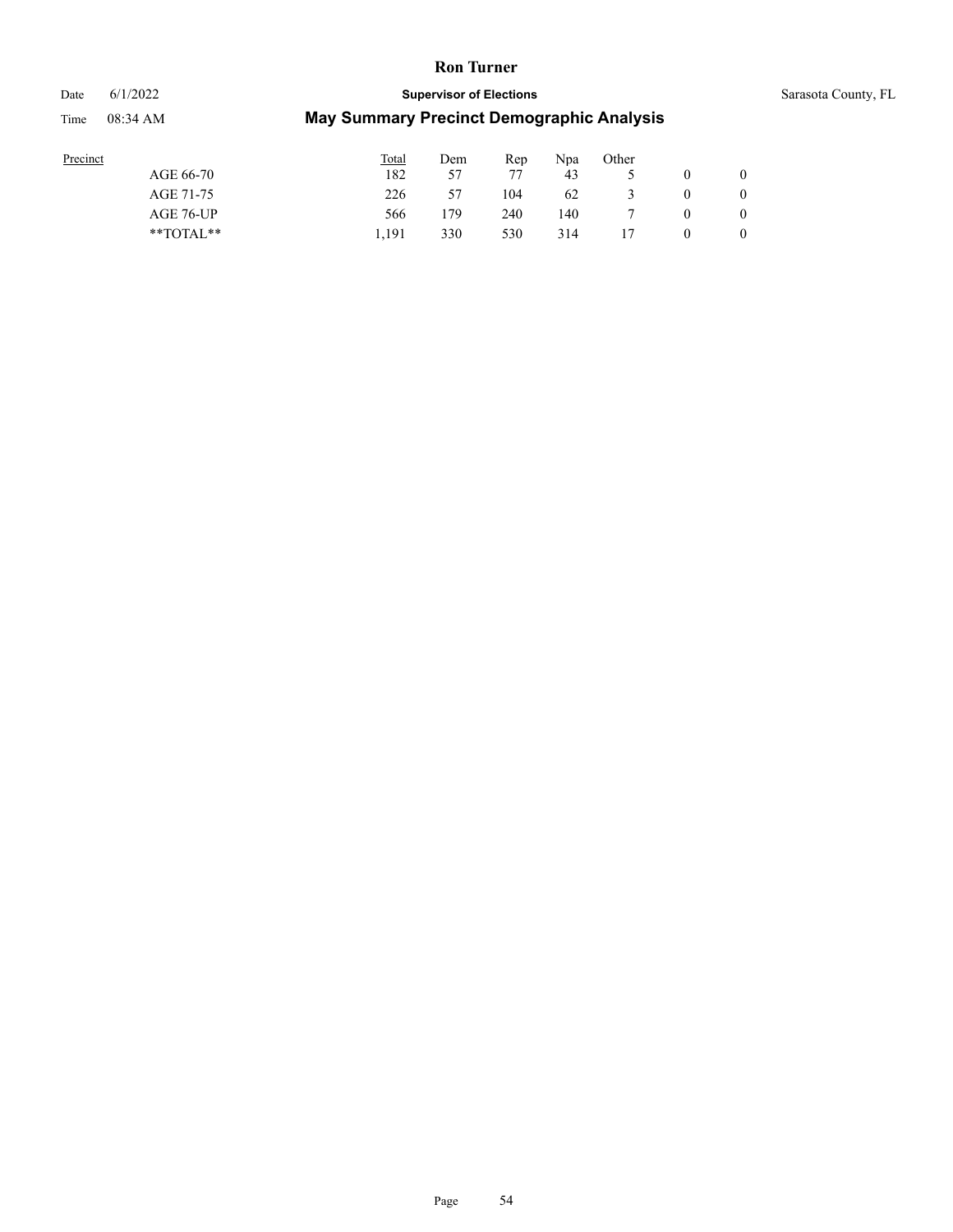Date 6/1/2022 **Supervisor of Elections** Supervisor **Supervisor of Elections** Sarasota County, FL

| Precinct      | Total | Dem | Rep | Npa | Other |   |   |
|---------------|-------|-----|-----|-----|-------|---|---|
| AGE 66-70     | 182   | 57  | 77  | 43  |       |   |   |
| AGE 71-75     | 226   | 57  | 104 | 62  |       | O |   |
| AGE 76-UP     | 566   | 179 | 240 | 140 |       |   |   |
| $*$ TOTAL $*$ | 1.191 | 330 | 530 | 314 |       |   | 0 |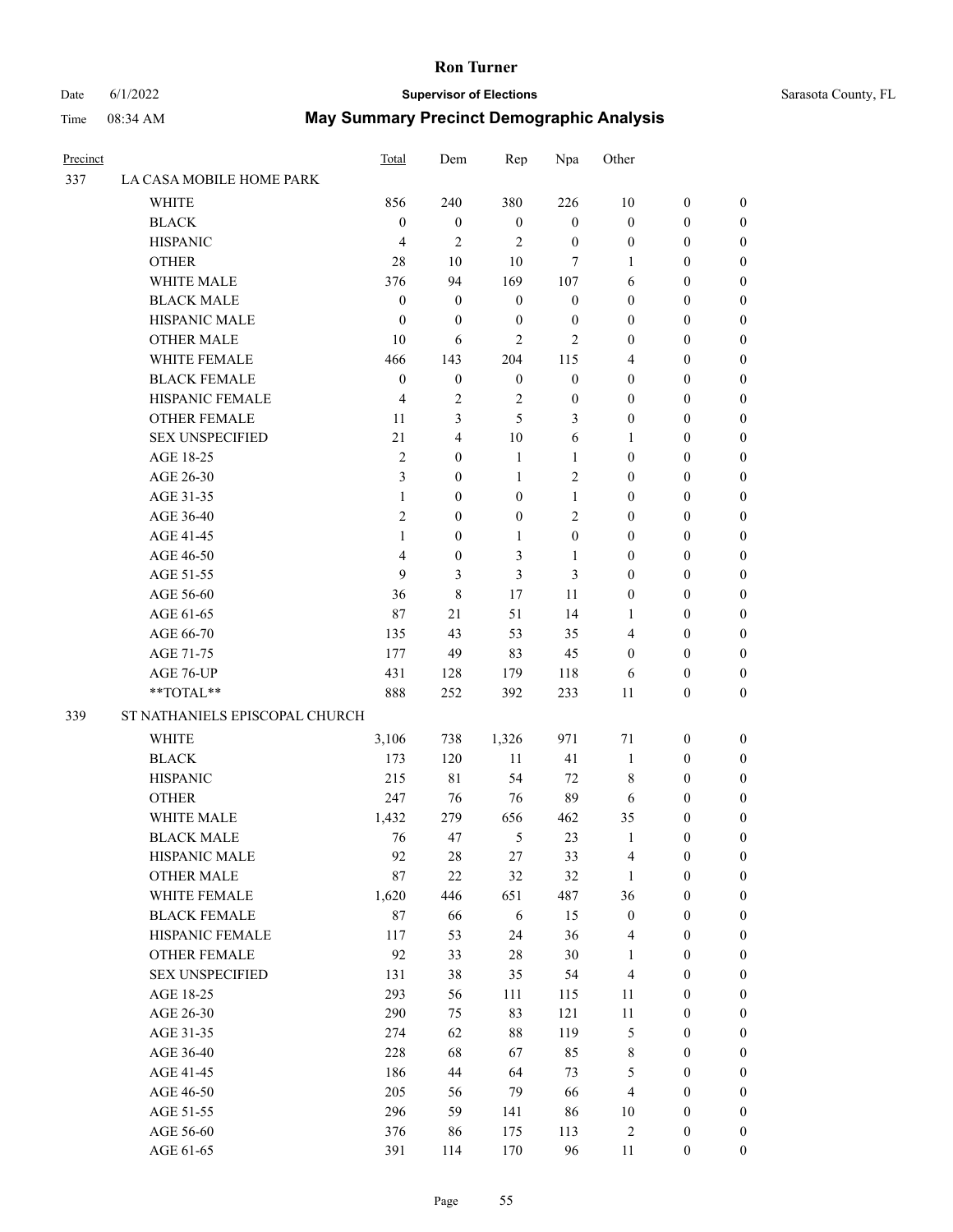# Date 6/1/2022 **Supervisor of Elections** Supervisor **Supervisor of Elections** Sarasota County, FL

| Precinct |                                | Total            | Dem              | Rep              | Npa              | Other            |                  |                  |
|----------|--------------------------------|------------------|------------------|------------------|------------------|------------------|------------------|------------------|
| 337      | LA CASA MOBILE HOME PARK       |                  |                  |                  |                  |                  |                  |                  |
|          | <b>WHITE</b>                   | 856              | 240              | 380              | 226              | 10               | $\boldsymbol{0}$ | $\boldsymbol{0}$ |
|          | <b>BLACK</b>                   | $\boldsymbol{0}$ | $\boldsymbol{0}$ | $\mathbf{0}$     | $\boldsymbol{0}$ | $\boldsymbol{0}$ | $\boldsymbol{0}$ | $\boldsymbol{0}$ |
|          | <b>HISPANIC</b>                | $\overline{4}$   | $\mathfrak{2}$   | $\overline{c}$   | $\boldsymbol{0}$ | $\boldsymbol{0}$ | $\boldsymbol{0}$ | $\boldsymbol{0}$ |
|          | <b>OTHER</b>                   | 28               | 10               | 10               | $\overline{7}$   | 1                | $\boldsymbol{0}$ | $\boldsymbol{0}$ |
|          | WHITE MALE                     | 376              | 94               | 169              | 107              | 6                | 0                | $\boldsymbol{0}$ |
|          | <b>BLACK MALE</b>              | $\boldsymbol{0}$ | $\boldsymbol{0}$ | $\boldsymbol{0}$ | $\boldsymbol{0}$ | $\boldsymbol{0}$ | 0                | $\boldsymbol{0}$ |
|          | HISPANIC MALE                  | $\boldsymbol{0}$ | $\boldsymbol{0}$ | $\boldsymbol{0}$ | $\boldsymbol{0}$ | $\boldsymbol{0}$ | 0                | $\boldsymbol{0}$ |
|          | <b>OTHER MALE</b>              | 10               | 6                | $\overline{c}$   | $\mathbf{2}$     | $\boldsymbol{0}$ | $\boldsymbol{0}$ | $\boldsymbol{0}$ |
|          | WHITE FEMALE                   | 466              | 143              | 204              | 115              | 4                | $\boldsymbol{0}$ | $\boldsymbol{0}$ |
|          | <b>BLACK FEMALE</b>            | $\boldsymbol{0}$ | $\boldsymbol{0}$ | $\boldsymbol{0}$ | $\boldsymbol{0}$ | $\boldsymbol{0}$ | $\boldsymbol{0}$ | $\boldsymbol{0}$ |
|          | HISPANIC FEMALE                | $\overline{4}$   | $\mathbf{2}$     | $\sqrt{2}$       | $\boldsymbol{0}$ | $\boldsymbol{0}$ | $\boldsymbol{0}$ | 0                |
|          | <b>OTHER FEMALE</b>            | 11               | 3                | 5                | 3                | $\boldsymbol{0}$ | $\boldsymbol{0}$ | $\boldsymbol{0}$ |
|          | <b>SEX UNSPECIFIED</b>         | 21               | $\overline{4}$   | 10               | 6                | 1                | $\boldsymbol{0}$ | $\boldsymbol{0}$ |
|          | AGE 18-25                      | $\mathbf{2}$     | $\boldsymbol{0}$ | $\mathbf{1}$     | $\mathbf{1}$     | $\boldsymbol{0}$ | $\boldsymbol{0}$ | $\boldsymbol{0}$ |
|          | AGE 26-30                      | 3                | $\mathbf{0}$     | $\mathbf{1}$     | $\sqrt{2}$       | $\boldsymbol{0}$ | 0                | $\boldsymbol{0}$ |
|          | AGE 31-35                      | 1                | $\mathbf{0}$     | $\boldsymbol{0}$ | 1                | $\boldsymbol{0}$ | 0                | $\boldsymbol{0}$ |
|          | AGE 36-40                      | $\overline{2}$   | $\mathbf{0}$     | $\boldsymbol{0}$ | $\mathfrak{2}$   | $\boldsymbol{0}$ | 0                | $\boldsymbol{0}$ |
|          | AGE 41-45                      | $\mathbf{1}$     | $\boldsymbol{0}$ | $\mathbf{1}$     | $\boldsymbol{0}$ | $\boldsymbol{0}$ | $\boldsymbol{0}$ | $\boldsymbol{0}$ |
|          | AGE 46-50                      | 4                | $\boldsymbol{0}$ | 3                | $\mathbf{1}$     | $\boldsymbol{0}$ | $\boldsymbol{0}$ | $\boldsymbol{0}$ |
|          | AGE 51-55                      | 9                | 3                | 3                | 3                | $\boldsymbol{0}$ | 0                | $\boldsymbol{0}$ |
|          | AGE 56-60                      | 36               | $\,8\,$          | 17               | 11               | $\boldsymbol{0}$ | $\boldsymbol{0}$ | $\boldsymbol{0}$ |
|          | AGE 61-65                      | 87               | 21               | 51               | 14               | 1                | $\boldsymbol{0}$ | $\boldsymbol{0}$ |
|          | AGE 66-70                      | 135              | 43               | 53               | 35               | 4                | $\boldsymbol{0}$ | $\boldsymbol{0}$ |
|          | AGE 71-75                      | 177              | 49               | 83               | 45               | 0                | $\boldsymbol{0}$ | $\boldsymbol{0}$ |
|          | AGE 76-UP                      | 431              | 128              | 179              | 118              | 6                | $\boldsymbol{0}$ | $\boldsymbol{0}$ |
|          | **TOTAL**                      | 888              | 252              | 392              | 233              | 11               | $\boldsymbol{0}$ | $\boldsymbol{0}$ |
| 339      | ST NATHANIELS EPISCOPAL CHURCH |                  |                  |                  |                  |                  |                  |                  |
|          | <b>WHITE</b>                   | 3,106            | 738              | 1,326            | 971              | 71               | $\boldsymbol{0}$ | $\boldsymbol{0}$ |
|          | <b>BLACK</b>                   | 173              | 120              | 11               | 41               | $\mathbf{1}$     | $\boldsymbol{0}$ | $\boldsymbol{0}$ |
|          | <b>HISPANIC</b>                | 215              | 81               | 54               | 72               | 8                | $\boldsymbol{0}$ | $\boldsymbol{0}$ |
|          | <b>OTHER</b>                   | 247              | 76               | 76               | 89               | 6                | $\boldsymbol{0}$ | $\boldsymbol{0}$ |
|          | WHITE MALE                     | 1,432            | 279              | 656              | 462              | 35               | $\boldsymbol{0}$ | $\boldsymbol{0}$ |
|          | <b>BLACK MALE</b>              | 76               | 47               | 5                | 23               | $\mathbf{1}$     | $\boldsymbol{0}$ | $\boldsymbol{0}$ |
|          | HISPANIC MALE                  | 92               | 28               | 27               | 33               | 4                | $\boldsymbol{0}$ | $\theta$         |
|          | <b>OTHER MALE</b>              | 87               | $22\,$           | 32               | 32               | $\mathbf{1}$     | $\boldsymbol{0}$ | $\boldsymbol{0}$ |
|          | WHITE FEMALE                   | 1,620            | 446              | 651              | 487              | 36               | $\boldsymbol{0}$ | $\overline{0}$   |
|          | <b>BLACK FEMALE</b>            | 87               | 66               | 6                | 15               | $\boldsymbol{0}$ | $\boldsymbol{0}$ | $\overline{0}$   |
|          | HISPANIC FEMALE                | 117              | 53               | 24               | 36               | $\overline{4}$   | $\boldsymbol{0}$ | $\overline{0}$   |
|          | <b>OTHER FEMALE</b>            | 92               | 33               | 28               | 30               | $\mathbf{1}$     | $\boldsymbol{0}$ | $\overline{0}$   |
|          | <b>SEX UNSPECIFIED</b>         | 131              | 38               | 35               | 54               | $\overline{4}$   | $\boldsymbol{0}$ | 0                |
|          | AGE 18-25                      | 293              | 56               | 111              | 115              | 11               | $\boldsymbol{0}$ | 0                |
|          | AGE 26-30                      | 290              | 75               | 83               | 121              | $11\,$           | $\boldsymbol{0}$ | 0                |
|          | AGE 31-35                      | 274              | 62               | 88               | 119              | $\mathfrak s$    | $\boldsymbol{0}$ | 0                |
|          | AGE 36-40                      | 228              | 68               | 67               | 85               | $\,$ $\,$        | $\boldsymbol{0}$ | $\boldsymbol{0}$ |
|          | AGE 41-45                      | 186              | 44               | 64               | 73               | 5                | $\boldsymbol{0}$ | $\boldsymbol{0}$ |
|          | AGE 46-50                      | 205              | 56               | 79               | 66               | $\overline{4}$   | $\boldsymbol{0}$ | $\overline{0}$   |
|          | AGE 51-55                      | 296              | 59               | 141              | 86               | 10               | $\boldsymbol{0}$ | $\boldsymbol{0}$ |
|          | AGE 56-60                      | 376              | 86               | 175              | 113              | 2                | $\boldsymbol{0}$ | $\boldsymbol{0}$ |
|          | AGE 61-65                      | 391              | 114              | 170              | 96               | 11               | $\boldsymbol{0}$ | $\boldsymbol{0}$ |
|          |                                |                  |                  |                  |                  |                  |                  |                  |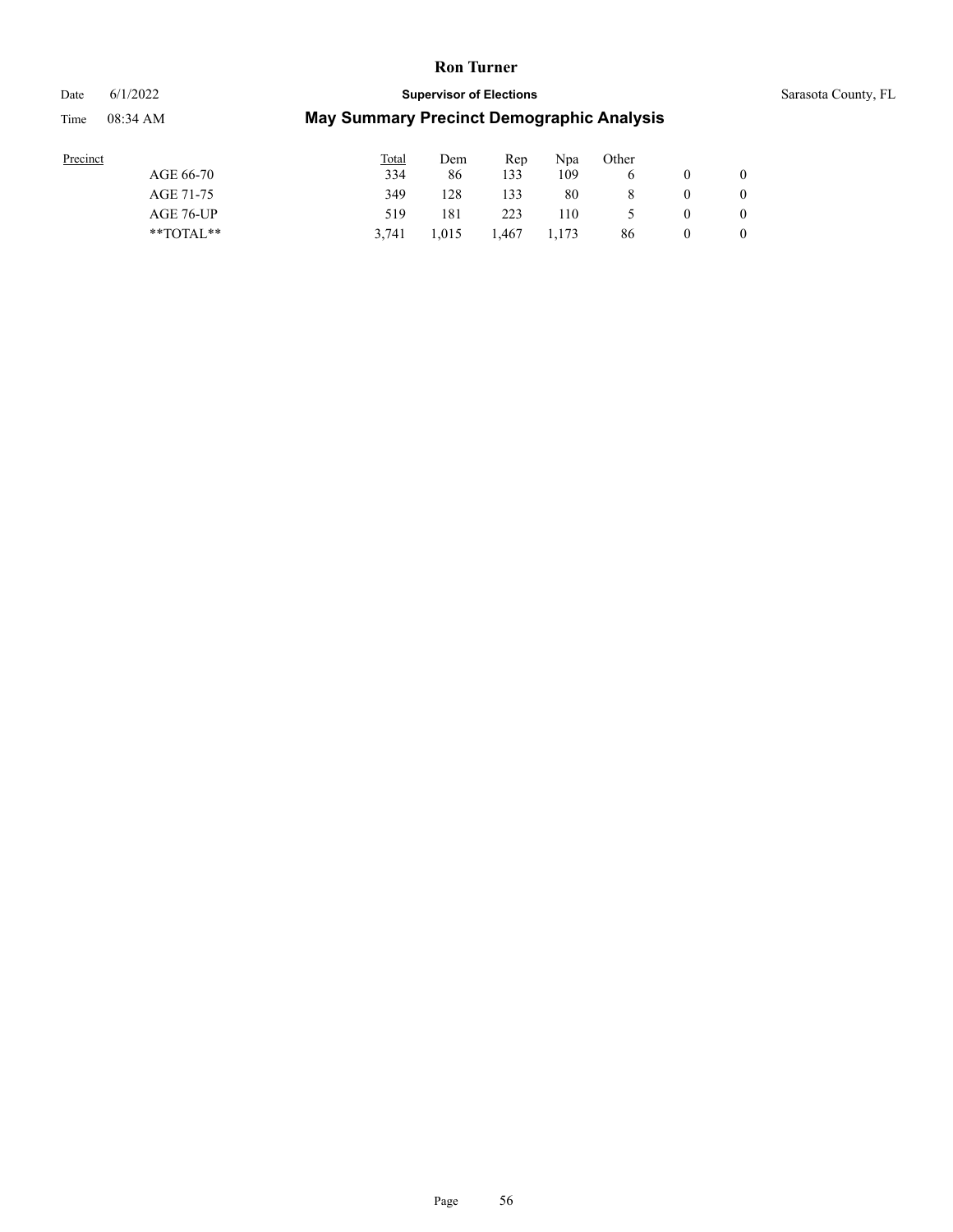#### Date 6/1/2022 **Supervisor of Elections** Supervisor **Supervisor of Elections** Sarasota County, FL

| Precinct |               | <b>Total</b> | Dem   | Rep   | Npa   | Other |              |
|----------|---------------|--------------|-------|-------|-------|-------|--------------|
|          | AGE 66-70     | 334          | 86    | 133   | 109   |       | $\mathbf{0}$ |
|          | AGE 71-75     | 349          | 128   | 133   | 80    |       | $\mathbf{0}$ |
|          | AGE 76-UP     | 519          | 181   | 223   | 110   |       | $\mathbf{0}$ |
|          | $*$ $TOTAL**$ | 3.741        | 1,015 | 1.467 | 1,173 | 86    | $\mathbf{0}$ |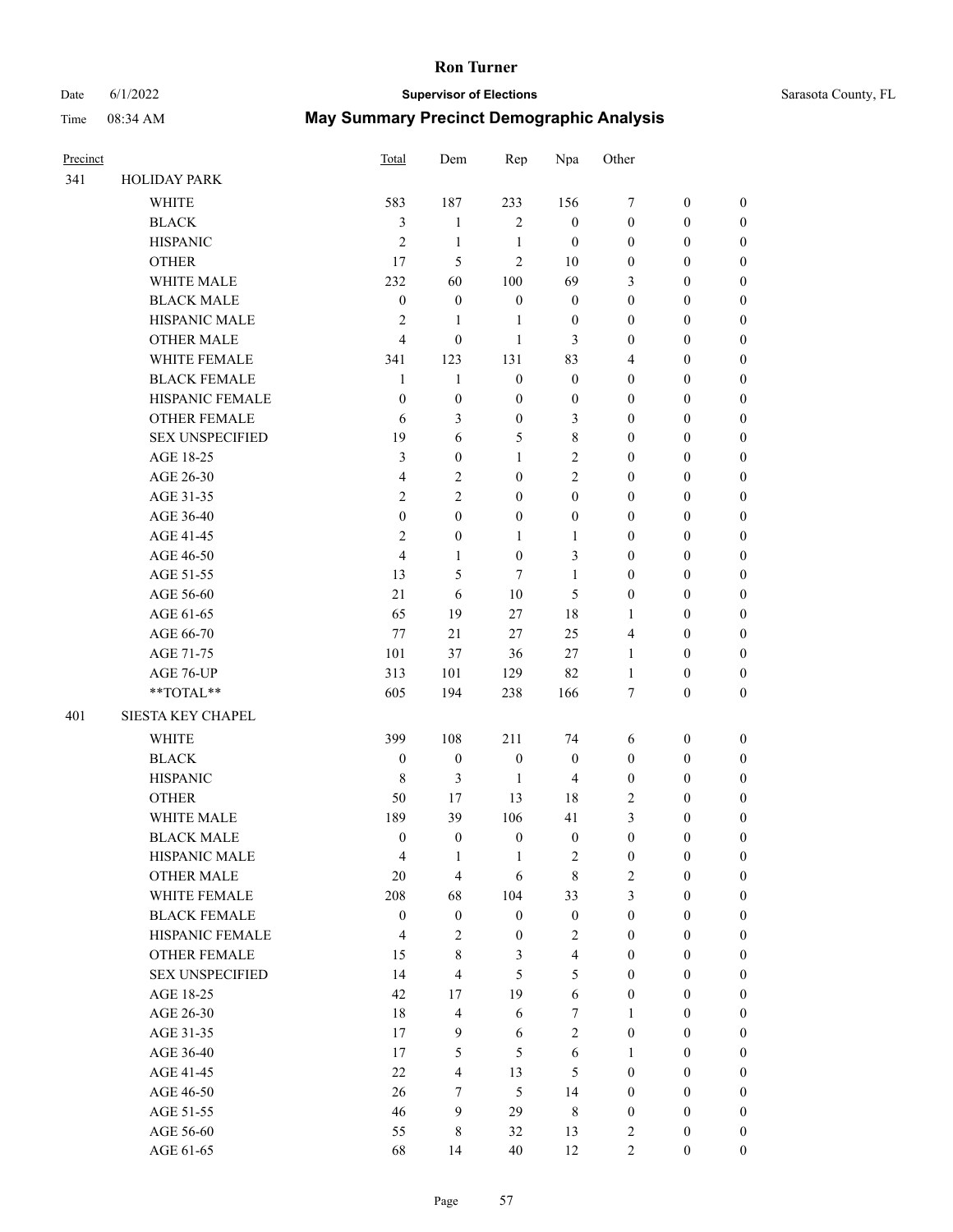### Date 6/1/2022 **Supervisor of Elections** Same Sarasota County, FL Time 08:34 AM **May Summary Precinct Demographic Analysis**

| Precinct |                        | Total                   | Dem            | Rep              | Npa            | Other            |                  |                  |
|----------|------------------------|-------------------------|----------------|------------------|----------------|------------------|------------------|------------------|
| 341      | <b>HOLIDAY PARK</b>    |                         |                |                  |                |                  |                  |                  |
|          | <b>WHITE</b>           | 583                     | 187            | 233              | 156            | 7                | $\mathbf{0}$     | $\mathbf{0}$     |
|          | <b>BLACK</b>           | 3                       | $\mathbf{1}$   | $\overline{c}$   | $\mathbf{0}$   | $\mathbf{0}$     | $\mathbf{0}$     | $\theta$         |
|          | <b>HISPANIC</b>        | $\overline{2}$          | 1              | $\mathbf{1}$     | $\mathbf{0}$   | $\mathbf{0}$     | $\boldsymbol{0}$ | $\theta$         |
|          | <b>OTHER</b>           | 17                      | 5              | $\overline{2}$   | 10             | $\boldsymbol{0}$ | $\boldsymbol{0}$ | $\boldsymbol{0}$ |
|          | WHITE MALE             | 232                     | 60             | 100              | 69             | 3                | $\theta$         | $\theta$         |
|          | <b>BLACK MALE</b>      | $\mathbf{0}$            | $\overline{0}$ | $\boldsymbol{0}$ | $\mathbf{0}$   | $\mathbf{0}$     | $\theta$         | $\boldsymbol{0}$ |
|          | <b>HISPANIC MALE</b>   | $\overline{2}$          | $\mathbf{1}$   | 1                | $\mathbf{0}$   | $\mathbf{0}$     | $\mathbf{0}$     | $\theta$         |
|          | <b>OTHER MALE</b>      | 4                       | $\mathbf{0}$   | 1                | 3              | $\mathbf{0}$     | $\theta$         | $\theta$         |
|          | WHITE FEMALE           | 341                     | 123            | 131              | 83             | 4                | $\boldsymbol{0}$ | $\boldsymbol{0}$ |
|          | <b>BLACK FEMALE</b>    | $\mathbf{1}$            | $\mathbf{1}$   | $\boldsymbol{0}$ | $\mathbf{0}$   | $\mathbf{0}$     | $\mathbf{0}$     | $\theta$         |
|          | HISPANIC FEMALE        | $\Omega$                | $\mathbf{0}$   | $\mathbf{0}$     | $\mathbf{0}$   | $\mathbf{0}$     | $\theta$         | $\theta$         |
|          | <b>OTHER FEMALE</b>    | 6                       | 3              | $\boldsymbol{0}$ | 3              | $\boldsymbol{0}$ | $\boldsymbol{0}$ | $\boldsymbol{0}$ |
|          | <b>SEX UNSPECIFIED</b> | 19                      | 6              | 5                | $\,$ 8 $\,$    | $\mathbf{0}$     | $\theta$         | $\theta$         |
|          | AGE 18-25              | 3                       | $\mathbf{0}$   | 1                | $\overline{c}$ | $\mathbf{0}$     | $\theta$         | $\theta$         |
|          | AGE 26-30              | $\overline{\mathbf{4}}$ | $\overline{2}$ | $\mathbf{0}$     | $\overline{c}$ | $\overline{0}$   | $\boldsymbol{0}$ | $\boldsymbol{0}$ |
|          | AGE 31-35              | $\mathfrak{2}$          | $\overline{2}$ | $\mathbf{0}$     | $\mathbf{0}$   | $\mathbf{0}$     | $\theta$         | $\theta$         |
|          | AGE 36-40              | $\mathbf{0}$            | $\theta$       | $\boldsymbol{0}$ | $\mathbf{0}$   | $\mathbf{0}$     | $\theta$         | $\boldsymbol{0}$ |
|          | AGE 41-45              | $\overline{2}$          | $\mathbf{0}$   | 1                | $\mathbf{1}$   | $\mathbf{0}$     | $\mathbf{0}$     | $\theta$         |
|          | AGE 46-50              | $\overline{4}$          | $\mathbf{1}$   | $\mathbf{0}$     | 3              | $\mathbf{0}$     | $\theta$         | $\theta$         |
|          | AGE 51-55              | 13                      | 5              | 7                | 1              | $\boldsymbol{0}$ | $\boldsymbol{0}$ | $\boldsymbol{0}$ |
|          | AGE 56-60              | 21                      | 6              | 10               | 5              | $\mathbf{0}$     | $\mathbf{0}$     | $\theta$         |
|          | AGE 61-65              | 65                      | 19             | 27               | 18             | $\mathbf{1}$     | $\theta$         | $\theta$         |
|          | AGE 66-70              | 77                      | 21             | 27               | 25             | 4                | $\mathbf{0}$     | $\boldsymbol{0}$ |
|          | AGE 71-75              | 101                     | 37             | 36               | 27             | 1                | $\theta$         | $\Omega$         |
|          | AGE 76-UP              | 313                     | 101            | 129              | 82             | $\mathbf{1}$     | $\boldsymbol{0}$ | $\boldsymbol{0}$ |
|          | **TOTAL**              | 605                     | 194            | 238              | 166            | 7                | $\boldsymbol{0}$ | $\boldsymbol{0}$ |
| 401      | SIESTA KEY CHAPEL      |                         |                |                  |                |                  |                  |                  |
|          | <b>WHITE</b>           | 399                     | 108            | 211              | 74             | 6                | $\boldsymbol{0}$ | $\boldsymbol{0}$ |
|          | <b>BLACK</b>           | $\theta$                | $\overline{0}$ | $\boldsymbol{0}$ | $\mathbf{0}$   | $\mathbf{0}$     | $\theta$         | $\mathbf{0}$     |

HISPANIC 8 3 1 4 0 0 0 OTHER 50 17 13 18 2 0 0 WHITE MALE 189 39 106 41 3 0 0 BLACK MALE  $0 \qquad 0 \qquad 0 \qquad 0 \qquad 0 \qquad 0$ HISPANIC MALE  $\begin{array}{ccccccccc} & & & & 4 & & 1 & & 1 & & 2 & & 0 & & 0 & & 0 \end{array}$ OTHER MALE 20 4 6 8 2 0 0 WHITE FEMALE 208 68 104 33 3 0 0 BLACK FEMALE 0 0 0 0 0 0 0 0 0 HISPANIC FEMALE  $4$  2 0 2 0 0 0 OTHER FEMALE 15 8 3 4 0 0 0 SEX UNSPECIFIED 14 4 5 5 0 0 0 AGE 18-25 42 17 19 6 0 0 0 AGE 26-30 18 4 6 7 1 0 0 AGE 31-35 17 9 6 2 0 0 0 AGE 36-40 17 5 5 6 1 0 0 AGE 41-45 22 4 13 5 0 0 0 AGE 46-50 26 7 5 14 0 0 0 AGE 51-55 46 9 29 8 0 0 0 AGE 56-60 55 8 32 13 2 0 0 AGE 61-65 68 14 40 12 2 0 0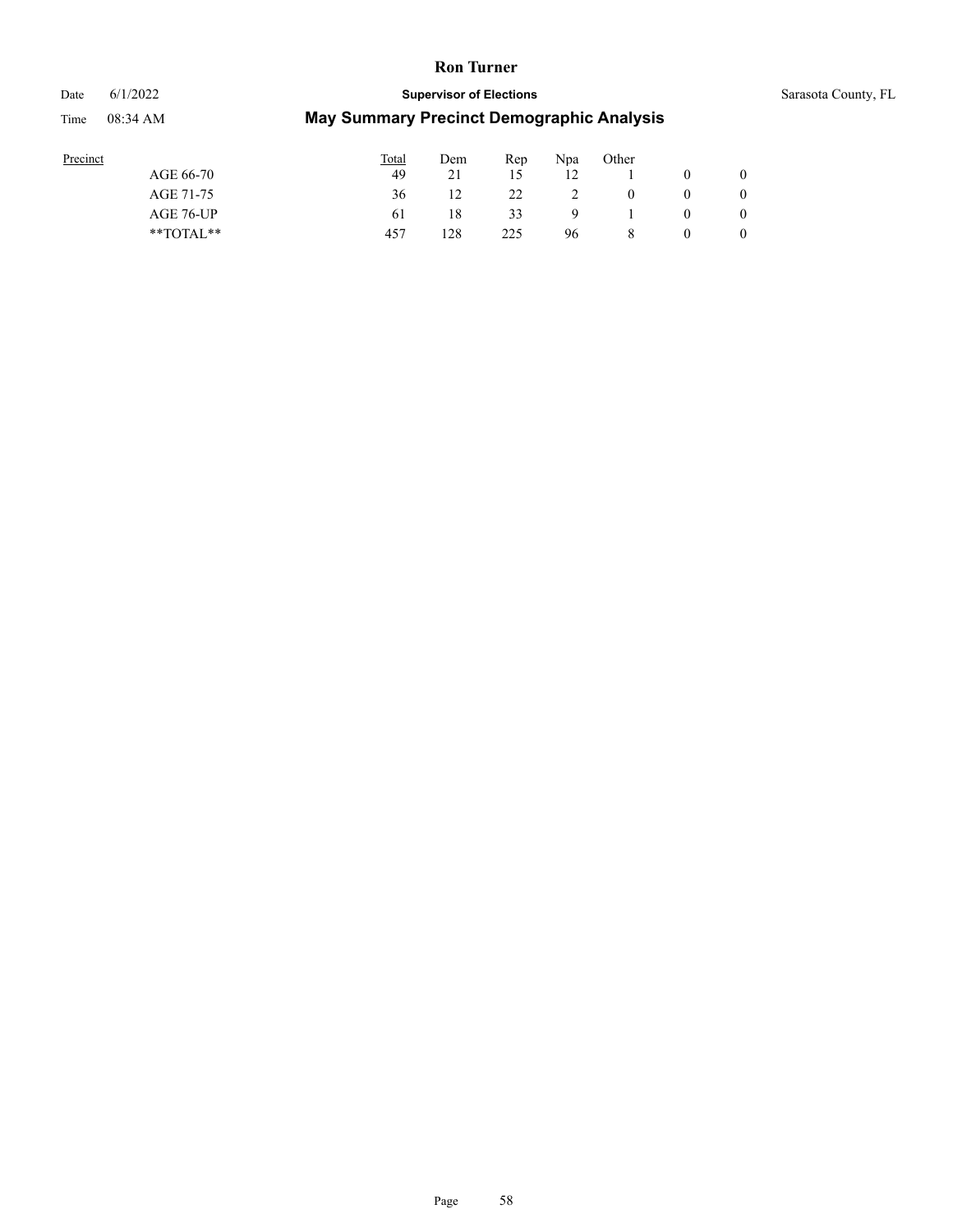## Date 6/1/2022 **Supervisor of Elections** Supervisor **Supervisor of Elections** Sarasota County, FL Time 08:34 AM **May Summary Precinct Demographic Analysis**

| Precinct      | Total | Dem             | Rep | Npa | Other |   |
|---------------|-------|-----------------|-----|-----|-------|---|
| AGE 66-70     | 49    | $\mathcal{D}$ 1 | 15  | 12  |       |   |
| AGE 71-75     | 36    |                 | 22  |     | 0     |   |
| AGE 76-UP     | 61    | 18              | 33  | Q   |       |   |
| $*$ TOTAL $*$ | 457   | 128             | 225 | 96  | 8     | 0 |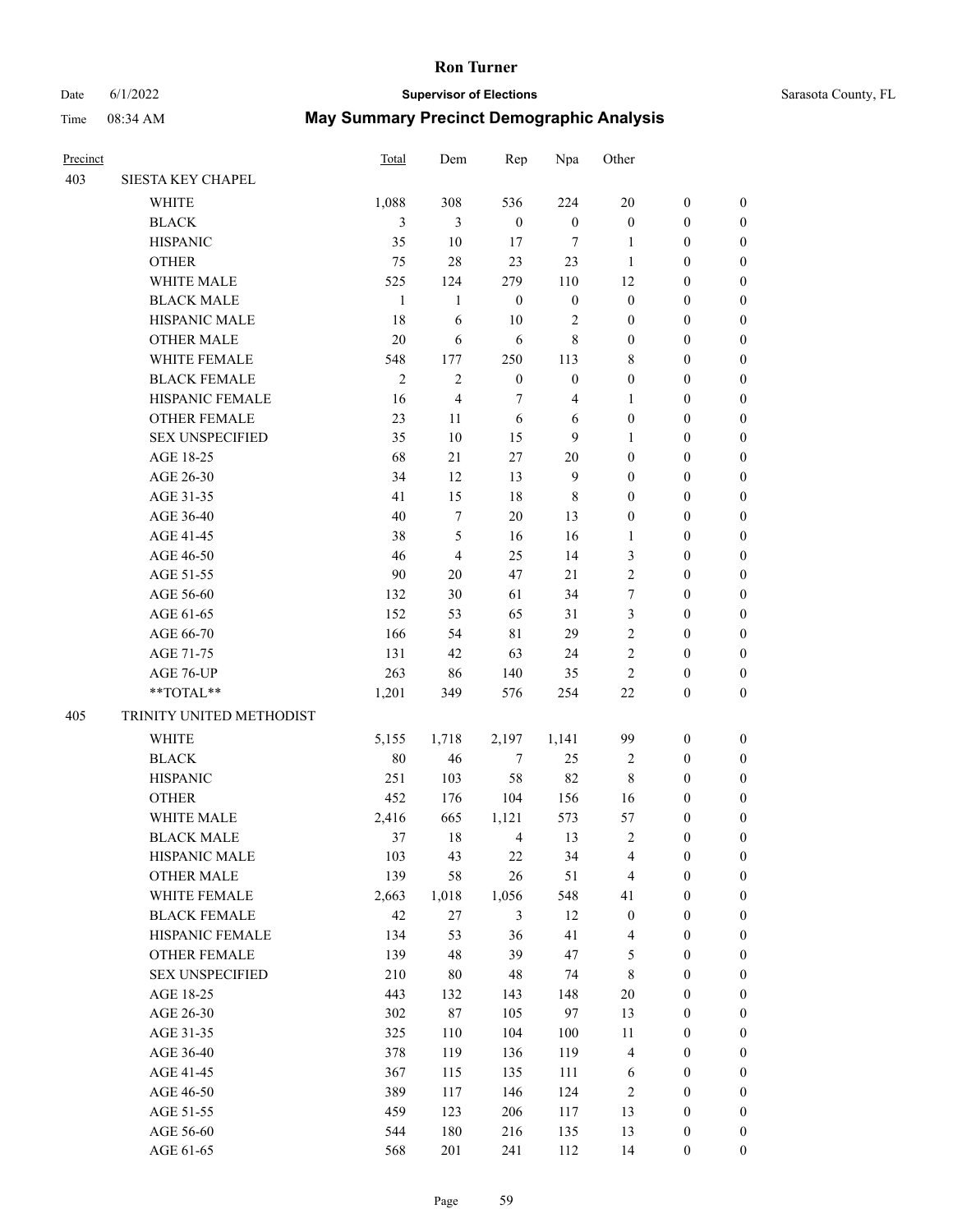Precinct **Precinct Precinct Precinct Precinct Precinct Precinct Precinct President President President President President President President President President President President Pre** 

## Date 6/1/2022 **Supervisor of Elections Supervisor of Elections** Sarasota County, FL Time 08:34 AM **May Summary Precinct Demographic Analysis**

| 403 | SIESTA KEY CHAPEL        |                |                |                  |                  |                         |                  |                  |
|-----|--------------------------|----------------|----------------|------------------|------------------|-------------------------|------------------|------------------|
|     | <b>WHITE</b>             | 1,088          | 308            | 536              | 224              | $20\,$                  | $\boldsymbol{0}$ | $\boldsymbol{0}$ |
|     | <b>BLACK</b>             | $\mathfrak{Z}$ | 3              | $\boldsymbol{0}$ | $\boldsymbol{0}$ | $\boldsymbol{0}$        | $\boldsymbol{0}$ | $\boldsymbol{0}$ |
|     | <b>HISPANIC</b>          | 35             | 10             | 17               | 7                | 1                       | $\boldsymbol{0}$ | $\boldsymbol{0}$ |
|     | <b>OTHER</b>             | 75             | 28             | 23               | 23               | $\mathbf{1}$            | 0                | $\boldsymbol{0}$ |
|     | WHITE MALE               | 525            | 124            | 279              | 110              | 12                      | 0                | $\boldsymbol{0}$ |
|     | <b>BLACK MALE</b>        | $\mathbf{1}$   | $\mathbf{1}$   | $\boldsymbol{0}$ | $\boldsymbol{0}$ | $\boldsymbol{0}$        | $\boldsymbol{0}$ | $\boldsymbol{0}$ |
|     | HISPANIC MALE            | 18             | 6              | 10               | 2                | $\boldsymbol{0}$        | $\boldsymbol{0}$ | $\boldsymbol{0}$ |
|     | <b>OTHER MALE</b>        | 20             | 6              | 6                | 8                | $\boldsymbol{0}$        | $\boldsymbol{0}$ | 0                |
|     | WHITE FEMALE             | 548            | 177            | 250              | 113              | 8                       | $\boldsymbol{0}$ | 0                |
|     | <b>BLACK FEMALE</b>      | $\mathfrak{2}$ | $\overline{2}$ | $\boldsymbol{0}$ | $\boldsymbol{0}$ | $\boldsymbol{0}$        | $\boldsymbol{0}$ | 0                |
|     | HISPANIC FEMALE          | 16             | 4              | $\tau$           | $\overline{4}$   | 1                       | $\boldsymbol{0}$ | $\boldsymbol{0}$ |
|     | <b>OTHER FEMALE</b>      | 23             | 11             | 6                | 6                | $\boldsymbol{0}$        | $\boldsymbol{0}$ | $\boldsymbol{0}$ |
|     | <b>SEX UNSPECIFIED</b>   | 35             | 10             | 15               | 9                | $\mathbf{1}$            | $\boldsymbol{0}$ | $\boldsymbol{0}$ |
|     | AGE 18-25                | 68             | 21             | 27               | 20               | $\boldsymbol{0}$        | $\boldsymbol{0}$ | $\boldsymbol{0}$ |
|     | AGE 26-30                | 34             | 12             | 13               | $\overline{9}$   | $\boldsymbol{0}$        | $\boldsymbol{0}$ | $\boldsymbol{0}$ |
|     | AGE 31-35                | 41             | 15             | 18               | 8                | $\boldsymbol{0}$        | $\boldsymbol{0}$ | $\boldsymbol{0}$ |
|     | AGE 36-40                | 40             | $\tau$         | 20               | 13               | $\boldsymbol{0}$        | $\boldsymbol{0}$ | $\boldsymbol{0}$ |
|     | AGE 41-45                | 38             | 5              | 16               | 16               | $\mathbf{1}$            | $\boldsymbol{0}$ | $\boldsymbol{0}$ |
|     | AGE 46-50                | 46             | $\overline{4}$ | 25               | 14               | $\mathfrak{Z}$          | $\boldsymbol{0}$ | 0                |
|     | AGE 51-55                | 90             | 20             | 47               | 21               | $\mathfrak{2}$          | $\boldsymbol{0}$ | 0                |
|     | AGE 56-60                | 132            | 30             | 61               | 34               | $\tau$                  | $\boldsymbol{0}$ | 0                |
|     | AGE 61-65                | 152            | 53             | 65               | 31               | 3                       | $\boldsymbol{0}$ | $\boldsymbol{0}$ |
|     | AGE 66-70                | 166            | 54             | 81               | 29               | $\overline{c}$          | $\boldsymbol{0}$ | $\boldsymbol{0}$ |
|     | AGE 71-75                | 131            | 42             | 63               | 24               | $\mathfrak{2}$          | $\boldsymbol{0}$ | $\boldsymbol{0}$ |
|     | AGE 76-UP                | 263            | 86             | 140              | 35               | $\mathfrak{2}$          | $\boldsymbol{0}$ | $\boldsymbol{0}$ |
|     | **TOTAL**                | 1,201          | 349            | 576              | 254              | 22                      | $\boldsymbol{0}$ | $\boldsymbol{0}$ |
| 405 | TRINITY UNITED METHODIST |                |                |                  |                  |                         |                  |                  |
|     | <b>WHITE</b>             | 5,155          | 1,718          | 2,197            | 1,141            | 99                      | $\boldsymbol{0}$ | $\boldsymbol{0}$ |
|     | <b>BLACK</b>             | 80             | 46             | $\tau$           | 25               | $\overline{2}$          | $\boldsymbol{0}$ | $\boldsymbol{0}$ |
|     | <b>HISPANIC</b>          | 251            | 103            | 58               | 82               | $\,$ 8 $\,$             | $\boldsymbol{0}$ | $\boldsymbol{0}$ |
|     | <b>OTHER</b>             | 452            | 176            | 104              | 156              | 16                      | $\boldsymbol{0}$ | 0                |
|     | WHITE MALE               | 2,416          | 665            | 1,121            | 573              | 57                      | $\boldsymbol{0}$ | 0                |
|     | <b>BLACK MALE</b>        | 37             | 18             | 4                | 13               | 2                       | $\boldsymbol{0}$ | 0                |
|     | HISPANIC MALE            | 103            | 43             | 22               | 34               | 4                       | 0                | $\boldsymbol{0}$ |
|     | <b>OTHER MALE</b>        | 139            | 58             | 26               | 51               | $\overline{4}$          | $\boldsymbol{0}$ | $\boldsymbol{0}$ |
|     | WHITE FEMALE             | 2,663          | 1,018          | 1,056            | 548              | 41                      | $\boldsymbol{0}$ | $\overline{0}$   |
|     | <b>BLACK FEMALE</b>      | $42\,$         | 27             | $\mathfrak{Z}$   | 12               | $\boldsymbol{0}$        | $\boldsymbol{0}$ | $\overline{0}$   |
|     | HISPANIC FEMALE          | 134            | 53             | 36               | 41               | $\overline{4}$          | $\boldsymbol{0}$ | $\theta$         |
|     | <b>OTHER FEMALE</b>      | 139            | 48             | 39               | 47               | $\mathfrak s$           | $\boldsymbol{0}$ | $\overline{0}$   |
|     | <b>SEX UNSPECIFIED</b>   | 210            | $80\,$         | 48               | 74               | $\,$ 8 $\,$             | $\boldsymbol{0}$ | 0                |
|     | AGE 18-25                | 443            | 132            | 143              | 148              | $20\,$                  | $\boldsymbol{0}$ | 0                |
|     | AGE 26-30                | 302            | $87\,$         | 105              | 97               | 13                      | $\boldsymbol{0}$ | 0                |
|     | AGE 31-35                | 325            | 110            | 104              | 100              | 11                      | $\boldsymbol{0}$ | 0                |
|     | AGE 36-40                | 378            | 119            | 136              | 119              | $\overline{\mathbf{4}}$ | $\boldsymbol{0}$ | $\boldsymbol{0}$ |
|     | AGE 41-45                | 367            | 115            | 135              | 111              | 6                       | $\boldsymbol{0}$ | $\overline{0}$   |
|     | AGE 46-50                | 389            | 117            | 146              | 124              | $\sqrt{2}$              | $\boldsymbol{0}$ | $\boldsymbol{0}$ |
|     | AGE 51-55                | 459            | 123            | 206              | 117              | 13                      | $\boldsymbol{0}$ | $\boldsymbol{0}$ |
|     | AGE 56-60                | 544            | 180            | 216              | 135              | 13                      | $\boldsymbol{0}$ | $\boldsymbol{0}$ |
|     |                          |                |                |                  |                  |                         |                  |                  |

AGE 61-65 568 201 241 112 14 0 0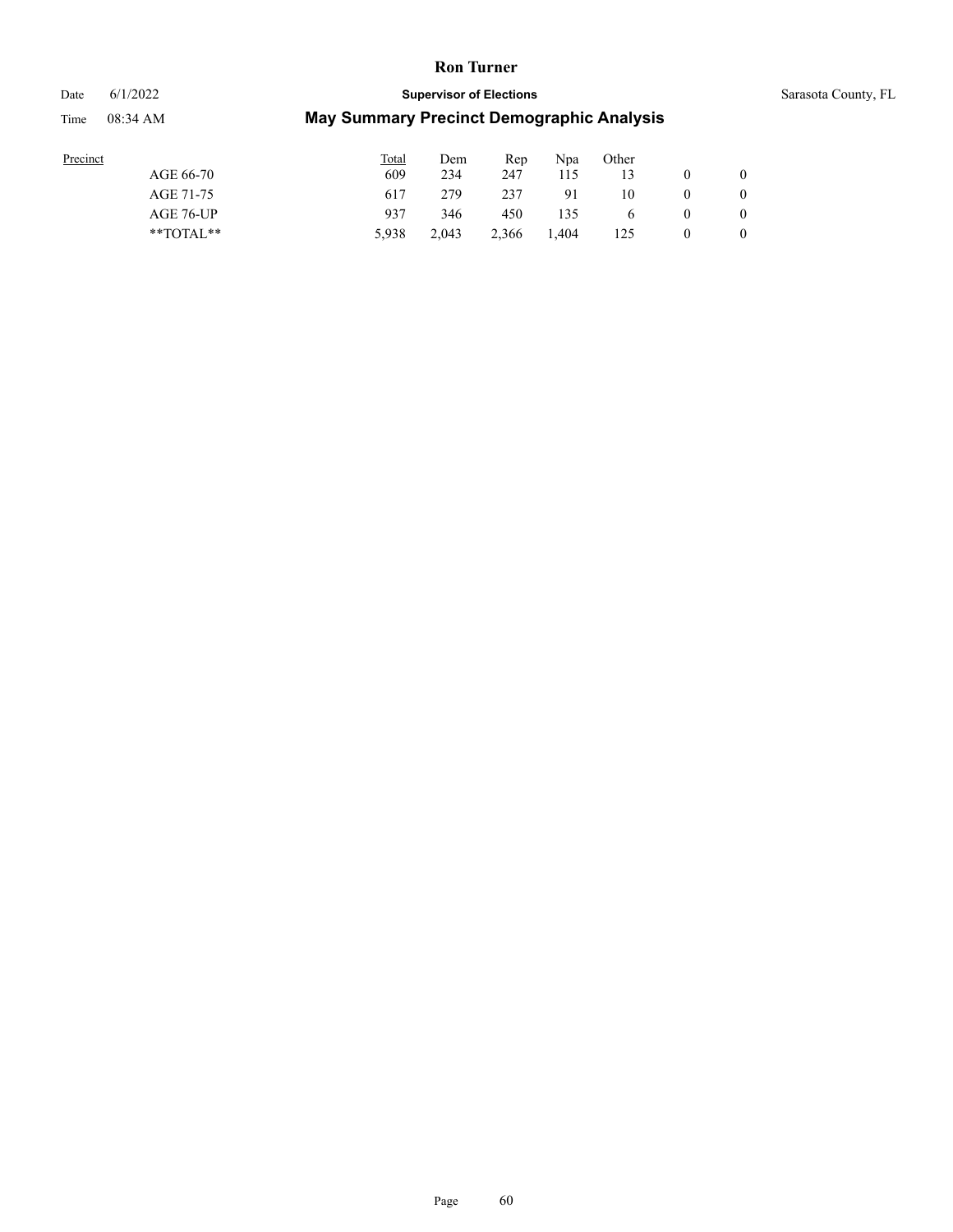Time 08:34 AM **M** 

# Date 6/1/2022 **Supervisor of Elections** Supervisor **Supervisor of Elections** Sarasota County, FL

| ecinct |           |  |
|--------|-----------|--|
|        | AGE 66-70 |  |

| May Summary Precinct Demographic Analysis |  |
|-------------------------------------------|--|
|-------------------------------------------|--|

| Precinct      | <b>Total</b> | Dem   | Rep   | N <sub>pa</sub> | Other        |                |
|---------------|--------------|-------|-------|-----------------|--------------|----------------|
| AGE 66-70     | 609          | 234   | 247   | 115             | 13           | $\overline{0}$ |
| AGE 71-75     | 617          | 279   | 237   | 91              | 10           | $\overline{0}$ |
| AGE 76-UP     | 937          | 346   | 450   | 135             | <sub>0</sub> | $\overline{0}$ |
| $*$ TOTAL $*$ | 5.938        | 2.043 | 2,366 | 1.404           | 125          | $\mathbf{0}$   |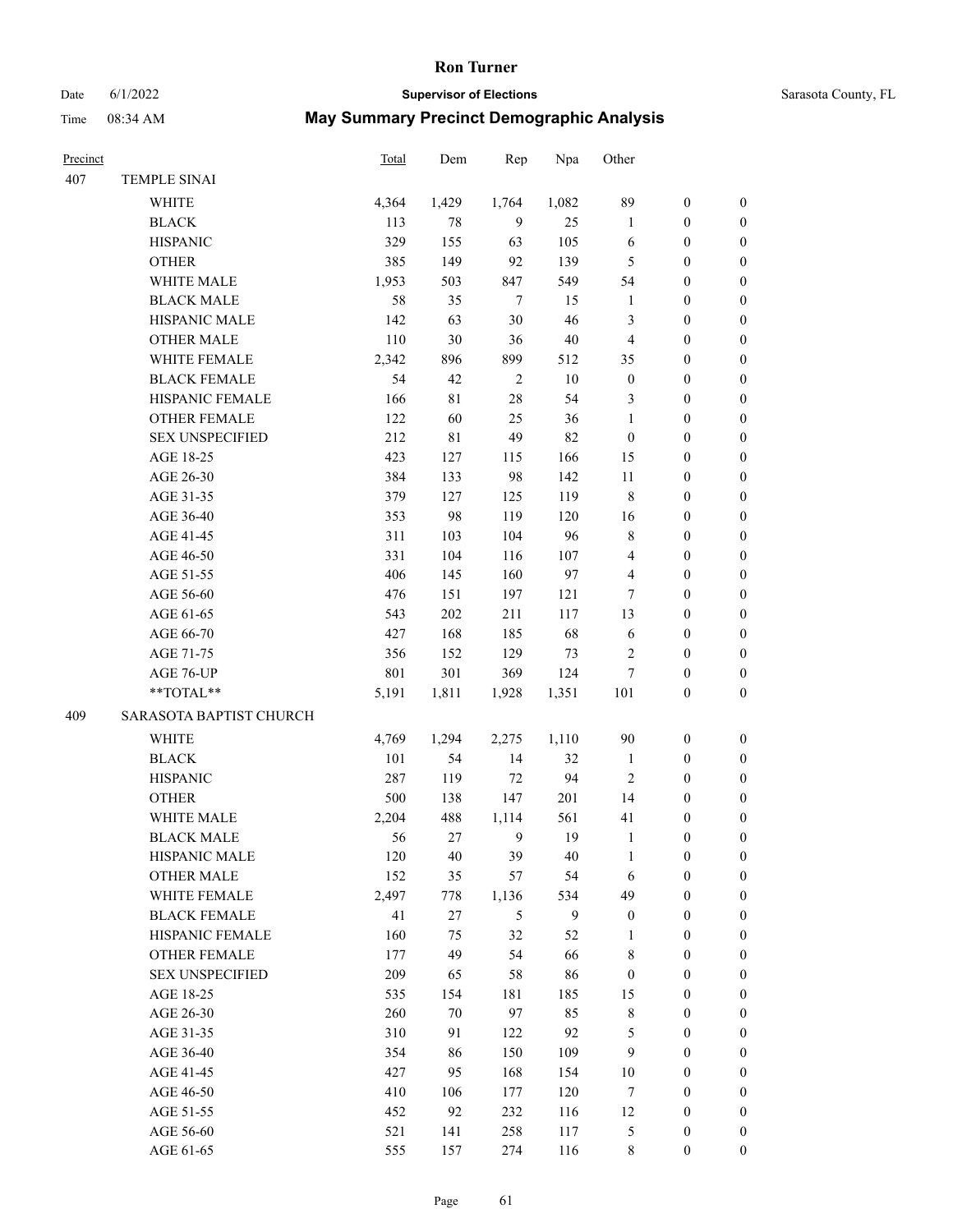# Date 6/1/2022 **Supervisor of Elections** Supervisor **Supervisor of Elections** Sarasota County, FL

| Precinct |                         | <b>Total</b> | Dem    | Rep            | Npa    | Other            |                  |                  |
|----------|-------------------------|--------------|--------|----------------|--------|------------------|------------------|------------------|
| 407      | TEMPLE SINAI            |              |        |                |        |                  |                  |                  |
|          | <b>WHITE</b>            | 4,364        | 1,429  | 1,764          | 1,082  | 89               | $\boldsymbol{0}$ | $\boldsymbol{0}$ |
|          | $_{\rm BLACK}$          | 113          | 78     | 9              | 25     | $\mathbf{1}$     | $\boldsymbol{0}$ | $\boldsymbol{0}$ |
|          | <b>HISPANIC</b>         | 329          | 155    | 63             | 105    | 6                | $\boldsymbol{0}$ | $\boldsymbol{0}$ |
|          | <b>OTHER</b>            | 385          | 149    | 92             | 139    | 5                | $\boldsymbol{0}$ | $\boldsymbol{0}$ |
|          | WHITE MALE              | 1,953        | 503    | 847            | 549    | 54               | $\boldsymbol{0}$ | $\boldsymbol{0}$ |
|          | <b>BLACK MALE</b>       | 58           | 35     | $\tau$         | 15     | $\mathbf{1}$     | $\boldsymbol{0}$ | $\boldsymbol{0}$ |
|          | HISPANIC MALE           | 142          | 63     | 30             | 46     | 3                | $\boldsymbol{0}$ | $\boldsymbol{0}$ |
|          | <b>OTHER MALE</b>       | 110          | 30     | 36             | $40\,$ | $\overline{4}$   | $\boldsymbol{0}$ | $\boldsymbol{0}$ |
|          | WHITE FEMALE            | 2,342        | 896    | 899            | 512    | 35               | $\boldsymbol{0}$ | $\boldsymbol{0}$ |
|          | <b>BLACK FEMALE</b>     | 54           | 42     | $\overline{2}$ | $10\,$ | $\boldsymbol{0}$ | $\boldsymbol{0}$ | 0                |
|          | HISPANIC FEMALE         | 166          | 81     | 28             | 54     | 3                | $\boldsymbol{0}$ | 0                |
|          | <b>OTHER FEMALE</b>     | 122          | 60     | 25             | 36     | 1                | $\boldsymbol{0}$ | 0                |
|          | <b>SEX UNSPECIFIED</b>  | 212          | 81     | 49             | 82     | $\boldsymbol{0}$ | $\boldsymbol{0}$ | $\boldsymbol{0}$ |
|          | AGE 18-25               | 423          | 127    | 115            | 166    | 15               | $\boldsymbol{0}$ | $\boldsymbol{0}$ |
|          | AGE 26-30               | 384          | 133    | 98             | 142    | $11\,$           | $\boldsymbol{0}$ | $\boldsymbol{0}$ |
|          | AGE 31-35               | 379          | 127    | 125            | 119    | $\,$ 8 $\,$      | $\boldsymbol{0}$ | $\boldsymbol{0}$ |
|          | AGE 36-40               | 353          | 98     | 119            | 120    | 16               | $\boldsymbol{0}$ | $\boldsymbol{0}$ |
|          | AGE 41-45               | 311          | 103    | 104            | 96     | 8                | $\boldsymbol{0}$ | $\boldsymbol{0}$ |
|          | AGE 46-50               | 331          | 104    | 116            | 107    | 4                | $\boldsymbol{0}$ | $\boldsymbol{0}$ |
|          | AGE 51-55               | 406          | 145    | 160            | 97     | 4                | $\boldsymbol{0}$ | $\boldsymbol{0}$ |
|          | AGE 56-60               | 476          | 151    | 197            | 121    | 7                | $\boldsymbol{0}$ | 0                |
|          | AGE 61-65               | 543          | 202    | 211            | 117    | 13               | $\boldsymbol{0}$ | 0                |
|          | AGE 66-70               | 427          | 168    | 185            | 68     | 6                | $\boldsymbol{0}$ | $\boldsymbol{0}$ |
|          | AGE 71-75               | 356          | 152    | 129            | 73     | $\mathbf{2}$     | $\boldsymbol{0}$ | $\boldsymbol{0}$ |
|          | AGE 76-UP               | 801          | 301    | 369            | 124    | 7                | $\boldsymbol{0}$ | $\boldsymbol{0}$ |
|          | **TOTAL**               | 5,191        | 1,811  | 1,928          | 1,351  | 101              | $\boldsymbol{0}$ | $\boldsymbol{0}$ |
| 409      | SARASOTA BAPTIST CHURCH |              |        |                |        |                  |                  |                  |
|          | <b>WHITE</b>            | 4,769        | 1,294  | 2,275          | 1,110  | $90\,$           | $\boldsymbol{0}$ | $\boldsymbol{0}$ |
|          | <b>BLACK</b>            | 101          | 54     | 14             | 32     | $\mathbf{1}$     | $\boldsymbol{0}$ | $\boldsymbol{0}$ |
|          | <b>HISPANIC</b>         | 287          | 119    | 72             | 94     | $\overline{2}$   | $\boldsymbol{0}$ | $\boldsymbol{0}$ |
|          | <b>OTHER</b>            | 500          | 138    | 147            | 201    | 14               | $\boldsymbol{0}$ | $\boldsymbol{0}$ |
|          | WHITE MALE              | 2,204        | 488    | 1,114          | 561    | 41               | $\boldsymbol{0}$ | 0                |
|          | <b>BLACK MALE</b>       | 56           | 27     | 9              | 19     | $\mathbf{1}$     | $\boldsymbol{0}$ | 0                |
|          | HISPANIC MALE           | 120          | 40     | 39             | 40     | 1                | $\boldsymbol{0}$ | 0                |
|          | <b>OTHER MALE</b>       | 152          | 35     | 57             | 54     | 6                | $\boldsymbol{0}$ | $\overline{0}$   |
|          | WHITE FEMALE            | 2,497        | 778    | 1,136          | 534    | 49               | $\boldsymbol{0}$ | $\overline{0}$   |
|          | <b>BLACK FEMALE</b>     | 41           | 27     | $\mathfrak{S}$ | 9      | $\boldsymbol{0}$ | $\boldsymbol{0}$ | $\overline{0}$   |
|          | HISPANIC FEMALE         | 160          | 75     | 32             | 52     | $\mathbf{1}$     | $\boldsymbol{0}$ | $\overline{0}$   |
|          | OTHER FEMALE            | 177          | 49     | 54             | 66     | 8                | $\boldsymbol{0}$ | $\overline{0}$   |
|          | <b>SEX UNSPECIFIED</b>  | 209          | 65     | 58             | 86     | $\boldsymbol{0}$ | $\boldsymbol{0}$ | 0                |
|          | AGE 18-25               | 535          | 154    | 181            | 185    | 15               | $\boldsymbol{0}$ | 0                |
|          | AGE 26-30               | 260          | $70\,$ | 97             | 85     | 8                | $\boldsymbol{0}$ | 0                |
|          | AGE 31-35               | 310          | 91     | 122            | 92     | 5                | $\boldsymbol{0}$ | 0                |
|          | AGE 36-40               | 354          | 86     | 150            | 109    | 9                | $\boldsymbol{0}$ | 0                |
|          | AGE 41-45               | 427          | 95     | 168            | 154    | 10               | $\boldsymbol{0}$ | $\overline{0}$   |
|          | AGE 46-50               | 410          | 106    | 177            | 120    | 7                | $\boldsymbol{0}$ | $\overline{0}$   |
|          | AGE 51-55               | 452          | 92     | 232            | 116    | 12               | $\boldsymbol{0}$ | $\overline{0}$   |
|          | AGE 56-60               | 521          | 141    | 258            | 117    | 5                | $\boldsymbol{0}$ | $\boldsymbol{0}$ |
|          | AGE 61-65               | 555          | 157    | 274            | 116    | $\,8\,$          | $\boldsymbol{0}$ | $\boldsymbol{0}$ |
|          |                         |              |        |                |        |                  |                  |                  |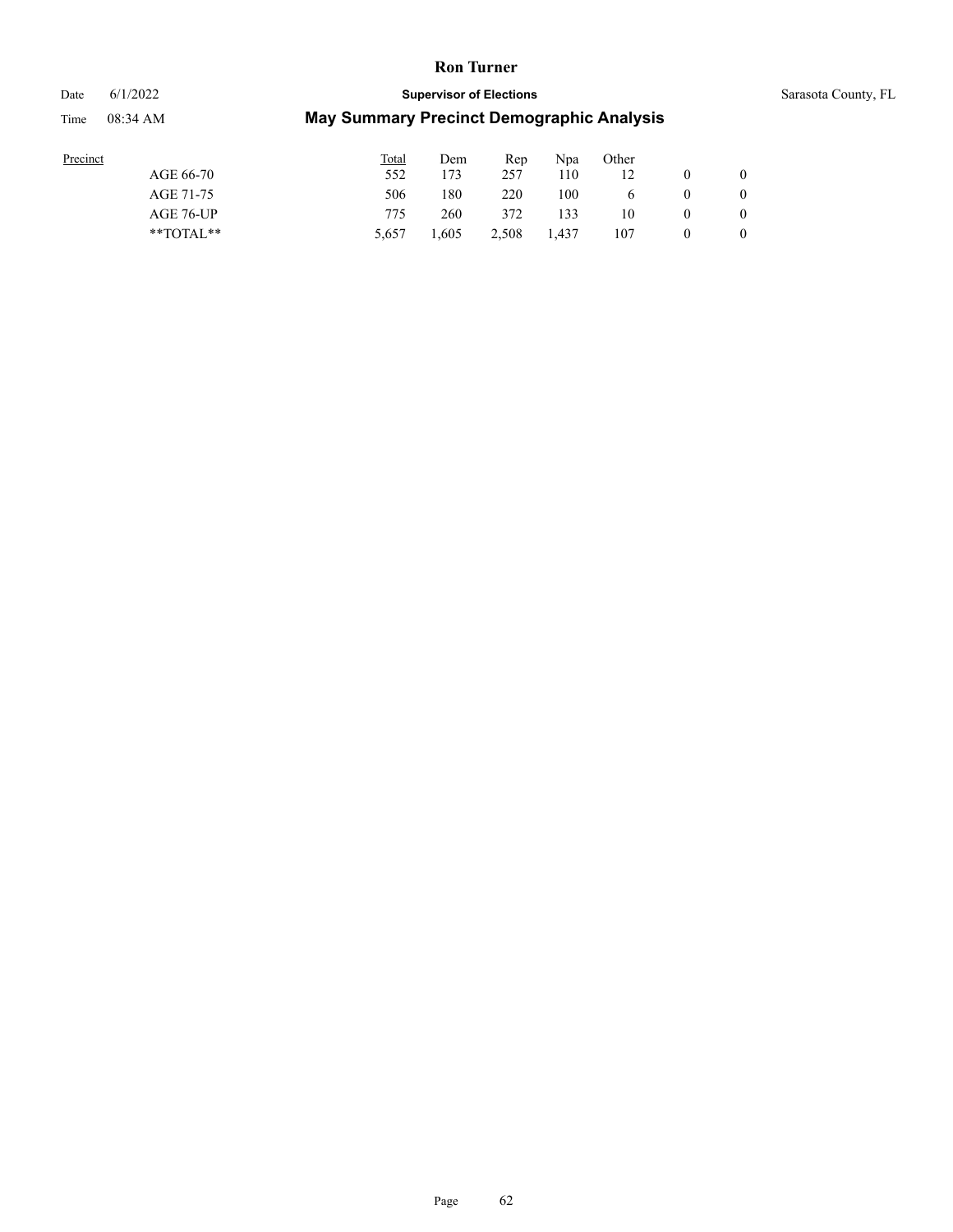#### Date 6/1/2022 **Supervisor of Elections** Supervisor **Supervisor of Elections** Sarasota County, FL

| Precinct      | <b>Total</b> | Dem   | Rep   | Npa   | Other        |   |                |
|---------------|--------------|-------|-------|-------|--------------|---|----------------|
| AGE 66-70     | 552          | 173   | 257   | 110   |              |   | $\overline{0}$ |
| AGE 71-75     | 506          | 180   | 220   | 100   | <sub>6</sub> | 0 | 0              |
| AGE 76-UP     | 775          | 260   | 372   | 133   | 10           | 0 | 0              |
| $*$ TOTAL $*$ | 5.657        | .,605 | 2.508 | 1.437 | 107          | 0 | $\overline{0}$ |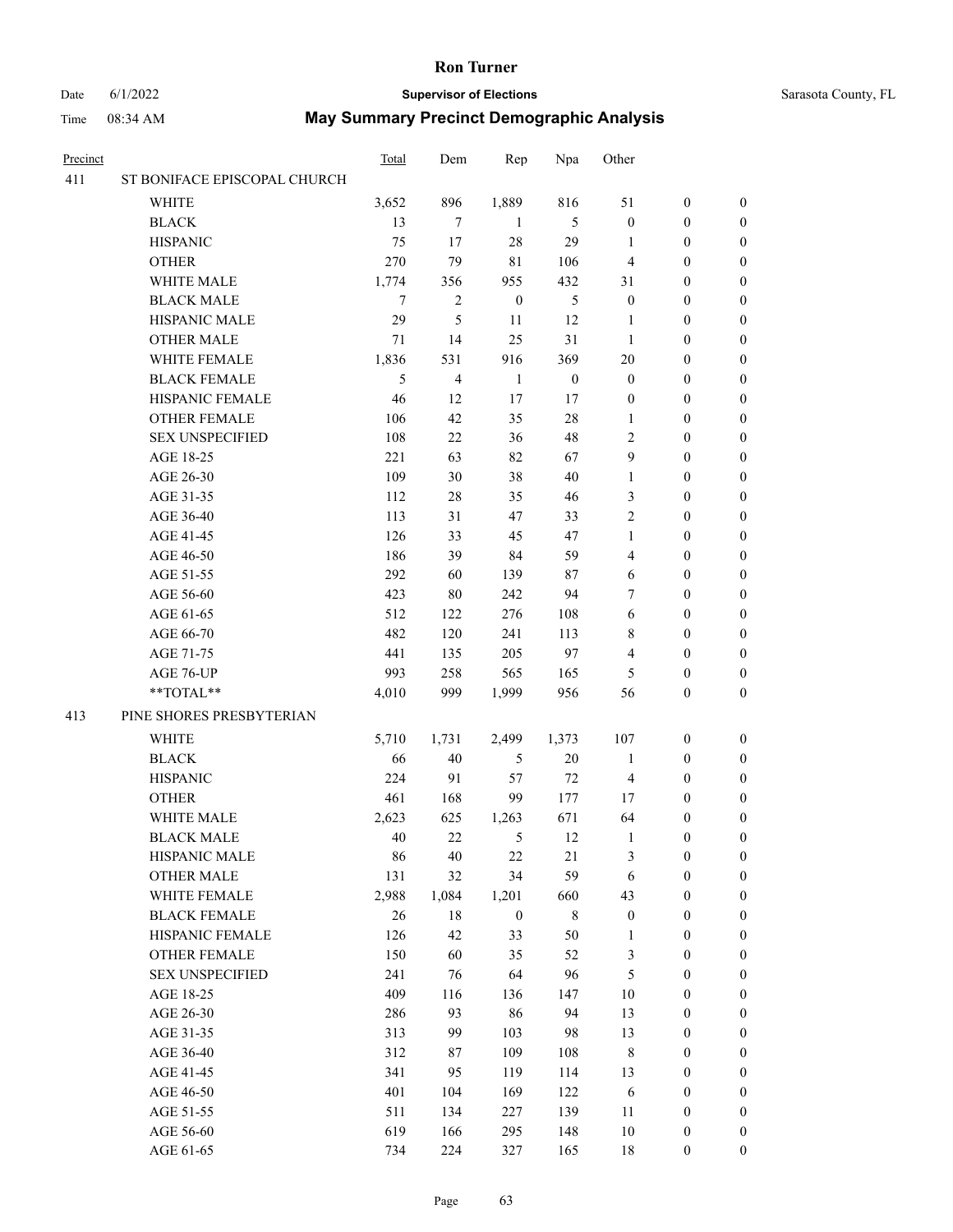## Date 6/1/2022 **Supervisor of Elections** Supervisor **Supervisor of Elections** Sarasota County, FL

| Precinct |                              | <b>Total</b> | Dem            | Rep              | Npa              | Other            |                  |                  |
|----------|------------------------------|--------------|----------------|------------------|------------------|------------------|------------------|------------------|
| 411      | ST BONIFACE EPISCOPAL CHURCH |              |                |                  |                  |                  |                  |                  |
|          | <b>WHITE</b>                 | 3,652        | 896            | 1,889            | 816              | 51               | $\boldsymbol{0}$ | $\boldsymbol{0}$ |
|          | <b>BLACK</b>                 | 13           | 7              | -1               | 5                | $\boldsymbol{0}$ | $\boldsymbol{0}$ | $\boldsymbol{0}$ |
|          | <b>HISPANIC</b>              | 75           | 17             | 28               | 29               | 1                | $\boldsymbol{0}$ | $\boldsymbol{0}$ |
|          | <b>OTHER</b>                 | 270          | 79             | $8\sqrt{1}$      | 106              | $\overline{4}$   | $\boldsymbol{0}$ | $\boldsymbol{0}$ |
|          | WHITE MALE                   | 1,774        | 356            | 955              | 432              | 31               | $\boldsymbol{0}$ | $\boldsymbol{0}$ |
|          | <b>BLACK MALE</b>            | 7            | $\overline{c}$ | $\boldsymbol{0}$ | $\mathfrak s$    | $\boldsymbol{0}$ | $\boldsymbol{0}$ | $\boldsymbol{0}$ |
|          | HISPANIC MALE                | 29           | 5              | 11               | 12               | $\mathbf{1}$     | $\boldsymbol{0}$ | $\boldsymbol{0}$ |
|          | <b>OTHER MALE</b>            | 71           | 14             | 25               | 31               | $\mathbf{1}$     | $\boldsymbol{0}$ | 0                |
|          | WHITE FEMALE                 | 1,836        | 531            | 916              | 369              | 20               | $\boldsymbol{0}$ | 0                |
|          | <b>BLACK FEMALE</b>          | 5            | 4              | 1                | $\boldsymbol{0}$ | $\boldsymbol{0}$ | $\boldsymbol{0}$ | 0                |
|          | HISPANIC FEMALE              | 46           | 12             | 17               | 17               | $\boldsymbol{0}$ | $\boldsymbol{0}$ | 0                |
|          | <b>OTHER FEMALE</b>          | 106          | 42             | 35               | 28               | 1                | $\boldsymbol{0}$ | 0                |
|          | <b>SEX UNSPECIFIED</b>       | 108          | 22             | 36               | 48               | $\overline{c}$   | $\boldsymbol{0}$ | $\boldsymbol{0}$ |
|          | AGE 18-25                    | 221          | 63             | 82               | 67               | 9                | $\boldsymbol{0}$ | $\boldsymbol{0}$ |
|          | AGE 26-30                    | 109          | 30             | 38               | 40               | $\mathbf{1}$     | $\boldsymbol{0}$ | $\boldsymbol{0}$ |
|          | AGE 31-35                    | 112          | 28             | 35               | 46               | 3                | $\boldsymbol{0}$ | $\boldsymbol{0}$ |
|          | AGE 36-40                    | 113          | 31             | 47               | 33               | $\overline{c}$   | $\boldsymbol{0}$ | $\boldsymbol{0}$ |
|          | AGE 41-45                    | 126          | 33             | 45               | 47               | $\mathbf{1}$     | $\boldsymbol{0}$ | $\boldsymbol{0}$ |
|          | AGE 46-50                    | 186          | 39             | 84               | 59               | 4                | $\boldsymbol{0}$ | $\boldsymbol{0}$ |
|          | AGE 51-55                    | 292          | 60             | 139              | 87               | 6                | $\boldsymbol{0}$ | 0                |
|          | AGE 56-60                    | 423          | 80             | 242              | 94               | 7                | $\boldsymbol{0}$ | 0                |
|          | AGE 61-65                    | 512          | 122            | 276              | 108              | 6                | $\boldsymbol{0}$ | 0                |
|          | AGE 66-70                    | 482          | 120            | 241              | 113              | 8                | $\boldsymbol{0}$ | $\boldsymbol{0}$ |
|          | AGE 71-75                    | 441          | 135            | 205              | 97               | 4                | $\boldsymbol{0}$ | $\boldsymbol{0}$ |
|          | AGE 76-UP                    | 993          | 258            | 565              | 165              | 5                | $\boldsymbol{0}$ | $\boldsymbol{0}$ |
|          | **TOTAL**                    | 4,010        | 999            | 1,999            | 956              | 56               | $\boldsymbol{0}$ | $\boldsymbol{0}$ |
| 413      | PINE SHORES PRESBYTERIAN     |              |                |                  |                  |                  |                  |                  |
|          | <b>WHITE</b>                 | 5,710        | 1,731          | 2,499            | 1,373            | 107              | $\boldsymbol{0}$ | $\boldsymbol{0}$ |
|          | <b>BLACK</b>                 | 66           | $40\,$         | 5                | 20               | $\mathbf{1}$     | $\boldsymbol{0}$ | $\boldsymbol{0}$ |
|          | <b>HISPANIC</b>              | 224          | 91             | 57               | 72               | $\overline{4}$   | $\boldsymbol{0}$ | $\boldsymbol{0}$ |
|          | <b>OTHER</b>                 | 461          | 168            | 99               | 177              | 17               | $\boldsymbol{0}$ | $\boldsymbol{0}$ |
|          | WHITE MALE                   | 2,623        | 625            | 1,263            | 671              | 64               | $\boldsymbol{0}$ | 0                |
|          | <b>BLACK MALE</b>            | 40           | 22             | 5                | 12               | $\mathbf{1}$     | $\boldsymbol{0}$ | $\boldsymbol{0}$ |
|          | HISPANIC MALE                | 86           | 40             | $22\,$           | 21               | 3                | $\boldsymbol{0}$ | $\boldsymbol{0}$ |
|          | <b>OTHER MALE</b>            | 131          | 32             | 34               | 59               | 6                | $\boldsymbol{0}$ | $\overline{0}$   |
|          | WHITE FEMALE                 | 2,988        | 1,084          | 1,201            | 660              | 43               | $\boldsymbol{0}$ | $\overline{0}$   |
|          | <b>BLACK FEMALE</b>          | $26\,$       | 18             | $\boldsymbol{0}$ | $\,$ 8 $\,$      | $\boldsymbol{0}$ | $\boldsymbol{0}$ | $\overline{0}$   |
|          | HISPANIC FEMALE              | 126          | 42             | 33               | 50               | $\mathbf{1}$     | $\boldsymbol{0}$ | $\overline{0}$   |
|          | <b>OTHER FEMALE</b>          | 150          | 60             | 35               | 52               | 3                | $\boldsymbol{0}$ | $\overline{0}$   |
|          | <b>SEX UNSPECIFIED</b>       | 241          | 76             | 64               | 96               | $\sqrt{5}$       | $\boldsymbol{0}$ | 0                |
|          | AGE 18-25                    | 409          | 116            | 136              | 147              | $10\,$           | $\boldsymbol{0}$ | 0                |
|          | AGE 26-30                    | 286          | 93             | 86               | 94               | 13               | $\boldsymbol{0}$ | 0                |
|          | AGE 31-35                    | 313          | 99             | 103              | 98               | 13               | $\boldsymbol{0}$ | 0                |
|          | AGE 36-40                    | 312          | 87             | 109              | 108              | 8                | $\boldsymbol{0}$ | $\overline{0}$   |
|          | AGE 41-45                    | 341          | 95             | 119              | 114              | 13               | $\boldsymbol{0}$ | $\boldsymbol{0}$ |
|          | AGE 46-50                    | 401          | 104            | 169              | 122              | 6                | $\boldsymbol{0}$ | $\overline{0}$   |
|          | AGE 51-55                    | 511          | 134            | 227              | 139              | 11               | $\boldsymbol{0}$ | $\overline{0}$   |
|          | AGE 56-60                    | 619          | 166            | 295              | 148              | $10\,$           | $\boldsymbol{0}$ | $\boldsymbol{0}$ |
|          | AGE 61-65                    | 734          | 224            | 327              | 165              | 18               | $\boldsymbol{0}$ | $\boldsymbol{0}$ |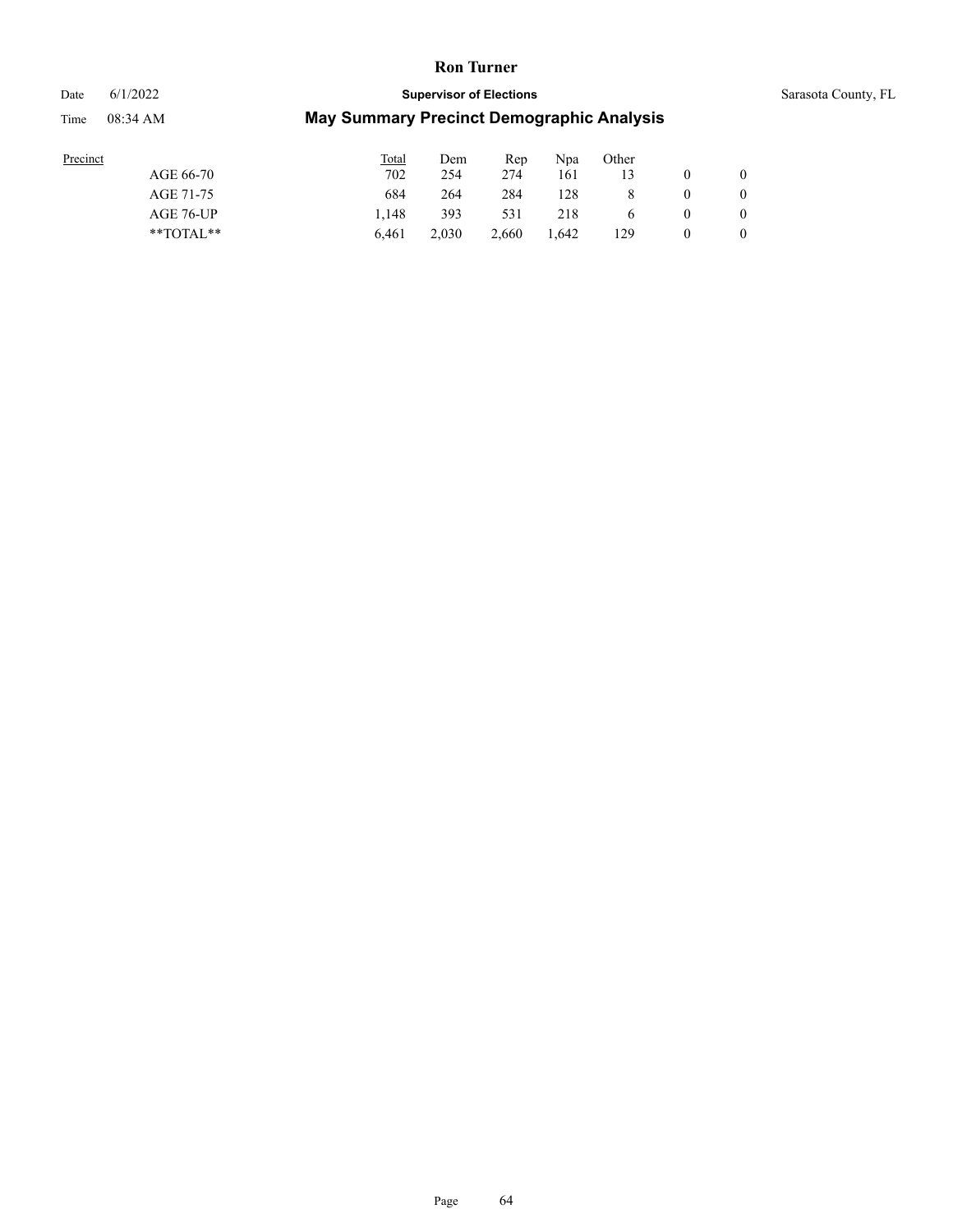### Date 6/1/2022 **Supervisor of Elections** Supervisor **Supervisor of Elections** Sarasota County, FL

| Precinct      | <b>Total</b> | Dem   | Rep   | Npa   | Other |          |   |
|---------------|--------------|-------|-------|-------|-------|----------|---|
| AGE 66-70     | 702          | 254   | 274   | 161   |       |          |   |
| AGE 71-75     | 684          | 264   | 284   | 128   |       |          |   |
| AGE 76-UP     | 1.148        | 393   | 531   | 218   |       | $\theta$ |   |
| $*$ TOTAL $*$ | 6.461        | 2.030 | 2.660 | 1.642 | 129   |          | 0 |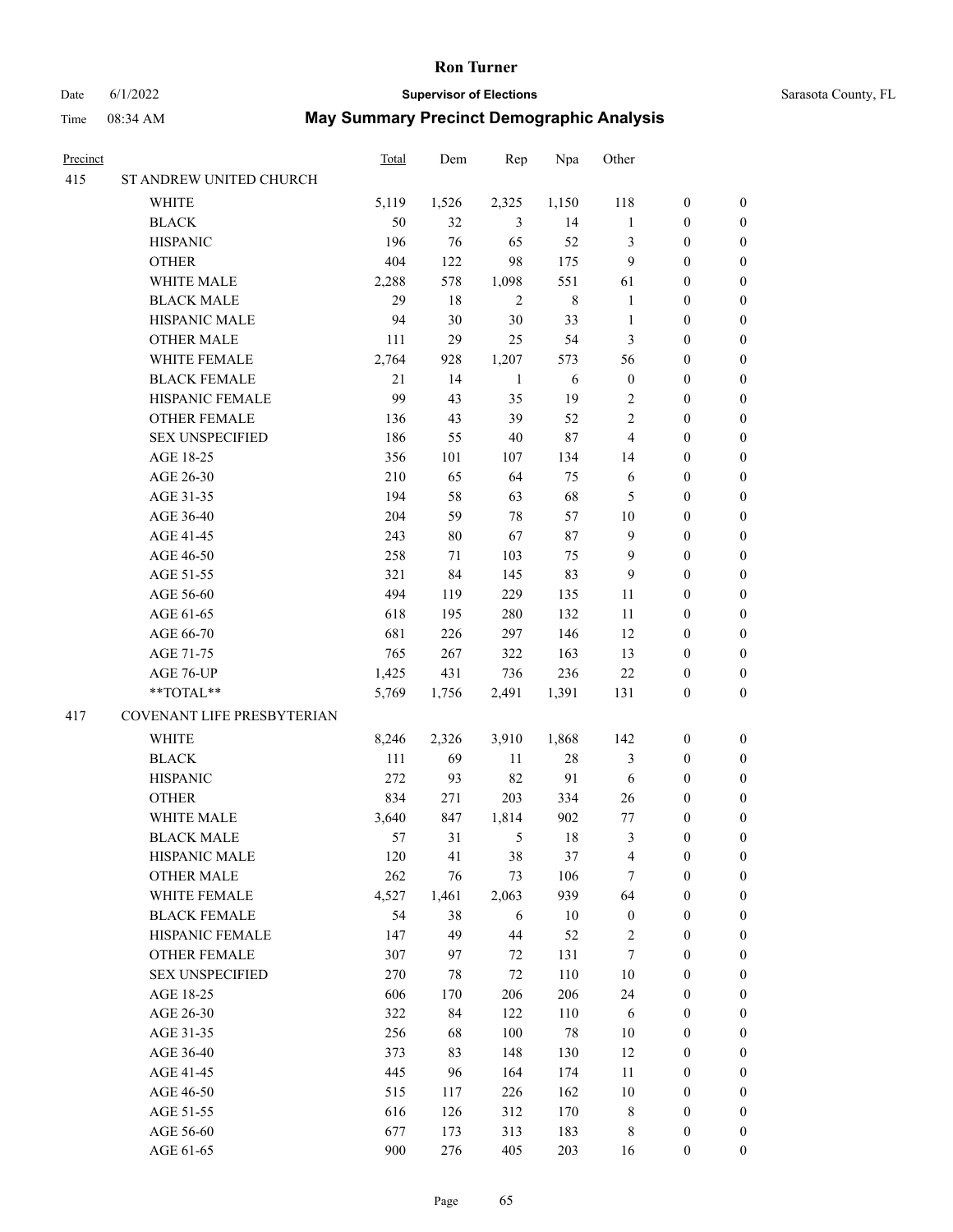## Date 6/1/2022 **Supervisor of Elections** Supervisor **Supervisor of Elections** Sarasota County, FL

| Precinct |                            | <b>Total</b> | Dem    | Rep          | Npa         | Other            |                  |                  |
|----------|----------------------------|--------------|--------|--------------|-------------|------------------|------------------|------------------|
| 415      | ST ANDREW UNITED CHURCH    |              |        |              |             |                  |                  |                  |
|          | WHITE                      | 5,119        | 1,526  | 2,325        | 1,150       | 118              | $\boldsymbol{0}$ | 0                |
|          | <b>BLACK</b>               | 50           | 32     | 3            | 14          | $\mathbf{1}$     | $\boldsymbol{0}$ | 0                |
|          | <b>HISPANIC</b>            | 196          | 76     | 65           | 52          | 3                | $\boldsymbol{0}$ | $\boldsymbol{0}$ |
|          | <b>OTHER</b>               | 404          | 122    | 98           | 175         | 9                | $\boldsymbol{0}$ | $\boldsymbol{0}$ |
|          | WHITE MALE                 | 2,288        | 578    | 1,098        | 551         | 61               | $\boldsymbol{0}$ | $\boldsymbol{0}$ |
|          | <b>BLACK MALE</b>          | 29           | 18     | $\sqrt{2}$   | $\,$ 8 $\,$ | $\mathbf{1}$     | $\boldsymbol{0}$ | $\boldsymbol{0}$ |
|          | HISPANIC MALE              | 94           | 30     | 30           | 33          | $\mathbf{1}$     | $\boldsymbol{0}$ | $\boldsymbol{0}$ |
|          | <b>OTHER MALE</b>          | 111          | 29     | 25           | 54          | 3                | $\boldsymbol{0}$ | $\boldsymbol{0}$ |
|          | WHITE FEMALE               | 2,764        | 928    | 1,207        | 573         | 56               | $\boldsymbol{0}$ | $\boldsymbol{0}$ |
|          | <b>BLACK FEMALE</b>        | 21           | 14     | $\mathbf{1}$ | $\sqrt{6}$  | $\boldsymbol{0}$ | $\boldsymbol{0}$ | $\boldsymbol{0}$ |
|          | HISPANIC FEMALE            | 99           | 43     | 35           | 19          | $\overline{c}$   | $\boldsymbol{0}$ | 0                |
|          | OTHER FEMALE               | 136          | 43     | 39           | 52          | $\overline{c}$   | $\boldsymbol{0}$ | 0                |
|          | <b>SEX UNSPECIFIED</b>     | 186          | 55     | $40\,$       | $87\,$      | 4                | $\boldsymbol{0}$ | $\boldsymbol{0}$ |
|          | AGE 18-25                  | 356          | 101    | 107          | 134         | 14               | $\boldsymbol{0}$ | $\boldsymbol{0}$ |
|          | AGE 26-30                  | 210          | 65     | 64           | 75          | 6                | $\boldsymbol{0}$ | $\boldsymbol{0}$ |
|          | AGE 31-35                  | 194          | 58     | 63           | 68          | 5                | $\boldsymbol{0}$ | $\boldsymbol{0}$ |
|          | AGE 36-40                  | 204          | 59     | $78\,$       | 57          | 10               | $\boldsymbol{0}$ | $\boldsymbol{0}$ |
|          | AGE 41-45                  | 243          | $80\,$ | 67           | 87          | 9                | $\boldsymbol{0}$ | $\boldsymbol{0}$ |
|          | AGE 46-50                  | 258          | 71     | 103          | 75          | 9                | $\boldsymbol{0}$ | $\boldsymbol{0}$ |
|          | AGE 51-55                  | 321          | 84     | 145          | 83          | 9                | $\boldsymbol{0}$ | 0                |
|          | AGE 56-60                  | 494          | 119    | 229          | 135         | 11               | $\boldsymbol{0}$ | 0                |
|          | AGE 61-65                  | 618          | 195    | 280          | 132         | 11               | $\boldsymbol{0}$ | 0                |
|          | AGE 66-70                  | 681          | 226    | 297          | 146         | 12               | $\boldsymbol{0}$ | $\boldsymbol{0}$ |
|          | AGE 71-75                  | 765          | 267    | 322          | 163         | 13               | $\boldsymbol{0}$ | $\boldsymbol{0}$ |
|          | AGE 76-UP                  | 1,425        | 431    | 736          | 236         | $22\,$           | $\boldsymbol{0}$ | $\boldsymbol{0}$ |
|          | **TOTAL**                  | 5,769        | 1,756  | 2,491        | 1,391       | 131              | $\boldsymbol{0}$ | $\boldsymbol{0}$ |
| 417      | COVENANT LIFE PRESBYTERIAN |              |        |              |             |                  |                  |                  |
|          | WHITE                      | 8,246        | 2,326  | 3,910        | 1,868       | 142              | $\boldsymbol{0}$ | $\boldsymbol{0}$ |
|          | <b>BLACK</b>               | 111          | 69     | 11           | $28\,$      | 3                | $\boldsymbol{0}$ | $\boldsymbol{0}$ |
|          | <b>HISPANIC</b>            | 272          | 93     | 82           | 91          | 6                | $\boldsymbol{0}$ | $\boldsymbol{0}$ |
|          | <b>OTHER</b>               | 834          | 271    | 203          | 334         | 26               | $\boldsymbol{0}$ | $\boldsymbol{0}$ |
|          | WHITE MALE                 | 3,640        | 847    | 1,814        | 902         | $77 \,$          | 0                | $\boldsymbol{0}$ |
|          | <b>BLACK MALE</b>          | 57           | 31     | 5            | 18          | 3                | $\boldsymbol{0}$ | $\boldsymbol{0}$ |
|          | HISPANIC MALE              | 120          | 41     | 38           | 37          | 4                | $\boldsymbol{0}$ | 0                |
|          | <b>OTHER MALE</b>          | 262          | 76     | 73           | 106         | 7                | $\boldsymbol{0}$ | 0                |
|          | WHITE FEMALE               | 4,527        | 1,461  | 2,063        | 939         | 64               | $\boldsymbol{0}$ | $\overline{0}$   |
|          | <b>BLACK FEMALE</b>        | 54           | 38     | 6            | 10          | $\boldsymbol{0}$ | $\boldsymbol{0}$ | 0                |
|          | HISPANIC FEMALE            | 147          | 49     | 44           | 52          | $\overline{c}$   | $\boldsymbol{0}$ | 0                |
|          | <b>OTHER FEMALE</b>        | 307          | 97     | 72           | 131         | 7                | $\boldsymbol{0}$ | 0                |
|          | <b>SEX UNSPECIFIED</b>     | 270          | 78     | 72           | 110         | 10               | $\boldsymbol{0}$ | 0                |
|          | AGE 18-25                  | 606          | 170    | 206          | 206         | 24               | $\boldsymbol{0}$ | 0                |
|          | AGE 26-30                  | 322          | 84     | 122          | 110         | 6                | $\boldsymbol{0}$ | 0                |
|          | AGE 31-35                  | 256          | 68     | 100          | 78          | 10               | $\boldsymbol{0}$ | 0                |
|          | AGE 36-40                  | 373          | 83     | 148          | 130         | 12               | $\boldsymbol{0}$ | 0                |
|          | AGE 41-45                  | 445          | 96     | 164          | 174         | 11               | $\boldsymbol{0}$ | $\overline{0}$   |
|          | AGE 46-50                  | 515          | 117    | 226          | 162         | $10\,$           | $\boldsymbol{0}$ | $\overline{0}$   |
|          | AGE 51-55                  | 616          | 126    | 312          | 170         | 8                | $\boldsymbol{0}$ | $\overline{0}$   |
|          | AGE 56-60                  | 677          | 173    | 313          | 183         | 8                | $\boldsymbol{0}$ | 0                |
|          | AGE 61-65                  | 900          | 276    | 405          | 203         | 16               | $\boldsymbol{0}$ | $\overline{0}$   |
|          |                            |              |        |              |             |                  |                  |                  |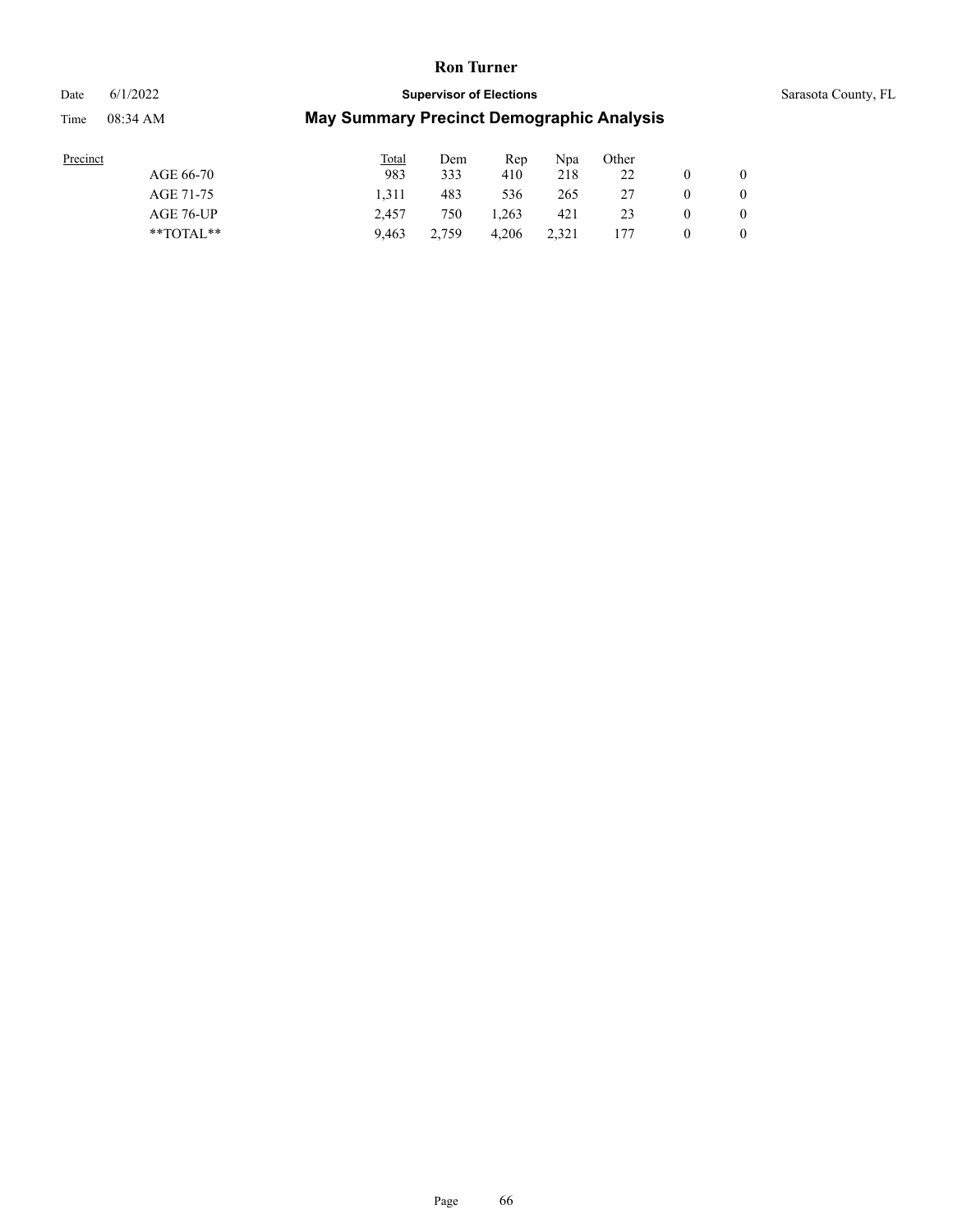Date 6/1/2022 **Supervisor of Elections** Supervisor **Supervisor of Elections** Sarasota County, FL

| Precinct |  |
|----------|--|
|          |  |

|               | Total | Dem   | Rep   | Npa   | Other |          |          |
|---------------|-------|-------|-------|-------|-------|----------|----------|
| AGE 66-70     | 983   | 333   | 410   | 218   | 22    |          | $\theta$ |
| AGE 71-75     | 1.311 | 483   | 536   | 265   | 27    | $\theta$ |          |
| AGE 76-UP     | 2.457 | 750   | 1.263 | 421   | 23    | $\theta$ | $\theta$ |
| $*$ TOTAL $*$ | 9.463 | 2.759 | 4.206 | 2.321 | 177   | $\theta$ |          |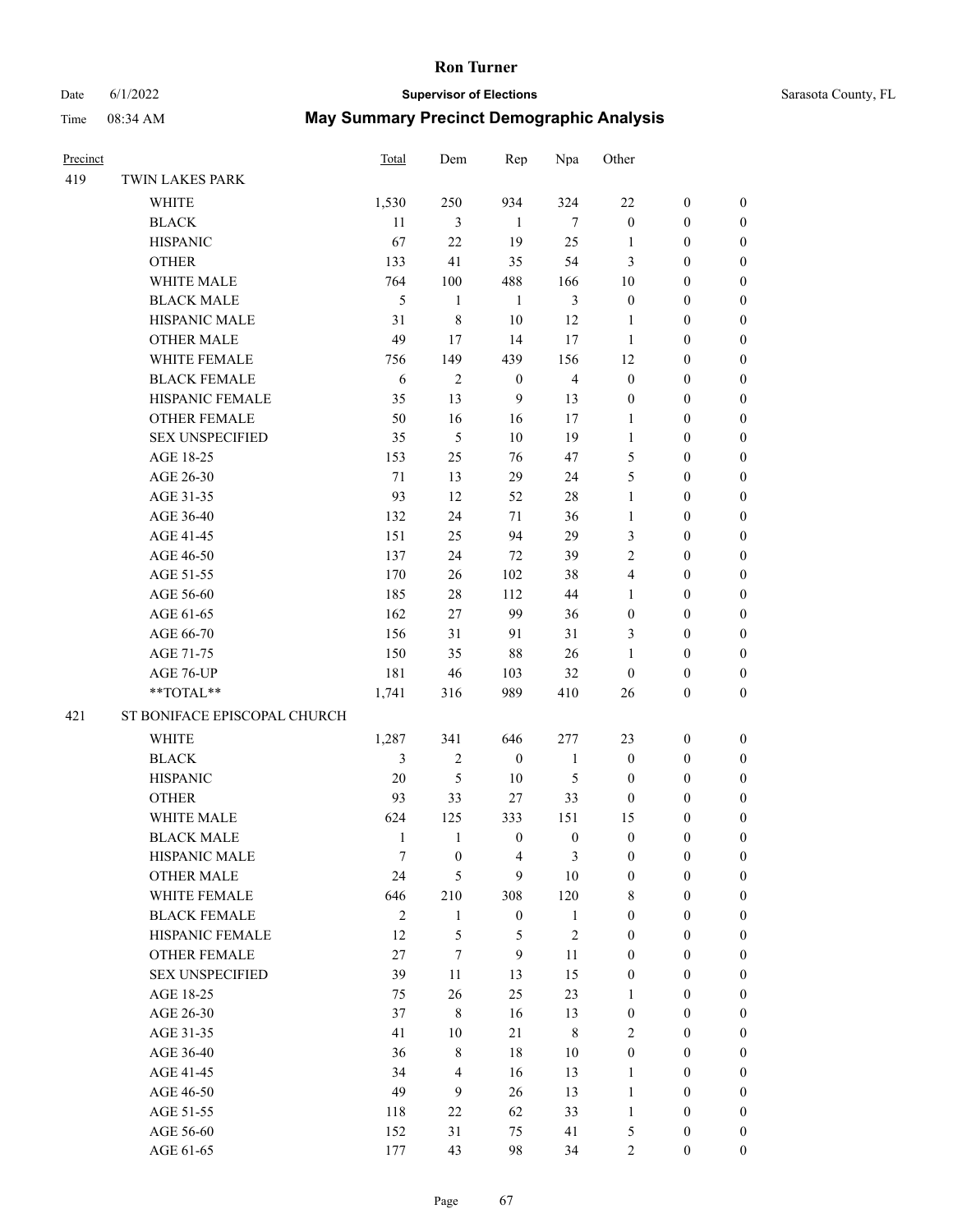# Date 6/1/2022 **Supervisor of Elections**

|  | Sarasota County, FL |  |
|--|---------------------|--|
|--|---------------------|--|

| Precinct |                                    | <b>Total</b>        | Dem                 | Rep                     | Npa                        | Other                  |                                      |                                      |
|----------|------------------------------------|---------------------|---------------------|-------------------------|----------------------------|------------------------|--------------------------------------|--------------------------------------|
| 419      | TWIN LAKES PARK                    |                     |                     |                         |                            |                        |                                      |                                      |
|          | WHITE                              | 1,530               | 250                 | 934                     | 324                        | $22\,$                 | $\boldsymbol{0}$                     | $\boldsymbol{0}$                     |
|          | <b>BLACK</b>                       | 11                  | $\mathfrak{Z}$      | $\mathbf{1}$            | $\tau$                     | $\boldsymbol{0}$       | $\boldsymbol{0}$                     | $\boldsymbol{0}$                     |
|          | <b>HISPANIC</b>                    | 67                  | 22                  | 19                      | 25                         | $\mathbf{1}$           | $\boldsymbol{0}$                     | $\boldsymbol{0}$                     |
|          | <b>OTHER</b>                       | 133                 | 41                  | 35                      | 54                         | 3                      | $\boldsymbol{0}$                     | $\boldsymbol{0}$                     |
|          | WHITE MALE                         | 764                 | 100                 | 488                     | 166                        | 10                     | $\boldsymbol{0}$                     | $\boldsymbol{0}$                     |
|          | <b>BLACK MALE</b>                  | $\mathfrak s$       | $\mathbf{1}$        | $\mathbf{1}$            | $\mathfrak{Z}$             | $\boldsymbol{0}$       | $\boldsymbol{0}$                     | $\boldsymbol{0}$                     |
|          | HISPANIC MALE                      | 31                  | $\,$ 8 $\,$         | 10                      | 12                         | $\mathbf{1}$           | $\boldsymbol{0}$                     | $\boldsymbol{0}$                     |
|          | <b>OTHER MALE</b>                  | 49                  | 17                  | 14                      | 17                         | $\mathbf{1}$           | $\boldsymbol{0}$                     | $\boldsymbol{0}$                     |
|          | WHITE FEMALE                       | 756                 | 149                 | 439                     | 156                        | 12                     | $\boldsymbol{0}$                     | $\boldsymbol{0}$                     |
|          | <b>BLACK FEMALE</b>                | 6                   | $\sqrt{2}$          | $\boldsymbol{0}$        | $\overline{4}$             | $\boldsymbol{0}$       | $\boldsymbol{0}$                     | $\boldsymbol{0}$                     |
|          | HISPANIC FEMALE                    | 35                  | 13                  | 9                       | 13                         | $\boldsymbol{0}$       | $\boldsymbol{0}$                     | $\boldsymbol{0}$                     |
|          | OTHER FEMALE                       | 50                  | 16                  | 16                      | 17                         | $\mathbf{1}$           | $\boldsymbol{0}$                     | $\boldsymbol{0}$                     |
|          | <b>SEX UNSPECIFIED</b>             | 35                  | 5                   | 10                      | 19                         | $\mathbf{1}$           | $\boldsymbol{0}$                     | $\boldsymbol{0}$                     |
|          | AGE 18-25                          | 153                 | 25                  | 76                      | 47                         | 5                      | $\boldsymbol{0}$                     | $\boldsymbol{0}$                     |
|          | AGE 26-30                          | 71                  | 13                  | 29                      | 24                         | 5                      | $\boldsymbol{0}$                     | $\boldsymbol{0}$                     |
|          | AGE 31-35                          | 93                  | 12                  | 52                      | $28\,$                     | $\mathbf{1}$           | $\boldsymbol{0}$                     | $\boldsymbol{0}$                     |
|          | AGE 36-40                          | 132                 | 24                  | $71\,$                  | 36                         | $\mathbf{1}$           | $\boldsymbol{0}$                     | $\boldsymbol{0}$                     |
|          | AGE 41-45                          | 151                 | 25                  | 94                      | 29                         | 3                      | $\boldsymbol{0}$                     | $\boldsymbol{0}$                     |
|          | AGE 46-50                          | 137                 | 24                  | $72\,$                  | 39                         | $\overline{c}$         | $\boldsymbol{0}$                     | $\boldsymbol{0}$                     |
|          | AGE 51-55                          | 170                 | 26                  | 102                     | 38                         | 4                      | $\boldsymbol{0}$                     | 0                                    |
|          | AGE 56-60                          | 185                 | 28                  | 112                     | 44                         | $\mathbf{1}$           | $\boldsymbol{0}$                     | 0                                    |
|          | AGE 61-65                          | 162                 | $27\,$              | 99                      | 36                         | $\boldsymbol{0}$       | $\boldsymbol{0}$                     | $\boldsymbol{0}$                     |
|          | AGE 66-70                          | 156                 | 31                  | 91                      | 31                         | 3                      | $\boldsymbol{0}$                     | $\boldsymbol{0}$                     |
|          | AGE 71-75                          | 150                 | 35                  | 88                      | 26                         | $\mathbf{1}$           | $\boldsymbol{0}$                     | $\boldsymbol{0}$                     |
|          | AGE 76-UP                          | 181                 | 46                  | 103                     | 32                         | $\boldsymbol{0}$       | $\boldsymbol{0}$                     | $\boldsymbol{0}$                     |
|          | **TOTAL**                          | 1,741               | 316                 | 989                     | 410                        | 26                     | $\boldsymbol{0}$                     | $\boldsymbol{0}$                     |
| 421      | ST BONIFACE EPISCOPAL CHURCH       |                     |                     |                         |                            |                        |                                      |                                      |
|          | WHITE                              | 1,287               | 341                 | 646                     | 277                        | 23                     | $\boldsymbol{0}$                     | $\boldsymbol{0}$                     |
|          |                                    |                     | $\sqrt{2}$          | $\boldsymbol{0}$        | $\mathbf{1}$               |                        |                                      |                                      |
|          | <b>BLACK</b>                       | 3<br>$20\,$         | $\mathfrak{S}$      | 10                      | $\mathfrak{S}$             | $\boldsymbol{0}$       | $\boldsymbol{0}$                     | $\boldsymbol{0}$                     |
|          | <b>HISPANIC</b><br><b>OTHER</b>    | 93                  | 33                  |                         | 33                         | $\boldsymbol{0}$       | $\boldsymbol{0}$                     | $\boldsymbol{0}$                     |
|          |                                    |                     |                     | 27                      |                            | $\boldsymbol{0}$       | $\boldsymbol{0}$                     | $\boldsymbol{0}$                     |
|          | WHITE MALE                         | 624<br>$\mathbf{1}$ | 125<br>$\mathbf{1}$ | 333<br>$\boldsymbol{0}$ | 151<br>$\boldsymbol{0}$    | 15<br>$\boldsymbol{0}$ | $\boldsymbol{0}$<br>$\boldsymbol{0}$ | $\boldsymbol{0}$<br>$\boldsymbol{0}$ |
|          | <b>BLACK MALE</b><br>HISPANIC MALE | $\boldsymbol{7}$    | $\boldsymbol{0}$    | 4                       | $\mathfrak{Z}$             | $\boldsymbol{0}$       | $\boldsymbol{0}$                     | $\boldsymbol{0}$                     |
|          | <b>OTHER MALE</b>                  | 24                  | 5                   | 9                       | $10\,$                     | $\boldsymbol{0}$       |                                      | $\boldsymbol{0}$                     |
|          | WHITE FEMALE                       | 646                 | 210                 | 308                     | 120                        | 8                      | $\boldsymbol{0}$<br>$\boldsymbol{0}$ | $\overline{0}$                       |
|          | <b>BLACK FEMALE</b>                | $\sqrt{2}$          | $\mathbf{1}$        | $\boldsymbol{0}$        |                            | $\boldsymbol{0}$       | $\boldsymbol{0}$                     | $\overline{0}$                       |
|          | HISPANIC FEMALE                    | 12                  | 5                   | 5                       | $\mathbf{1}$<br>$\sqrt{2}$ | $\boldsymbol{0}$       | $\boldsymbol{0}$                     | $\overline{0}$                       |
|          | OTHER FEMALE                       | 27                  | 7                   | $\mathbf{9}$            | 11                         | $\boldsymbol{0}$       | $\boldsymbol{0}$                     | $\overline{0}$                       |
|          | <b>SEX UNSPECIFIED</b>             | 39                  | $11\,$              |                         | 15                         |                        |                                      | $\overline{0}$                       |
|          |                                    |                     |                     | 13<br>25                |                            | $\boldsymbol{0}$       | $\boldsymbol{0}$                     | $\overline{0}$                       |
|          | AGE 18-25<br>AGE 26-30             | 75<br>37            | 26<br>$\,$ 8 $\,$   | 16                      | 23<br>13                   | 1                      | $\boldsymbol{0}$                     |                                      |
|          |                                    | 41                  | $10\,$              | 21                      | $\,$ 8 $\,$                | $\boldsymbol{0}$<br>2  | $\boldsymbol{0}$<br>$\boldsymbol{0}$ | 0                                    |
|          | AGE 31-35                          |                     |                     |                         |                            |                        |                                      | 0                                    |
|          | AGE 36-40                          | 36                  | $\,8\,$             | 18                      | $10\,$                     | $\boldsymbol{0}$       | $\boldsymbol{0}$                     | $\boldsymbol{0}$                     |
|          | AGE 41-45                          | 34                  | $\overline{4}$      | 16                      | 13                         | $\mathbf{1}$           | $\boldsymbol{0}$                     | $\boldsymbol{0}$                     |
|          | AGE 46-50                          | 49                  | 9                   | 26                      | 13                         | $\mathbf{1}$           | $\boldsymbol{0}$                     | $\overline{0}$                       |
|          | AGE 51-55                          | 118                 | $22\,$              | 62                      | 33                         | $\mathbf{1}$           | $\boldsymbol{0}$                     | $\overline{0}$                       |
|          | AGE 56-60                          | 152                 | 31                  | 75                      | 41                         | 5                      | $\boldsymbol{0}$                     | 0                                    |
|          | AGE 61-65                          | 177                 | 43                  | 98                      | 34                         | $\sqrt{2}$             | $\boldsymbol{0}$                     | $\boldsymbol{0}$                     |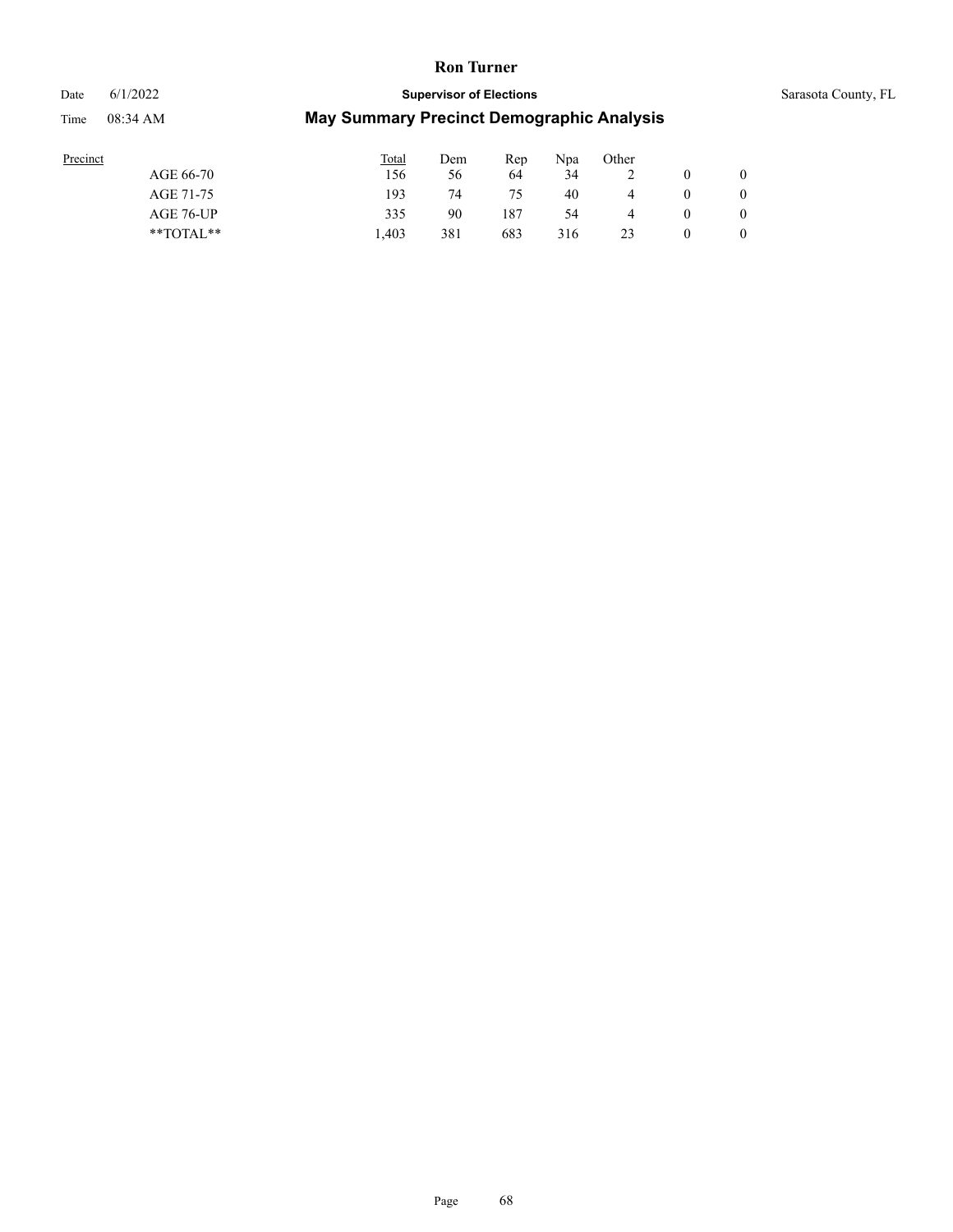## Date 6/1/2022 **Supervisor of Elections** Supervisor **Supervisor of Elections** Sarasota County, FL Time 08:34 AM **May Summary Precinct Demographic Analysis**

| Precinct  |               | Total | Dem | Rep | Npa | Other |          |  |
|-----------|---------------|-------|-----|-----|-----|-------|----------|--|
| AGE 66-70 |               | 56ء   | 56  | 64  | 34  |       |          |  |
| AGE 71-75 |               | 193   | 74  | 75  | 40  |       | $\theta$ |  |
|           | AGE 76-UP     | 335   | 90  | 187 | 54  | 4     | $\theta$ |  |
|           | $*$ TOTAL $*$ | 1.403 | 381 | 683 | 316 | 23    |          |  |
|           |               |       |     |     |     |       |          |  |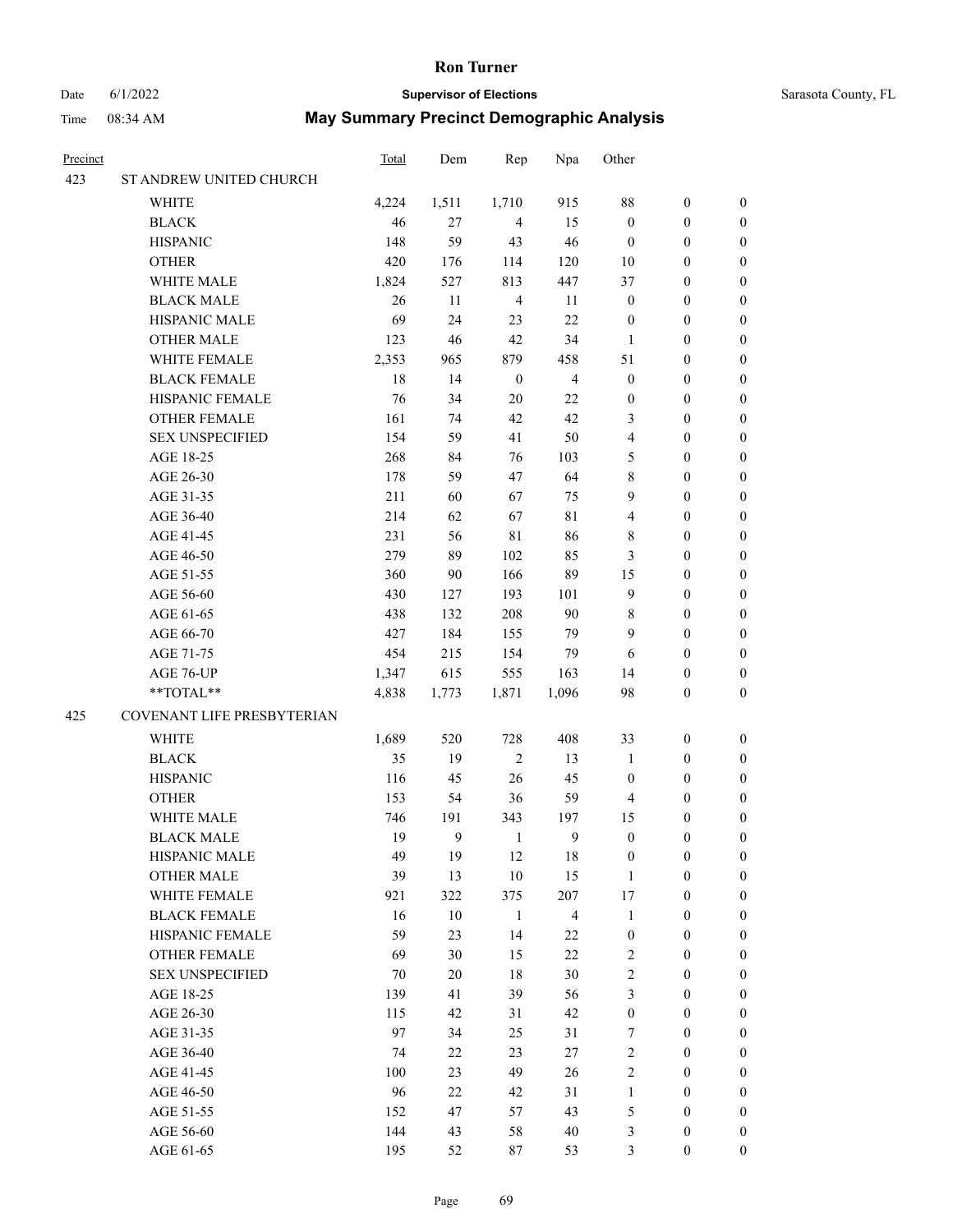### Date 6/1/2022 **Supervisor of Elections** Supervisor **Supervisor of Elections** Sarasota County, FL

| Precinct |                            | <b>Total</b> | Dem            | Rep              | Npa            | Other            |                  |                  |
|----------|----------------------------|--------------|----------------|------------------|----------------|------------------|------------------|------------------|
| 423      | ST ANDREW UNITED CHURCH    |              |                |                  |                |                  |                  |                  |
|          | WHITE                      | 4,224        | 1,511          | 1,710            | 915            | 88               | $\boldsymbol{0}$ | 0                |
|          | <b>BLACK</b>               | 46           | 27             | $\overline{4}$   | 15             | $\boldsymbol{0}$ | $\boldsymbol{0}$ | 0                |
|          | <b>HISPANIC</b>            | 148          | 59             | 43               | $46\,$         | $\boldsymbol{0}$ | $\boldsymbol{0}$ | $\boldsymbol{0}$ |
|          | <b>OTHER</b>               | 420          | 176            | 114              | 120            | $10\,$           | $\boldsymbol{0}$ | $\boldsymbol{0}$ |
|          | WHITE MALE                 | 1,824        | 527            | 813              | 447            | 37               | $\boldsymbol{0}$ | $\boldsymbol{0}$ |
|          | <b>BLACK MALE</b>          | 26           | $11\,$         | $\overline{4}$   | 11             | $\boldsymbol{0}$ | $\boldsymbol{0}$ | $\boldsymbol{0}$ |
|          | HISPANIC MALE              | 69           | 24             | 23               | $22\,$         | $\boldsymbol{0}$ | $\boldsymbol{0}$ | $\boldsymbol{0}$ |
|          | <b>OTHER MALE</b>          | 123          | 46             | 42               | 34             | $\mathbf{1}$     | $\boldsymbol{0}$ | $\boldsymbol{0}$ |
|          | WHITE FEMALE               | 2,353        | 965            | 879              | 458            | 51               | $\boldsymbol{0}$ | $\boldsymbol{0}$ |
|          | <b>BLACK FEMALE</b>        | 18           | 14             | $\boldsymbol{0}$ | $\overline{4}$ | $\boldsymbol{0}$ | $\boldsymbol{0}$ | 0                |
|          | HISPANIC FEMALE            | 76           | 34             | 20               | $22\,$         | $\boldsymbol{0}$ | $\boldsymbol{0}$ | 0                |
|          | OTHER FEMALE               | 161          | 74             | 42               | $42\,$         | 3                | $\boldsymbol{0}$ | 0                |
|          | <b>SEX UNSPECIFIED</b>     | 154          | 59             | 41               | 50             | 4                | $\boldsymbol{0}$ | $\boldsymbol{0}$ |
|          | AGE 18-25                  | 268          | 84             | 76               | 103            | 5                | $\boldsymbol{0}$ | $\boldsymbol{0}$ |
|          | AGE 26-30                  | 178          | 59             | 47               | 64             | 8                | $\boldsymbol{0}$ | $\boldsymbol{0}$ |
|          | AGE 31-35                  | 211          | 60             | 67               | 75             | 9                | $\boldsymbol{0}$ | $\boldsymbol{0}$ |
|          | AGE 36-40                  | 214          | 62             | 67               | $8\sqrt{1}$    | 4                | $\boldsymbol{0}$ | $\boldsymbol{0}$ |
|          | AGE 41-45                  | 231          | 56             | $8\sqrt{1}$      | 86             | 8                | $\boldsymbol{0}$ | $\boldsymbol{0}$ |
|          | AGE 46-50                  | 279          | 89             | 102              | 85             | $\mathfrak{Z}$   | $\boldsymbol{0}$ | $\boldsymbol{0}$ |
|          | AGE 51-55                  | 360          | 90             | 166              | 89             | 15               | $\boldsymbol{0}$ | 0                |
|          | AGE 56-60                  | 430          | 127            | 193              | 101            | 9                | $\boldsymbol{0}$ | 0                |
|          | AGE 61-65                  | 438          | 132            | 208              | $90\,$         | 8                | $\boldsymbol{0}$ | 0                |
|          | AGE 66-70                  | 427          | 184            | 155              | 79             | 9                | $\boldsymbol{0}$ | $\boldsymbol{0}$ |
|          | AGE 71-75                  | 454          | 215            | 154              | 79             | 6                | $\boldsymbol{0}$ | $\boldsymbol{0}$ |
|          | AGE 76-UP                  | 1,347        | 615            | 555              | 163            | 14               | $\boldsymbol{0}$ | $\boldsymbol{0}$ |
|          | **TOTAL**                  | 4,838        | 1,773          | 1,871            | 1,096          | 98               | $\boldsymbol{0}$ | $\boldsymbol{0}$ |
| 425      | COVENANT LIFE PRESBYTERIAN |              |                |                  |                |                  |                  |                  |
|          |                            |              |                | 728              | 408            | 33               |                  |                  |
|          | WHITE                      | 1,689        | 520            |                  |                |                  | $\boldsymbol{0}$ | $\boldsymbol{0}$ |
|          | <b>BLACK</b>               | 35           | 19             | $\sqrt{2}$       | 13             | $\mathbf{1}$     | $\boldsymbol{0}$ | $\boldsymbol{0}$ |
|          | <b>HISPANIC</b>            | 116          | 45             | 26               | 45             | $\boldsymbol{0}$ | $\boldsymbol{0}$ | $\boldsymbol{0}$ |
|          | <b>OTHER</b>               | 153          | 54             | 36               | 59             | 4                | $\boldsymbol{0}$ | $\boldsymbol{0}$ |
|          | WHITE MALE                 | 746          | 191            | 343              | 197            | 15               | 0                | 0                |
|          | <b>BLACK MALE</b>          | 19           | $\overline{9}$ | 1                | 9              | $\boldsymbol{0}$ | $\boldsymbol{0}$ | $\boldsymbol{0}$ |
|          | HISPANIC MALE              | 49           | 19             | 12               | 18             | $\boldsymbol{0}$ | $\boldsymbol{0}$ | 0                |
|          | <b>OTHER MALE</b>          | 39           | 13             | $10\,$           | 15             | $\mathbf{1}$     | $\boldsymbol{0}$ | 0                |
|          | WHITE FEMALE               | 921          | 322            | 375              | 207            | 17               | $\boldsymbol{0}$ | $\overline{0}$   |
|          | <b>BLACK FEMALE</b>        | 16           | $10\,$         | $\mathbf{1}$     | $\overline{4}$ | $\mathbf{1}$     | $\boldsymbol{0}$ | 0                |
|          | HISPANIC FEMALE            | 59           | 23             | 14               | 22             | $\boldsymbol{0}$ | $\boldsymbol{0}$ | 0                |
|          | <b>OTHER FEMALE</b>        | 69           | 30             | 15               | $22\,$         | $\sqrt{2}$       | $\boldsymbol{0}$ | $\theta$         |
|          | <b>SEX UNSPECIFIED</b>     | 70           | $20\,$         | $18\,$           | 30             | $\mathbf{2}$     | $\boldsymbol{0}$ | 0                |
|          | AGE 18-25                  | 139          | 41             | 39               | 56             | 3                | $\boldsymbol{0}$ | 0                |
|          | AGE 26-30                  | 115          | 42             | 31               | 42             | $\boldsymbol{0}$ | $\boldsymbol{0}$ | 0                |
|          | AGE 31-35                  | 97           | 34             | 25               | 31             | $\tau$           | $\boldsymbol{0}$ | 0                |
|          | AGE 36-40                  | 74           | 22             | 23               | $27\,$         | $\sqrt{2}$       | $\boldsymbol{0}$ | 0                |
|          | AGE 41-45                  | 100          | 23             | 49               | 26             | $\sqrt{2}$       | $\boldsymbol{0}$ | $\overline{0}$   |
|          | AGE 46-50                  | 96           | $22\,$         | 42               | 31             | $\mathbf{1}$     | $\boldsymbol{0}$ | $\overline{0}$   |
|          | AGE 51-55                  | 152          | 47             | 57               | 43             | 5                | $\boldsymbol{0}$ | 0                |
|          | AGE 56-60                  | 144          | 43             | 58               | $40\,$         | 3                | $\boldsymbol{0}$ | 0                |
|          | AGE 61-65                  | 195          | 52             | 87               | 53             | 3                | $\boldsymbol{0}$ | $\overline{0}$   |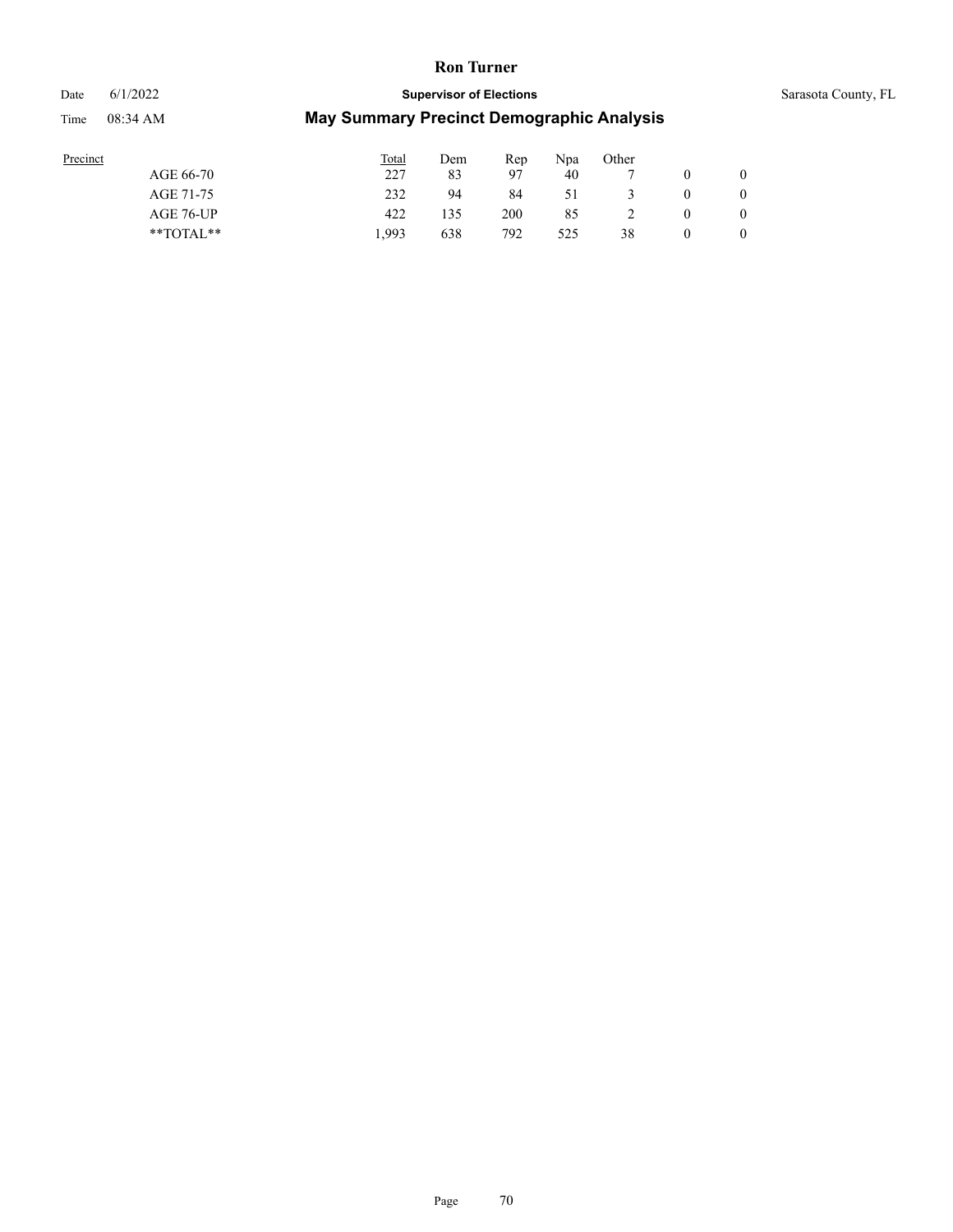## Date 6/1/2022 **Supervisor of Elections** Supervisor **Supervisor of Elections** Sarasota County, FL

| ⊨enne |  |
|-------|--|
|       |  |

| Precinct      | <b>Total</b> | Dem | Rep | Npa | Other |              |
|---------------|--------------|-----|-----|-----|-------|--------------|
| AGE 66-70     | 227          | 83  | 97  | 40  |       | $\mathbf{0}$ |
| AGE 71-75     | 232          | 94  | 84  | 51  |       | $\mathbf{0}$ |
| AGE 76-UP     | 422          | 135 | 200 | 85  |       | $\mathbf{0}$ |
| $*$ TOTAL $*$ | .993         | 638 | 792 | 525 | 38    | $\mathbf{0}$ |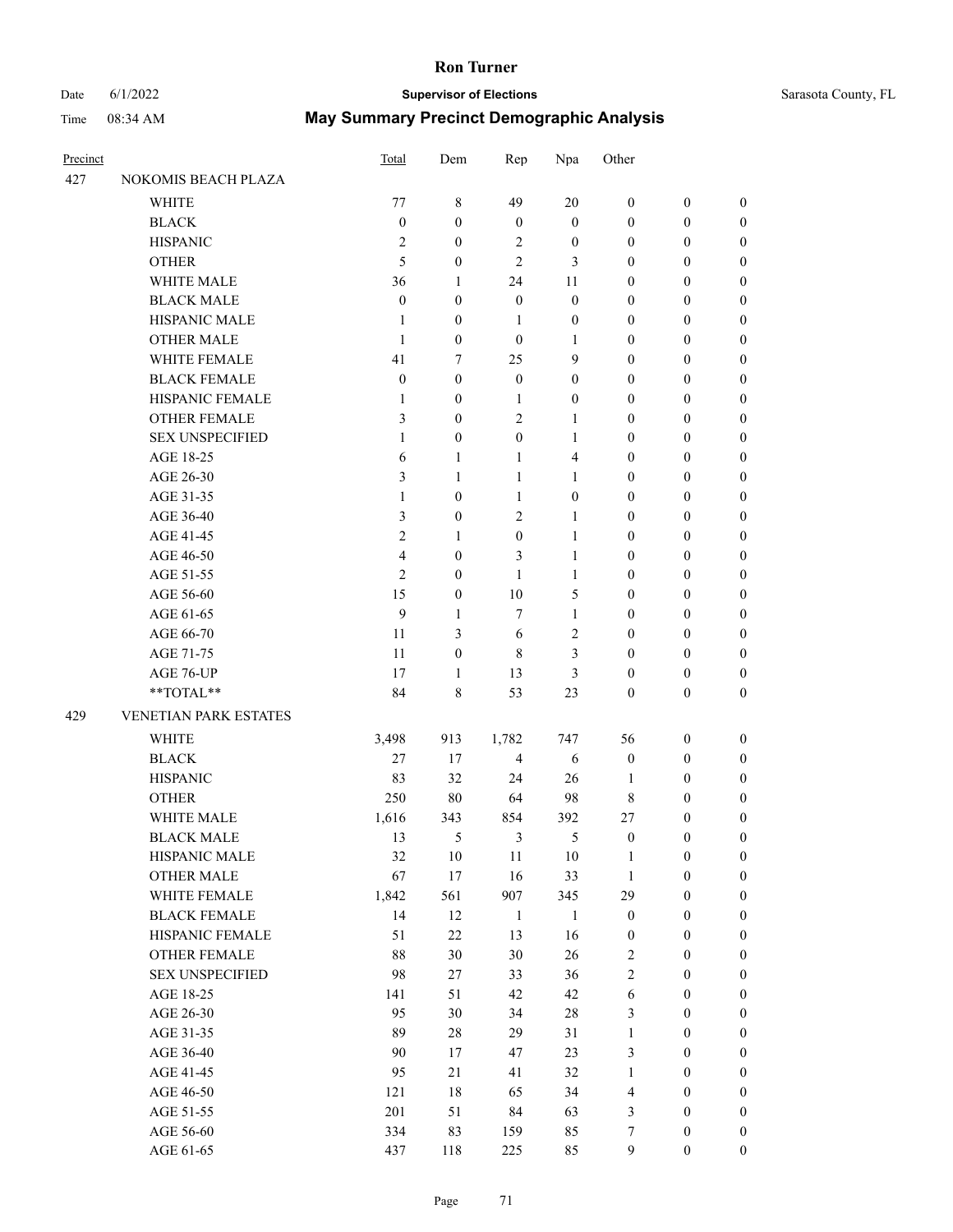# Date 6/1/2022 **Supervisor of Elections** Supervisor **Supervisor of Elections** Sarasota County, FL

| Precinct |                        | Total            | Dem              | Rep              | Npa                     | Other            |                  |                                      |
|----------|------------------------|------------------|------------------|------------------|-------------------------|------------------|------------------|--------------------------------------|
| 427      | NOKOMIS BEACH PLAZA    |                  |                  |                  |                         |                  |                  |                                      |
|          | WHITE                  | 77               | $\,$ 8 $\,$      | 49               | 20                      | $\boldsymbol{0}$ | $\boldsymbol{0}$ | $\boldsymbol{0}$                     |
|          | <b>BLACK</b>           | $\boldsymbol{0}$ | $\mathbf{0}$     | $\mathbf{0}$     | $\boldsymbol{0}$        | $\boldsymbol{0}$ | $\boldsymbol{0}$ | $\boldsymbol{0}$                     |
|          | <b>HISPANIC</b>        | $\mathfrak{2}$   | $\boldsymbol{0}$ | 2                | $\boldsymbol{0}$        | $\boldsymbol{0}$ | $\boldsymbol{0}$ | $\boldsymbol{0}$                     |
|          | <b>OTHER</b>           | 5                | $\boldsymbol{0}$ | 2                | 3                       | $\boldsymbol{0}$ | $\boldsymbol{0}$ | $\boldsymbol{0}$                     |
|          | WHITE MALE             | 36               | 1                | 24               | 11                      | $\boldsymbol{0}$ | $\boldsymbol{0}$ | $\boldsymbol{0}$                     |
|          | <b>BLACK MALE</b>      | $\boldsymbol{0}$ | $\boldsymbol{0}$ | $\boldsymbol{0}$ | $\boldsymbol{0}$        | $\boldsymbol{0}$ | $\boldsymbol{0}$ | $\boldsymbol{0}$                     |
|          | HISPANIC MALE          | $\mathbf{1}$     | $\mathbf{0}$     | $\mathbf{1}$     | $\boldsymbol{0}$        | $\boldsymbol{0}$ | $\boldsymbol{0}$ | $\boldsymbol{0}$                     |
|          | <b>OTHER MALE</b>      | $\mathbf{1}$     | $\boldsymbol{0}$ | $\boldsymbol{0}$ | $\mathbf{1}$            | $\boldsymbol{0}$ | $\boldsymbol{0}$ | $\boldsymbol{0}$                     |
|          | WHITE FEMALE           | 41               | 7                | 25               | 9                       | $\boldsymbol{0}$ | $\boldsymbol{0}$ | $\boldsymbol{0}$                     |
|          | <b>BLACK FEMALE</b>    | $\boldsymbol{0}$ | $\boldsymbol{0}$ | $\boldsymbol{0}$ | $\boldsymbol{0}$        | $\boldsymbol{0}$ | $\boldsymbol{0}$ | $\boldsymbol{0}$                     |
|          | HISPANIC FEMALE        | 1                | $\mathbf{0}$     | 1                | $\boldsymbol{0}$        | $\boldsymbol{0}$ | $\boldsymbol{0}$ | $\boldsymbol{0}$                     |
|          | <b>OTHER FEMALE</b>    | 3                | $\mathbf{0}$     | 2                | 1                       | $\boldsymbol{0}$ | $\boldsymbol{0}$ | $\boldsymbol{0}$                     |
|          | <b>SEX UNSPECIFIED</b> | $\mathbf{1}$     | $\mathbf{0}$     | $\boldsymbol{0}$ | 1                       | $\boldsymbol{0}$ | $\boldsymbol{0}$ | $\boldsymbol{0}$                     |
|          | AGE 18-25              | 6                | 1                | $\mathbf{1}$     | $\overline{\mathbf{4}}$ | $\boldsymbol{0}$ | $\boldsymbol{0}$ | $\boldsymbol{0}$                     |
|          | AGE 26-30              | 3                | 1                | $\mathbf{1}$     | $\mathbf{1}$            | $\boldsymbol{0}$ | $\boldsymbol{0}$ | $\boldsymbol{0}$                     |
|          | AGE 31-35              | $\mathbf{1}$     | $\boldsymbol{0}$ | $\mathbf{1}$     | $\boldsymbol{0}$        | $\boldsymbol{0}$ | $\boldsymbol{0}$ | $\boldsymbol{0}$                     |
|          | AGE 36-40              | 3                | $\boldsymbol{0}$ | $\overline{c}$   | 1                       | $\boldsymbol{0}$ | $\boldsymbol{0}$ | $\boldsymbol{0}$                     |
|          | AGE 41-45              | $\overline{c}$   | 1                | $\boldsymbol{0}$ | 1                       | $\boldsymbol{0}$ | $\boldsymbol{0}$ | $\boldsymbol{0}$                     |
|          | AGE 46-50              | 4                | $\boldsymbol{0}$ | 3                | 1                       | $\boldsymbol{0}$ | $\boldsymbol{0}$ | $\boldsymbol{0}$                     |
|          | AGE 51-55              | $\overline{c}$   | $\boldsymbol{0}$ | $\mathbf{1}$     | $\mathbf{1}$            | $\boldsymbol{0}$ | $\boldsymbol{0}$ | $\boldsymbol{0}$                     |
|          | AGE 56-60              | 15               | $\mathbf{0}$     | 10               | 5                       | $\boldsymbol{0}$ | $\boldsymbol{0}$ | 0                                    |
|          | AGE 61-65              | 9                | 1                | 7                | $\mathbf{1}$            | $\boldsymbol{0}$ | $\boldsymbol{0}$ | $\boldsymbol{0}$                     |
|          | AGE 66-70              | 11               | 3                | 6                | $\mathbf{2}$            | $\boldsymbol{0}$ | $\boldsymbol{0}$ | $\boldsymbol{0}$                     |
|          | AGE 71-75              | 11               | $\boldsymbol{0}$ | 8                | 3                       | $\boldsymbol{0}$ | $\boldsymbol{0}$ | $\boldsymbol{0}$                     |
|          | AGE 76-UP              | 17               | $\mathbf{1}$     | 13               | 3                       | $\boldsymbol{0}$ | $\boldsymbol{0}$ | $\boldsymbol{0}$                     |
|          | **TOTAL**              | 84               | 8                | 53               | 23                      | $\boldsymbol{0}$ | $\boldsymbol{0}$ | $\boldsymbol{0}$                     |
| 429      | VENETIAN PARK ESTATES  |                  |                  |                  |                         |                  |                  |                                      |
|          | <b>WHITE</b>           | 3,498            | 913              | 1,782            | 747                     | 56               | $\boldsymbol{0}$ | $\boldsymbol{0}$                     |
|          | <b>BLACK</b>           | 27               | 17               | 4                | 6                       | $\boldsymbol{0}$ | $\boldsymbol{0}$ | $\boldsymbol{0}$                     |
|          | <b>HISPANIC</b>        | 83               | 32               | 24               | 26                      | $\mathbf{1}$     | $\boldsymbol{0}$ | $\boldsymbol{0}$                     |
|          | <b>OTHER</b>           | 250              | 80               | 64               | 98                      | 8                | $\boldsymbol{0}$ | $\boldsymbol{0}$                     |
|          | WHITE MALE             | 1,616            | 343              | 854              | 392                     | 27               | $\boldsymbol{0}$ |                                      |
|          | <b>BLACK MALE</b>      | 13               | 5                | 3                | 5                       | $\boldsymbol{0}$ | $\theta$         | $\boldsymbol{0}$<br>$\boldsymbol{0}$ |
|          | HISPANIC MALE          | 32               | 10               | 11               | 10                      | $\mathbf{1}$     | $\boldsymbol{0}$ | $\boldsymbol{0}$                     |
|          | <b>OTHER MALE</b>      | 67               | 17               | 16               | 33                      | $\mathbf{1}$     | $\boldsymbol{0}$ | $\boldsymbol{0}$                     |
|          | WHITE FEMALE           | 1,842            | 561              | 907              | 345                     | 29               | $\boldsymbol{0}$ | $\overline{0}$                       |
|          | <b>BLACK FEMALE</b>    | 14               | 12               | $\mathbf{1}$     | $\mathbf{1}$            | $\boldsymbol{0}$ | $\boldsymbol{0}$ | $\overline{0}$                       |
|          | HISPANIC FEMALE        | 51               | $22\,$           | 13               | 16                      | $\boldsymbol{0}$ | $\boldsymbol{0}$ | $\overline{0}$                       |
|          | <b>OTHER FEMALE</b>    | $88\,$           | $30\,$           | 30               | 26                      | $\sqrt{2}$       | $\boldsymbol{0}$ | $\overline{0}$                       |
|          | <b>SEX UNSPECIFIED</b> | 98               | 27               | 33               | 36                      | $\overline{c}$   | $\boldsymbol{0}$ | $\overline{0}$                       |
|          | AGE 18-25              | 141              | 51               | 42               | 42                      | 6                | $\boldsymbol{0}$ | $\overline{0}$                       |
|          | AGE 26-30              | 95               | 30               | 34               | $28\,$                  | 3                | $\boldsymbol{0}$ | 0                                    |
|          | AGE 31-35              | 89               | $28\,$           | 29               | 31                      | $\mathbf{1}$     | $\boldsymbol{0}$ | 0                                    |
|          | AGE 36-40              | 90               | 17               | 47               | 23                      | 3                | $\boldsymbol{0}$ | $\boldsymbol{0}$                     |
|          | AGE 41-45              | 95               | 21               | 41               | 32                      | $\mathbf{1}$     | $\boldsymbol{0}$ | $\boldsymbol{0}$                     |
|          | AGE 46-50              | 121              | 18               | 65               | 34                      | 4                | $\boldsymbol{0}$ | $\overline{0}$                       |
|          | AGE 51-55              | 201              | 51               | 84               | 63                      | 3                | $\boldsymbol{0}$ | $\overline{0}$                       |
|          | AGE 56-60              | 334              | 83               | 159              | 85                      | 7                | $\boldsymbol{0}$ | 0                                    |
|          | AGE 61-65              | 437              | 118              | 225              | 85                      | 9                | $\boldsymbol{0}$ | $\boldsymbol{0}$                     |
|          |                        |                  |                  |                  |                         |                  |                  |                                      |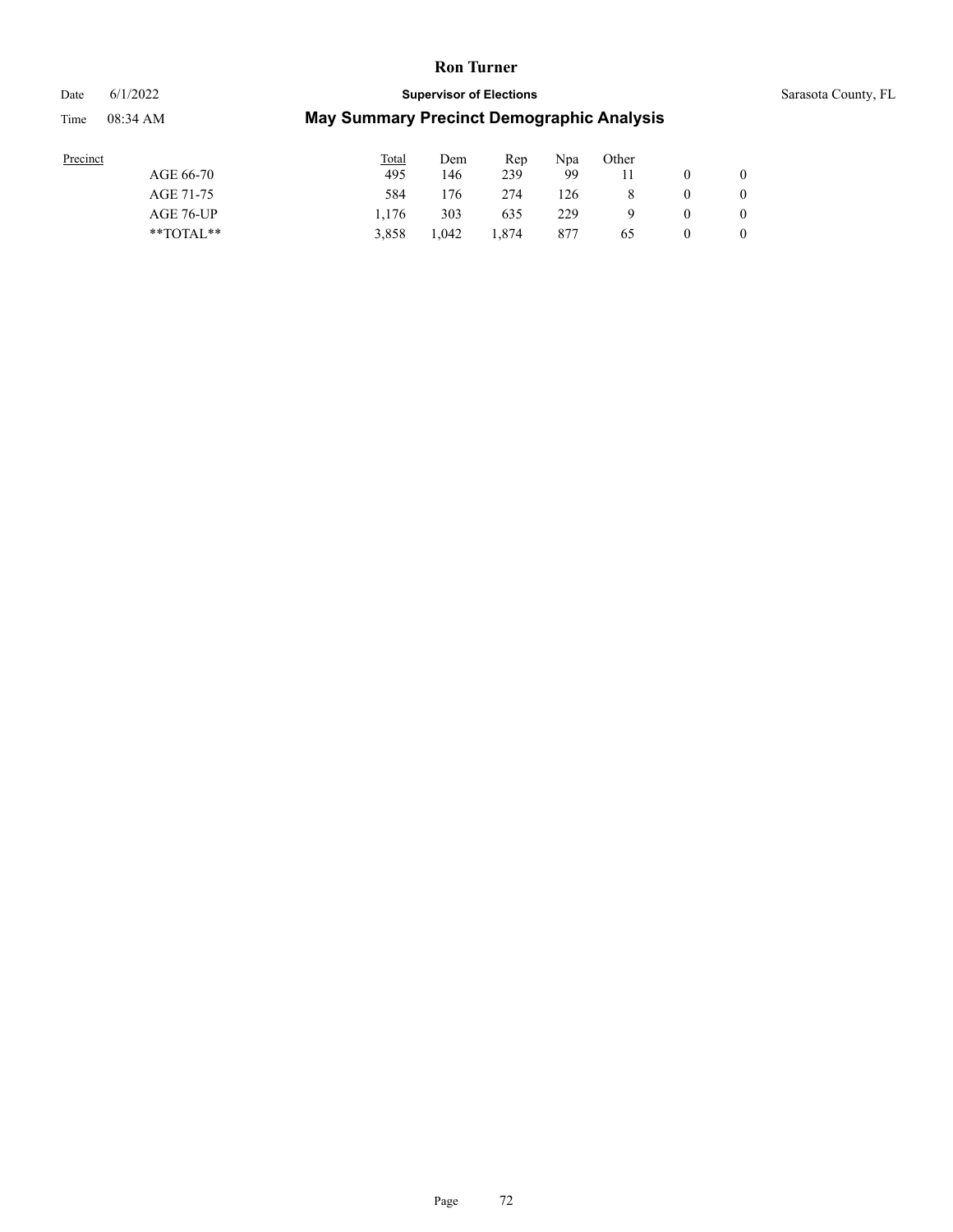#### Date 6/1/2022 **Supervisor of Elections** Supervisor **Supervisor of Elections** Sarasota County, FL

| Precinct      | <b>Total</b> | Dem   | Rep   | Npa | Other |   |                |
|---------------|--------------|-------|-------|-----|-------|---|----------------|
| AGE 66-70     | 495          | 146   | 239   | 99  |       |   | $\overline{0}$ |
| AGE 71-75     | 584          | 176   | 274   | 126 |       | 0 | 0              |
| AGE 76-UP     | 1.176        | 303   | 635   | 229 |       | 0 | $\overline{0}$ |
| $*$ TOTAL $*$ | 3.858        | 1.042 | 1.874 | 877 | 65    | 0 | $\overline{0}$ |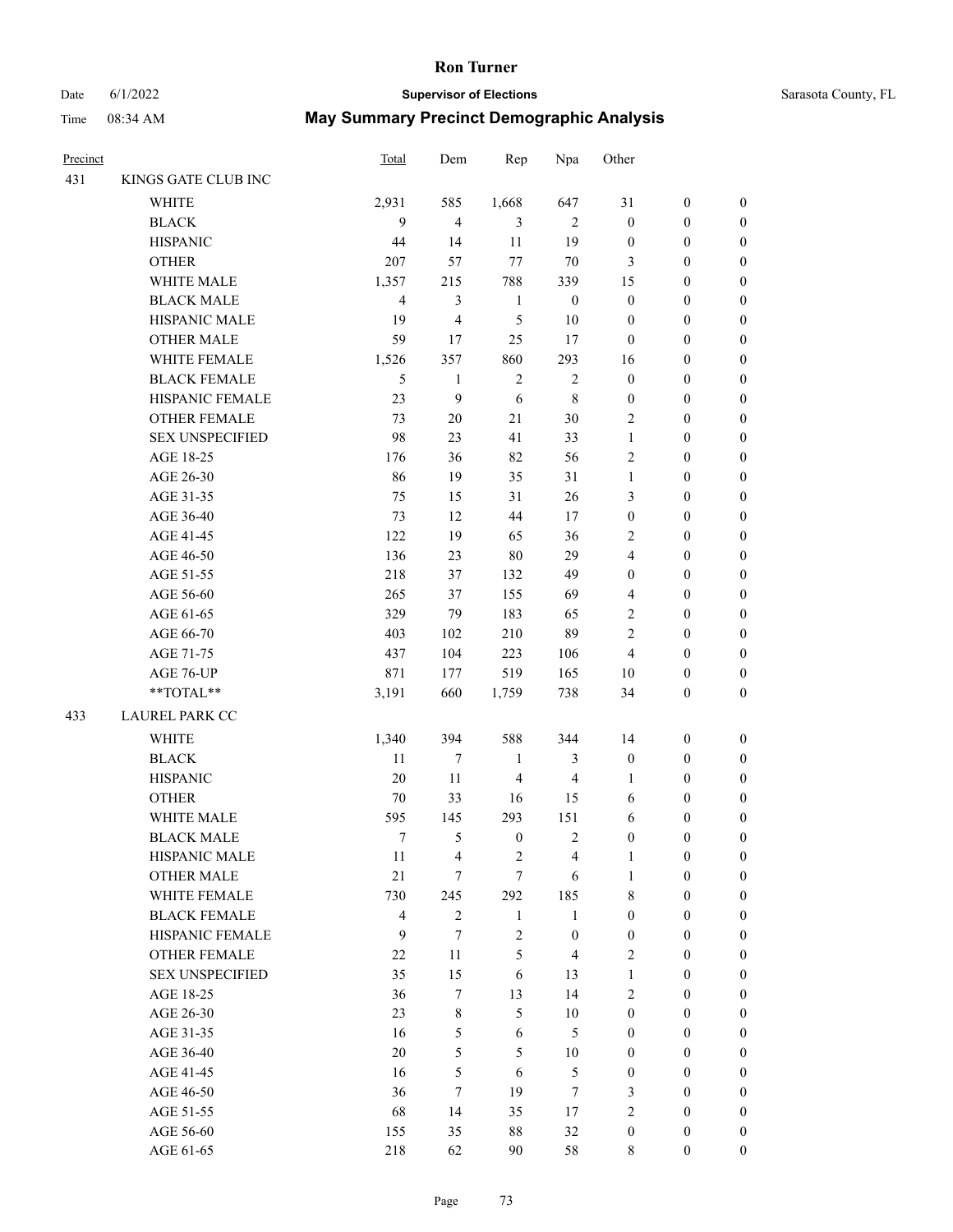# Date 6/1/2022 **Supervisor of Elections** Supervisor **Supervisor of Elections** Sarasota County, FL

| Precinct |                                  | Total                   | Dem            | Rep                     | Npa                     | Other            |                  |                  |
|----------|----------------------------------|-------------------------|----------------|-------------------------|-------------------------|------------------|------------------|------------------|
| 431      | KINGS GATE CLUB INC              |                         |                |                         |                         |                  |                  |                  |
|          | WHITE                            | 2,931                   | 585            | 1,668                   | 647                     | 31               | $\boldsymbol{0}$ | 0                |
|          | <b>BLACK</b>                     | 9                       | $\overline{4}$ | $\mathfrak{Z}$          | $\overline{2}$          | $\boldsymbol{0}$ | $\boldsymbol{0}$ | $\boldsymbol{0}$ |
|          | <b>HISPANIC</b>                  | 44                      | 14             | $11\,$                  | 19                      | $\boldsymbol{0}$ | $\boldsymbol{0}$ | $\boldsymbol{0}$ |
|          | <b>OTHER</b>                     | 207                     | 57             | $77 \,$                 | $70\,$                  | 3                | $\boldsymbol{0}$ | $\boldsymbol{0}$ |
|          | WHITE MALE                       | 1,357                   | 215            | 788                     | 339                     | 15               | $\boldsymbol{0}$ | $\boldsymbol{0}$ |
|          | <b>BLACK MALE</b>                | $\overline{4}$          | $\mathfrak{Z}$ | $\mathbf{1}$            | $\boldsymbol{0}$        | $\boldsymbol{0}$ | $\boldsymbol{0}$ | $\boldsymbol{0}$ |
|          | HISPANIC MALE                    | 19                      | $\overline{4}$ | 5                       | 10                      | $\boldsymbol{0}$ | $\boldsymbol{0}$ | $\boldsymbol{0}$ |
|          | <b>OTHER MALE</b>                | 59                      | 17             | 25                      | 17                      | $\boldsymbol{0}$ | $\boldsymbol{0}$ | $\boldsymbol{0}$ |
|          | WHITE FEMALE                     | 1,526                   | 357            | 860                     | 293                     | 16               | $\boldsymbol{0}$ | $\boldsymbol{0}$ |
|          | <b>BLACK FEMALE</b>              | 5                       | $\mathbf{1}$   | $\sqrt{2}$              | $\sqrt{2}$              | $\boldsymbol{0}$ | $\boldsymbol{0}$ | 0                |
|          | HISPANIC FEMALE                  | 23                      | $\mathbf{9}$   | $\sqrt{6}$              | $\,$ 8 $\,$             | $\boldsymbol{0}$ | $\boldsymbol{0}$ | 0                |
|          | OTHER FEMALE                     | 73                      | 20             | 21                      | $30\,$                  | $\overline{2}$   | $\boldsymbol{0}$ | 0                |
|          | <b>SEX UNSPECIFIED</b>           | 98                      | 23             | 41                      | 33                      | $\mathbf{1}$     | $\boldsymbol{0}$ | $\boldsymbol{0}$ |
|          | AGE 18-25                        | 176                     | 36             | 82                      | 56                      | 2                | $\boldsymbol{0}$ | $\boldsymbol{0}$ |
|          | AGE 26-30                        | 86                      | 19             | 35                      | 31                      | $\mathbf{1}$     | $\boldsymbol{0}$ | $\boldsymbol{0}$ |
|          | AGE 31-35                        | 75                      | 15             | 31                      | $26\,$                  | 3                | $\boldsymbol{0}$ | $\boldsymbol{0}$ |
|          | AGE 36-40                        | 73                      | 12             | $44\,$                  | 17                      | $\boldsymbol{0}$ | $\boldsymbol{0}$ | $\boldsymbol{0}$ |
|          | AGE 41-45                        | 122                     | 19             | 65                      | 36                      | $\mathbf{2}$     | $\boldsymbol{0}$ | $\boldsymbol{0}$ |
|          | AGE 46-50                        | 136                     | 23             | $80\,$                  | 29                      | 4                | $\boldsymbol{0}$ | $\boldsymbol{0}$ |
|          | AGE 51-55                        | 218                     | 37             | 132                     | 49                      | $\boldsymbol{0}$ | $\boldsymbol{0}$ | 0                |
|          | AGE 56-60                        | 265                     | 37             | 155                     | 69                      | 4                | $\boldsymbol{0}$ | 0                |
|          | AGE 61-65                        | 329                     | 79             | 183                     | 65                      | $\mathbf{2}$     | $\boldsymbol{0}$ | $\boldsymbol{0}$ |
|          | AGE 66-70                        | 403                     | 102            | 210                     | 89                      | $\mathbf{2}$     | $\boldsymbol{0}$ | $\boldsymbol{0}$ |
|          | AGE 71-75                        | 437                     | 104            | 223                     | 106                     | $\overline{4}$   | $\boldsymbol{0}$ | $\boldsymbol{0}$ |
|          | AGE 76-UP                        | 871                     | 177            | 519                     | 165                     | $10\,$           | $\boldsymbol{0}$ | $\boldsymbol{0}$ |
|          | $\mathrm{``TOTAL}^{\mathrm{**}}$ | 3,191                   | 660            | 1,759                   | 738                     | 34               | $\boldsymbol{0}$ | $\boldsymbol{0}$ |
| 433      | LAUREL PARK CC                   |                         |                |                         |                         |                  |                  |                  |
|          |                                  |                         |                |                         |                         |                  |                  |                  |
|          | <b>WHITE</b>                     | 1,340                   | 394            | 588                     | 344                     | 14               | $\boldsymbol{0}$ | $\boldsymbol{0}$ |
|          | <b>BLACK</b>                     | 11                      | $\tau$         | $\mathbf{1}$            | 3                       | $\boldsymbol{0}$ | $\boldsymbol{0}$ | $\boldsymbol{0}$ |
|          | <b>HISPANIC</b>                  | $20\,$                  | $11\,$         | $\overline{\mathbf{4}}$ | $\overline{4}$          | $\mathbf{1}$     | $\boldsymbol{0}$ | $\boldsymbol{0}$ |
|          | <b>OTHER</b>                     | $70\,$                  | 33             | 16                      | 15                      | 6                | $\boldsymbol{0}$ | $\boldsymbol{0}$ |
|          | WHITE MALE                       | 595                     | 145            | 293                     | 151                     | 6                | $\boldsymbol{0}$ | $\boldsymbol{0}$ |
|          | <b>BLACK MALE</b>                | 7                       | 5              | $\boldsymbol{0}$        | $\overline{\mathbf{c}}$ | $\boldsymbol{0}$ | $\boldsymbol{0}$ | $\boldsymbol{0}$ |
|          | HISPANIC MALE                    | 11                      | $\overline{4}$ | 2                       | $\overline{4}$          | $\mathbf{1}$     | $\boldsymbol{0}$ | 0                |
|          | <b>OTHER MALE</b>                | 21                      | $\tau$         | $\tau$                  | 6                       | $\mathbf{1}$     | $\boldsymbol{0}$ | $\boldsymbol{0}$ |
|          | WHITE FEMALE                     | 730                     | 245            | 292                     | 185                     | 8                | $\boldsymbol{0}$ | $\overline{0}$   |
|          | <b>BLACK FEMALE</b>              | $\overline{\mathbf{4}}$ | $\sqrt{2}$     | $\mathbf{1}$            | $\mathbf{1}$            | $\boldsymbol{0}$ | $\boldsymbol{0}$ | $\overline{0}$   |
|          | HISPANIC FEMALE                  | 9                       | $\tau$         | $\sqrt{2}$              | $\boldsymbol{0}$        | $\boldsymbol{0}$ | $\boldsymbol{0}$ | $\overline{0}$   |
|          | OTHER FEMALE                     | 22                      | 11             | 5                       | $\overline{4}$          | $\mathfrak{2}$   | $\boldsymbol{0}$ | $\overline{0}$   |
|          | <b>SEX UNSPECIFIED</b>           | 35                      | 15             | $\sqrt{6}$              | 13                      | $\mathbf{1}$     | $\boldsymbol{0}$ | $\overline{0}$   |
|          | AGE 18-25                        | 36                      | $\tau$         | 13                      | 14                      | $\mathfrak{2}$   | $\boldsymbol{0}$ | $\overline{0}$   |
|          | AGE 26-30                        | 23                      | $\,$ 8 $\,$    | 5                       | $10\,$                  | $\boldsymbol{0}$ | $\boldsymbol{0}$ | $\boldsymbol{0}$ |
|          | AGE 31-35                        | 16                      | 5              | $\sqrt{6}$              | $\mathfrak{H}$          | $\boldsymbol{0}$ | $\boldsymbol{0}$ | 0                |
|          | AGE 36-40                        | $20\,$                  | 5              | 5                       | $10\,$                  | $\boldsymbol{0}$ | $\boldsymbol{0}$ | $\boldsymbol{0}$ |
|          | AGE 41-45                        | 16                      | 5              | 6                       | $\sqrt{5}$              | $\boldsymbol{0}$ | $\boldsymbol{0}$ | $\overline{0}$   |
|          | AGE 46-50                        | 36                      | $\tau$         | 19                      | $\tau$                  | 3                | $\boldsymbol{0}$ | $\overline{0}$   |
|          | AGE 51-55                        | 68                      | 14             | 35                      | 17                      | 2                | $\boldsymbol{0}$ | $\overline{0}$   |
|          | AGE 56-60                        | 155                     | 35             | $88\,$                  | 32                      | $\boldsymbol{0}$ | $\boldsymbol{0}$ | $\overline{0}$   |
|          | AGE 61-65                        | 218                     | 62             | 90                      | 58                      | 8                | $\boldsymbol{0}$ | $\overline{0}$   |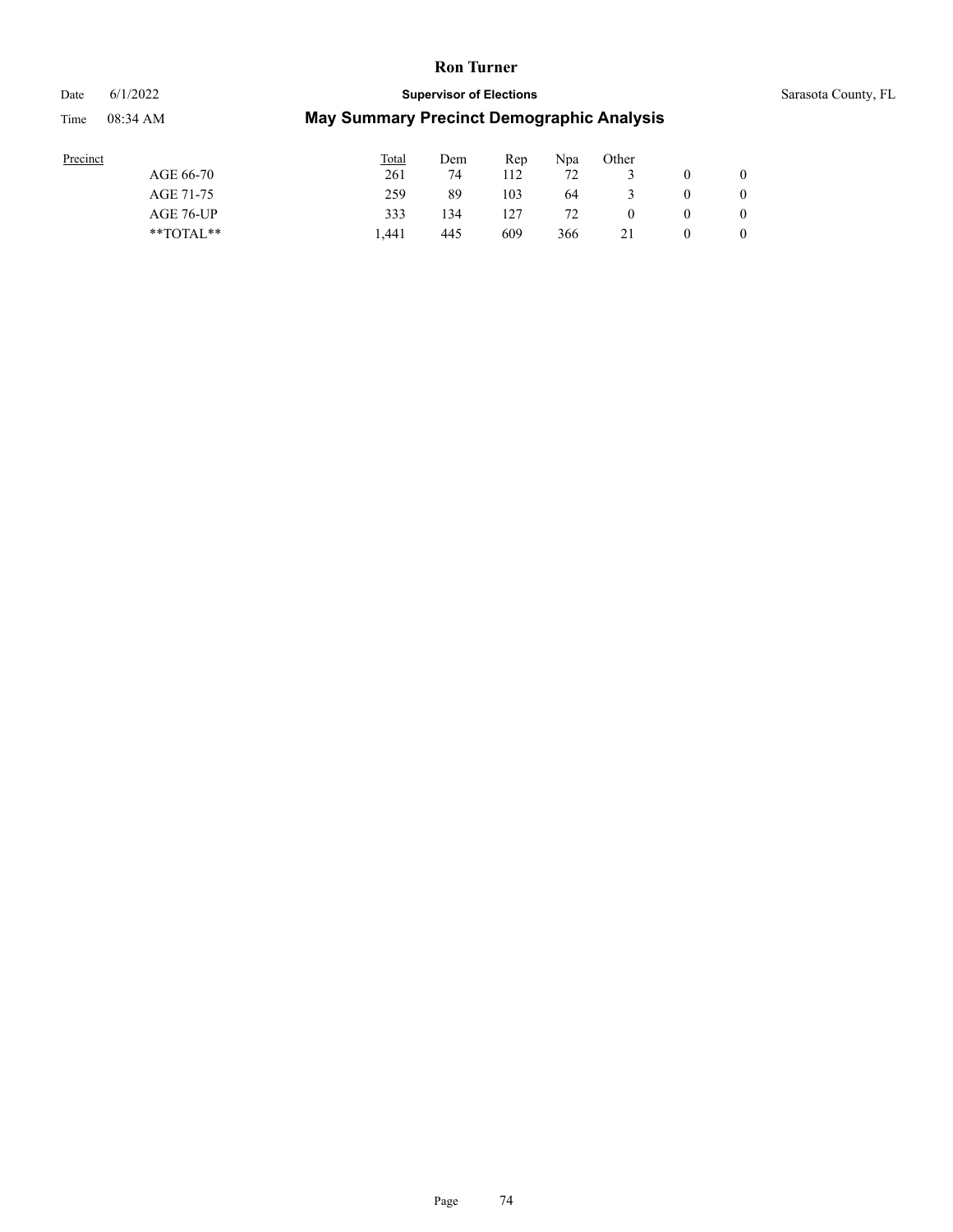# Date 6/1/2022 **Supervisor of Elections** Supervisor **Supervisor of Elections** Sarasota County, FL

| Precinct      | <b>Total</b> | Dem | Rep | Npa | Other |   |                |
|---------------|--------------|-----|-----|-----|-------|---|----------------|
| AGE 66-70     | 261          | 74  | 112 | 72  |       |   | $\mathbf{0}$   |
| AGE 71-75     | 259          | 89  | 103 | 64  |       | 0 | 0              |
| AGE 76-UP     | 333          | 134 |     | 72  |       | 0 | $\overline{0}$ |
| $*$ TOTAL $*$ | l .441       | 445 | 609 | 366 |       | 0 | $\overline{0}$ |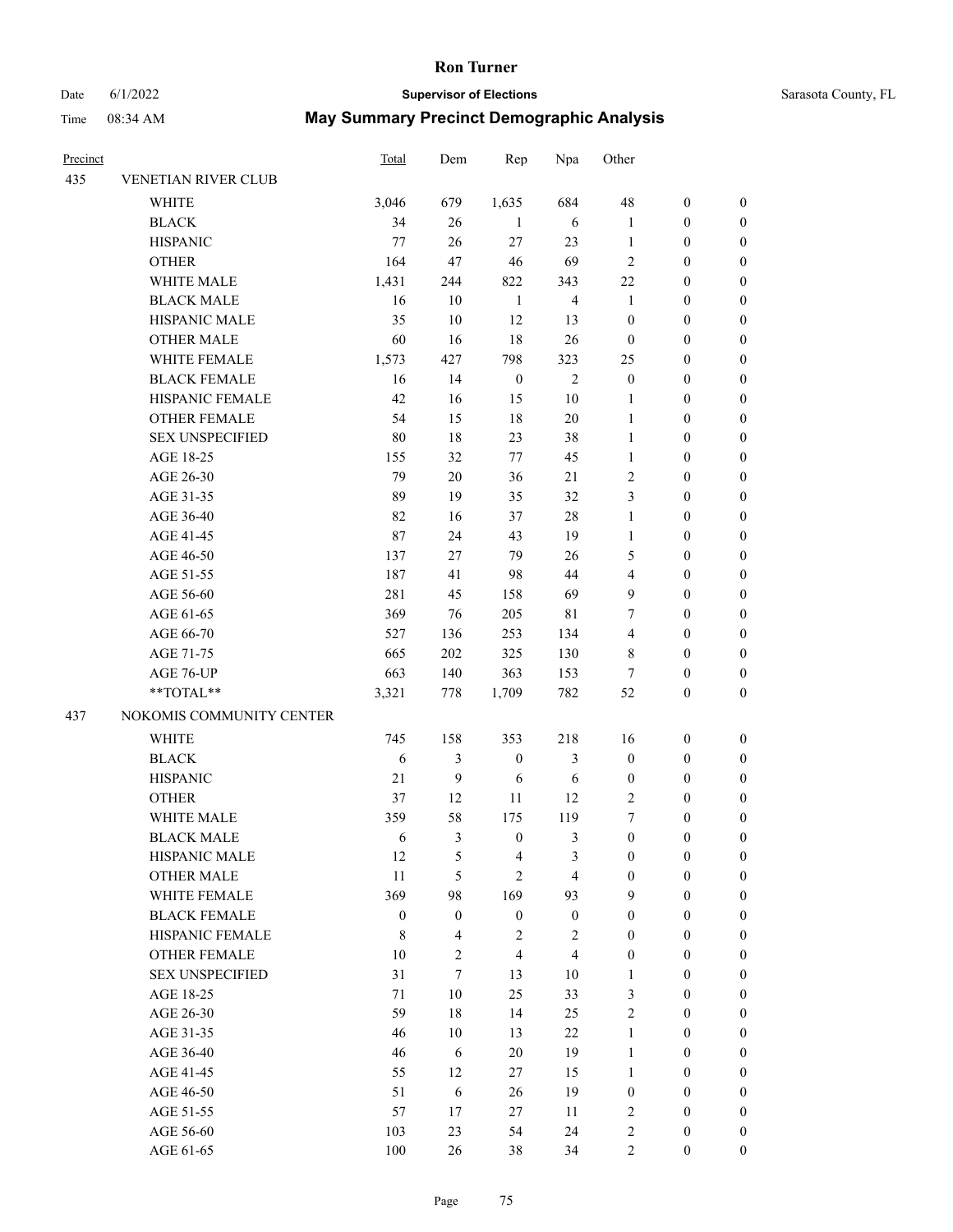# Date 6/1/2022 **Supervisor of Elections** Supervisor **Supervisor of Elections** Sarasota County, FL

| Precinct |                          | <b>Total</b>     | Dem              | Rep                     | Npa                     | Other                   |                  |                  |
|----------|--------------------------|------------------|------------------|-------------------------|-------------------------|-------------------------|------------------|------------------|
| 435      | VENETIAN RIVER CLUB      |                  |                  |                         |                         |                         |                  |                  |
|          | WHITE                    | 3,046            | 679              | 1,635                   | 684                     | 48                      | $\boldsymbol{0}$ | 0                |
|          | <b>BLACK</b>             | 34               | 26               | $\mathbf{1}$            | 6                       | $\mathbf{1}$            | $\boldsymbol{0}$ | $\boldsymbol{0}$ |
|          | <b>HISPANIC</b>          | 77               | 26               | $27\,$                  | 23                      | $\mathbf{1}$            | $\boldsymbol{0}$ | $\boldsymbol{0}$ |
|          | <b>OTHER</b>             | 164              | 47               | 46                      | 69                      | 2                       | $\boldsymbol{0}$ | $\boldsymbol{0}$ |
|          | WHITE MALE               | 1,431            | 244              | 822                     | 343                     | 22                      | $\boldsymbol{0}$ | $\boldsymbol{0}$ |
|          | <b>BLACK MALE</b>        | 16               | 10               | $\mathbf{1}$            | $\overline{4}$          | $\mathbf{1}$            | $\boldsymbol{0}$ | $\boldsymbol{0}$ |
|          | HISPANIC MALE            | 35               | $10\,$           | 12                      | 13                      | $\boldsymbol{0}$        | $\boldsymbol{0}$ | $\boldsymbol{0}$ |
|          | <b>OTHER MALE</b>        | 60               | 16               | 18                      | $26\,$                  | $\boldsymbol{0}$        | $\boldsymbol{0}$ | $\boldsymbol{0}$ |
|          | WHITE FEMALE             | 1,573            | 427              | 798                     | 323                     | 25                      | $\boldsymbol{0}$ | $\boldsymbol{0}$ |
|          | <b>BLACK FEMALE</b>      | 16               | 14               | $\boldsymbol{0}$        | $\sqrt{2}$              | $\boldsymbol{0}$        | $\boldsymbol{0}$ | 0                |
|          | HISPANIC FEMALE          | 42               | 16               | 15                      | $10\,$                  | 1                       | $\boldsymbol{0}$ | 0                |
|          | OTHER FEMALE             | 54               | 15               | $18\,$                  | $20\,$                  | $\mathbf{1}$            | $\boldsymbol{0}$ | 0                |
|          | <b>SEX UNSPECIFIED</b>   | 80               | 18               | 23                      | 38                      | $\mathbf{1}$            | $\boldsymbol{0}$ | $\boldsymbol{0}$ |
|          | AGE 18-25                | 155              | 32               | 77                      | 45                      | $\mathbf{1}$            | $\boldsymbol{0}$ | $\boldsymbol{0}$ |
|          | AGE 26-30                | 79               | $20\,$           | 36                      | 21                      | $\overline{c}$          | $\boldsymbol{0}$ | $\boldsymbol{0}$ |
|          | AGE 31-35                | 89               | 19               | 35                      | 32                      | 3                       | $\boldsymbol{0}$ | $\boldsymbol{0}$ |
|          | AGE 36-40                | 82               | 16               | 37                      | 28                      | $\mathbf{1}$            | $\boldsymbol{0}$ | $\boldsymbol{0}$ |
|          | AGE 41-45                | $87\,$           | 24               | 43                      | 19                      | $\mathbf{1}$            | $\boldsymbol{0}$ | $\boldsymbol{0}$ |
|          | AGE 46-50                | 137              | 27               | 79                      | 26                      | 5                       | $\boldsymbol{0}$ | $\boldsymbol{0}$ |
|          | AGE 51-55                | 187              | 41               | 98                      | 44                      | $\overline{\mathbf{4}}$ | $\boldsymbol{0}$ | 0                |
|          | AGE 56-60                | 281              | 45               | 158                     | 69                      | 9                       | $\boldsymbol{0}$ | 0                |
|          | AGE 61-65                | 369              | 76               | 205                     | $8\sqrt{1}$             | 7                       | $\boldsymbol{0}$ | $\boldsymbol{0}$ |
|          | AGE 66-70                | 527              | 136              | 253                     | 134                     | 4                       | $\boldsymbol{0}$ | $\boldsymbol{0}$ |
|          | AGE 71-75                | 665              | 202              | 325                     | 130                     | 8                       | $\boldsymbol{0}$ | $\boldsymbol{0}$ |
|          | AGE 76-UP                | 663              | 140              | 363                     | 153                     | 7                       | $\boldsymbol{0}$ | $\boldsymbol{0}$ |
|          | **TOTAL**                | 3,321            | 778              | 1,709                   | 782                     | 52                      | $\boldsymbol{0}$ | $\boldsymbol{0}$ |
| 437      | NOKOMIS COMMUNITY CENTER |                  |                  |                         |                         |                         |                  |                  |
|          | WHITE                    | 745              | 158              | 353                     | 218                     | 16                      | $\boldsymbol{0}$ | $\boldsymbol{0}$ |
|          | <b>BLACK</b>             | $\sqrt{6}$       | $\mathfrak{Z}$   | $\boldsymbol{0}$        | 3                       | $\boldsymbol{0}$        | $\boldsymbol{0}$ | $\boldsymbol{0}$ |
|          | <b>HISPANIC</b>          | 21               | $\overline{9}$   | $\sqrt{6}$              | $\sqrt{6}$              | $\boldsymbol{0}$        | $\boldsymbol{0}$ | $\boldsymbol{0}$ |
|          | <b>OTHER</b>             | 37               | 12               | 11                      | 12                      | $\mathfrak{2}$          | $\boldsymbol{0}$ | $\boldsymbol{0}$ |
|          | WHITE MALE               | 359              | 58               | 175                     | 119                     | 7                       | $\boldsymbol{0}$ | $\boldsymbol{0}$ |
|          | <b>BLACK MALE</b>        | 6                | 3                | $\boldsymbol{0}$        | 3                       | $\boldsymbol{0}$        | $\boldsymbol{0}$ | $\boldsymbol{0}$ |
|          | HISPANIC MALE            | 12               | 5                | $\overline{\mathbf{4}}$ | 3                       | $\boldsymbol{0}$        | $\boldsymbol{0}$ | 0                |
|          | <b>OTHER MALE</b>        | 11               | 5                | $\overline{2}$          | 4                       | $\boldsymbol{0}$        | $\boldsymbol{0}$ | 0                |
|          | WHITE FEMALE             | 369              | 98               | 169                     | 93                      | 9                       | $\boldsymbol{0}$ | $\overline{0}$   |
|          | <b>BLACK FEMALE</b>      | $\boldsymbol{0}$ | $\boldsymbol{0}$ | $\boldsymbol{0}$        | $\boldsymbol{0}$        | $\boldsymbol{0}$        | $\boldsymbol{0}$ | $\overline{0}$   |
|          | HISPANIC FEMALE          | $\,$ 8 $\,$      | $\overline{4}$   | $\sqrt{2}$              | $\sqrt{2}$              | $\boldsymbol{0}$        | $\boldsymbol{0}$ | 0                |
|          | <b>OTHER FEMALE</b>      | 10               | $\mathfrak{2}$   | $\overline{\mathbf{4}}$ | $\overline{\mathbf{4}}$ | $\boldsymbol{0}$        | $\boldsymbol{0}$ | $\overline{0}$   |
|          | <b>SEX UNSPECIFIED</b>   | 31               | $\tau$           | 13                      | $10\,$                  | $\mathbf{1}$            | $\boldsymbol{0}$ | $\overline{0}$   |
|          | AGE 18-25                | 71               | $10\,$           | 25                      | 33                      | 3                       | $\boldsymbol{0}$ | $\overline{0}$   |
|          | AGE 26-30                | 59               | $18\,$           | 14                      | 25                      | $\sqrt{2}$              | $\boldsymbol{0}$ | 0                |
|          | AGE 31-35                | 46               | $10\,$           | 13                      | $22\,$                  | $\mathbf{1}$            | $\boldsymbol{0}$ | 0                |
|          | AGE 36-40                | 46               | 6                | $20\,$                  | 19                      | $\mathbf{1}$            | $\boldsymbol{0}$ | $\boldsymbol{0}$ |
|          | AGE 41-45                | 55               | 12               | $27\,$                  | 15                      | $\mathbf{1}$            | $\boldsymbol{0}$ | $\overline{0}$   |
|          | AGE 46-50                | 51               | 6                | 26                      | 19                      | $\boldsymbol{0}$        | $\boldsymbol{0}$ | $\overline{0}$   |
|          | AGE 51-55                | 57               | 17               | $27\,$                  | 11                      | $\sqrt{2}$              | $\boldsymbol{0}$ | $\overline{0}$   |
|          | AGE 56-60                | 103              | 23               | 54                      | 24                      | $\sqrt{2}$              | $\boldsymbol{0}$ | 0                |
|          | AGE 61-65                | 100              | 26               | 38                      | 34                      | $\sqrt{2}$              | $\boldsymbol{0}$ | $\overline{0}$   |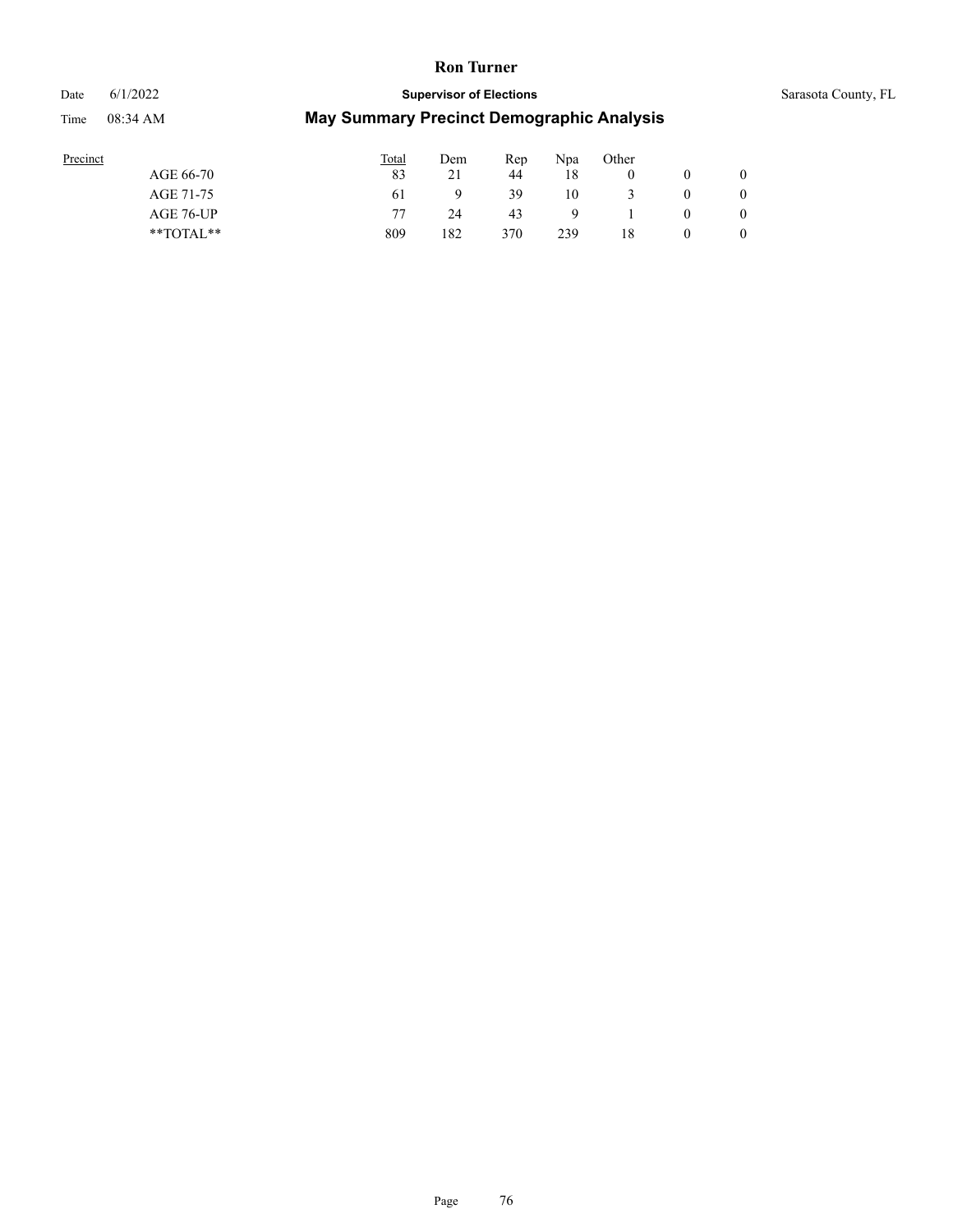# Date 6/1/2022 **Supervisor of Elections** Supervisor **Supervisor of Elections** Sarasota County, FL

| Precinct      | <b>Total</b> | Dem | Rep | Npa | Other |                |
|---------------|--------------|-----|-----|-----|-------|----------------|
| AGE 66-70     | 83           | 21  | 44  | 18  |       | $\overline{0}$ |
| AGE 71-75     | 61           |     | 39  | 10  |       | $\overline{0}$ |
| AGE 76-UP     | 77           | 24  | 43  | Q   |       | $\overline{0}$ |
| $*$ TOTAL $*$ | 809          | 182 | 370 | 239 | 18    | $\overline{0}$ |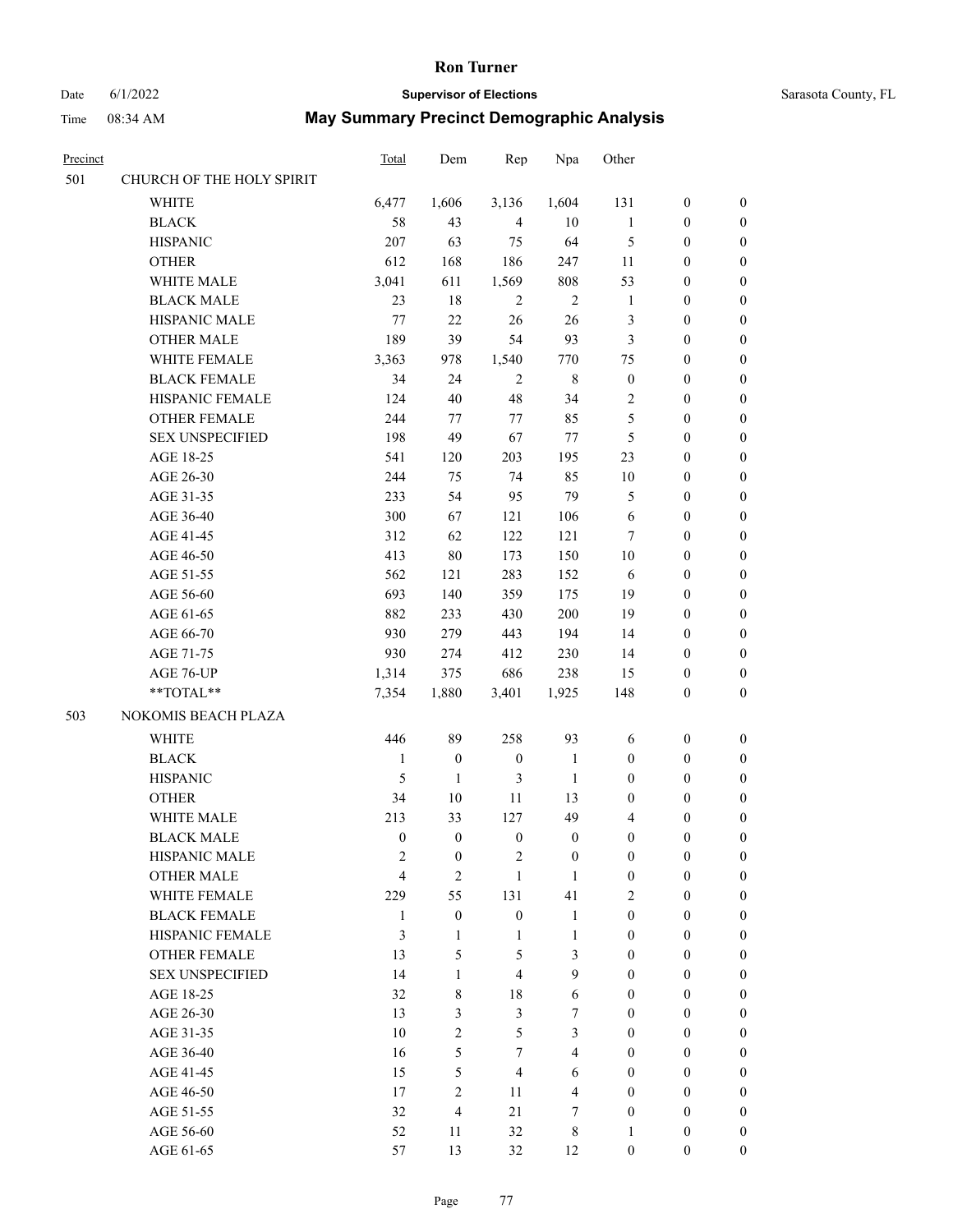# Date 6/1/2022 **Supervisor of Elections** Supervisor **Supervisor of Elections** Sarasota County, FL

| <b>Precinct</b> |                           | <b>Total</b>     | Dem              | Rep              | Npa              | Other            |                  |                  |
|-----------------|---------------------------|------------------|------------------|------------------|------------------|------------------|------------------|------------------|
| 501             | CHURCH OF THE HOLY SPIRIT |                  |                  |                  |                  |                  |                  |                  |
|                 | <b>WHITE</b>              | 6,477            | 1,606            | 3,136            | 1,604            | 131              | $\boldsymbol{0}$ | $\boldsymbol{0}$ |
|                 | $\operatorname{BLACK}$    | 58               | 43               | $\overline{4}$   | 10               | $\mathbf{1}$     | $\boldsymbol{0}$ | $\boldsymbol{0}$ |
|                 | <b>HISPANIC</b>           | 207              | 63               | 75               | 64               | $\mathfrak{S}$   | $\boldsymbol{0}$ | $\boldsymbol{0}$ |
|                 | <b>OTHER</b>              | 612              | 168              | 186              | 247              | 11               | $\boldsymbol{0}$ | $\boldsymbol{0}$ |
|                 | WHITE MALE                | 3,041            | 611              | 1,569            | 808              | 53               | $\boldsymbol{0}$ | $\boldsymbol{0}$ |
|                 | <b>BLACK MALE</b>         | 23               | 18               | $\overline{2}$   | $\sqrt{2}$       | $\mathbf{1}$     | $\boldsymbol{0}$ | $\boldsymbol{0}$ |
|                 | HISPANIC MALE             | 77               | 22               | 26               | 26               | 3                | $\boldsymbol{0}$ | $\boldsymbol{0}$ |
|                 | <b>OTHER MALE</b>         | 189              | 39               | 54               | 93               | 3                | $\boldsymbol{0}$ | $\boldsymbol{0}$ |
|                 | WHITE FEMALE              | 3,363            | 978              | 1,540            | 770              | 75               | $\boldsymbol{0}$ | $\boldsymbol{0}$ |
|                 | <b>BLACK FEMALE</b>       | 34               | 24               | $\sqrt{2}$       | $\,$ 8 $\,$      | $\boldsymbol{0}$ | $\boldsymbol{0}$ | 0                |
|                 | HISPANIC FEMALE           | 124              | 40               | $48\,$           | 34               | 2                | $\boldsymbol{0}$ | 0                |
|                 | <b>OTHER FEMALE</b>       | 244              | 77               | $77\,$           | 85               | $\mathfrak s$    | $\boldsymbol{0}$ | 0                |
|                 | <b>SEX UNSPECIFIED</b>    | 198              | 49               | 67               | 77               | $\mathfrak{S}$   | $\boldsymbol{0}$ | $\boldsymbol{0}$ |
|                 | AGE 18-25                 | 541              | 120              | 203              | 195              | 23               | $\boldsymbol{0}$ | $\boldsymbol{0}$ |
|                 | AGE 26-30                 | 244              | 75               | 74               | 85               | 10               | $\boldsymbol{0}$ | $\boldsymbol{0}$ |
|                 | AGE 31-35                 | 233              | 54               | 95               | 79               | 5                | $\boldsymbol{0}$ | $\boldsymbol{0}$ |
|                 | AGE 36-40                 | 300              | 67               | 121              | 106              | 6                | $\boldsymbol{0}$ | $\boldsymbol{0}$ |
|                 | AGE 41-45                 | 312              | 62               | 122              | 121              | $\tau$           | $\boldsymbol{0}$ | $\boldsymbol{0}$ |
|                 | AGE 46-50                 | 413              | $80\,$           | 173              | 150              | 10               | $\boldsymbol{0}$ | $\boldsymbol{0}$ |
|                 | AGE 51-55                 | 562              | 121              | 283              | 152              | 6                | $\boldsymbol{0}$ | $\boldsymbol{0}$ |
|                 | AGE 56-60                 | 693              | 140              | 359              | 175              | 19               | $\boldsymbol{0}$ | 0                |
|                 | AGE 61-65                 | 882              | 233              | 430              | 200              | 19               | $\boldsymbol{0}$ | 0                |
|                 | AGE 66-70                 | 930              | 279              | 443              | 194              | 14               | $\boldsymbol{0}$ | $\boldsymbol{0}$ |
|                 | AGE 71-75                 | 930              | 274              | 412              | 230              | 14               | $\boldsymbol{0}$ | $\boldsymbol{0}$ |
|                 | AGE 76-UP                 | 1,314            | 375              | 686              | 238              | 15               | $\boldsymbol{0}$ | $\boldsymbol{0}$ |
|                 | $**TOTAL**$               | 7,354            | 1,880            | 3,401            | 1,925            | 148              | $\boldsymbol{0}$ | $\boldsymbol{0}$ |
| 503             | NOKOMIS BEACH PLAZA       |                  |                  |                  |                  |                  |                  |                  |
|                 | <b>WHITE</b>              | 446              | 89               | 258              | 93               | 6                | $\boldsymbol{0}$ | $\boldsymbol{0}$ |
|                 | <b>BLACK</b>              | $\mathbf{1}$     | $\boldsymbol{0}$ | $\boldsymbol{0}$ | $\mathbf{1}$     | $\boldsymbol{0}$ | $\boldsymbol{0}$ | $\boldsymbol{0}$ |
|                 | <b>HISPANIC</b>           | 5                | $\mathbf{1}$     | 3                | $\mathbf{1}$     | $\boldsymbol{0}$ | $\boldsymbol{0}$ | $\boldsymbol{0}$ |
|                 | <b>OTHER</b>              | 34               | $10\,$           | 11               | 13               | $\boldsymbol{0}$ | $\boldsymbol{0}$ | $\boldsymbol{0}$ |
|                 | WHITE MALE                | 213              | 33               | 127              | 49               | 4                | $\boldsymbol{0}$ | 0                |
|                 | <b>BLACK MALE</b>         | $\boldsymbol{0}$ | $\boldsymbol{0}$ | $\boldsymbol{0}$ | $\boldsymbol{0}$ | $\boldsymbol{0}$ | $\boldsymbol{0}$ | 0                |
|                 | <b>HISPANIC MALE</b>      | $\overline{c}$   | $\boldsymbol{0}$ | $\overline{c}$   | $\boldsymbol{0}$ | $\boldsymbol{0}$ | $\boldsymbol{0}$ | 0                |
|                 | <b>OTHER MALE</b>         | $\overline{4}$   | $\overline{2}$   | $\mathbf{1}$     | 1                | $\boldsymbol{0}$ | $\boldsymbol{0}$ | $\overline{0}$   |
|                 | WHITE FEMALE              | 229              | 55               | 131              | 41               | $\mathbf{2}$     | $\boldsymbol{0}$ | $\overline{0}$   |
|                 | <b>BLACK FEMALE</b>       | 1                | $\boldsymbol{0}$ | $\boldsymbol{0}$ | $\mathbf{1}$     | $\boldsymbol{0}$ | $\boldsymbol{0}$ | $\overline{0}$   |
|                 | HISPANIC FEMALE           | 3                | $\mathbf{1}$     | $\mathbf{1}$     | $\mathbf{1}$     | $\boldsymbol{0}$ | $\overline{0}$   | $\overline{0}$   |
|                 | <b>OTHER FEMALE</b>       | 13               | 5                | 5                | 3                | $\mathbf{0}$     | $\boldsymbol{0}$ | $\theta$         |
|                 | <b>SEX UNSPECIFIED</b>    | 14               | $\mathbf{1}$     | $\overline{4}$   | 9                | $\boldsymbol{0}$ | $\boldsymbol{0}$ | $\overline{0}$   |
|                 | AGE 18-25                 | 32               | 8                | 18               | 6                | $\overline{0}$   | $\boldsymbol{0}$ | $\theta$         |
|                 | AGE 26-30                 | 13               | 3                | $\mathfrak{Z}$   | 7                | $\boldsymbol{0}$ | $\boldsymbol{0}$ | 0                |
|                 | AGE 31-35                 | 10               | $\overline{2}$   | 5                | 3                | $\mathbf{0}$     | $\boldsymbol{0}$ | 0                |
|                 | AGE 36-40                 | 16               | 5                | $\tau$           | $\overline{4}$   | $\mathbf{0}$     | $\boldsymbol{0}$ | $\overline{0}$   |
|                 | AGE 41-45                 | 15               | 5                | $\overline{4}$   | 6                | $\boldsymbol{0}$ | $\boldsymbol{0}$ | $\overline{0}$   |
|                 | AGE 46-50                 | 17               | $\overline{2}$   | 11               | $\overline{4}$   | $\mathbf{0}$     | $\boldsymbol{0}$ | $\overline{0}$   |
|                 | AGE 51-55                 | 32               | $\overline{4}$   | 21               | 7                | $\boldsymbol{0}$ | $\boldsymbol{0}$ | $\overline{0}$   |
|                 | AGE 56-60                 | 52               | 11               | 32               | 8                | $\mathbf{1}$     | $\boldsymbol{0}$ | $\boldsymbol{0}$ |
|                 | AGE 61-65                 | 57               | 13               | 32               | 12               | $\boldsymbol{0}$ | $\boldsymbol{0}$ | $\overline{0}$   |
|                 |                           |                  |                  |                  |                  |                  |                  |                  |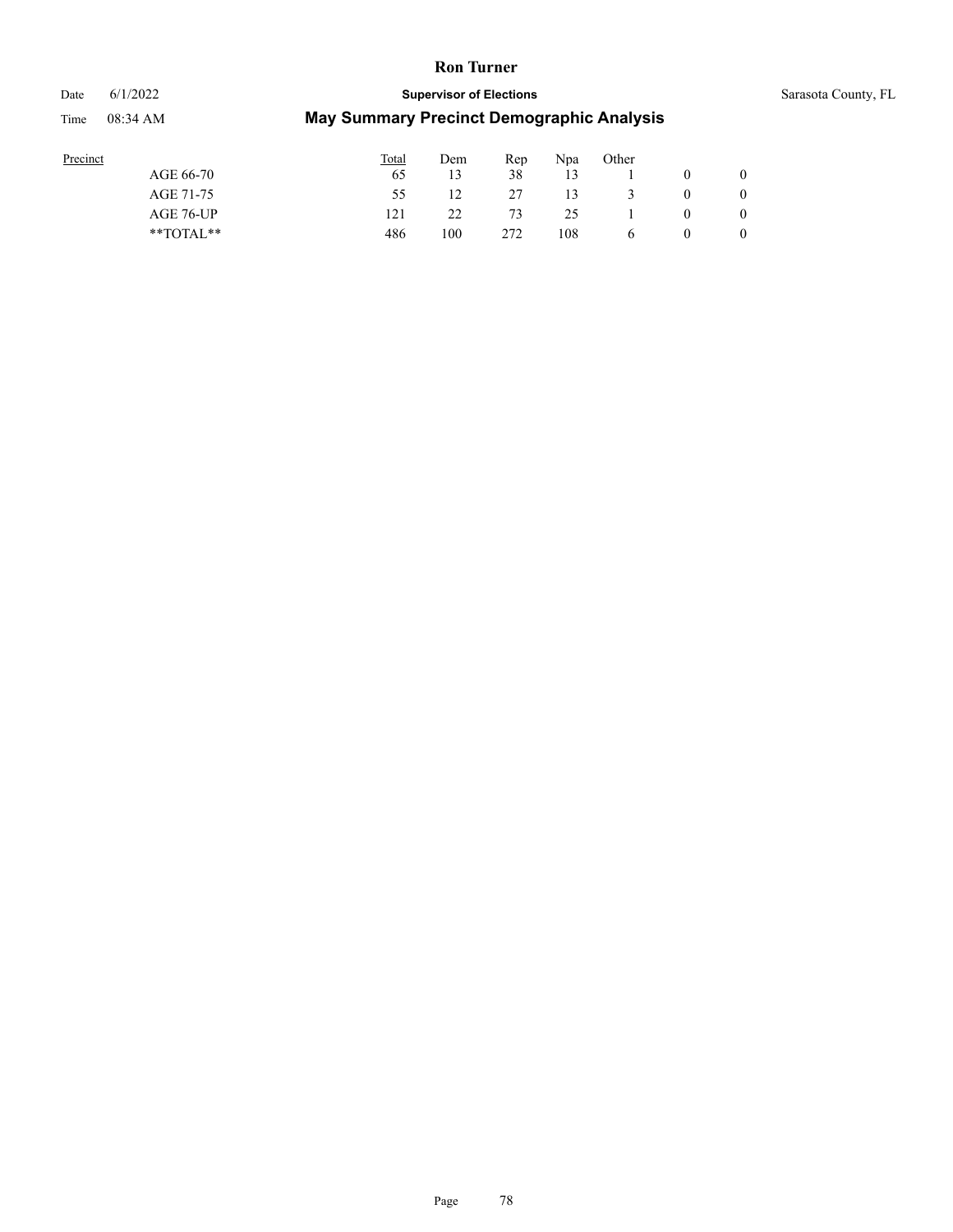# Date 6/1/2022 **Supervisor of Elections** Supervisor **Supervisor of Elections** Sarasota County, FL Time 08:34 AM **May Summary Precinct Demographic Analysis**

| Sarasota County, F |  |
|--------------------|--|
|--------------------|--|

| Precinct      | Total | Dem | Rep | Npa | Other |             |   |
|---------------|-------|-----|-----|-----|-------|-------------|---|
| AGE 66-70     | 65    |     | 38  | 13  |       |             |   |
| AGE 71-75     | 55    |     | 27  | 13  |       | $\mathbf 0$ |   |
| AGE 76-UP     | 121   | 22  | 73  | 25  |       | $\theta$    |   |
| $*$ TOTAL $*$ | 486   | 100 | 272 | 108 | b     | v           | 0 |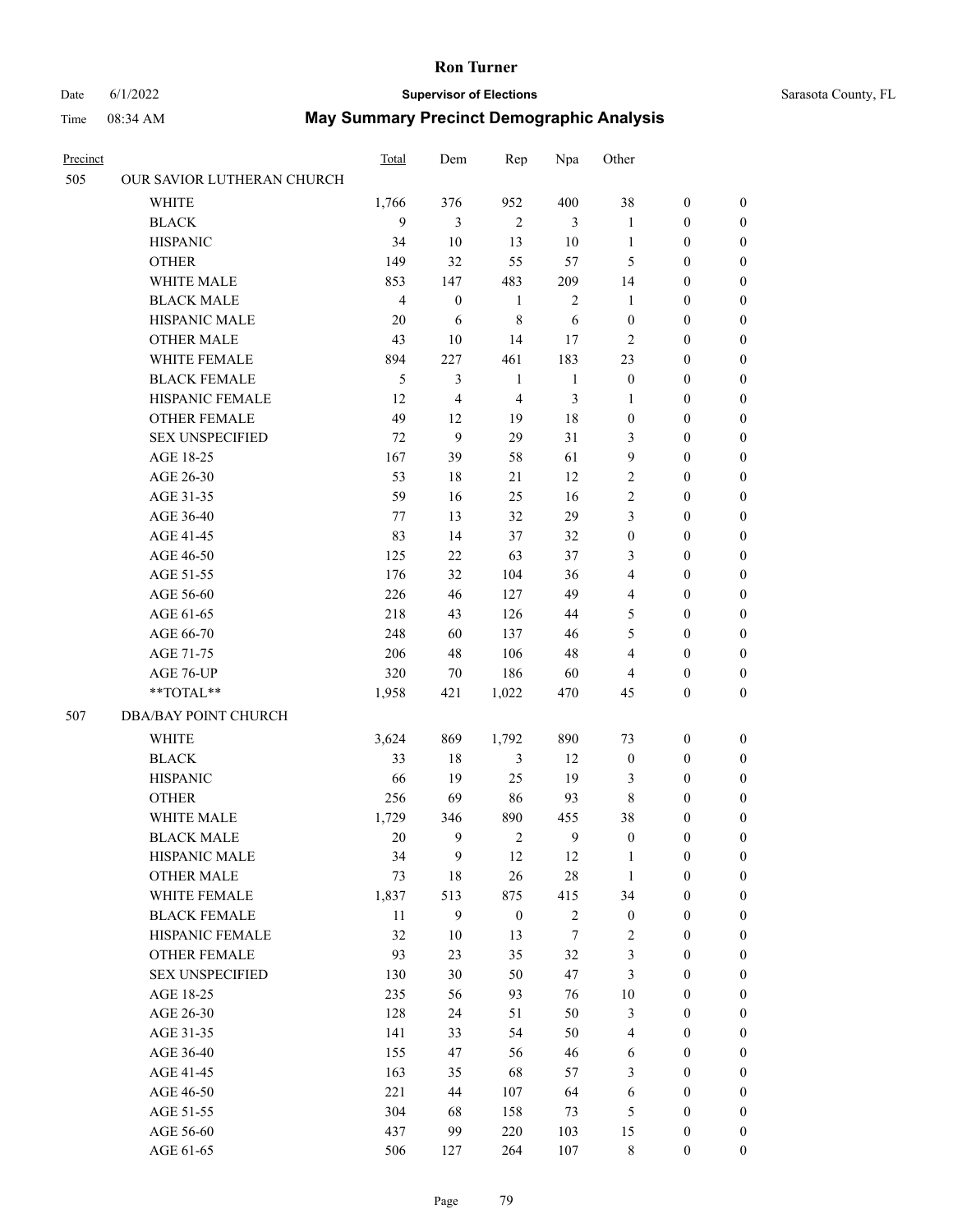#### Date 6/1/2022 **Supervisor of Elections** Supervisor **Supervisor of Elections** Sarasota County, FL

| Precinct |                             | <b>Total</b>   | Dem              | Rep              | Npa          | Other            |                  |                  |
|----------|-----------------------------|----------------|------------------|------------------|--------------|------------------|------------------|------------------|
| 505      | OUR SAVIOR LUTHERAN CHURCH  |                |                  |                  |              |                  |                  |                  |
|          | <b>WHITE</b>                | 1,766          | 376              | 952              | 400          | 38               | $\boldsymbol{0}$ | $\boldsymbol{0}$ |
|          | <b>BLACK</b>                | 9              | 3                | $\overline{2}$   | 3            | 1                | $\boldsymbol{0}$ | $\boldsymbol{0}$ |
|          | <b>HISPANIC</b>             | 34             | 10               | 13               | 10           | $\mathbf{1}$     | $\boldsymbol{0}$ | $\boldsymbol{0}$ |
|          | <b>OTHER</b>                | 149            | 32               | 55               | 57           | 5                | $\boldsymbol{0}$ | $\boldsymbol{0}$ |
|          | WHITE MALE                  | 853            | 147              | 483              | 209          | 14               | $\boldsymbol{0}$ | $\boldsymbol{0}$ |
|          | <b>BLACK MALE</b>           | $\overline{4}$ | $\boldsymbol{0}$ | $\mathbf{1}$     | $\sqrt{2}$   | 1                | $\boldsymbol{0}$ | $\boldsymbol{0}$ |
|          | HISPANIC MALE               | 20             | 6                | 8                | 6            | $\boldsymbol{0}$ | $\boldsymbol{0}$ | $\boldsymbol{0}$ |
|          | <b>OTHER MALE</b>           | 43             | 10               | 14               | 17           | $\overline{c}$   | $\boldsymbol{0}$ | $\boldsymbol{0}$ |
|          | WHITE FEMALE                | 894            | 227              | 461              | 183          | 23               | $\boldsymbol{0}$ | $\boldsymbol{0}$ |
|          | <b>BLACK FEMALE</b>         | 5              | 3                | $\mathbf{1}$     | $\mathbf{1}$ | $\boldsymbol{0}$ | $\boldsymbol{0}$ | 0                |
|          | HISPANIC FEMALE             | 12             | 4                | $\overline{4}$   | 3            | 1                | $\boldsymbol{0}$ | 0                |
|          | <b>OTHER FEMALE</b>         | 49             | 12               | 19               | $18\,$       | $\boldsymbol{0}$ | $\boldsymbol{0}$ | 0                |
|          | <b>SEX UNSPECIFIED</b>      | 72             | 9                | 29               | 31           | 3                | $\boldsymbol{0}$ | $\boldsymbol{0}$ |
|          | AGE 18-25                   | 167            | 39               | 58               | 61           | 9                | $\boldsymbol{0}$ | $\boldsymbol{0}$ |
|          | AGE 26-30                   | 53             | 18               | 21               | 12           | $\overline{c}$   | $\boldsymbol{0}$ | $\boldsymbol{0}$ |
|          | AGE 31-35                   | 59             | 16               | 25               | 16           | $\sqrt{2}$       | $\boldsymbol{0}$ | $\boldsymbol{0}$ |
|          | AGE 36-40                   | 77             | 13               | 32               | 29           | 3                | $\boldsymbol{0}$ | $\boldsymbol{0}$ |
|          | AGE 41-45                   | 83             | 14               | 37               | 32           | $\boldsymbol{0}$ | $\boldsymbol{0}$ | $\boldsymbol{0}$ |
|          | AGE 46-50                   | 125            | 22               | 63               | 37           | 3                | $\boldsymbol{0}$ | $\boldsymbol{0}$ |
|          | AGE 51-55                   | 176            | 32               | 104              | 36           | 4                | $\boldsymbol{0}$ | $\boldsymbol{0}$ |
|          | AGE 56-60                   | 226            | 46               | 127              | 49           | 4                | $\boldsymbol{0}$ | 0                |
|          | AGE 61-65                   | 218            | 43               | 126              | 44           | 5                | $\boldsymbol{0}$ | 0                |
|          | AGE 66-70                   | 248            | 60               | 137              | 46           | 5                | $\boldsymbol{0}$ | $\boldsymbol{0}$ |
|          | AGE 71-75                   | 206            | 48               | 106              | 48           | 4                | $\boldsymbol{0}$ | $\boldsymbol{0}$ |
|          | AGE 76-UP                   | 320            | 70               | 186              | 60           | 4                | $\boldsymbol{0}$ | $\boldsymbol{0}$ |
|          | $**TOTAL**$                 | 1,958          | 421              | 1,022            | 470          | 45               | $\boldsymbol{0}$ | $\boldsymbol{0}$ |
| 507      | <b>DBA/BAY POINT CHURCH</b> |                |                  |                  |              |                  |                  |                  |
|          | <b>WHITE</b>                | 3,624          | 869              | 1,792            | 890          | 73               | $\boldsymbol{0}$ | $\boldsymbol{0}$ |
|          | <b>BLACK</b>                | 33             | 18               | $\mathfrak{Z}$   | 12           | $\boldsymbol{0}$ | $\boldsymbol{0}$ | $\boldsymbol{0}$ |
|          | <b>HISPANIC</b>             | 66             | 19               | 25               | 19           | 3                | $\boldsymbol{0}$ | $\boldsymbol{0}$ |
|          | <b>OTHER</b>                | 256            | 69               | 86               | 93           | $\,8\,$          | $\boldsymbol{0}$ | $\boldsymbol{0}$ |
|          | WHITE MALE                  | 1,729          | 346              | 890              | 455          | 38               | $\boldsymbol{0}$ | 0                |
|          | <b>BLACK MALE</b>           | 20             | 9                | $\overline{2}$   | 9            | $\boldsymbol{0}$ | $\boldsymbol{0}$ | 0                |
|          | HISPANIC MALE               | 34             | 9                | 12               | 12           | 1                | $\boldsymbol{0}$ | 0                |
|          | <b>OTHER MALE</b>           | 73             | 18               | 26               | $28\,$       | $\mathbf{1}$     | $\boldsymbol{0}$ | $\overline{0}$   |
|          | WHITE FEMALE                | 1,837          | 513              | 875              | 415          | 34               | $\boldsymbol{0}$ | $\overline{0}$   |
|          | <b>BLACK FEMALE</b>         | 11             | 9                | $\boldsymbol{0}$ | $\sqrt{2}$   | $\boldsymbol{0}$ | $\boldsymbol{0}$ | $\overline{0}$   |
|          | HISPANIC FEMALE             | 32             | $10\,$           | 13               | $\tau$       | 2                | $\boldsymbol{0}$ | $\overline{0}$   |
|          | <b>OTHER FEMALE</b>         | 93             | 23               | 35               | 32           | 3                | $\boldsymbol{0}$ | $\overline{0}$   |
|          | <b>SEX UNSPECIFIED</b>      | 130            | 30               | 50               | 47           | 3                | $\boldsymbol{0}$ | 0                |
|          | AGE 18-25                   | 235            | 56               | 93               | 76           | $10\,$           | $\boldsymbol{0}$ | 0                |
|          | AGE 26-30                   | 128            | 24               | 51               | 50           | 3                | $\boldsymbol{0}$ | 0                |
|          | AGE 31-35                   | 141            | 33               | 54               | 50           | $\overline{4}$   | $\boldsymbol{0}$ | 0                |
|          | AGE 36-40                   | 155            | 47               | 56               | 46           | 6                | $\boldsymbol{0}$ | 0                |
|          | AGE 41-45                   | 163            | 35               | 68               | 57           | 3                | $\boldsymbol{0}$ | $\overline{0}$   |
|          | AGE 46-50                   | 221            | 44               | 107              | 64           | 6                | $\boldsymbol{0}$ | $\overline{0}$   |
|          | AGE 51-55                   | 304            | 68               | 158              | 73           | 5                | $\boldsymbol{0}$ | $\overline{0}$   |
|          | AGE 56-60                   | 437            | 99               | 220              | 103          | 15               | $\boldsymbol{0}$ | 0                |
|          | AGE 61-65                   | 506            | 127              | 264              | 107          | $8\,$            | $\boldsymbol{0}$ | $\boldsymbol{0}$ |
|          |                             |                |                  |                  |              |                  |                  |                  |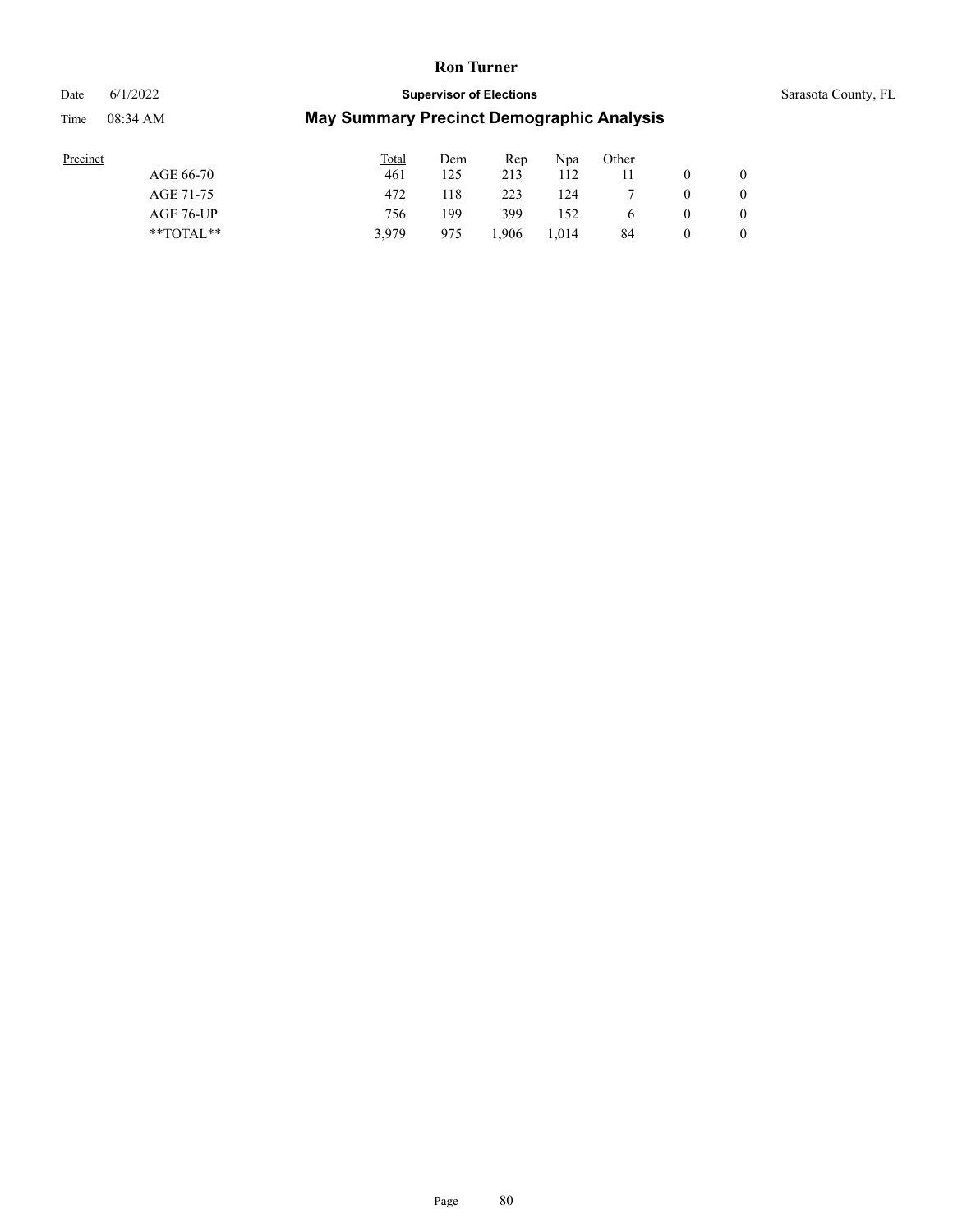# Date 6/1/2022 **Supervisor of Elections** Supervisor **Supervisor of Elections** Sarasota County, FL Time 08:34 AM **May Summary Precinct Demographic Analysis**

| Precinct      | Total | Dem | Rep  | Npa   | Other    |          |                  |
|---------------|-------|-----|------|-------|----------|----------|------------------|
| AGE 66-70     | 461   | 125 | 213  | 112   |          |          |                  |
| AGE 71-75     | 472   | 118 | 223  | 124   |          | $\theta$ |                  |
| AGE 76-UP     | 756   | 199 | 399  | 152   | $\sigma$ | v        | $\boldsymbol{0}$ |
| $*$ TOTAL $*$ | 3,979 | 975 | .906 | 1.014 | 84       |          | 0                |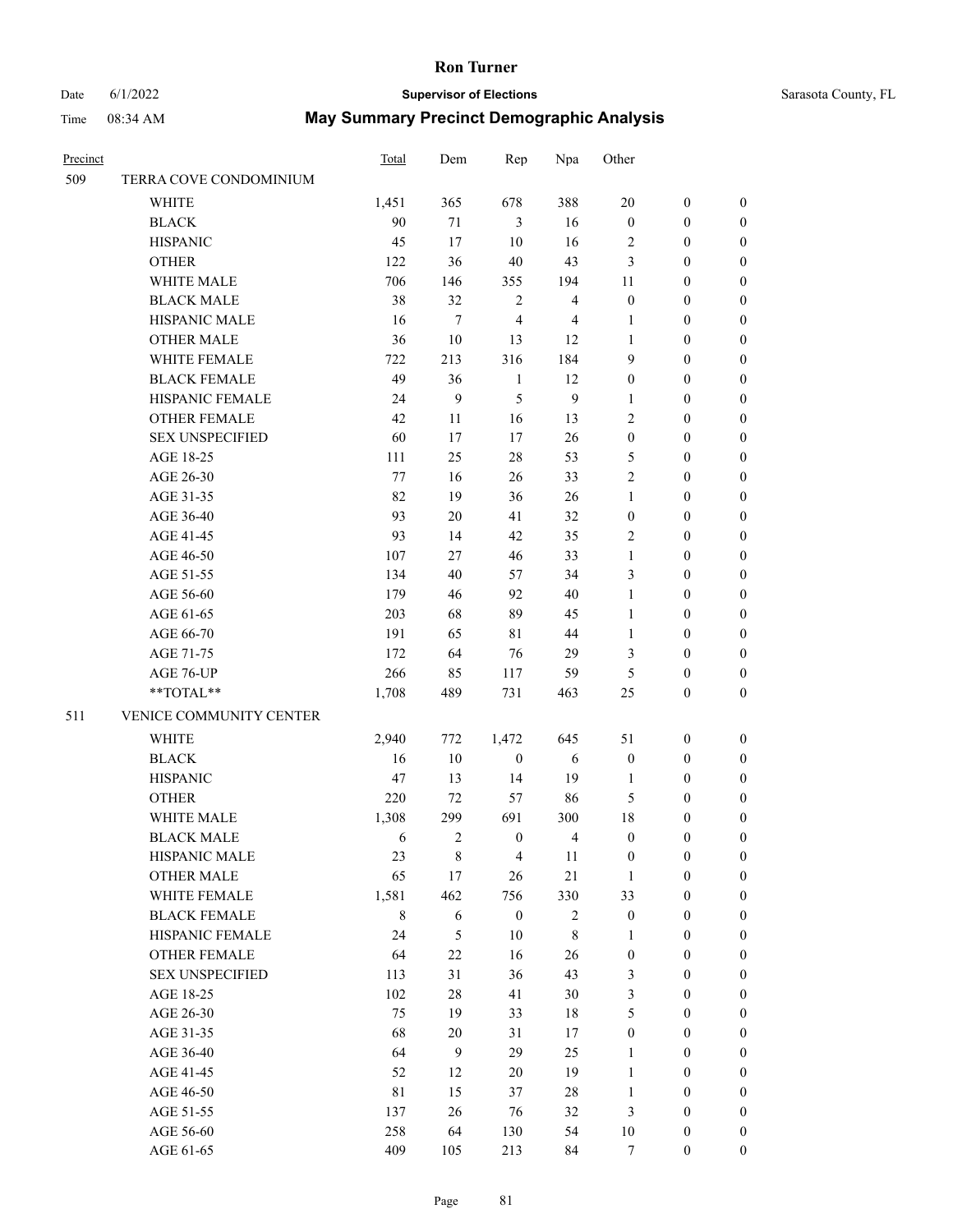# Date 6/1/2022 **Supervisor of Elections** Supervisor **Supervisor of Elections** Sarasota County, FL

| Precinct |                         | <b>Total</b> | Dem              | Rep              | Npa            | Other            |                  |                  |
|----------|-------------------------|--------------|------------------|------------------|----------------|------------------|------------------|------------------|
| 509      | TERRA COVE CONDOMINIUM  |              |                  |                  |                |                  |                  |                  |
|          | WHITE                   | 1,451        | 365              | 678              | 388            | $20\,$           | $\boldsymbol{0}$ | 0                |
|          | <b>BLACK</b>            | 90           | $71\,$           | $\mathfrak{Z}$   | 16             | $\boldsymbol{0}$ | $\boldsymbol{0}$ | 0                |
|          | <b>HISPANIC</b>         | 45           | 17               | $10\,$           | 16             | $\overline{c}$   | $\boldsymbol{0}$ | $\boldsymbol{0}$ |
|          | <b>OTHER</b>            | 122          | 36               | $40\,$           | 43             | 3                | $\boldsymbol{0}$ | $\boldsymbol{0}$ |
|          | WHITE MALE              | 706          | 146              | 355              | 194            | $11\,$           | $\boldsymbol{0}$ | $\boldsymbol{0}$ |
|          | <b>BLACK MALE</b>       | 38           | 32               | $\sqrt{2}$       | $\overline{4}$ | $\boldsymbol{0}$ | $\boldsymbol{0}$ | $\boldsymbol{0}$ |
|          | HISPANIC MALE           | 16           | $\boldsymbol{7}$ | 4                | 4              | $\mathbf{1}$     | $\boldsymbol{0}$ | $\boldsymbol{0}$ |
|          | <b>OTHER MALE</b>       | 36           | $10\,$           | 13               | 12             | $\mathbf{1}$     | $\boldsymbol{0}$ | $\boldsymbol{0}$ |
|          | WHITE FEMALE            | 722          | 213              | 316              | 184            | 9                | $\boldsymbol{0}$ | $\boldsymbol{0}$ |
|          | <b>BLACK FEMALE</b>     | 49           | 36               | $\mathbf{1}$     | 12             | $\boldsymbol{0}$ | $\boldsymbol{0}$ | 0                |
|          | HISPANIC FEMALE         | 24           | 9                | 5                | $\overline{9}$ | 1                | $\boldsymbol{0}$ | 0                |
|          | OTHER FEMALE            | 42           | 11               | 16               | 13             | $\mathbf{2}$     | $\boldsymbol{0}$ | 0                |
|          | <b>SEX UNSPECIFIED</b>  | 60           | 17               | 17               | $26\,$         | $\boldsymbol{0}$ | 0                | $\boldsymbol{0}$ |
|          | AGE 18-25               | 111          | 25               | $28\,$           | 53             | 5                | $\boldsymbol{0}$ | $\boldsymbol{0}$ |
|          | AGE 26-30               | 77           | 16               | 26               | 33             | $\overline{c}$   | $\boldsymbol{0}$ | $\boldsymbol{0}$ |
|          | AGE 31-35               | 82           | 19               | 36               | 26             | $\mathbf{1}$     | $\boldsymbol{0}$ | $\boldsymbol{0}$ |
|          | AGE 36-40               | 93           | $20\,$           | 41               | 32             | $\boldsymbol{0}$ | $\boldsymbol{0}$ | $\boldsymbol{0}$ |
|          | AGE 41-45               | 93           | 14               | 42               | 35             | $\mathbf{2}$     | $\boldsymbol{0}$ | $\boldsymbol{0}$ |
|          | AGE 46-50               | 107          | 27               | 46               | 33             | $\mathbf{1}$     | $\boldsymbol{0}$ | $\boldsymbol{0}$ |
|          | AGE 51-55               | 134          | 40               | 57               | 34             | 3                | $\boldsymbol{0}$ | 0                |
|          | AGE 56-60               | 179          | 46               | 92               | $40\,$         | $\mathbf{1}$     | $\boldsymbol{0}$ | 0                |
|          | AGE 61-65               | 203          | 68               | 89               | 45             | 1                | $\boldsymbol{0}$ | 0                |
|          | AGE 66-70               | 191          | 65               | $8\sqrt{1}$      | 44             | $\mathbf{1}$     | $\boldsymbol{0}$ | $\boldsymbol{0}$ |
|          | AGE 71-75               | 172          | 64               | 76               | 29             | 3                | $\boldsymbol{0}$ | $\boldsymbol{0}$ |
|          | AGE 76-UP               | 266          | 85               | 117              | 59             | 5                | $\boldsymbol{0}$ | $\boldsymbol{0}$ |
|          | **TOTAL**               | 1,708        | 489              | 731              | 463            | 25               | $\boldsymbol{0}$ | $\boldsymbol{0}$ |
| 511      | VENICE COMMUNITY CENTER |              |                  |                  |                |                  |                  |                  |
|          | WHITE                   | 2,940        | 772              | 1,472            | 645            | 51               | $\boldsymbol{0}$ | $\boldsymbol{0}$ |
|          | <b>BLACK</b>            | 16           | $10\,$           | $\boldsymbol{0}$ | $\sqrt{6}$     | $\boldsymbol{0}$ | $\boldsymbol{0}$ | $\boldsymbol{0}$ |
|          | <b>HISPANIC</b>         | 47           | 13               | 14               | 19             | $\mathbf{1}$     | $\boldsymbol{0}$ | $\boldsymbol{0}$ |
|          | <b>OTHER</b>            | 220          | 72               | 57               | 86             | 5                | $\boldsymbol{0}$ | $\boldsymbol{0}$ |
|          | WHITE MALE              | 1,308        | 299              | 691              | 300            | 18               | 0                | 0                |
|          | <b>BLACK MALE</b>       | 6            | 2                | $\boldsymbol{0}$ | 4              | $\boldsymbol{0}$ | $\boldsymbol{0}$ | $\boldsymbol{0}$ |
|          | HISPANIC MALE           | 23           | 8                | $\overline{4}$   | 11             | $\boldsymbol{0}$ | $\boldsymbol{0}$ | 0                |
|          | <b>OTHER MALE</b>       | 65           | 17               | 26               | 21             | $\mathbf{1}$     | $\boldsymbol{0}$ | 0                |
|          | WHITE FEMALE            | 1,581        | 462              | 756              | 330            | 33               | $\boldsymbol{0}$ | $\overline{0}$   |
|          | <b>BLACK FEMALE</b>     | $8\,$        | 6                | $\boldsymbol{0}$ | $\sqrt{2}$     | $\boldsymbol{0}$ | $\boldsymbol{0}$ | 0                |
|          | HISPANIC FEMALE         | 24           | $\mathfrak{S}$   | 10               | $\,$ 8 $\,$    | $\mathbf{1}$     | $\boldsymbol{0}$ | 0                |
|          | <b>OTHER FEMALE</b>     | 64           | $22\,$           | 16               | 26             | $\boldsymbol{0}$ | $\boldsymbol{0}$ | $\overline{0}$   |
|          | <b>SEX UNSPECIFIED</b>  | 113          | 31               | 36               | 43             | 3                | $\boldsymbol{0}$ | $\overline{0}$   |
|          | AGE 18-25               | 102          | $28\,$           | 41               | $30\,$         | 3                | $\boldsymbol{0}$ | $\overline{0}$   |
|          | AGE 26-30               | 75           | 19               | 33               | 18             | 5                | $\boldsymbol{0}$ | 0                |
|          | AGE 31-35               | 68           | $20\,$           | 31               | 17             | $\boldsymbol{0}$ | $\boldsymbol{0}$ | 0                |
|          | AGE 36-40               | 64           | 9                | 29               | 25             | $\mathbf{1}$     | $\boldsymbol{0}$ | 0                |
|          | AGE 41-45               | 52           | 12               | $20\,$           | 19             | $\mathbf{1}$     | $\boldsymbol{0}$ | $\overline{0}$   |
|          | AGE 46-50               | $8\sqrt{1}$  | 15               | 37               | $28\,$         | $\mathbf{1}$     | $\boldsymbol{0}$ | $\overline{0}$   |
|          | AGE 51-55               | 137          | $26\,$           | 76               | 32             | 3                | $\boldsymbol{0}$ | 0                |
|          | AGE 56-60               | 258          | 64               | 130              | 54             | $10\,$           | $\boldsymbol{0}$ | 0                |
|          | AGE 61-65               | 409          | 105              | 213              | 84             | $\tau$           | $\boldsymbol{0}$ | $\overline{0}$   |
|          |                         |              |                  |                  |                |                  |                  |                  |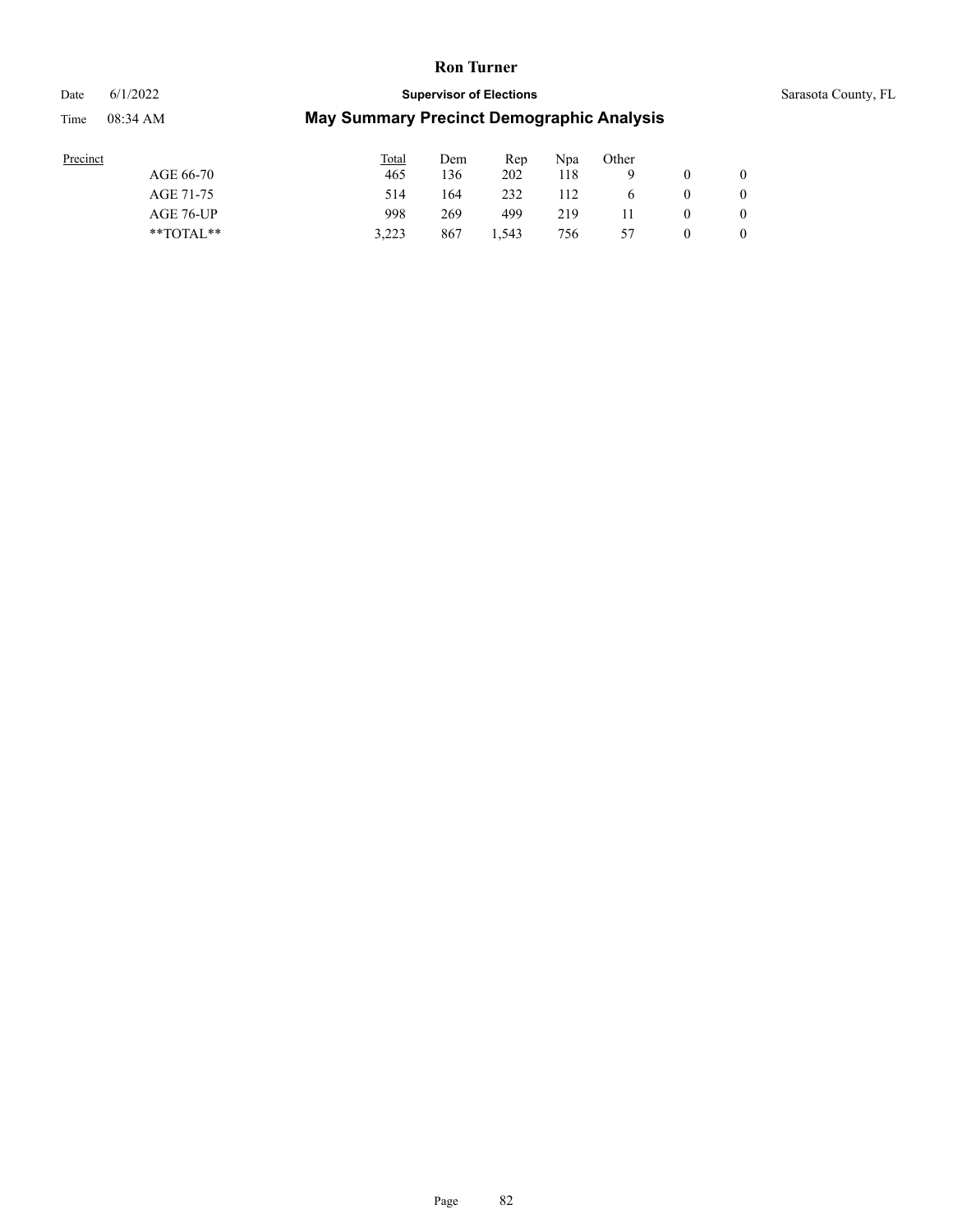#### Date 6/1/2022 **Supervisor of Elections** Supervisor **Supervisor of Elections** Sarasota County, FL

| Precinct  |               | <b>Total</b> | Dem | Rep   | Npa | Other |              |
|-----------|---------------|--------------|-----|-------|-----|-------|--------------|
| AGE 66-70 |               | 465          | 136 | 202   | 118 |       | $\mathbf{0}$ |
| AGE 71-75 |               | 514          | 164 | 232   | 112 |       | $\mathbf{0}$ |
|           | AGE 76-UP     | 998          | 269 | 499   | 219 |       | $\mathbf{0}$ |
|           | $*$ $TOTAL**$ | 3.223        | 867 | 1,543 | 756 | 57    | $\mathbf{0}$ |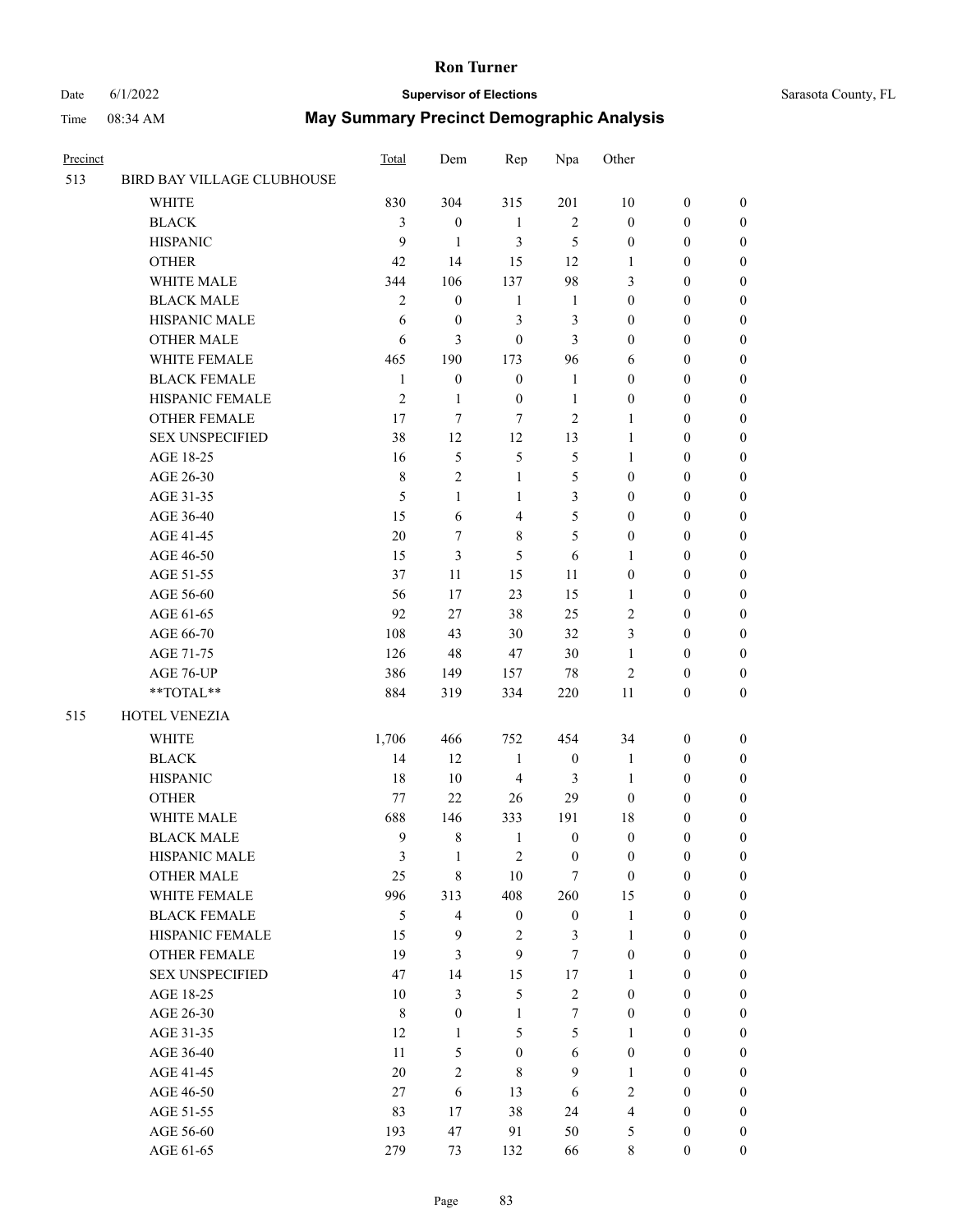#### Date 6/1/2022 **Supervisor of Elections** Supervisor **Supervisor of Elections** Sarasota County, FL

| Precinct |                            | Total          | Dem                     | Rep                     | Npa              | Other            |                  |                  |
|----------|----------------------------|----------------|-------------------------|-------------------------|------------------|------------------|------------------|------------------|
| 513      | BIRD BAY VILLAGE CLUBHOUSE |                |                         |                         |                  |                  |                  |                  |
|          | WHITE                      | 830            | 304                     | 315                     | 201              | $10\,$           | $\boldsymbol{0}$ | 0                |
|          | <b>BLACK</b>               | 3              | $\boldsymbol{0}$        | $\mathbf{1}$            | $\sqrt{2}$       | $\boldsymbol{0}$ | $\boldsymbol{0}$ | $\boldsymbol{0}$ |
|          | <b>HISPANIC</b>            | 9              | $\mathbf{1}$            | 3                       | $\mathfrak{S}$   | $\boldsymbol{0}$ | $\boldsymbol{0}$ | $\boldsymbol{0}$ |
|          | <b>OTHER</b>               | 42             | 14                      | 15                      | 12               | $\mathbf{1}$     | $\boldsymbol{0}$ | $\boldsymbol{0}$ |
|          | WHITE MALE                 | 344            | 106                     | 137                     | 98               | 3                | $\boldsymbol{0}$ | $\boldsymbol{0}$ |
|          | <b>BLACK MALE</b>          | $\sqrt{2}$     | $\boldsymbol{0}$        | $\mathbf{1}$            | $\mathbf{1}$     | $\boldsymbol{0}$ | $\boldsymbol{0}$ | $\boldsymbol{0}$ |
|          | HISPANIC MALE              | 6              | $\boldsymbol{0}$        | 3                       | 3                | $\boldsymbol{0}$ | $\boldsymbol{0}$ | $\boldsymbol{0}$ |
|          | <b>OTHER MALE</b>          | 6              | 3                       | $\boldsymbol{0}$        | $\mathfrak{Z}$   | $\boldsymbol{0}$ | $\boldsymbol{0}$ | $\boldsymbol{0}$ |
|          | WHITE FEMALE               | 465            | 190                     | 173                     | 96               | 6                | $\boldsymbol{0}$ | $\boldsymbol{0}$ |
|          | <b>BLACK FEMALE</b>        | $\mathbf{1}$   | $\boldsymbol{0}$        | $\boldsymbol{0}$        | $\mathbf{1}$     | $\boldsymbol{0}$ | $\boldsymbol{0}$ | 0                |
|          | HISPANIC FEMALE            | $\overline{2}$ | $\mathbf{1}$            | $\boldsymbol{0}$        | $\mathbf{1}$     | $\boldsymbol{0}$ | $\boldsymbol{0}$ | 0                |
|          | OTHER FEMALE               | 17             | $\tau$                  | $\tau$                  | $\overline{2}$   | $\mathbf{1}$     | $\boldsymbol{0}$ | 0                |
|          | <b>SEX UNSPECIFIED</b>     | 38             | 12                      | 12                      | 13               | $\mathbf{1}$     | $\boldsymbol{0}$ | $\boldsymbol{0}$ |
|          | AGE 18-25                  | 16             | 5                       | 5                       | 5                | $\mathbf{1}$     | $\boldsymbol{0}$ | $\boldsymbol{0}$ |
|          | AGE 26-30                  | $\,$ $\,$      | 2                       | $\mathbf{1}$            | 5                | $\boldsymbol{0}$ | $\boldsymbol{0}$ | $\boldsymbol{0}$ |
|          | AGE 31-35                  | 5              | $\mathbf{1}$            | $\mathbf{1}$            | 3                | $\boldsymbol{0}$ | $\boldsymbol{0}$ | $\boldsymbol{0}$ |
|          | AGE 36-40                  | 15             | 6                       | 4                       | 5                | $\boldsymbol{0}$ | $\boldsymbol{0}$ | $\boldsymbol{0}$ |
|          | AGE 41-45                  | $20\,$         | 7                       | 8                       | 5                | $\boldsymbol{0}$ | $\boldsymbol{0}$ | $\boldsymbol{0}$ |
|          | AGE 46-50                  | 15             | 3                       | 5                       | 6                | $\mathbf{1}$     | $\boldsymbol{0}$ | $\boldsymbol{0}$ |
|          | AGE 51-55                  | 37             | 11                      | 15                      | 11               | $\boldsymbol{0}$ | $\boldsymbol{0}$ | 0                |
|          | AGE 56-60                  | 56             | 17                      | 23                      | 15               | $\mathbf{1}$     | $\boldsymbol{0}$ | 0                |
|          | AGE 61-65                  | 92             | $27\,$                  | 38                      | 25               | $\sqrt{2}$       | $\boldsymbol{0}$ | 0                |
|          | AGE 66-70                  | 108            | 43                      | 30                      | 32               | 3                | $\boldsymbol{0}$ | $\boldsymbol{0}$ |
|          | AGE 71-75                  | 126            | 48                      | 47                      | 30               | $\mathbf{1}$     | $\boldsymbol{0}$ | $\boldsymbol{0}$ |
|          | AGE 76-UP                  | 386            | 149                     | 157                     | 78               | $\overline{c}$   | $\boldsymbol{0}$ | $\boldsymbol{0}$ |
|          | **TOTAL**                  | 884            | 319                     | 334                     | 220              | 11               | $\boldsymbol{0}$ | $\boldsymbol{0}$ |
|          |                            |                |                         |                         |                  |                  |                  |                  |
| 515      | HOTEL VENEZIA              |                |                         |                         |                  |                  |                  |                  |
|          | <b>WHITE</b>               | 1,706          | 466                     | 752                     | 454              | 34               | $\boldsymbol{0}$ | $\boldsymbol{0}$ |
|          | <b>BLACK</b>               | 14             | 12                      | $\mathbf{1}$            | $\boldsymbol{0}$ | $\mathbf{1}$     | $\boldsymbol{0}$ | $\boldsymbol{0}$ |
|          | <b>HISPANIC</b>            | 18             | $10\,$                  | $\overline{\mathbf{4}}$ | 3                | $\mathbf{1}$     | $\boldsymbol{0}$ | $\boldsymbol{0}$ |
|          | <b>OTHER</b>               | $77 \,$        | 22                      | 26                      | 29               | $\boldsymbol{0}$ | $\boldsymbol{0}$ | $\boldsymbol{0}$ |
|          | WHITE MALE                 | 688            | 146                     | 333                     | 191              | 18               | $\boldsymbol{0}$ | $\boldsymbol{0}$ |
|          | <b>BLACK MALE</b>          | 9              | 8                       | 1                       | $\boldsymbol{0}$ | $\boldsymbol{0}$ | $\theta$         | $\boldsymbol{0}$ |
|          | HISPANIC MALE              | 3              | $\mathbf{1}$            | $\overline{2}$          | $\boldsymbol{0}$ | $\boldsymbol{0}$ | $\boldsymbol{0}$ | $\boldsymbol{0}$ |
|          | <b>OTHER MALE</b>          | 25             | $\,8\,$                 | 10                      | $\tau$           | $\boldsymbol{0}$ | $\boldsymbol{0}$ | $\boldsymbol{0}$ |
|          | WHITE FEMALE               | 996            | 313                     | 408                     | 260              | 15               | $\boldsymbol{0}$ | $\overline{0}$   |
|          | <b>BLACK FEMALE</b>        | 5              | $\overline{\mathbf{4}}$ | $\boldsymbol{0}$        | $\boldsymbol{0}$ | $\mathbf{1}$     | $\boldsymbol{0}$ | $\overline{0}$   |
|          | HISPANIC FEMALE            | 15             | $\mathbf{9}$            | $\sqrt{2}$              | 3                | $\mathbf{1}$     | $\boldsymbol{0}$ | $\overline{0}$   |
|          | <b>OTHER FEMALE</b>        | 19             | $\mathfrak{Z}$          | 9                       | $\tau$           | $\boldsymbol{0}$ | $\boldsymbol{0}$ | $\overline{0}$   |
|          | <b>SEX UNSPECIFIED</b>     | 47             | 14                      | 15                      | 17               | $\mathbf{1}$     | $\boldsymbol{0}$ | $\overline{0}$   |
|          | AGE 18-25                  | $10\,$         | $\mathfrak{Z}$          | $\mathfrak s$           | $\sqrt{2}$       | $\boldsymbol{0}$ | $\boldsymbol{0}$ | $\overline{0}$   |
|          | AGE 26-30                  | $8\,$          | $\boldsymbol{0}$        | $\mathbf{1}$            | $\tau$           | $\boldsymbol{0}$ | $\boldsymbol{0}$ | $\boldsymbol{0}$ |
|          | AGE 31-35                  | 12             | $\mathbf{1}$            | 5                       | 5                | 1                | $\boldsymbol{0}$ | 0                |
|          | AGE 36-40                  | 11             | 5                       | $\boldsymbol{0}$        | 6                | $\boldsymbol{0}$ | $\boldsymbol{0}$ | $\boldsymbol{0}$ |
|          | AGE 41-45                  | 20             | $\overline{c}$          | $\,8\,$                 | 9                | $\mathbf{1}$     | $\boldsymbol{0}$ | $\overline{0}$   |
|          | AGE 46-50                  | 27             | 6                       | 13                      | 6                | $\overline{c}$   | $\boldsymbol{0}$ | $\overline{0}$   |
|          | AGE 51-55                  | 83             | 17                      | 38                      | 24               | $\overline{4}$   | $\boldsymbol{0}$ | $\overline{0}$   |
|          | AGE 56-60                  | 193            | 47                      | 91                      | 50               | 5                | $\boldsymbol{0}$ | $\overline{0}$   |
|          | AGE 61-65                  | 279            | 73                      | 132                     | 66               | 8                | $\boldsymbol{0}$ | $\overline{0}$   |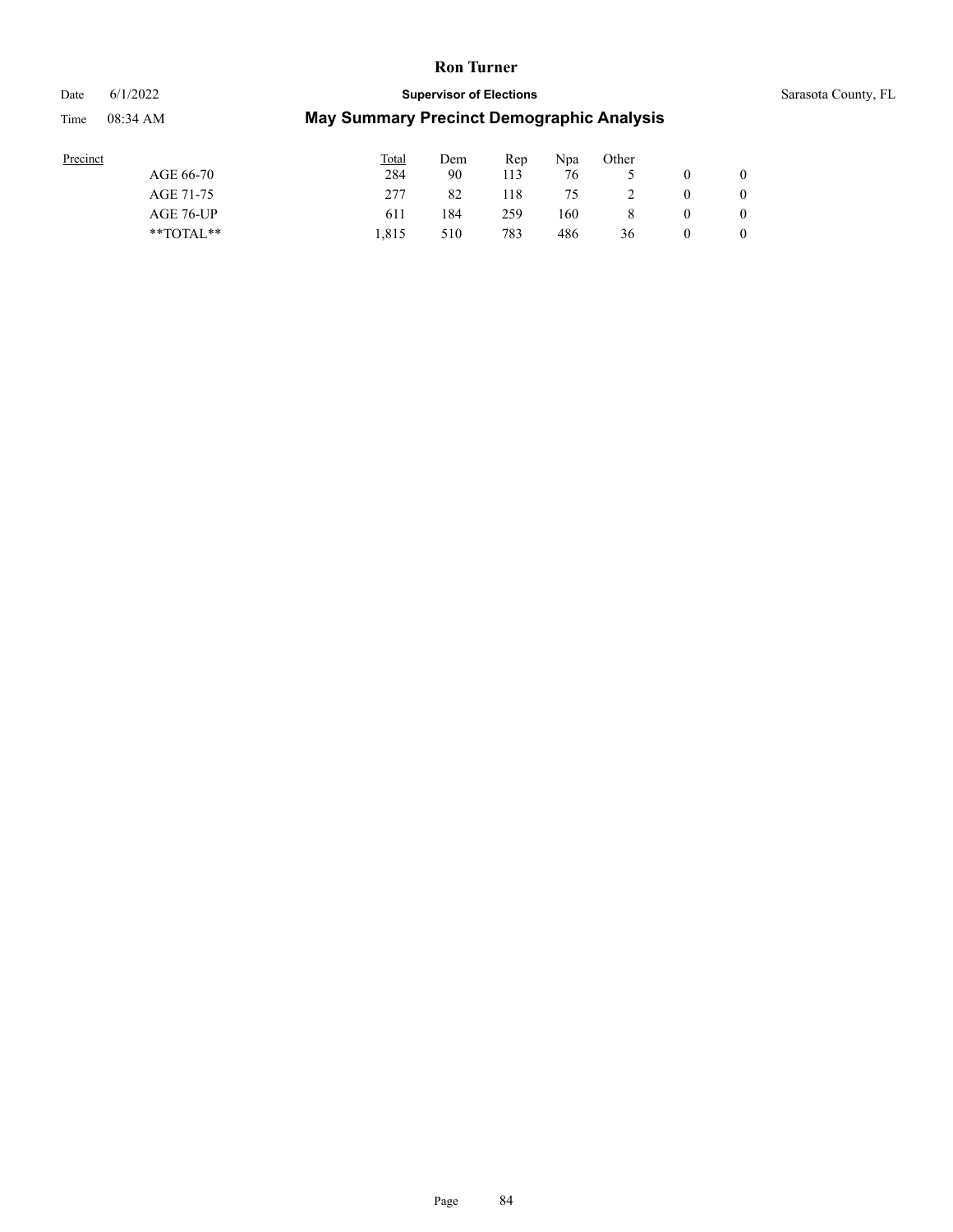# Date 6/1/2022 **Supervisor of Elections Supervisor of Elections** Sarasota County, FL Time 08:34 AM **May Summary Precinct Demographic Analysis**

| Precinct  | Total | Dem | Rep | Npa | Other          |          |                |
|-----------|-------|-----|-----|-----|----------------|----------|----------------|
| AGE 66-70 | 284   | 90  | 113 | 76  |                |          |                |
| AGE 71-75 | 277   | 82  | 118 | 75  | $\overline{2}$ | $\theta$ | $\theta$       |
| AGE 76-UP | 611   | 184 | 259 | 160 | 8              | $\theta$ | $\overline{0}$ |

\*\*TOTAL\*\* 1,815 510 783 486 36 0 0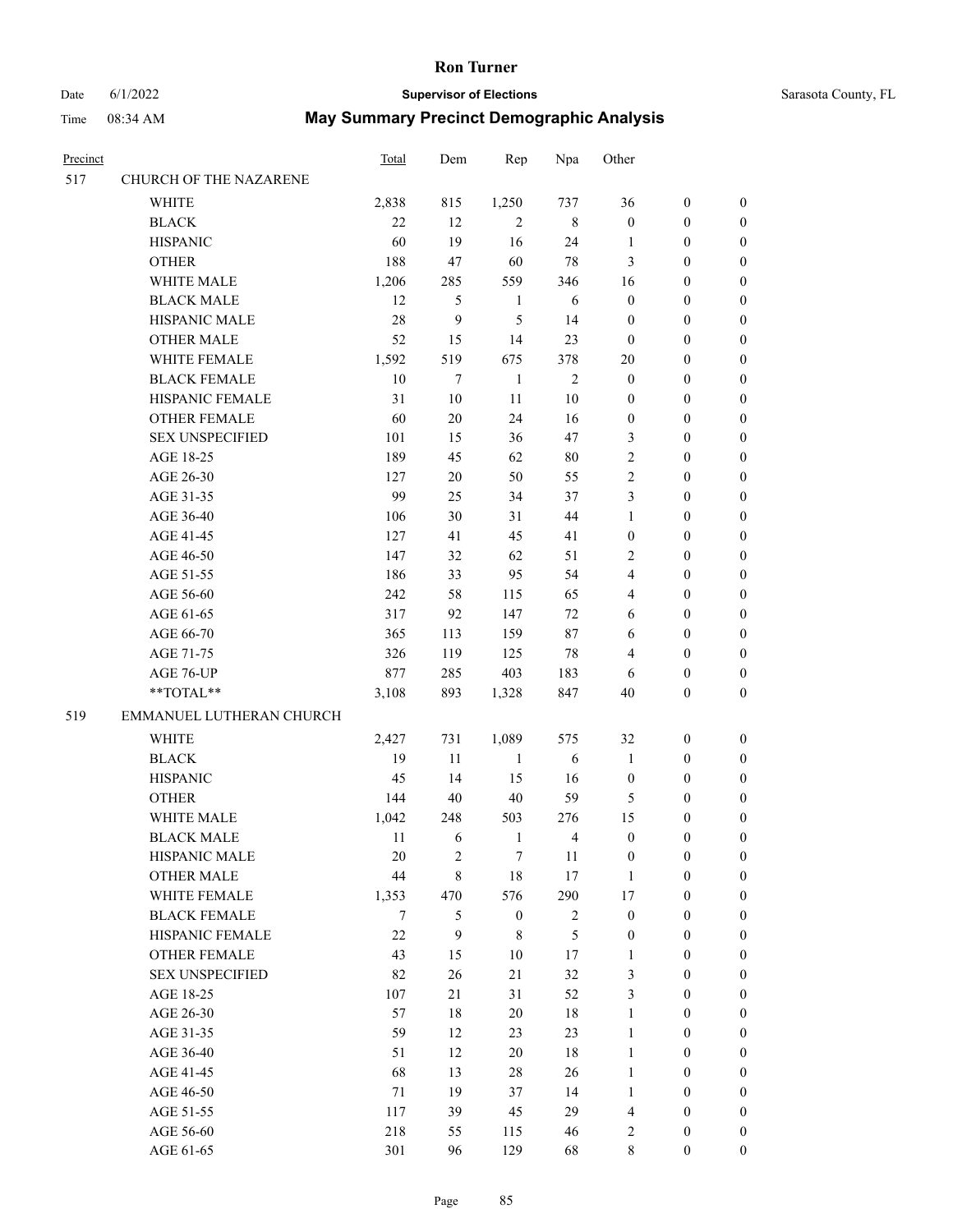# Date 6/1/2022 **Supervisor of Elections** Supervisor **Supervisor of Elections** Sarasota County, FL

| Precinct |                          | Total | Dem         | Rep              | Npa            | Other            |                  |                  |
|----------|--------------------------|-------|-------------|------------------|----------------|------------------|------------------|------------------|
| 517      | CHURCH OF THE NAZARENE   |       |             |                  |                |                  |                  |                  |
|          | <b>WHITE</b>             | 2,838 | 815         | 1,250            | 737            | 36               | $\boldsymbol{0}$ | $\boldsymbol{0}$ |
|          | <b>BLACK</b>             | 22    | 12          | $\overline{2}$   | $\,$ 8 $\,$    | $\boldsymbol{0}$ | $\boldsymbol{0}$ | $\boldsymbol{0}$ |
|          | <b>HISPANIC</b>          | 60    | 19          | 16               | 24             | 1                | $\boldsymbol{0}$ | $\boldsymbol{0}$ |
|          | <b>OTHER</b>             | 188   | 47          | 60               | $78\,$         | 3                | $\boldsymbol{0}$ | $\boldsymbol{0}$ |
|          | WHITE MALE               | 1,206 | 285         | 559              | 346            | 16               | $\boldsymbol{0}$ | $\boldsymbol{0}$ |
|          | <b>BLACK MALE</b>        | 12    | 5           | $\mathbf{1}$     | 6              | $\boldsymbol{0}$ | $\boldsymbol{0}$ | $\boldsymbol{0}$ |
|          | HISPANIC MALE            | 28    | 9           | 5                | 14             | $\boldsymbol{0}$ | $\boldsymbol{0}$ | $\boldsymbol{0}$ |
|          | <b>OTHER MALE</b>        | 52    | 15          | 14               | 23             | $\boldsymbol{0}$ | $\boldsymbol{0}$ | $\boldsymbol{0}$ |
|          | WHITE FEMALE             | 1,592 | 519         | 675              | 378            | $20\,$           | $\boldsymbol{0}$ | $\boldsymbol{0}$ |
|          | <b>BLACK FEMALE</b>      | 10    | 7           | $\mathbf{1}$     | $\mathfrak{2}$ | $\boldsymbol{0}$ | $\boldsymbol{0}$ | 0                |
|          | HISPANIC FEMALE          | 31    | 10          | 11               | 10             | 0                | $\boldsymbol{0}$ | 0                |
|          | <b>OTHER FEMALE</b>      | 60    | 20          | 24               | 16             | $\boldsymbol{0}$ | $\boldsymbol{0}$ | 0                |
|          | <b>SEX UNSPECIFIED</b>   | 101   | 15          | 36               | 47             | 3                | $\boldsymbol{0}$ | $\boldsymbol{0}$ |
|          | AGE 18-25                | 189   | 45          | 62               | $80\,$         | $\overline{c}$   | $\boldsymbol{0}$ | $\boldsymbol{0}$ |
|          | AGE 26-30                | 127   | $20\,$      | 50               | 55             | 2                | $\boldsymbol{0}$ | $\boldsymbol{0}$ |
|          | AGE 31-35                | 99    | 25          | 34               | 37             | 3                | $\boldsymbol{0}$ | $\boldsymbol{0}$ |
|          | AGE 36-40                | 106   | 30          | 31               | 44             | 1                | $\boldsymbol{0}$ | $\boldsymbol{0}$ |
|          | AGE 41-45                | 127   | 41          | 45               | 41             | $\boldsymbol{0}$ | $\boldsymbol{0}$ | $\boldsymbol{0}$ |
|          | AGE 46-50                | 147   | 32          | 62               | 51             | 2                | $\boldsymbol{0}$ | $\boldsymbol{0}$ |
|          | AGE 51-55                | 186   | 33          | 95               | 54             | 4                | $\boldsymbol{0}$ | $\boldsymbol{0}$ |
|          | AGE 56-60                | 242   | 58          | 115              | 65             | 4                | $\boldsymbol{0}$ | 0                |
|          | AGE 61-65                | 317   | 92          | 147              | 72             | 6                | $\boldsymbol{0}$ | 0                |
|          | AGE 66-70                | 365   | 113         | 159              | 87             | 6                | $\boldsymbol{0}$ | $\boldsymbol{0}$ |
|          | AGE 71-75                | 326   | 119         | 125              | $78\,$         | 4                | $\boldsymbol{0}$ | $\boldsymbol{0}$ |
|          | AGE 76-UP                | 877   | 285         | 403              | 183            | 6                | $\boldsymbol{0}$ | $\boldsymbol{0}$ |
|          | $**TOTAL**$              | 3,108 | 893         | 1,328            | 847            | $40\,$           | $\boldsymbol{0}$ | $\boldsymbol{0}$ |
| 519      | EMMANUEL LUTHERAN CHURCH |       |             |                  |                |                  |                  |                  |
|          | <b>WHITE</b>             | 2,427 | 731         | 1,089            | 575            | 32               | $\boldsymbol{0}$ | $\boldsymbol{0}$ |
|          | <b>BLACK</b>             | 19    | 11          | $\mathbf{1}$     | 6              | 1                | $\boldsymbol{0}$ | $\boldsymbol{0}$ |
|          | <b>HISPANIC</b>          | 45    | 14          | 15               | 16             | $\boldsymbol{0}$ | $\boldsymbol{0}$ | $\boldsymbol{0}$ |
|          | <b>OTHER</b>             | 144   | 40          | 40               | 59             | 5                | $\boldsymbol{0}$ | $\boldsymbol{0}$ |
|          | WHITE MALE               | 1,042 | 248         | 503              | 276            | 15               | $\boldsymbol{0}$ | 0                |
|          | <b>BLACK MALE</b>        | 11    | 6           | $\mathbf{1}$     | $\overline{4}$ | $\boldsymbol{0}$ | $\boldsymbol{0}$ | 0                |
|          | HISPANIC MALE            | 20    | 2           | 7                | 11             | $\boldsymbol{0}$ | $\boldsymbol{0}$ | 0                |
|          | <b>OTHER MALE</b>        | 44    | $\,$ 8 $\,$ | 18               | 17             | $\mathbf{1}$     | $\boldsymbol{0}$ | $\overline{0}$   |
|          | WHITE FEMALE             | 1,353 | 470         | 576              | 290            | 17               | $\boldsymbol{0}$ | $\overline{0}$   |
|          | <b>BLACK FEMALE</b>      | 7     | 5           | $\boldsymbol{0}$ | $\sqrt{2}$     | $\boldsymbol{0}$ | $\boldsymbol{0}$ | $\overline{0}$   |
|          | HISPANIC FEMALE          | 22    | 9           | 8                | 5              | $\boldsymbol{0}$ | $\boldsymbol{0}$ | 0                |
|          | <b>OTHER FEMALE</b>      | 43    | 15          | 10               | 17             | $\mathbf{1}$     | $\boldsymbol{0}$ | $\theta$         |
|          | <b>SEX UNSPECIFIED</b>   | 82    | 26          | 21               | 32             | 3                | $\boldsymbol{0}$ | $\overline{0}$   |
|          | AGE 18-25                | 107   | 21          | 31               | 52             | 3                | $\boldsymbol{0}$ | 0                |
|          | AGE 26-30                | 57    | $18\,$      | $20\,$           | 18             | $\mathbf{1}$     | $\boldsymbol{0}$ | 0                |
|          | AGE 31-35                | 59    | 12          | 23               | 23             | $\mathbf{1}$     | $\boldsymbol{0}$ | 0                |
|          | AGE 36-40                | 51    | 12          | 20               | 18             | $\mathbf{1}$     | $\boldsymbol{0}$ | 0                |
|          | AGE 41-45                | 68    | 13          | 28               | 26             | $\mathbf{1}$     | $\boldsymbol{0}$ | $\overline{0}$   |
|          | AGE 46-50                | 71    | 19          | 37               | 14             | 1                | $\boldsymbol{0}$ | $\overline{0}$   |
|          | AGE 51-55                | 117   | 39          | 45               | 29             | 4                | $\boldsymbol{0}$ | $\overline{0}$   |
|          | AGE 56-60                | 218   | 55          | 115              | 46             | 2                | $\boldsymbol{0}$ | 0                |
|          | AGE 61-65                | 301   | 96          | 129              | 68             | 8                | $\mathbf{0}$     | $\overline{0}$   |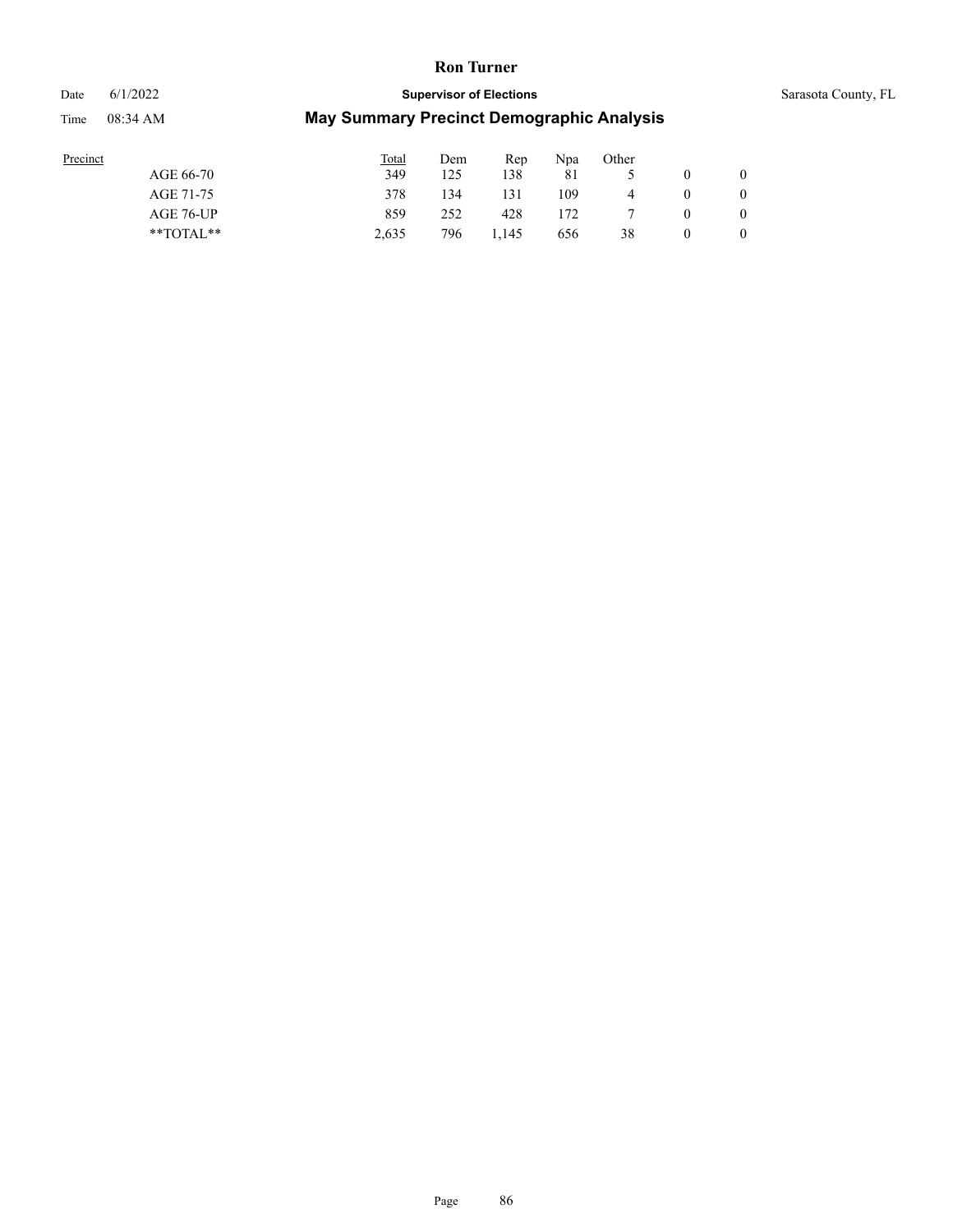Time 08:34 AM

# Date 6/1/2022 **Supervisor of Elections Supervisor of Elections** Sarasota County, FL

| Precinct |  |
|----------|--|
|          |  |
|          |  |

| Precinct      | <b>Total</b> | Dem | Rep   | Npa | Other          |                |
|---------------|--------------|-----|-------|-----|----------------|----------------|
| AGE 66-70     | 349          | 125 | 138   | 81  |                | $\overline{0}$ |
| AGE 71-75     | 378          | 134 | 131   | 109 | $\overline{4}$ | $\theta$       |
| AGE 76-UP     | 859          | 252 | 428   | 172 |                | $\overline{0}$ |
| $*$ TOTAL $*$ | 2.635        | 796 | 1.145 | 656 | 38             | $\theta$       |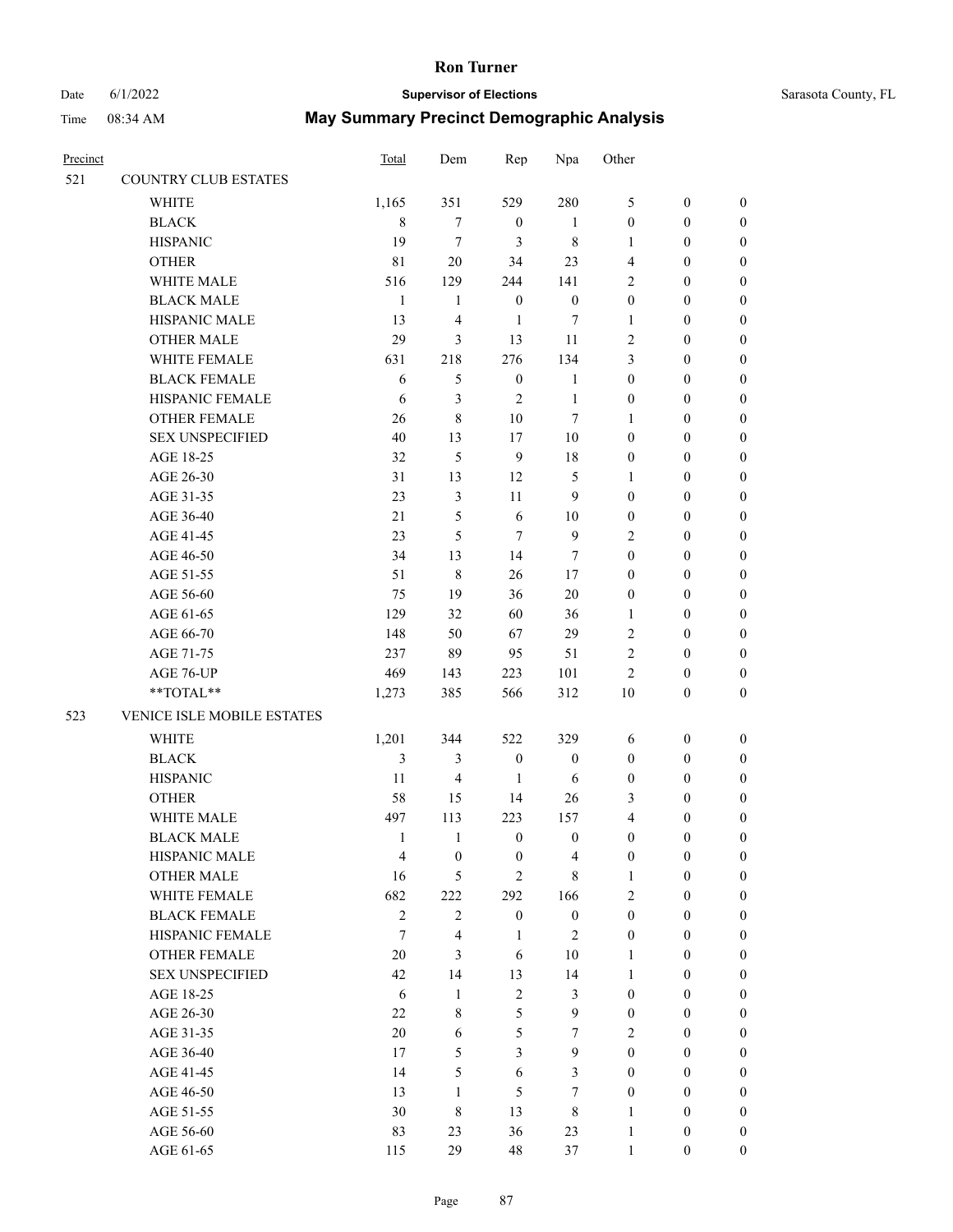#### Date 6/1/2022 **Supervisor of Elections** Supervisor **Supervisor of Elections** Sarasota County, FL

| Precinct |                            | <b>Total</b>   | Dem                     | Rep              | Npa              | Other            |                  |                  |
|----------|----------------------------|----------------|-------------------------|------------------|------------------|------------------|------------------|------------------|
| 521      | COUNTRY CLUB ESTATES       |                |                         |                  |                  |                  |                  |                  |
|          | WHITE                      | 1,165          | 351                     | 529              | 280              | 5                | $\boldsymbol{0}$ | 0                |
|          | <b>BLACK</b>               | $\,$ 8 $\,$    | $\boldsymbol{7}$        | $\boldsymbol{0}$ | $\mathbf{1}$     | $\boldsymbol{0}$ | $\boldsymbol{0}$ | $\boldsymbol{0}$ |
|          | <b>HISPANIC</b>            | 19             | $\tau$                  | 3                | $\,$ 8 $\,$      | $\mathbf{1}$     | $\boldsymbol{0}$ | $\boldsymbol{0}$ |
|          | <b>OTHER</b>               | 81             | $20\,$                  | 34               | 23               | $\overline{4}$   | $\boldsymbol{0}$ | $\boldsymbol{0}$ |
|          | WHITE MALE                 | 516            | 129                     | 244              | 141              | $\overline{c}$   | $\boldsymbol{0}$ | $\boldsymbol{0}$ |
|          | <b>BLACK MALE</b>          | $\mathbf{1}$   | $\mathbf{1}$            | $\boldsymbol{0}$ | $\boldsymbol{0}$ | $\boldsymbol{0}$ | $\boldsymbol{0}$ | $\boldsymbol{0}$ |
|          | HISPANIC MALE              | 13             | $\overline{4}$          | $\mathbf{1}$     | 7                | $\mathbf{1}$     | $\boldsymbol{0}$ | $\boldsymbol{0}$ |
|          | <b>OTHER MALE</b>          | 29             | 3                       | 13               | 11               | $\overline{c}$   | $\boldsymbol{0}$ | $\boldsymbol{0}$ |
|          | WHITE FEMALE               | 631            | 218                     | 276              | 134              | 3                | $\boldsymbol{0}$ | $\boldsymbol{0}$ |
|          | <b>BLACK FEMALE</b>        | 6              | $\mathfrak s$           | $\boldsymbol{0}$ | $\mathbf{1}$     | $\boldsymbol{0}$ | $\boldsymbol{0}$ | $\boldsymbol{0}$ |
|          | HISPANIC FEMALE            | 6              | 3                       | $\mathfrak{2}$   | $\mathbf{1}$     | $\boldsymbol{0}$ | $\boldsymbol{0}$ | 0                |
|          | OTHER FEMALE               | 26             | $\,8\,$                 | $10\,$           | $\tau$           | $\mathbf{1}$     | $\boldsymbol{0}$ | $\boldsymbol{0}$ |
|          | <b>SEX UNSPECIFIED</b>     | 40             | 13                      | 17               | $10\,$           | $\boldsymbol{0}$ | $\boldsymbol{0}$ | $\boldsymbol{0}$ |
|          | AGE 18-25                  | 32             | 5                       | $\boldsymbol{9}$ | 18               | $\boldsymbol{0}$ | $\boldsymbol{0}$ | $\boldsymbol{0}$ |
|          | AGE 26-30                  | 31             | 13                      | 12               | 5                | $\mathbf{1}$     | $\boldsymbol{0}$ | $\boldsymbol{0}$ |
|          | AGE 31-35                  | 23             | $\mathfrak{Z}$          | 11               | $\overline{9}$   | $\boldsymbol{0}$ | $\boldsymbol{0}$ | $\boldsymbol{0}$ |
|          | AGE 36-40                  | 21             | 5                       | $\sqrt{6}$       | 10               | $\boldsymbol{0}$ | $\boldsymbol{0}$ | $\boldsymbol{0}$ |
|          | AGE 41-45                  | 23             | 5                       | $\tau$           | $\overline{9}$   | $\overline{c}$   | $\boldsymbol{0}$ | $\boldsymbol{0}$ |
|          | AGE 46-50                  | 34             | 13                      | 14               | 7                | $\boldsymbol{0}$ | $\boldsymbol{0}$ | $\boldsymbol{0}$ |
|          | AGE 51-55                  | 51             | $\,$ 8 $\,$             | 26               | 17               | $\boldsymbol{0}$ | $\boldsymbol{0}$ | 0                |
|          | AGE 56-60                  | 75             | 19                      | 36               | $20\,$           | $\boldsymbol{0}$ | $\boldsymbol{0}$ | 0                |
|          | AGE 61-65                  | 129            | 32                      | 60               | 36               | $\mathbf{1}$     | $\boldsymbol{0}$ | $\boldsymbol{0}$ |
|          | AGE 66-70                  | 148            | 50                      | 67               | 29               | $\mathfrak{2}$   | $\boldsymbol{0}$ | $\boldsymbol{0}$ |
|          | AGE 71-75                  | 237            | 89                      | 95               | 51               | $\sqrt{2}$       | $\boldsymbol{0}$ | $\boldsymbol{0}$ |
|          | AGE 76-UP                  | 469            | 143                     | 223              | 101              | $\overline{c}$   | $\boldsymbol{0}$ | $\boldsymbol{0}$ |
|          | **TOTAL**                  | 1,273          | 385                     | 566              | 312              | $10\,$           | $\boldsymbol{0}$ | $\boldsymbol{0}$ |
| 523      | VENICE ISLE MOBILE ESTATES |                |                         |                  |                  |                  |                  |                  |
|          |                            |                |                         |                  |                  |                  |                  |                  |
|          | <b>WHITE</b>               | 1,201          | 344                     | 522              | 329              | 6                | $\boldsymbol{0}$ | $\boldsymbol{0}$ |
|          | <b>BLACK</b>               | 3              | 3                       | $\boldsymbol{0}$ | $\boldsymbol{0}$ | $\boldsymbol{0}$ | $\boldsymbol{0}$ | $\boldsymbol{0}$ |
|          | <b>HISPANIC</b>            | 11             | $\overline{4}$          | $\mathbf{1}$     | 6                | $\boldsymbol{0}$ | $\boldsymbol{0}$ | $\boldsymbol{0}$ |
|          | <b>OTHER</b>               | 58             | 15                      | 14               | 26               | 3                | $\boldsymbol{0}$ | $\boldsymbol{0}$ |
|          | WHITE MALE                 | 497            | 113                     | 223              | 157              | 4                | $\boldsymbol{0}$ | $\boldsymbol{0}$ |
|          | <b>BLACK MALE</b>          | 1              | 1                       | $\boldsymbol{0}$ | $\boldsymbol{0}$ | $\theta$         | $\theta$         | $\boldsymbol{0}$ |
|          | HISPANIC MALE              | $\overline{4}$ | $\boldsymbol{0}$        | $\boldsymbol{0}$ | $\overline{4}$   | $\boldsymbol{0}$ | $\boldsymbol{0}$ | $\overline{0}$   |
|          | <b>OTHER MALE</b>          | 16             | 5                       | $\overline{2}$   | $\,8\,$          | $\mathbf{1}$     | $\boldsymbol{0}$ | $\overline{0}$   |
|          | WHITE FEMALE               | 682            | 222                     | 292              | 166              | $\overline{c}$   | $\boldsymbol{0}$ | $\overline{0}$   |
|          | <b>BLACK FEMALE</b>        | $\sqrt{2}$     | $\sqrt{2}$              | $\boldsymbol{0}$ | $\boldsymbol{0}$ | $\boldsymbol{0}$ | $\boldsymbol{0}$ | $\overline{0}$   |
|          | HISPANIC FEMALE            | $\tau$         | $\overline{\mathbf{4}}$ | $\mathbf{1}$     | $\sqrt{2}$       | $\boldsymbol{0}$ | $\boldsymbol{0}$ | $\overline{0}$   |
|          | OTHER FEMALE               | 20             | $\mathfrak{Z}$          | 6                | $10\,$           | $\mathbf{1}$     | $\boldsymbol{0}$ | $\overline{0}$   |
|          | <b>SEX UNSPECIFIED</b>     | 42             | 14                      | 13               | 14               | $\mathbf{1}$     | $\boldsymbol{0}$ | $\overline{0}$   |
|          | AGE 18-25                  | $\sqrt{6}$     | $\mathbf{1}$            | $\sqrt{2}$       | $\mathfrak{Z}$   | $\boldsymbol{0}$ | $\boldsymbol{0}$ | $\overline{0}$   |
|          | AGE 26-30                  | $22\,$         | $\,$ 8 $\,$             | 5                | $\mathbf{9}$     | $\boldsymbol{0}$ | $\boldsymbol{0}$ | 0                |
|          | AGE 31-35                  | 20             | 6                       | 5                | $\tau$           | $\overline{2}$   | $\boldsymbol{0}$ | 0                |
|          | AGE 36-40                  | 17             | 5                       | $\mathfrak{Z}$   | 9                | $\boldsymbol{0}$ | $\boldsymbol{0}$ | $\overline{0}$   |
|          | AGE 41-45                  | 14             | 5                       | $\sqrt{6}$       | $\mathfrak{Z}$   | $\boldsymbol{0}$ | $\boldsymbol{0}$ | $\overline{0}$   |
|          | AGE 46-50                  | 13             | $\mathbf{1}$            | 5                | $\tau$           | $\boldsymbol{0}$ | $\boldsymbol{0}$ | $\overline{0}$   |
|          | AGE 51-55                  | 30             | 8                       | 13               | $\,$ 8 $\,$      | $\mathbf{1}$     | $\boldsymbol{0}$ | $\theta$         |
|          | AGE 56-60                  | 83             | 23                      | 36               | 23               | $\mathbf{1}$     | $\boldsymbol{0}$ | 0                |
|          | AGE 61-65                  | 115            | 29                      | 48               | 37               | $\mathbf{1}$     | $\boldsymbol{0}$ | $\overline{0}$   |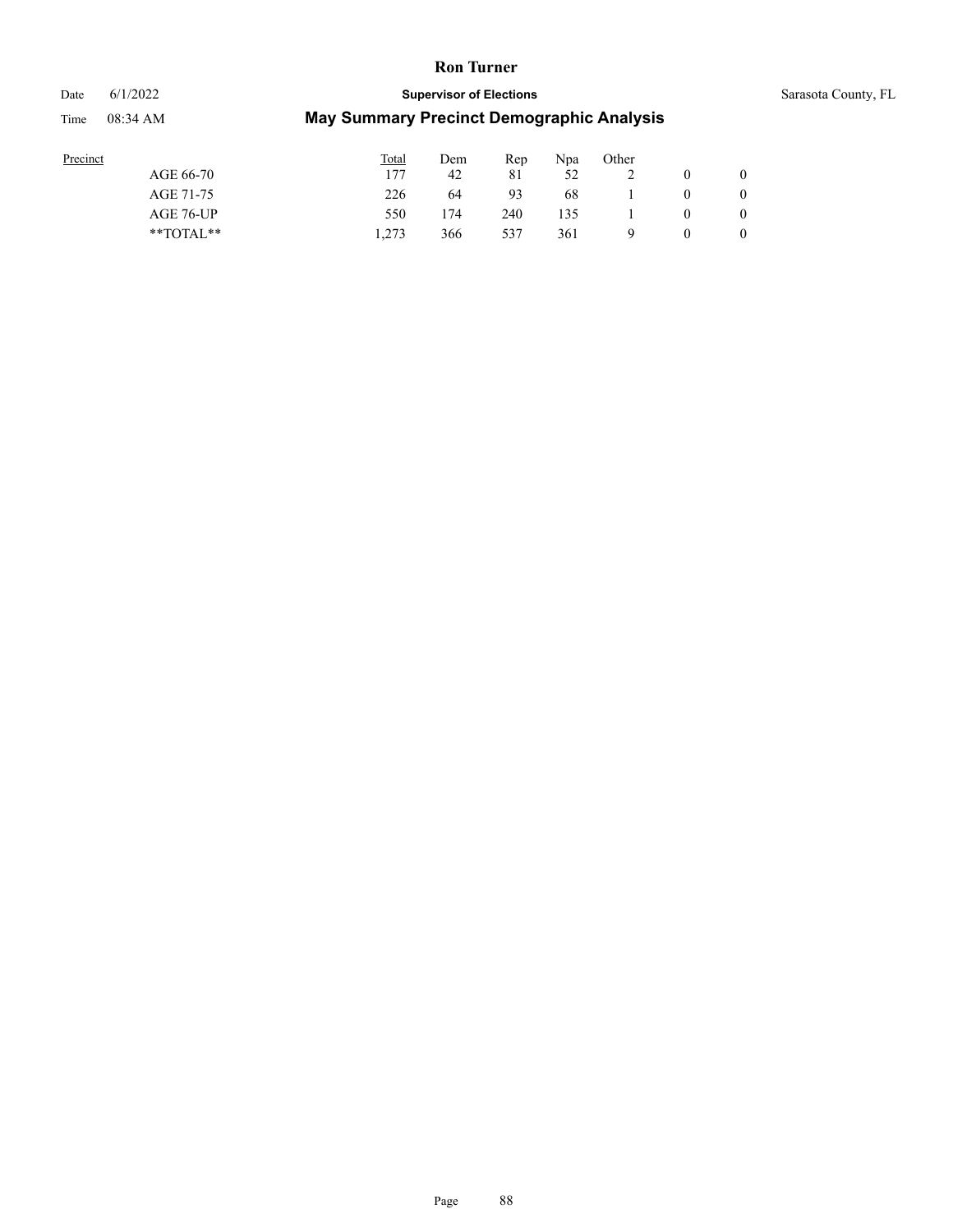# Date 6/1/2022 **Supervisor of Elections** Supervisor **Supervisor of Elections** Sarasota County, FL Time 08:34 AM **May Summary Precinct Demographic Analysis**

| Precinct      | Total | Dem | Rep | Npa | Other |          |  |
|---------------|-------|-----|-----|-----|-------|----------|--|
| AGE 66-70     | 177   | 42  | 81  | 52  | ∸     |          |  |
| AGE 71-75     | 226   | 64  | 93  | 68  |       | $\theta$ |  |
| AGE 76-UP     | 550   | 174 | 240 | 135 |       |          |  |
| $*$ TOTAL $*$ | 1.273 | 366 | 537 | 361 | Q     |          |  |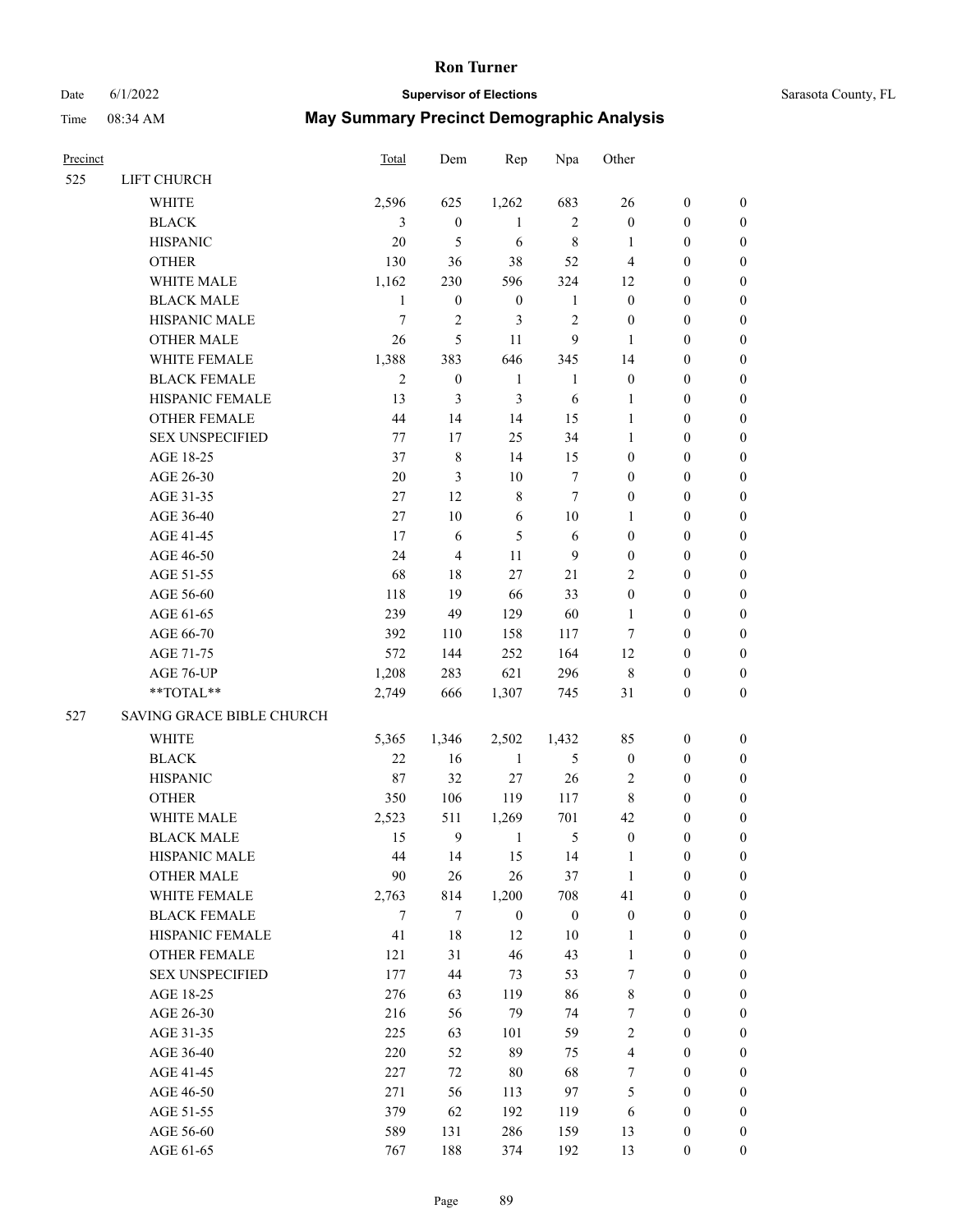# Date 6/1/2022 **Supervisor of Elections** Supervisor **Supervisor of Elections** Sarasota County, FL

| Precinct |                           | <b>Total</b>     | Dem              | Rep              | Npa              | Other                   |                  |                  |
|----------|---------------------------|------------------|------------------|------------------|------------------|-------------------------|------------------|------------------|
| 525      | LIFT CHURCH               |                  |                  |                  |                  |                         |                  |                  |
|          | <b>WHITE</b>              | 2,596            | 625              | 1,262            | 683              | 26                      | $\boldsymbol{0}$ | 0                |
|          | <b>BLACK</b>              | 3                | $\boldsymbol{0}$ | $\mathbf{1}$     | $\sqrt{2}$       | $\boldsymbol{0}$        | $\boldsymbol{0}$ | $\boldsymbol{0}$ |
|          | <b>HISPANIC</b>           | $20\,$           | 5                | $\sqrt{6}$       | $\,$ 8 $\,$      | $\mathbf{1}$            | $\boldsymbol{0}$ | $\boldsymbol{0}$ |
|          | <b>OTHER</b>              | 130              | 36               | 38               | 52               | $\overline{4}$          | $\boldsymbol{0}$ | $\boldsymbol{0}$ |
|          | WHITE MALE                | 1,162            | 230              | 596              | 324              | 12                      | $\boldsymbol{0}$ | $\boldsymbol{0}$ |
|          | <b>BLACK MALE</b>         | $\mathbf{1}$     | $\boldsymbol{0}$ | $\boldsymbol{0}$ | $\mathbf{1}$     | $\boldsymbol{0}$        | $\boldsymbol{0}$ | $\boldsymbol{0}$ |
|          | HISPANIC MALE             | $\boldsymbol{7}$ | $\overline{2}$   | 3                | 2                | $\boldsymbol{0}$        | $\boldsymbol{0}$ | $\boldsymbol{0}$ |
|          | <b>OTHER MALE</b>         | 26               | 5                | 11               | 9                | $\mathbf{1}$            | $\boldsymbol{0}$ | $\boldsymbol{0}$ |
|          | WHITE FEMALE              | 1,388            | 383              | 646              | 345              | 14                      | $\boldsymbol{0}$ | $\boldsymbol{0}$ |
|          | <b>BLACK FEMALE</b>       | $\overline{2}$   | $\boldsymbol{0}$ | $\mathbf{1}$     | $\mathbf{1}$     | $\boldsymbol{0}$        | $\boldsymbol{0}$ | $\boldsymbol{0}$ |
|          | HISPANIC FEMALE           | 13               | 3                | 3                | 6                | 1                       | $\boldsymbol{0}$ | 0                |
|          | OTHER FEMALE              | 44               | 14               | 14               | 15               | $\mathbf{1}$            | $\boldsymbol{0}$ | 0                |
|          | <b>SEX UNSPECIFIED</b>    | 77               | 17               | 25               | 34               | $\mathbf{1}$            | $\boldsymbol{0}$ | $\boldsymbol{0}$ |
|          | AGE 18-25                 | 37               | $\,$ 8 $\,$      | 14               | 15               | $\boldsymbol{0}$        | $\boldsymbol{0}$ | $\boldsymbol{0}$ |
|          | AGE 26-30                 | $20\,$           | 3                | $10\,$           | 7                | $\boldsymbol{0}$        | $\boldsymbol{0}$ | $\boldsymbol{0}$ |
|          | AGE 31-35                 | 27               | 12               | $\,8\,$          | $\tau$           | $\boldsymbol{0}$        | $\boldsymbol{0}$ | $\boldsymbol{0}$ |
|          | AGE 36-40                 | 27               | $10\,$           | 6                | $10\,$           | $\mathbf{1}$            | $\boldsymbol{0}$ | $\boldsymbol{0}$ |
|          | AGE 41-45                 | 17               | 6                | $\mathfrak{S}$   | $\sqrt{6}$       | $\boldsymbol{0}$        | $\boldsymbol{0}$ | $\boldsymbol{0}$ |
|          | AGE 46-50                 | 24               | $\overline{4}$   | 11               | $\overline{9}$   | $\boldsymbol{0}$        | $\boldsymbol{0}$ | $\boldsymbol{0}$ |
|          | AGE 51-55                 | 68               | 18               | $27\,$           | $21\,$           | $\overline{c}$          | $\boldsymbol{0}$ | 0                |
|          | AGE 56-60                 | 118              | 19               | 66               | 33               | $\boldsymbol{0}$        | $\boldsymbol{0}$ | 0                |
|          | AGE 61-65                 | 239              | 49               | 129              | 60               | 1                       | $\boldsymbol{0}$ | 0                |
|          | AGE 66-70                 | 392              | 110              | 158              | 117              | 7                       | $\boldsymbol{0}$ | $\boldsymbol{0}$ |
|          | AGE 71-75                 | 572              | 144              | 252              | 164              | 12                      | $\boldsymbol{0}$ | $\boldsymbol{0}$ |
|          | AGE 76-UP                 | 1,208            | 283              | 621              | 296              | 8                       | $\boldsymbol{0}$ | $\boldsymbol{0}$ |
|          | **TOTAL**                 | 2,749            | 666              | 1,307            | 745              | 31                      | $\boldsymbol{0}$ | $\boldsymbol{0}$ |
| 527      | SAVING GRACE BIBLE CHURCH |                  |                  |                  |                  |                         |                  |                  |
|          | WHITE                     | 5,365            | 1,346            | 2,502            | 1,432            | 85                      | $\boldsymbol{0}$ | $\boldsymbol{0}$ |
|          | <b>BLACK</b>              | 22               | 16               | $\mathbf{1}$     | $\sqrt{5}$       | $\boldsymbol{0}$        | $\boldsymbol{0}$ | $\boldsymbol{0}$ |
|          | <b>HISPANIC</b>           | 87               | 32               | $27\,$           | $26\,$           | 2                       | $\boldsymbol{0}$ | $\boldsymbol{0}$ |
|          | <b>OTHER</b>              | 350              | 106              | 119              | 117              | 8                       | $\boldsymbol{0}$ | $\boldsymbol{0}$ |
|          | WHITE MALE                | 2,523            | 511              | 1,269            | 701              | 42                      | 0                | $\boldsymbol{0}$ |
|          | <b>BLACK MALE</b>         | 15               | $\boldsymbol{9}$ | 1                | 5                | $\boldsymbol{0}$        | $\boldsymbol{0}$ | $\boldsymbol{0}$ |
|          | HISPANIC MALE             | 44               | 14               | 15               | 14               | $\mathbf{1}$            | $\boldsymbol{0}$ | 0                |
|          | <b>OTHER MALE</b>         | 90               | 26               | $26\,$           | 37               | $\mathbf{1}$            | $\boldsymbol{0}$ | 0                |
|          | WHITE FEMALE              | 2,763            | 814              | 1,200            | 708              | 41                      | $\boldsymbol{0}$ | $\overline{0}$   |
|          | <b>BLACK FEMALE</b>       | $\tau$           | 7                | $\boldsymbol{0}$ | $\boldsymbol{0}$ | $\boldsymbol{0}$        | $\boldsymbol{0}$ | 0                |
|          | HISPANIC FEMALE           | 41               | $18\,$           | 12               | 10               | $\mathbf{1}$            | $\boldsymbol{0}$ | 0                |
|          | <b>OTHER FEMALE</b>       | 121              | 31               | 46               | 43               | $\mathbf{1}$            | $\boldsymbol{0}$ | 0                |
|          | <b>SEX UNSPECIFIED</b>    | 177              | $44\,$           | 73               | 53               | 7                       | $\boldsymbol{0}$ | 0                |
|          | AGE 18-25                 | 276              | 63               | 119              | 86               | 8                       | $\boldsymbol{0}$ | 0                |
|          | AGE 26-30                 | 216              | 56               | 79               | 74               | 7                       | $\boldsymbol{0}$ | 0                |
|          | AGE 31-35                 | 225              | 63               | 101              | 59               | $\mathfrak{2}$          | $\boldsymbol{0}$ | 0                |
|          | AGE 36-40                 | 220              | 52               | 89               | 75               | $\overline{\mathbf{4}}$ | $\boldsymbol{0}$ | 0                |
|          | AGE 41-45                 | 227              | 72               | $80\,$           | 68               | 7                       | $\boldsymbol{0}$ | $\overline{0}$   |
|          | AGE 46-50                 | 271              | 56               | 113              | 97               | 5                       | $\boldsymbol{0}$ | $\overline{0}$   |
|          | AGE 51-55                 | 379              | 62               | 192              | 119              | 6                       | $\boldsymbol{0}$ | 0                |
|          | AGE 56-60                 | 589              | 131              | 286              | 159              | 13                      | $\boldsymbol{0}$ | 0                |
|          | AGE 61-65                 | 767              | 188              | 374              | 192              | 13                      | $\boldsymbol{0}$ | $\overline{0}$   |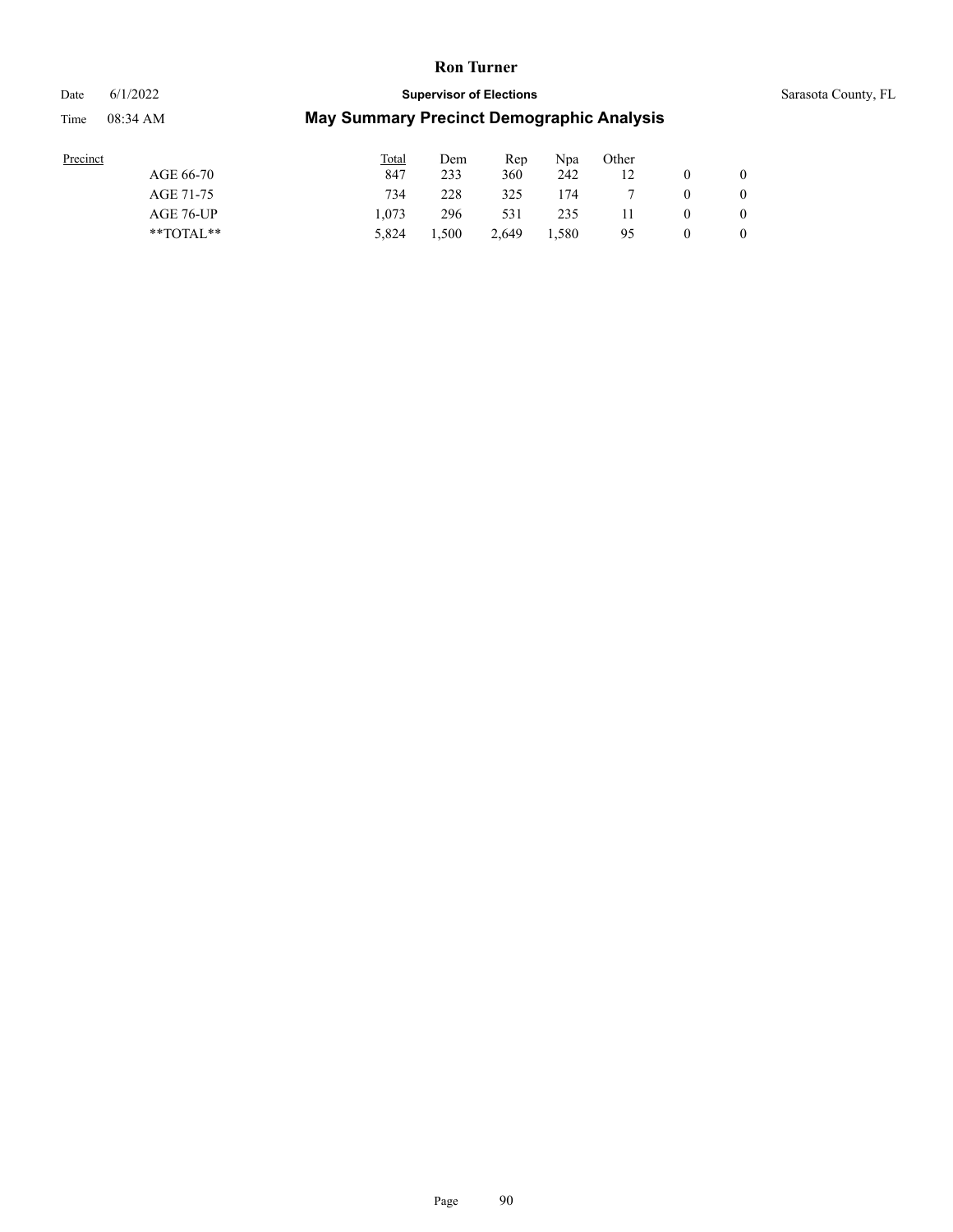#### Date 6/1/2022 **Supervisor of Elections** Supervisor **Supervisor of Elections** Sarasota County, FL

| Precinct      | <b>Total</b> | Dem   | Rep   | Npa   | Other |   |
|---------------|--------------|-------|-------|-------|-------|---|
| AGE 66-70     | 847          | 233   | 360   | 242   |       |   |
| AGE 71-75     | 734          | 228   | 325   | 174   |       |   |
| AGE 76-UP     | 1.073        | 296   | 531   | 235   |       |   |
| $*$ TOTAL $*$ | 5.824        | 1,500 | 2.649 | 1,580 | 95    | 0 |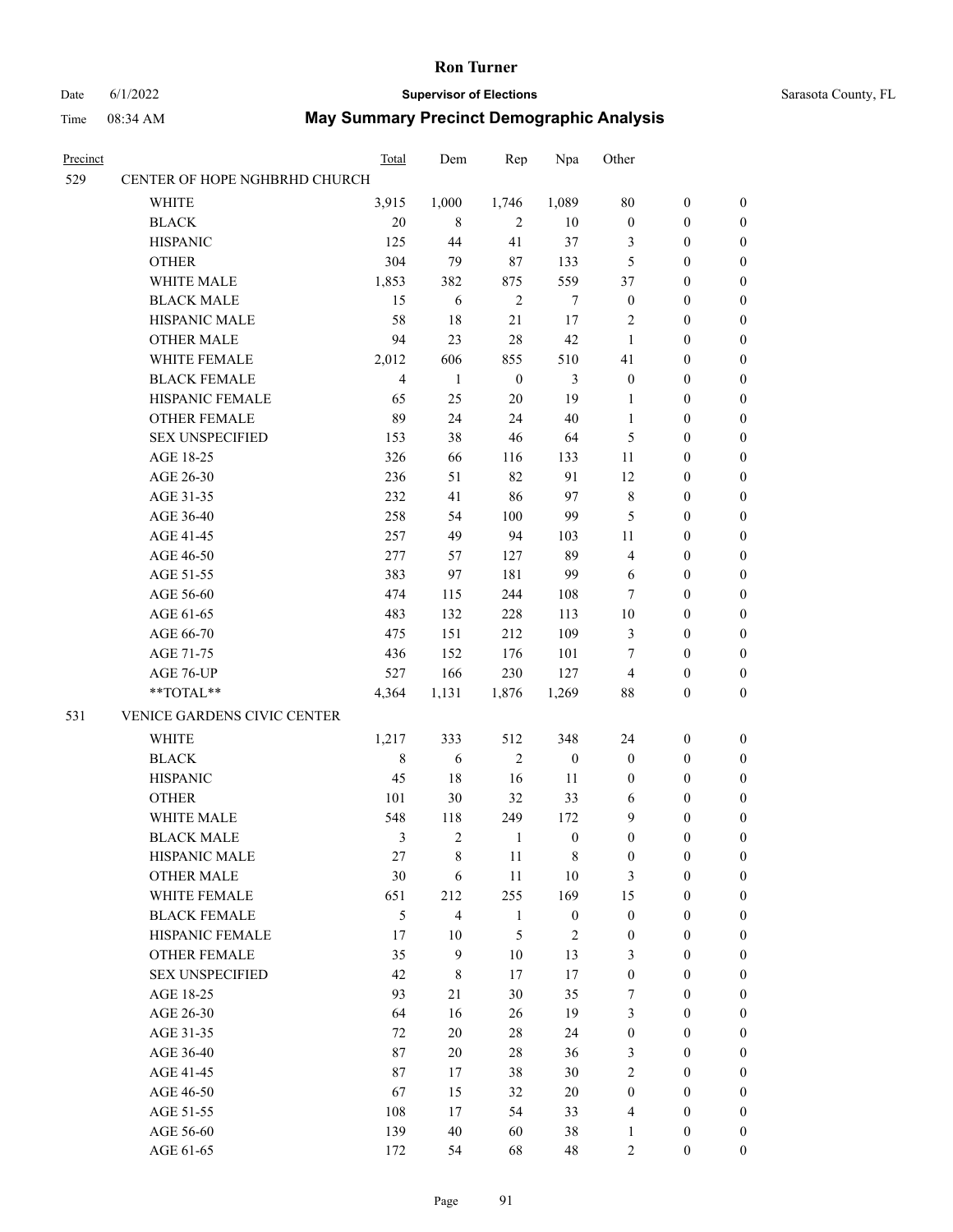# Date 6/1/2022 **Supervisor of Elections** Sarasota County, FL

| Precinct |                               | Total          | Dem                     | Rep            | Npa              | Other            |                  |                  |
|----------|-------------------------------|----------------|-------------------------|----------------|------------------|------------------|------------------|------------------|
| 529      | CENTER OF HOPE NGHBRHD CHURCH |                |                         |                |                  |                  |                  |                  |
|          | <b>WHITE</b>                  | 3,915          | 1,000                   | 1,746          | 1,089            | 80               | $\boldsymbol{0}$ | $\boldsymbol{0}$ |
|          | <b>BLACK</b>                  | 20             | 8                       | $\overline{2}$ | 10               | $\boldsymbol{0}$ | $\boldsymbol{0}$ | $\boldsymbol{0}$ |
|          | <b>HISPANIC</b>               | 125            | 44                      | 41             | 37               | 3                | $\boldsymbol{0}$ | $\boldsymbol{0}$ |
|          | <b>OTHER</b>                  | 304            | 79                      | 87             | 133              | 5                | $\boldsymbol{0}$ | $\boldsymbol{0}$ |
|          | WHITE MALE                    | 1,853          | 382                     | 875            | 559              | 37               | $\boldsymbol{0}$ | $\boldsymbol{0}$ |
|          | <b>BLACK MALE</b>             | 15             | 6                       | $\overline{2}$ | $\tau$           | $\boldsymbol{0}$ | $\boldsymbol{0}$ | $\boldsymbol{0}$ |
|          | HISPANIC MALE                 | 58             | 18                      | 21             | 17               | $\overline{c}$   | $\boldsymbol{0}$ | $\boldsymbol{0}$ |
|          | <b>OTHER MALE</b>             | 94             | 23                      | 28             | 42               | $\mathbf{1}$     | $\boldsymbol{0}$ | $\boldsymbol{0}$ |
|          | WHITE FEMALE                  | 2,012          | 606                     | 855            | 510              | 41               | $\boldsymbol{0}$ | $\boldsymbol{0}$ |
|          | <b>BLACK FEMALE</b>           | $\overline{4}$ | 1                       | $\mathbf{0}$   | 3                | $\boldsymbol{0}$ | $\boldsymbol{0}$ | 0                |
|          | HISPANIC FEMALE               | 65             | 25                      | 20             | 19               | $\mathbf{1}$     | $\boldsymbol{0}$ | 0                |
|          | <b>OTHER FEMALE</b>           | 89             | 24                      | 24             | 40               | $\mathbf{1}$     | $\boldsymbol{0}$ | $\boldsymbol{0}$ |
|          | <b>SEX UNSPECIFIED</b>        | 153            | 38                      | 46             | 64               | 5                | $\boldsymbol{0}$ | $\boldsymbol{0}$ |
|          | AGE 18-25                     | 326            | 66                      | 116            | 133              | 11               | $\boldsymbol{0}$ | $\boldsymbol{0}$ |
|          | AGE 26-30                     | 236            | 51                      | 82             | 91               | 12               | $\boldsymbol{0}$ | $\boldsymbol{0}$ |
|          | AGE 31-35                     | 232            | 41                      | 86             | 97               | $\,$ 8 $\,$      | $\boldsymbol{0}$ | $\boldsymbol{0}$ |
|          | AGE 36-40                     | 258            | 54                      | 100            | 99               | 5                | $\boldsymbol{0}$ | $\boldsymbol{0}$ |
|          | AGE 41-45                     | 257            | 49                      | 94             | 103              | 11               | $\boldsymbol{0}$ | $\boldsymbol{0}$ |
|          | AGE 46-50                     | 277            | 57                      | 127            | 89               | 4                | $\boldsymbol{0}$ | $\boldsymbol{0}$ |
|          | AGE 51-55                     | 383            | 97                      | 181            | 99               | 6                | $\boldsymbol{0}$ | 0                |
|          | AGE 56-60                     | 474            | 115                     | 244            | 108              | 7                | $\boldsymbol{0}$ | 0                |
|          | AGE 61-65                     | 483            | 132                     | 228            | 113              | $10\,$           | $\boldsymbol{0}$ | $\boldsymbol{0}$ |
|          | AGE 66-70                     | 475            | 151                     | 212            | 109              | 3                | $\boldsymbol{0}$ | $\boldsymbol{0}$ |
|          | AGE 71-75                     | 436            | 152                     | 176            | 101              | 7                | $\boldsymbol{0}$ | $\boldsymbol{0}$ |
|          | AGE 76-UP                     | 527            | 166                     | 230            | 127              | $\overline{4}$   | $\boldsymbol{0}$ | $\boldsymbol{0}$ |
|          | **TOTAL**                     | 4,364          | 1,131                   | 1,876          | 1,269            | 88               | $\boldsymbol{0}$ | $\boldsymbol{0}$ |
| 531      | VENICE GARDENS CIVIC CENTER   |                |                         |                |                  |                  |                  |                  |
|          | <b>WHITE</b>                  | 1,217          | 333                     | 512            | 348              | 24               | $\boldsymbol{0}$ | $\boldsymbol{0}$ |
|          | <b>BLACK</b>                  | $\,8\,$        | 6                       | $\overline{2}$ | $\boldsymbol{0}$ | $\boldsymbol{0}$ | $\boldsymbol{0}$ | $\boldsymbol{0}$ |
|          | <b>HISPANIC</b>               | 45             | 18                      | 16             | 11               | $\boldsymbol{0}$ | $\boldsymbol{0}$ | $\boldsymbol{0}$ |
|          | <b>OTHER</b>                  | 101            | 30                      | 32             | 33               | 6                | $\boldsymbol{0}$ | $\boldsymbol{0}$ |
|          | WHITE MALE                    | 548            | 118                     | 249            | 172              | 9                | $\boldsymbol{0}$ | 0                |
|          | <b>BLACK MALE</b>             | 3              | $\mathfrak{2}$          | $\mathbf{1}$   | $\boldsymbol{0}$ | $\boldsymbol{0}$ | $\boldsymbol{0}$ | $\boldsymbol{0}$ |
|          | HISPANIC MALE                 | 27             | $8\,$                   | 11             | 8                | $\boldsymbol{0}$ | $\boldsymbol{0}$ | $\overline{0}$   |
|          | <b>OTHER MALE</b>             | 30             | 6                       | 11             | $10\,$           | 3                | $\boldsymbol{0}$ | $\overline{0}$   |
|          | WHITE FEMALE                  | 651            | 212                     | 255            | 169              | 15               | $\boldsymbol{0}$ | $\overline{0}$   |
|          | <b>BLACK FEMALE</b>           | 5              | $\overline{\mathbf{4}}$ | $\mathbf{1}$   | $\boldsymbol{0}$ | $\boldsymbol{0}$ | $\boldsymbol{0}$ | $\overline{0}$   |
|          | <b>HISPANIC FEMALE</b>        | 17             | 10                      | 5              | $\sqrt{2}$       | $\boldsymbol{0}$ | $\boldsymbol{0}$ | $\overline{0}$   |
|          | <b>OTHER FEMALE</b>           | 35             | 9                       | $10\,$         | 13               | 3                | $\boldsymbol{0}$ | $\theta$         |
|          | <b>SEX UNSPECIFIED</b>        | 42             | $8\,$                   | $17\,$         | 17               | $\boldsymbol{0}$ | $\boldsymbol{0}$ | 0                |
|          | AGE 18-25                     | 93             | 21                      | 30             | 35               | 7                | $\boldsymbol{0}$ | 0                |
|          | AGE 26-30                     | 64             | 16                      | 26             | 19               | 3                | $\boldsymbol{0}$ | 0                |
|          | AGE 31-35                     | 72             | 20                      | 28             | 24               | $\boldsymbol{0}$ | $\boldsymbol{0}$ | 0                |
|          | AGE 36-40                     | 87             | 20                      | 28             | 36               | 3                | $\boldsymbol{0}$ | $\overline{0}$   |
|          | AGE 41-45                     | 87             | 17                      | 38             | 30               | $\overline{2}$   | $\boldsymbol{0}$ | $\overline{0}$   |
|          | AGE 46-50                     | 67             | 15                      | 32             | 20               | $\boldsymbol{0}$ | $\boldsymbol{0}$ | $\overline{0}$   |
|          | AGE 51-55                     | 108            | 17                      | 54             | 33               | $\overline{4}$   | $\boldsymbol{0}$ | $\overline{0}$   |
|          | AGE 56-60                     | 139            | 40                      | 60             | 38               | $\mathbf{1}$     | $\boldsymbol{0}$ | 0                |
|          | AGE 61-65                     | 172            | 54                      | 68             | 48               | $\overline{c}$   | $\boldsymbol{0}$ | $\boldsymbol{0}$ |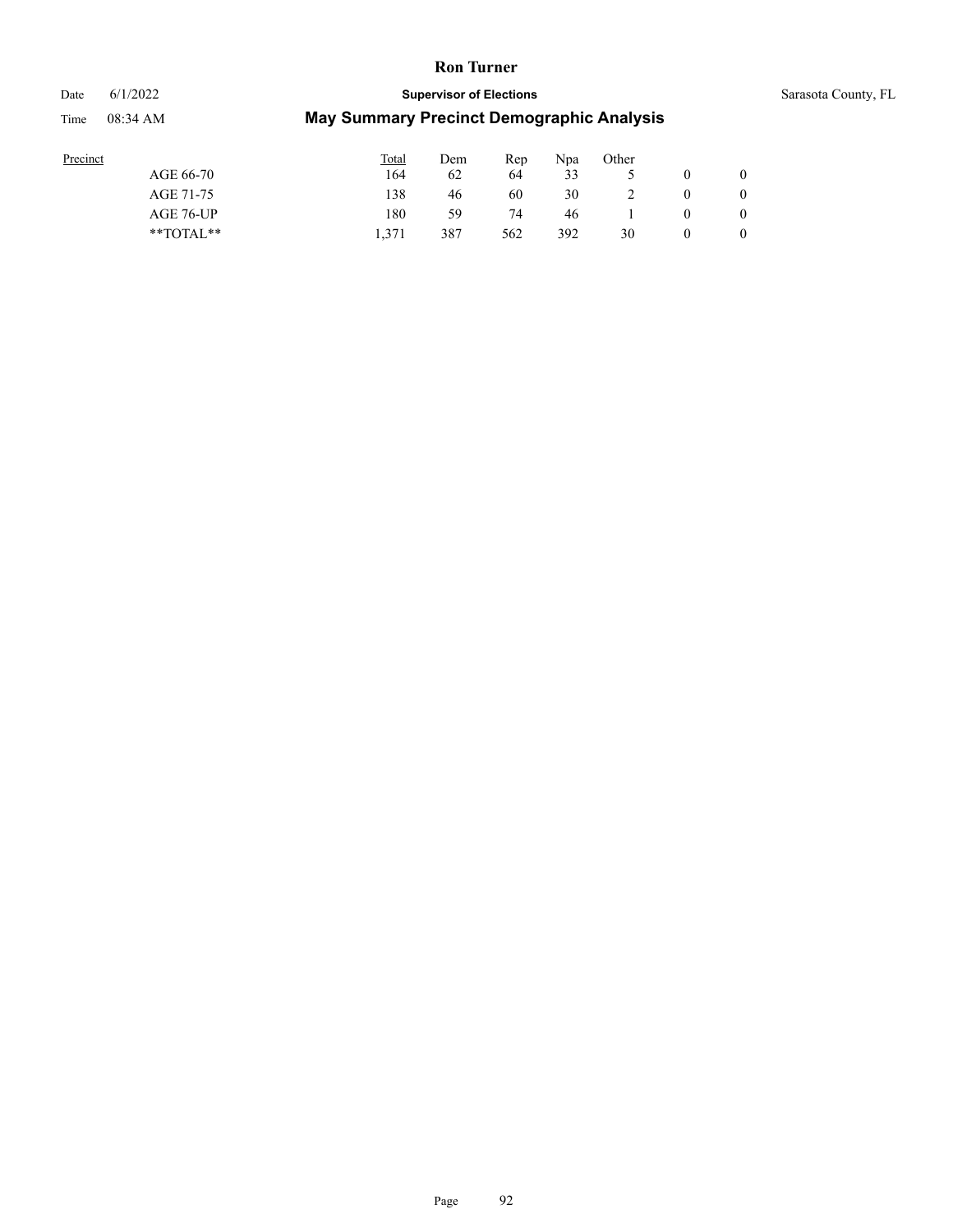# Date 6/1/2022 **Supervisor of Elections** Sarasota County, FL

| Precinct |               | <b>Total</b> | Dem | Rep | Npa | Other |              |
|----------|---------------|--------------|-----|-----|-----|-------|--------------|
|          | AGE 66-70     | 164          | 62  | 64  | 33  |       | $\mathbf{0}$ |
|          | AGE 71-75     | 138          | 46  | 60  | 30  |       | $\mathbf{0}$ |
|          | AGE 76-UP     | 180          | 59  | 74  | 46  |       | $\mathbf{0}$ |
|          | $*$ $TOTAL**$ | 1.371        | 387 | 562 | 392 | 30    | $\theta$     |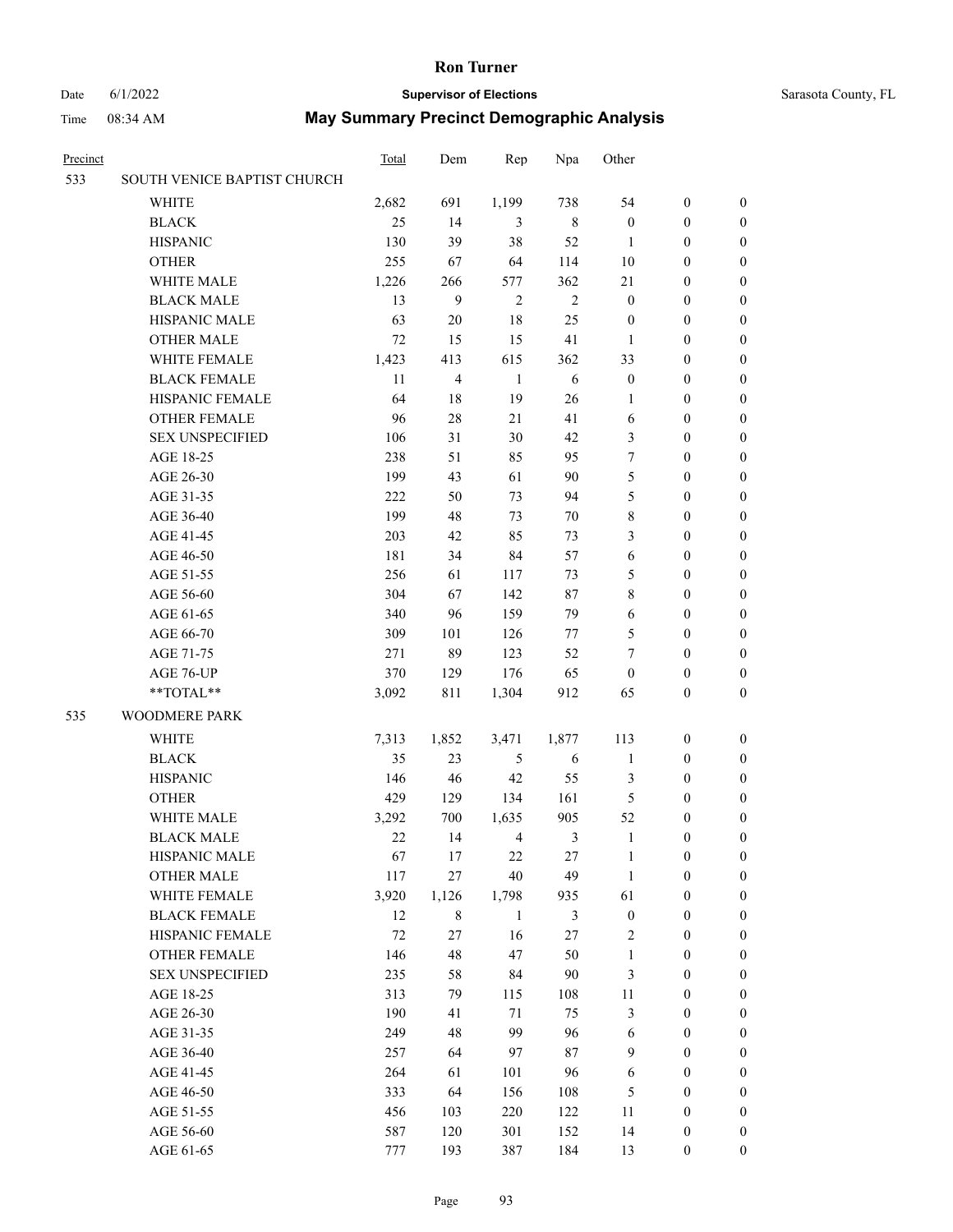# Date 6/1/2022 **Supervisor of Elections** Sarasota County, FL

| Precinct |                             | <b>Total</b> | Dem            | Rep            | Npa            | Other            |                  |                  |
|----------|-----------------------------|--------------|----------------|----------------|----------------|------------------|------------------|------------------|
| 533      | SOUTH VENICE BAPTIST CHURCH |              |                |                |                |                  |                  |                  |
|          | <b>WHITE</b>                | 2,682        | 691            | 1,199          | 738            | 54               | $\boldsymbol{0}$ | $\boldsymbol{0}$ |
|          | <b>BLACK</b>                | 25           | 14             | 3              | $\,$ 8 $\,$    | $\boldsymbol{0}$ | $\boldsymbol{0}$ | $\boldsymbol{0}$ |
|          | <b>HISPANIC</b>             | 130          | 39             | 38             | 52             | $\mathbf{1}$     | $\boldsymbol{0}$ | $\boldsymbol{0}$ |
|          | <b>OTHER</b>                | 255          | 67             | 64             | 114            | 10               | $\boldsymbol{0}$ | $\boldsymbol{0}$ |
|          | WHITE MALE                  | 1,226        | 266            | 577            | 362            | 21               | $\boldsymbol{0}$ | $\boldsymbol{0}$ |
|          | <b>BLACK MALE</b>           | 13           | 9              | $\overline{2}$ | $\overline{c}$ | $\boldsymbol{0}$ | $\boldsymbol{0}$ | $\boldsymbol{0}$ |
|          | HISPANIC MALE               | 63           | $20\,$         | 18             | 25             | $\boldsymbol{0}$ | $\boldsymbol{0}$ | $\boldsymbol{0}$ |
|          | <b>OTHER MALE</b>           | 72           | 15             | 15             | 41             | $\mathbf{1}$     | $\boldsymbol{0}$ | $\boldsymbol{0}$ |
|          | WHITE FEMALE                | 1,423        | 413            | 615            | 362            | 33               | $\boldsymbol{0}$ | $\boldsymbol{0}$ |
|          | <b>BLACK FEMALE</b>         | 11           | $\overline{4}$ | $\mathbf{1}$   | 6              | $\boldsymbol{0}$ | $\boldsymbol{0}$ | 0                |
|          | HISPANIC FEMALE             | 64           | 18             | 19             | 26             | 1                | $\boldsymbol{0}$ | 0                |
|          | <b>OTHER FEMALE</b>         | 96           | 28             | 21             | 41             | 6                | $\boldsymbol{0}$ | 0                |
|          | <b>SEX UNSPECIFIED</b>      | 106          | 31             | 30             | 42             | 3                | $\boldsymbol{0}$ | $\boldsymbol{0}$ |
|          | AGE 18-25                   | 238          | 51             | 85             | 95             | 7                | $\boldsymbol{0}$ | $\boldsymbol{0}$ |
|          | AGE 26-30                   | 199          | 43             | 61             | 90             | 5                | $\boldsymbol{0}$ | $\boldsymbol{0}$ |
|          | AGE 31-35                   | 222          | 50             | 73             | 94             | 5                | $\boldsymbol{0}$ | $\boldsymbol{0}$ |
|          | AGE 36-40                   | 199          | 48             | 73             | 70             | 8                | $\boldsymbol{0}$ | $\boldsymbol{0}$ |
|          | AGE 41-45                   | 203          | 42             | 85             | 73             | 3                | $\boldsymbol{0}$ | $\boldsymbol{0}$ |
|          | AGE 46-50                   | 181          | 34             | 84             | 57             | 6                | $\boldsymbol{0}$ | $\boldsymbol{0}$ |
|          | AGE 51-55                   | 256          | 61             | 117            | 73             | 5                | $\boldsymbol{0}$ | $\boldsymbol{0}$ |
|          | AGE 56-60                   | 304          | 67             | 142            | 87             | 8                | $\boldsymbol{0}$ | 0                |
|          | AGE 61-65                   | 340          | 96             | 159            | 79             | 6                | $\boldsymbol{0}$ | 0                |
|          | AGE 66-70                   | 309          | 101            | 126            | 77             | 5                | $\boldsymbol{0}$ | $\boldsymbol{0}$ |
|          | AGE 71-75                   | 271          | 89             | 123            | 52             | 7                | $\boldsymbol{0}$ | $\boldsymbol{0}$ |
|          | AGE 76-UP                   | 370          | 129            | 176            | 65             | $\boldsymbol{0}$ | $\boldsymbol{0}$ | $\boldsymbol{0}$ |
|          | $**TOTAL**$                 | 3,092        | 811            | 1,304          | 912            | 65               | $\boldsymbol{0}$ | $\boldsymbol{0}$ |
| 535      | <b>WOODMERE PARK</b>        |              |                |                |                |                  |                  |                  |
|          | <b>WHITE</b>                | 7,313        | 1,852          | 3,471          | 1,877          | 113              | $\boldsymbol{0}$ | $\boldsymbol{0}$ |
|          | <b>BLACK</b>                | 35           | 23             | $\sqrt{5}$     | 6              | $\mathbf{1}$     | $\boldsymbol{0}$ | $\boldsymbol{0}$ |
|          | <b>HISPANIC</b>             | 146          | 46             | 42             | 55             | 3                | $\boldsymbol{0}$ | $\boldsymbol{0}$ |
|          | <b>OTHER</b>                | 429          | 129            | 134            | 161            | 5                | $\boldsymbol{0}$ | $\boldsymbol{0}$ |
|          | WHITE MALE                  | 3,292        | 700            | 1,635          | 905            | 52               | $\boldsymbol{0}$ | 0                |
|          | <b>BLACK MALE</b>           | 22           | 14             | $\overline{4}$ | $\mathfrak{Z}$ | $\mathbf{1}$     | $\boldsymbol{0}$ | 0                |
|          | HISPANIC MALE               | 67           | 17             | 22             | 27             | 1                | $\boldsymbol{0}$ | 0                |
|          | <b>OTHER MALE</b>           | 117          | 27             | 40             | 49             | $\mathbf{1}$     | $\boldsymbol{0}$ | $\overline{0}$   |
|          | WHITE FEMALE                | 3,920        | 1,126          | 1,798          | 935            | 61               | $\boldsymbol{0}$ | $\overline{0}$   |
|          | <b>BLACK FEMALE</b>         | 12           | $\,$ 8 $\,$    | $\mathbf{1}$   | $\mathfrak{Z}$ | $\boldsymbol{0}$ | $\boldsymbol{0}$ | $\overline{0}$   |
|          | HISPANIC FEMALE             | 72           | 27             | 16             | 27             | 2                | $\boldsymbol{0}$ | $\overline{0}$   |
|          | <b>OTHER FEMALE</b>         | 146          | 48             | 47             | 50             | $\mathbf{1}$     | $\boldsymbol{0}$ | $\overline{0}$   |
|          | <b>SEX UNSPECIFIED</b>      | 235          | 58             | 84             | 90             | 3                | $\boldsymbol{0}$ | $\overline{0}$   |
|          | AGE 18-25                   | 313          | 79             | 115            | 108            | $11\,$           | $\boldsymbol{0}$ | 0                |
|          | AGE 26-30                   | 190          | 41             | 71             | 75             | 3                | $\boldsymbol{0}$ | 0                |
|          | AGE 31-35                   | 249          | 48             | 99             | 96             | 6                | $\boldsymbol{0}$ | 0                |
|          | AGE 36-40                   | 257          | 64             | 97             | $87\,$         | 9                | $\boldsymbol{0}$ | 0                |
|          | AGE 41-45                   | 264          | 61             | 101            | 96             | 6                | $\boldsymbol{0}$ | $\overline{0}$   |
|          | AGE 46-50                   | 333          | 64             | 156            | 108            | 5                | $\boldsymbol{0}$ | $\overline{0}$   |
|          | AGE 51-55                   | 456          | 103            | 220            | 122            | 11               | $\boldsymbol{0}$ | $\overline{0}$   |
|          | AGE 56-60                   | 587          | 120            | 301            | 152            | 14               | $\boldsymbol{0}$ | 0                |
|          | AGE 61-65                   | 777          | 193            | 387            | 184            | 13               | $\boldsymbol{0}$ | $\boldsymbol{0}$ |
|          |                             |              |                |                |                |                  |                  |                  |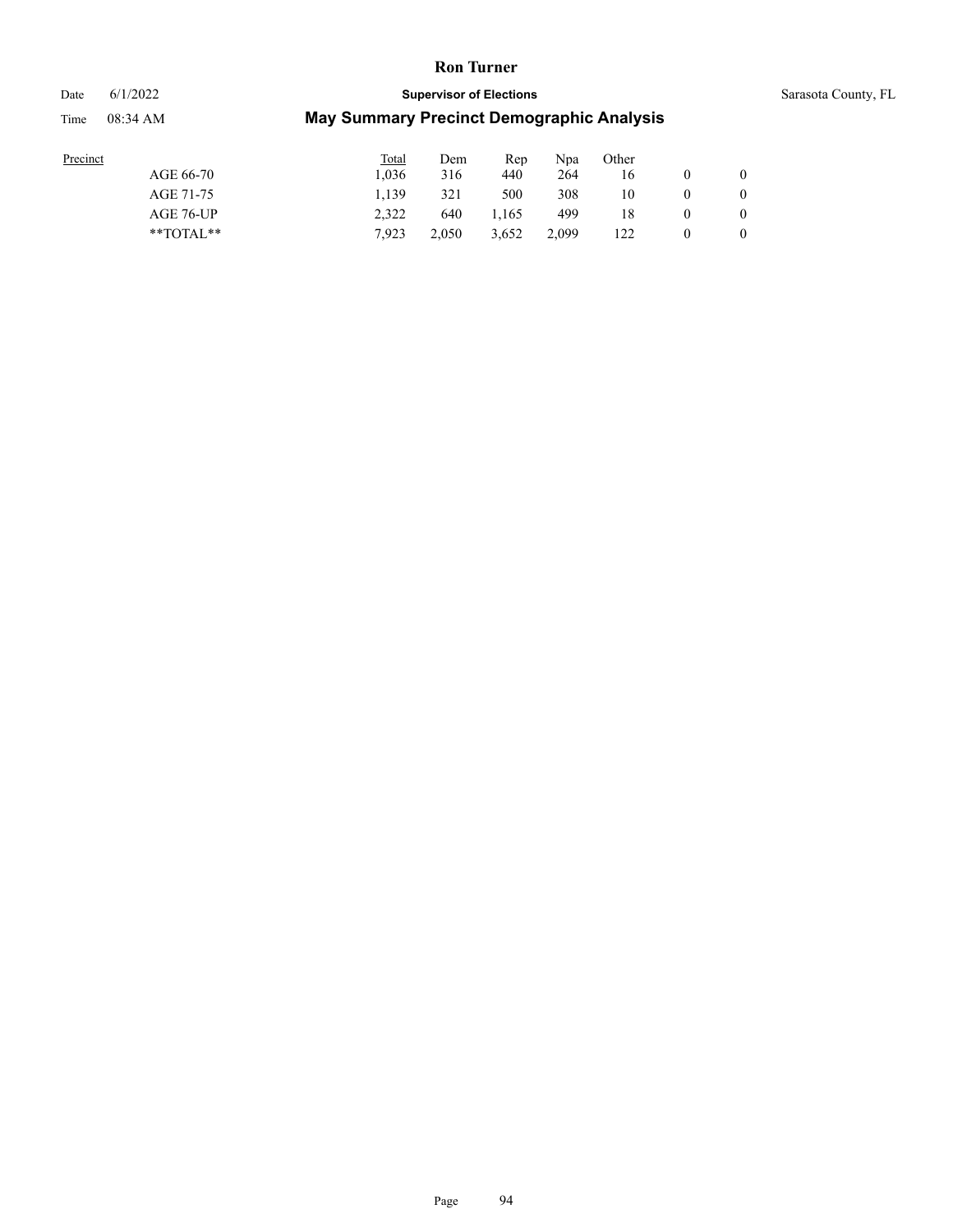Date 6/1/2022 **Supervisor of Elections** Supervisor **Supervisor of Elections** Sarasota County, FL

| Precinct |  |
|----------|--|
|          |  |

|               | Total | Dem   | Rep   | Npa   | Other |          |          |
|---------------|-------|-------|-------|-------|-------|----------|----------|
| AGE 66-70     | 1.036 | 316   | 440   | 264   | 16    |          | $\theta$ |
| AGE 71-75     | 1.139 | 321   | 500   | 308   | 10    | $_{0}$   |          |
| AGE 76-UP     | 2.322 | 640   | 1.165 | 499   | 18    | $\theta$ |          |
| $*$ TOTAL $*$ | 7.923 | 2.050 | 3,652 | 2,099 | 122   | $_{0}$   |          |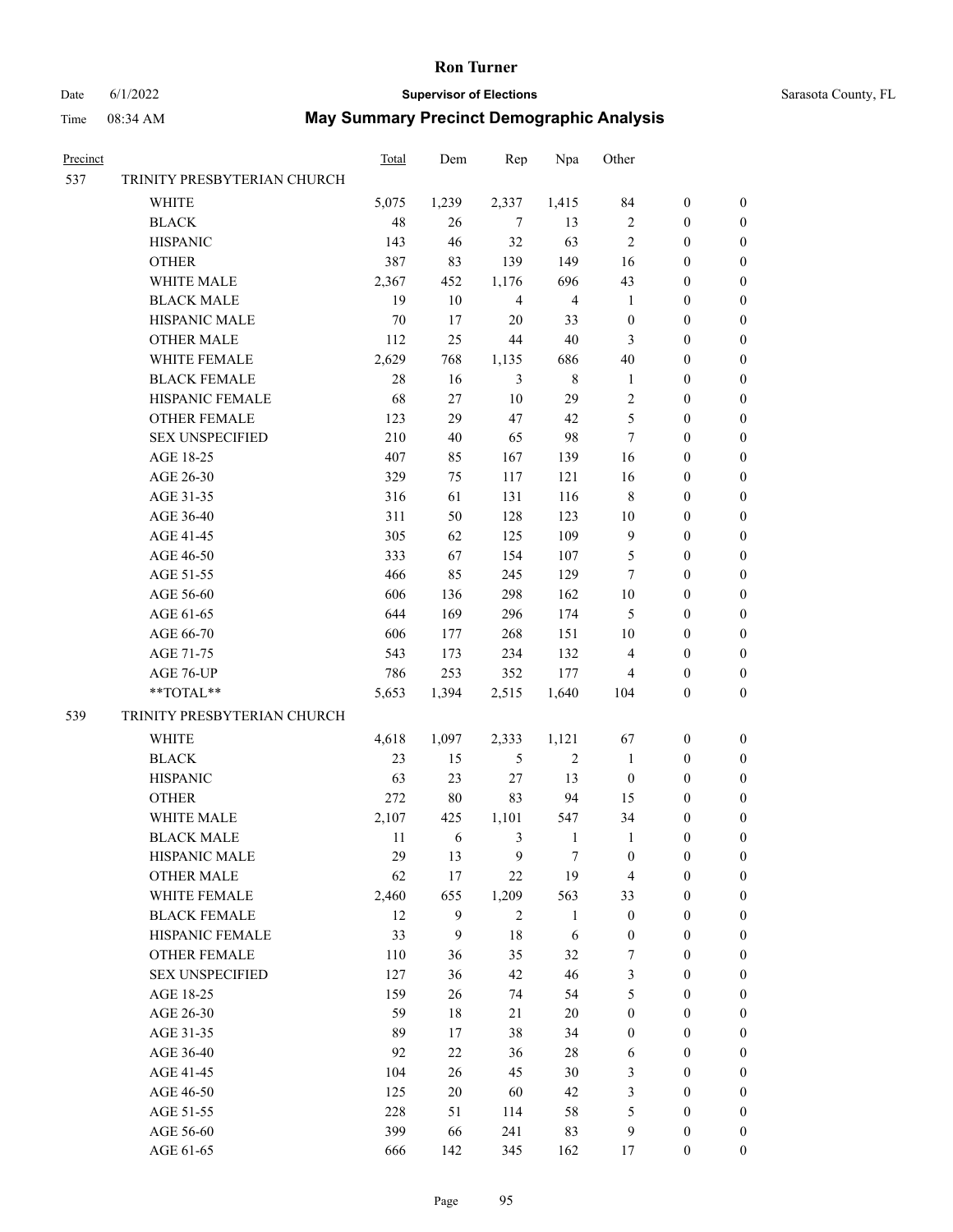#### Date 6/1/2022 **Supervisor of Elections** Supervisor **Supervisor of Elections** Sarasota County, FL

| Precinct |                             | <b>Total</b> | Dem            | Rep            | Npa            | Other            |                  |                  |
|----------|-----------------------------|--------------|----------------|----------------|----------------|------------------|------------------|------------------|
| 537      | TRINITY PRESBYTERIAN CHURCH |              |                |                |                |                  |                  |                  |
|          | WHITE                       | 5,075        | 1,239          | 2,337          | 1,415          | 84               | $\boldsymbol{0}$ | 0                |
|          | <b>BLACK</b>                | 48           | 26             | $\tau$         | 13             | $\mathbf{2}$     | $\boldsymbol{0}$ | $\boldsymbol{0}$ |
|          | <b>HISPANIC</b>             | 143          | 46             | 32             | 63             | $\mathfrak{2}$   | $\boldsymbol{0}$ | $\boldsymbol{0}$ |
|          | <b>OTHER</b>                | 387          | 83             | 139            | 149            | 16               | $\boldsymbol{0}$ | $\boldsymbol{0}$ |
|          | WHITE MALE                  | 2,367        | 452            | 1,176          | 696            | 43               | $\boldsymbol{0}$ | $\boldsymbol{0}$ |
|          | <b>BLACK MALE</b>           | 19           | 10             | $\overline{4}$ | $\overline{4}$ | $\mathbf{1}$     | $\boldsymbol{0}$ | $\boldsymbol{0}$ |
|          | HISPANIC MALE               | $70\,$       | 17             | 20             | 33             | $\boldsymbol{0}$ | $\boldsymbol{0}$ | $\boldsymbol{0}$ |
|          | <b>OTHER MALE</b>           | 112          | 25             | 44             | $40\,$         | 3                | $\boldsymbol{0}$ | $\boldsymbol{0}$ |
|          | WHITE FEMALE                | 2,629        | 768            | 1,135          | 686            | 40               | $\boldsymbol{0}$ | $\boldsymbol{0}$ |
|          | <b>BLACK FEMALE</b>         | 28           | 16             | $\mathfrak{Z}$ | $\,$ 8 $\,$    | $\mathbf{1}$     | $\boldsymbol{0}$ | $\boldsymbol{0}$ |
|          | HISPANIC FEMALE             | 68           | 27             | 10             | 29             | 2                | $\boldsymbol{0}$ | 0                |
|          | <b>OTHER FEMALE</b>         | 123          | 29             | 47             | 42             | 5                | $\boldsymbol{0}$ | 0                |
|          | <b>SEX UNSPECIFIED</b>      | 210          | 40             | 65             | 98             | $\tau$           | $\boldsymbol{0}$ | $\boldsymbol{0}$ |
|          | AGE 18-25                   | 407          | 85             | 167            | 139            | 16               | $\boldsymbol{0}$ | $\boldsymbol{0}$ |
|          | AGE 26-30                   | 329          | 75             | 117            | 121            | 16               | $\boldsymbol{0}$ | $\boldsymbol{0}$ |
|          | AGE 31-35                   | 316          | 61             | 131            | 116            | 8                | $\boldsymbol{0}$ | $\boldsymbol{0}$ |
|          | AGE 36-40                   | 311          | 50             | 128            | 123            | 10               | $\boldsymbol{0}$ | $\boldsymbol{0}$ |
|          | AGE 41-45                   | 305          | 62             | 125            | 109            | 9                | $\boldsymbol{0}$ | $\boldsymbol{0}$ |
|          | AGE 46-50                   | 333          | 67             | 154            | 107            | 5                | $\boldsymbol{0}$ | $\boldsymbol{0}$ |
|          | AGE 51-55                   | 466          | 85             | 245            | 129            | 7                | $\boldsymbol{0}$ | 0                |
|          | AGE 56-60                   | 606          | 136            | 298            | 162            | $10\,$           | $\boldsymbol{0}$ | 0                |
|          | AGE 61-65                   | 644          | 169            | 296            | 174            | 5                | $\boldsymbol{0}$ | 0                |
|          | AGE 66-70                   | 606          | 177            | 268            | 151            | $10\,$           | $\boldsymbol{0}$ | $\boldsymbol{0}$ |
|          | AGE 71-75                   | 543          | 173            | 234            | 132            | $\overline{4}$   | $\boldsymbol{0}$ | $\boldsymbol{0}$ |
|          | AGE 76-UP                   | 786          | 253            | 352            | 177            | 4                | $\boldsymbol{0}$ | $\boldsymbol{0}$ |
|          | **TOTAL**                   | 5,653        | 1,394          | 2,515          | 1,640          | 104              | $\mathbf{0}$     | $\boldsymbol{0}$ |
| 539      |                             |              |                |                |                |                  |                  |                  |
|          | TRINITY PRESBYTERIAN CHURCH |              |                |                |                |                  |                  |                  |
|          | WHITE                       | 4,618        | 1,097          | 2,333          | 1,121          | 67               | $\boldsymbol{0}$ | $\boldsymbol{0}$ |
|          | <b>BLACK</b>                | 23           | 15             | 5              | $\sqrt{2}$     | $\mathbf{1}$     | $\boldsymbol{0}$ | $\boldsymbol{0}$ |
|          | <b>HISPANIC</b>             | 63           | 23             | $27\,$         | 13             | $\boldsymbol{0}$ | $\boldsymbol{0}$ | $\boldsymbol{0}$ |
|          | <b>OTHER</b>                | 272          | 80             | 83             | 94             | 15               | $\boldsymbol{0}$ | $\boldsymbol{0}$ |
|          | WHITE MALE                  | 2,107        | 425            | 1,101          | 547            | 34               | 0                | $\boldsymbol{0}$ |
|          | <b>BLACK MALE</b>           | 11           | 6              | 3              | $\mathbf{1}$   | 1                | 0                | $\boldsymbol{0}$ |
|          | HISPANIC MALE               | 29           | 13             | 9              | 7              | $\boldsymbol{0}$ | $\boldsymbol{0}$ | 0                |
|          | <b>OTHER MALE</b>           | 62           | 17             | 22             | 19             | 4                | $\boldsymbol{0}$ | 0                |
|          | WHITE FEMALE                | 2,460        | 655            | 1,209          | 563            | 33               | $\boldsymbol{0}$ | $\overline{0}$   |
|          | <b>BLACK FEMALE</b>         | 12           | 9              | $\sqrt{2}$     | $\mathbf{1}$   | $\boldsymbol{0}$ | $\boldsymbol{0}$ | $\overline{0}$   |
|          | HISPANIC FEMALE             | 33           | $\overline{9}$ | $18\,$         | $\sqrt{6}$     | $\boldsymbol{0}$ | $\boldsymbol{0}$ | 0                |
|          | OTHER FEMALE                | 110          | 36             | 35             | 32             | 7                | $\boldsymbol{0}$ | $\overline{0}$   |
|          | <b>SEX UNSPECIFIED</b>      | 127          | 36             | 42             | $46\,$         | 3                | $\boldsymbol{0}$ | $\overline{0}$   |
|          | AGE 18-25                   | 159          | 26             | 74             | 54             | 5                | $\boldsymbol{0}$ | 0                |
|          | AGE 26-30                   | 59           | $18\,$         | 21             | $20\,$         | $\boldsymbol{0}$ | $\boldsymbol{0}$ | 0                |
|          | AGE 31-35                   | 89           | 17             | 38             | 34             | $\boldsymbol{0}$ | $\boldsymbol{0}$ | 0                |
|          | AGE 36-40                   | 92           | $22\,$         | 36             | 28             | 6                | $\boldsymbol{0}$ | 0                |
|          | AGE 41-45                   | 104          | 26             | 45             | $30\,$         | 3                | $\boldsymbol{0}$ | $\overline{0}$   |
|          | AGE 46-50                   | 125          | $20\,$         | 60             | $42\,$         | 3                | $\boldsymbol{0}$ | $\overline{0}$   |
|          | AGE 51-55                   | 228          | 51             | 114            | 58             | 5                | $\boldsymbol{0}$ | $\overline{0}$   |
|          | AGE 56-60                   | 399          | 66             | 241            | 83             | 9                | $\boldsymbol{0}$ | 0                |
|          | AGE 61-65                   | 666          | 142            | 345            | 162            | 17               | $\boldsymbol{0}$ | $\overline{0}$   |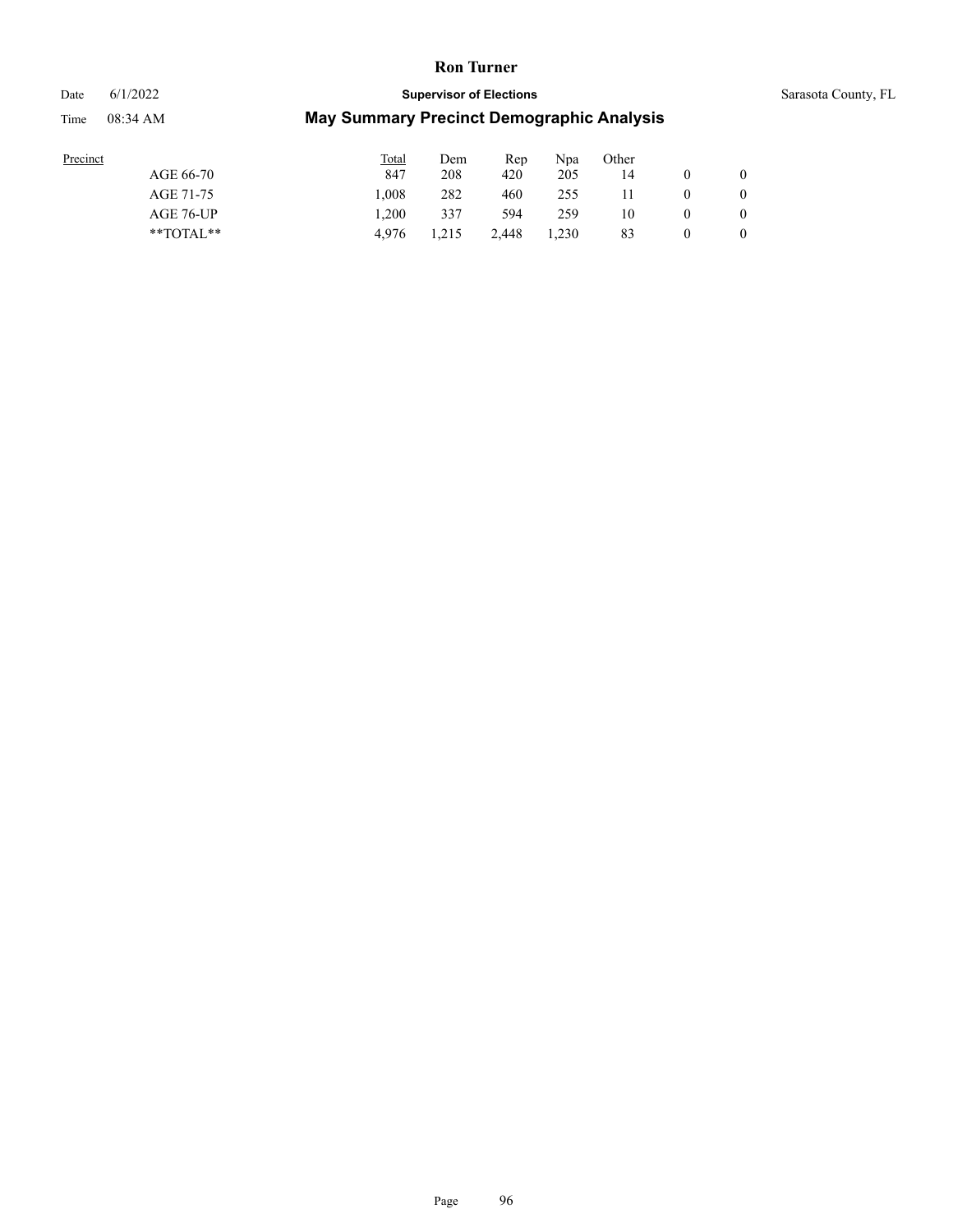Date 6/1/2022 **Supervisor of Elections** Supervisor **Supervisor of Elections** Sarasota County, FL

| rrecinct |
|----------|
|          |

|               | Total | Dem   | Rep   | Npa   | Other        |                |
|---------------|-------|-------|-------|-------|--------------|----------------|
| AGE 66-70     | 847   | 208   | 420   | 205   | 14           | $\overline{0}$ |
| AGE 71-75     | 1.008 | 282   | 460   | 255   | $\mathbf{H}$ | $\bf{0}$       |
| AGE 76-UP     | 1.200 | 337   | 594   | 259   | 10           | $\bf{0}$       |
| $*$ TOTAL $*$ | 4.976 | 1.215 | 2.448 | 1.230 | 83           |                |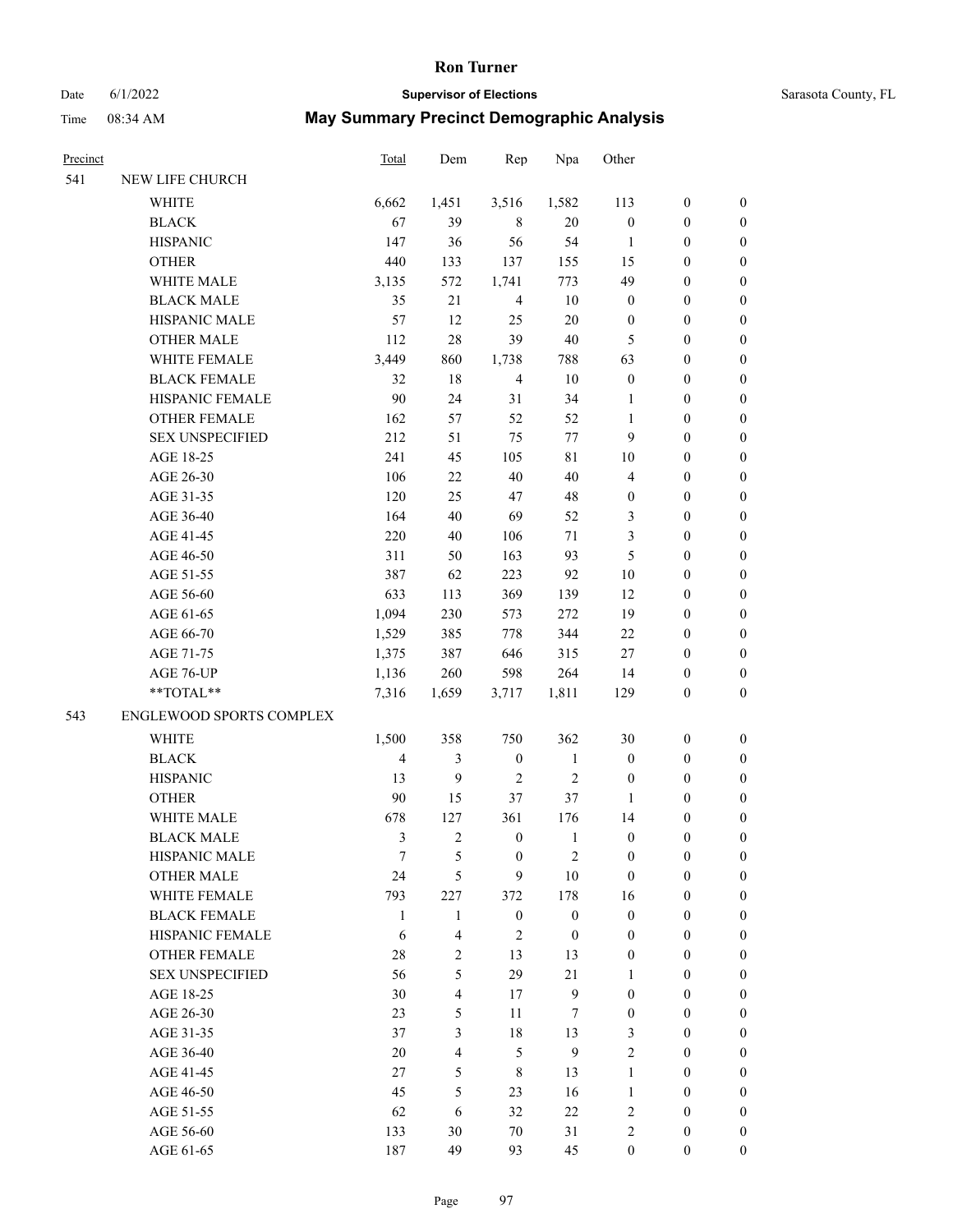# Date 6/1/2022 **Supervisor of Elections** Supervisor **Supervisor of Elections** Sarasota County, FL

| Precinct |                                 | Total  | Dem                     | Rep              | Npa              | Other            |                  |                  |
|----------|---------------------------------|--------|-------------------------|------------------|------------------|------------------|------------------|------------------|
| 541      | NEW LIFE CHURCH                 |        |                         |                  |                  |                  |                  |                  |
|          | <b>WHITE</b>                    | 6,662  | 1,451                   | 3,516            | 1,582            | 113              | $\boldsymbol{0}$ | $\boldsymbol{0}$ |
|          | <b>BLACK</b>                    | 67     | 39                      | 8                | 20               | $\boldsymbol{0}$ | $\boldsymbol{0}$ | $\boldsymbol{0}$ |
|          | <b>HISPANIC</b>                 | 147    | 36                      | 56               | 54               | $\mathbf{1}$     | $\boldsymbol{0}$ | $\boldsymbol{0}$ |
|          | <b>OTHER</b>                    | 440    | 133                     | 137              | 155              | 15               | $\boldsymbol{0}$ | $\boldsymbol{0}$ |
|          | WHITE MALE                      | 3,135  | 572                     | 1,741            | 773              | 49               | $\boldsymbol{0}$ | $\boldsymbol{0}$ |
|          | <b>BLACK MALE</b>               | 35     | 21                      | $\overline{4}$   | 10               | $\boldsymbol{0}$ | $\boldsymbol{0}$ | $\boldsymbol{0}$ |
|          | HISPANIC MALE                   | 57     | 12                      | 25               | 20               | $\boldsymbol{0}$ | $\boldsymbol{0}$ | $\boldsymbol{0}$ |
|          | <b>OTHER MALE</b>               | 112    | 28                      | 39               | 40               | 5                | $\boldsymbol{0}$ | $\boldsymbol{0}$ |
|          | WHITE FEMALE                    | 3,449  | 860                     | 1,738            | 788              | 63               | $\boldsymbol{0}$ | $\boldsymbol{0}$ |
|          | <b>BLACK FEMALE</b>             | 32     | 18                      | $\overline{4}$   | 10               | $\boldsymbol{0}$ | $\boldsymbol{0}$ | 0                |
|          | HISPANIC FEMALE                 | 90     | 24                      | 31               | 34               | 1                | $\boldsymbol{0}$ | 0                |
|          | <b>OTHER FEMALE</b>             | 162    | 57                      | 52               | 52               | $\mathbf{1}$     | $\boldsymbol{0}$ | 0                |
|          | <b>SEX UNSPECIFIED</b>          | 212    | 51                      | 75               | 77               | 9                | $\boldsymbol{0}$ | $\boldsymbol{0}$ |
|          | AGE 18-25                       | 241    | 45                      | 105              | $8\sqrt{1}$      | 10               | $\boldsymbol{0}$ | $\boldsymbol{0}$ |
|          | AGE 26-30                       | 106    | $22\,$                  | 40               | 40               | 4                | $\boldsymbol{0}$ | $\boldsymbol{0}$ |
|          | AGE 31-35                       | 120    | 25                      | 47               | 48               | $\boldsymbol{0}$ | $\boldsymbol{0}$ | $\boldsymbol{0}$ |
|          | AGE 36-40                       | 164    | 40                      | 69               | 52               | 3                | $\boldsymbol{0}$ | $\boldsymbol{0}$ |
|          | AGE 41-45                       | 220    | 40                      | 106              | $71\,$           | 3                | $\boldsymbol{0}$ | $\boldsymbol{0}$ |
|          | AGE 46-50                       | 311    | 50                      | 163              | 93               | 5                | $\boldsymbol{0}$ | $\boldsymbol{0}$ |
|          | AGE 51-55                       | 387    | 62                      | 223              | 92               | 10               | $\boldsymbol{0}$ | $\boldsymbol{0}$ |
|          | AGE 56-60                       | 633    | 113                     | 369              | 139              | 12               | $\boldsymbol{0}$ | 0                |
|          | AGE 61-65                       | 1,094  | 230                     | 573              | 272              | 19               | $\boldsymbol{0}$ | 0                |
|          | AGE 66-70                       | 1,529  | 385                     | 778              | 344              | 22               | $\boldsymbol{0}$ | $\boldsymbol{0}$ |
|          | AGE 71-75                       | 1,375  | 387                     | 646              | 315              | $27\,$           | $\boldsymbol{0}$ | $\boldsymbol{0}$ |
|          | AGE 76-UP                       | 1,136  | 260                     | 598              | 264              | 14               | $\boldsymbol{0}$ | $\boldsymbol{0}$ |
|          | **TOTAL**                       | 7,316  | 1,659                   | 3,717            | 1,811            | 129              | $\boldsymbol{0}$ | $\boldsymbol{0}$ |
| 543      | <b>ENGLEWOOD SPORTS COMPLEX</b> |        |                         |                  |                  |                  |                  |                  |
|          | WHITE                           | 1,500  | 358                     | 750              | 362              | 30               | $\boldsymbol{0}$ | $\boldsymbol{0}$ |
|          | <b>BLACK</b>                    | 4      | $\mathfrak{Z}$          | $\boldsymbol{0}$ | $\mathbf{1}$     | $\boldsymbol{0}$ | $\boldsymbol{0}$ | $\boldsymbol{0}$ |
|          | <b>HISPANIC</b>                 | 13     | 9                       | $\overline{2}$   | $\mathfrak{2}$   | $\boldsymbol{0}$ | $\boldsymbol{0}$ | $\boldsymbol{0}$ |
|          | <b>OTHER</b>                    | $90\,$ | 15                      | 37               | 37               | $\mathbf{1}$     | $\boldsymbol{0}$ | $\boldsymbol{0}$ |
|          | WHITE MALE                      | 678    | 127                     | 361              | 176              | 14               | $\boldsymbol{0}$ | 0                |
|          | <b>BLACK MALE</b>               | 3      | $\overline{2}$          | $\boldsymbol{0}$ | $\mathbf{1}$     | $\boldsymbol{0}$ | $\boldsymbol{0}$ | 0                |
|          | <b>HISPANIC MALE</b>            | 7      | 5                       | $\boldsymbol{0}$ | $\overline{c}$   | 0                | 0                | 0                |
|          | <b>OTHER MALE</b>               | 24     | 5                       | 9                | 10               | $\boldsymbol{0}$ | $\boldsymbol{0}$ | $\overline{0}$   |
|          | WHITE FEMALE                    | 793    | 227                     | 372              | 178              | 16               | $\boldsymbol{0}$ | $\overline{0}$   |
|          | <b>BLACK FEMALE</b>             | 1      | $\mathbf{1}$            | $\boldsymbol{0}$ | $\boldsymbol{0}$ | $\boldsymbol{0}$ | $\boldsymbol{0}$ | $\overline{0}$   |
|          | HISPANIC FEMALE                 | 6      | $\overline{4}$          | 2                | $\boldsymbol{0}$ | $\boldsymbol{0}$ | $\theta$         | $\overline{0}$   |
|          | <b>OTHER FEMALE</b>             | 28     | $\mathfrak{2}$          | 13               | 13               | 0                | $\boldsymbol{0}$ | $\theta$         |
|          | <b>SEX UNSPECIFIED</b>          | 56     | 5                       | 29               | 21               | 1                | $\boldsymbol{0}$ | $\theta$         |
|          | AGE 18-25                       | 30     | $\overline{\mathbf{4}}$ | 17               | $\mathbf{9}$     | $\boldsymbol{0}$ | $\boldsymbol{0}$ | $\theta$         |
|          | AGE 26-30                       | 23     | 5                       | 11               | 7                | $\boldsymbol{0}$ | $\boldsymbol{0}$ | 0                |
|          | AGE 31-35                       | 37     | 3                       | 18               | 13               | 3                | $\boldsymbol{0}$ | 0                |
|          | AGE 36-40                       | 20     | $\overline{4}$          | 5                | 9                | $\overline{c}$   | $\boldsymbol{0}$ | $\overline{0}$   |
|          | AGE 41-45                       | 27     | 5                       | 8                | 13               | $\mathbf{1}$     | $\boldsymbol{0}$ | $\overline{0}$   |
|          | AGE 46-50                       | 45     | 5                       | 23               | 16               | $\mathbf{1}$     | $\boldsymbol{0}$ | $\overline{0}$   |
|          | AGE 51-55                       | 62     | 6                       | 32               | $22\,$           | 2                | $\theta$         | $\overline{0}$   |
|          | AGE 56-60                       | 133    | 30                      | 70               | 31               | $\overline{c}$   | $\boldsymbol{0}$ | $\boldsymbol{0}$ |
|          | AGE 61-65                       | 187    | 49                      | 93               | 45               | $\boldsymbol{0}$ | $\boldsymbol{0}$ | $\overline{0}$   |
|          |                                 |        |                         |                  |                  |                  |                  |                  |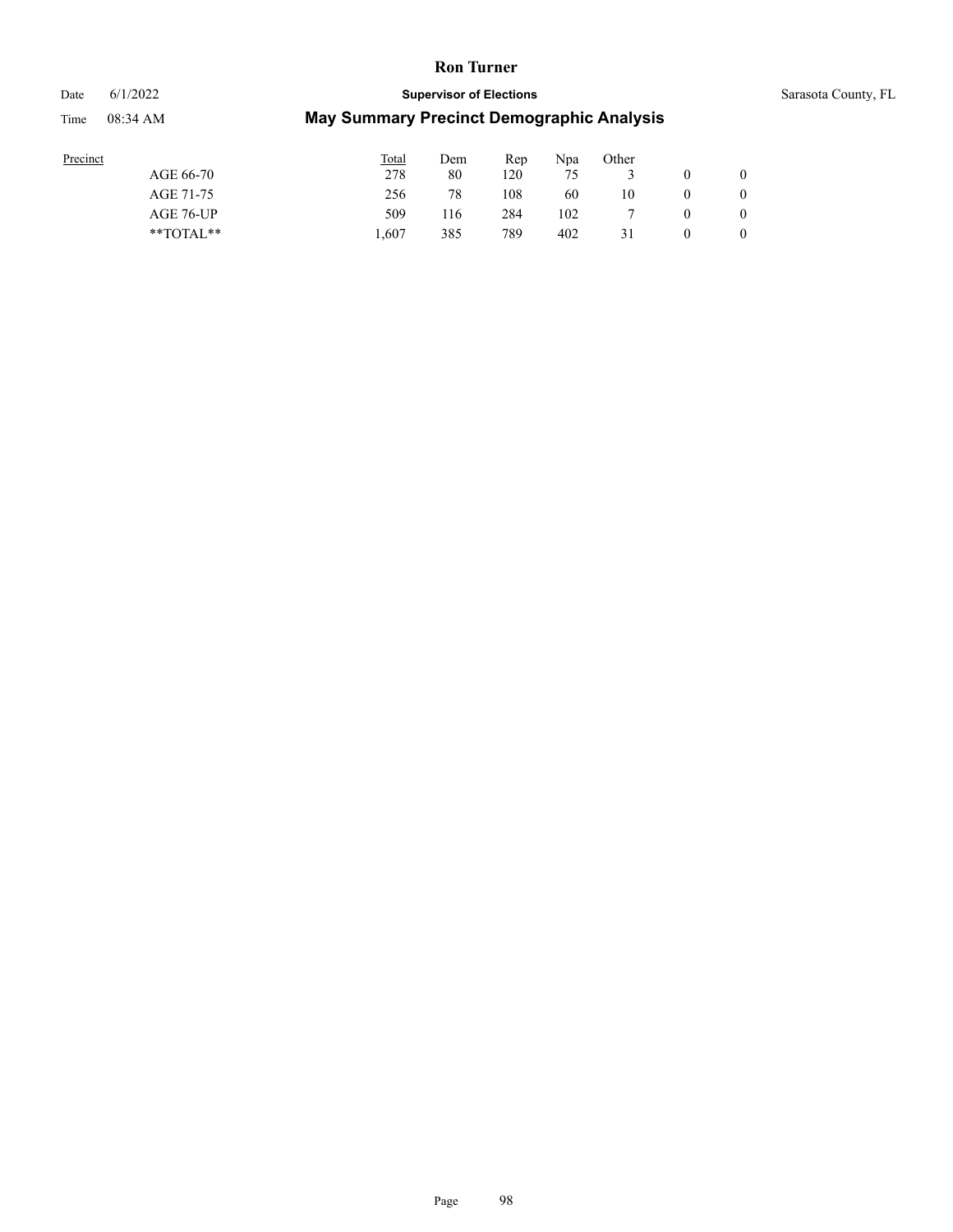Date 6/1/2022 **Supervisor of Elections** Supervisor **Supervisor of Elections** Sarasota County, FL

| Precinct      | Total | Dem | Rep | Npa | Other |  |
|---------------|-------|-----|-----|-----|-------|--|
| AGE 66-70     | 278   | 80  | 120 | 75  |       |  |
| AGE 71-75     | 256   | 78  | 108 | 60  | 10    |  |
| AGE 76-UP     | 509   | 116 | 284 | 102 |       |  |
| $*$ TOTAL $*$ | 607   | 385 | 789 | 402 | 31    |  |